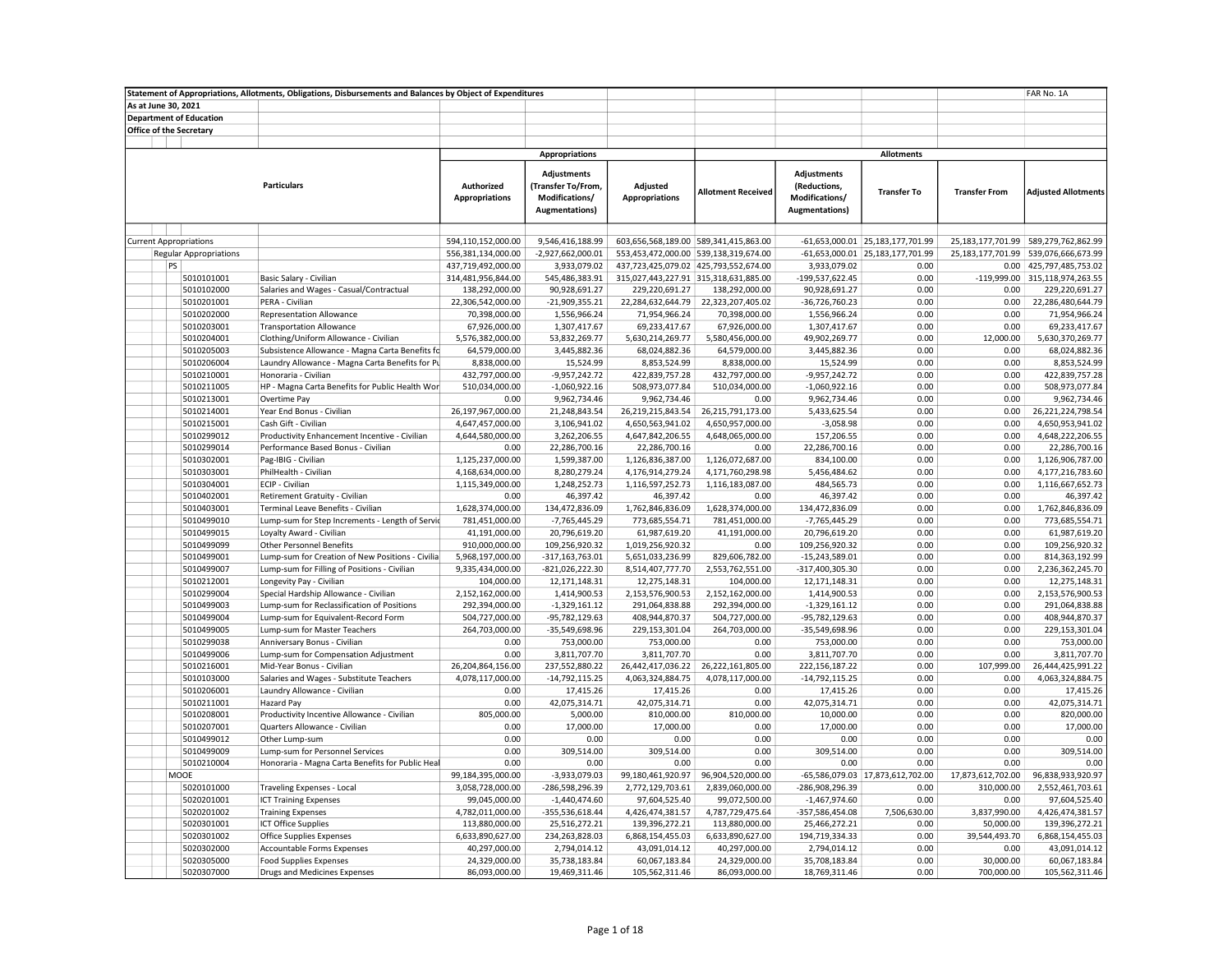| As at June 30, 2021<br><b>Department of Education</b><br>Office of the Secretary<br><b>Appropriations</b><br><b>Allotments</b><br><b>Adjustments</b><br>Adjustments<br><b>Particulars</b><br><b>Authorized</b><br>(Transfer To/From,<br>Adjusted<br>(Reductions,<br><b>Allotment Received</b><br><b>Transfer To</b><br><b>Transfer From</b><br><b>Adjusted Allotments</b><br><b>Appropriations</b><br>Modifications/<br><b>Appropriations</b><br>Modifications/<br><b>Augmentations</b> )<br><b>Augmentations)</b><br>9,546,416,188.99<br>603,656,568,189.00 589,341,415,863.00<br>$-61,653,000.01$ 25,183,177,701.99<br><b>Current Appropriations</b><br>594,110,152,000.00<br>25,183,177,701.99 589,279,762,862.99<br>556,381,134,000.00<br>-2,927,662,000.01<br>553,453,472,000.00 539,138,319,674.00<br>-61,653,000.01 25,183,177,701.99<br>25,183,177,701.99<br><b>Regular Appropriations</b><br>539,076,666,673.99<br>3,933,079.02<br>437,723,425,079.02 425,793,552,674.00<br>3,933,079.02<br>0.00 425,797,485,753.02<br>PS<br>437,719,492,000.00<br>0.00<br>5010101001<br>Basic Salary - Civilian<br>314,481,956,844.00<br>545,486,383.91<br>315,027,443,227.91 315,318,631,885.00<br>-199,537,622.45<br>0.00<br>-119,999.00 315,118,974,263.55<br>5010102000<br>Salaries and Wages - Casual/Contractual<br>90,928,691.27<br>0.00<br>138,292,000.00<br>229,220,691.27<br>138,292,000.00<br>90,928,691.27<br>0.00<br>229,220,691.27<br>5010201001<br>PERA - Civilian<br>22,306,542,000.00<br>$-21,909,355.21$<br>22,284,632,644.79<br>22,323,207,405.02<br>-36,726,760.23<br>0.00<br>0.00<br>22,286,480,644.79<br>0.00<br>0.00<br>5010202000<br><b>Representation Allowance</b><br>70,398,000.00<br>1,556,966.24<br>71,954,966.24<br>70,398,000.00<br>1,556,966.24<br>71,954,966.24<br>5010203001<br><b>Transportation Allowance</b><br>67,926,000.00<br>1,307,417.67<br>69,233,417.67<br>67,926,000.00<br>1,307,417.67<br>0.00<br>0.00<br>69,233,417.67<br>5010204001<br>Clothing/Uniform Allowance - Civilian<br>5,576,382,000.00<br>53,832,269.77<br>5,630,214,269.77<br>5,580,456,000.00<br>49,902,269.77<br>0.00<br>12,000.00<br>5,630,370,269.77<br>5010205003<br>Subsistence Allowance - Magna Carta Benefits fc<br>64,579,000.00<br>3,445,882.36<br>68,024,882.36<br>64,579,000.00<br>3,445,882.36<br>0.00<br>0.00<br>68,024,882.36<br>5010206004<br>Laundry Allowance - Magna Carta Benefits for Pu<br>8,838,000.00<br>15,524.99<br>8,853,524.99<br>8,838,000.00<br>15,524.99<br>0.00<br>0.00<br>8,853,524.99<br>5010210001<br>432,797,000.00<br>$-9,957,242.72$<br>422,839,757.28<br>432,797,000.00<br>$-9,957,242.72$<br>0.00<br>0.00<br>422,839,757.28<br>Honoraria - Civilian<br>HP - Magna Carta Benefits for Public Health Wor<br>510,034,000.00<br>508,973,077.84<br>0.00<br>0.00<br>5010211005<br>$-1,060,922.16$<br>510,034,000.00<br>$-1,060,922.16$<br>508,973,077.84<br>9,962,734.46<br>9,962,734.46<br>0.00<br>0.00<br>9,962,734.46<br>5010213001<br>Overtime Pay<br>0.00<br>0.00<br>9,962,734.46<br>26,197,967,000.00<br>21,248,843.54<br>5010214001<br>Year End Bonus - Civilian<br>26,219,215,843.54<br>26,215,791,173.00<br>5,433,625.54<br>0.00<br>0.00<br>26,221,224,798.54<br>4,647,457,000.00<br>4,650,563,941.02<br>4,650,957,000.00<br>$-3,058.98$<br>0.00<br>0.00<br>5010215001<br>Cash Gift - Civilian<br>3,106,941.02<br>4,650,953,941.02<br>3,262,206.55<br>4,647,842,206.55<br>0.00<br>0.00<br>4,648,222,206.55<br>5010299012<br>Productivity Enhancement Incentive - Civilian<br>4,644,580,000.00<br>4,648,065,000.00<br>157,206.55<br>5010299014<br>Performance Based Bonus - Civilian<br>22,286,700.16<br>22,286,700.16<br>22,286,700.16<br>0.00<br>0.00<br>22,286,700.16<br>0.00<br>0.00<br>1,126,836,387.00<br>0.00<br>5010302001<br>Pag-IBIG - Civilian<br>1,125,237,000.00<br>1,599,387.00<br>1,126,072,687.00<br>834,100.00<br>0.00<br>1,126,906,787.00<br>PhilHealth - Civilian<br>8,280,279.24<br>5,456,484.62<br>0.00<br>0.00<br>5010303001<br>4,168,634,000.00<br>4,176,914,279.24<br>4,171,760,298.98<br>4,177,216,783.60<br>ECIP - Civilian<br>0.00<br>5010304001<br>1,115,349,000.00<br>1,248,252.73<br>1,116,597,252.73<br>1,116,183,087.00<br>484,565.73<br>0.00<br>1,116,667,652.73<br>5010402001<br>Retirement Gratuity - Civilian<br>0.00<br>46,397.42<br>46,397.42<br>0.00<br>46,397.42<br>0.00<br>0.00<br>46,397.42<br>5010403001<br>Terminal Leave Benefits - Civilian<br>1,628,374,000.00<br>134,472,836.09<br>1,762,846,836.09<br>1,628,374,000.00<br>134,472,836.09<br>0.00<br>0.00<br>1,762,846,836.09<br>0.00<br>0.00<br>773,685,554.71<br>5010499010<br>Lump-sum for Step Increments - Length of Servic<br>781,451,000.00<br>-7,765,445.29<br>773,685,554.71<br>781,451,000.00<br>$-7,765,445.29$<br>5010499015<br>Loyalty Award - Civilian<br>41,191,000.00<br>20,796,619.20<br>61,987,619.20<br>41,191,000.00<br>20,796,619.20<br>0.00<br>0.00<br>61,987,619.20<br>5010499099<br>910,000,000.00<br>109,256,920.32<br>1,019,256,920.32<br>0.00<br>109,256,920.32<br>0.00<br>0.00<br>109,256,920.32<br><b>Other Personnel Benefits</b><br>0.00<br>0.00<br>5010499001<br>Lump-sum for Creation of New Positions - Civilia<br>5,968,197,000.00<br>$-317, 163, 763.01$<br>5,651,033,236.99<br>829,606,782.00<br>$-15,243,589.01$<br>814,363,192.99<br>Lump-sum for Filling of Positions - Civilian<br>$-821,026,222.30$<br>2,553,762,551.00<br>0.00<br>0.00<br>2,236,362,245.70<br>5010499007<br>9,335,434,000.00<br>8,514,407,777.70<br>-317,400,305.30<br>5010212001<br>Longevity Pay - Civilian<br>104,000.00<br>12,171,148.31<br>12,275,148.31<br>104,000.00<br>0.00<br>0.00<br>12,275,148.31<br>12,171,148.31<br>0.00<br>0.00<br>5010299004<br>Special Hardship Allowance - Civilian<br>2,152,162,000.00<br>1,414,900.53<br>2,153,576,900.53<br>2,152,162,000.00<br>1,414,900.53<br>2,153,576,900.53<br>Lump-sum for Reclassification of Positions<br>0.00<br>0.00<br>5010499003<br>292,394,000.00<br>$-1,329,161.12$<br>291,064,838.88<br>292,394,000.00<br>$-1,329,161.12$<br>291,064,838.88<br>5010499004<br>Lump-sum for Equivalent-Record Form<br>504,727,000.00<br>-95,782,129.63<br>408,944,870.37<br>504,727,000.00<br>-95,782,129.63<br>0.00<br>0.00<br>408,944,870.37<br>264,703,000.00<br>$-35,549,698.96$<br>229,153,301.04<br>264,703,000.00<br>-35,549,698.96<br>229,153,301.04<br>5010499005<br>Lump-sum for Master Teachers<br>0.00<br>0.00<br>5010299038<br>Anniversary Bonus - Civilian<br>0.00<br>753,000.00<br>753,000.00<br>0.00<br>753,000.00<br>0.00<br>0.00<br>753,000.00<br>0.00<br>Lump-sum for Compensation Adjustment<br>0.00<br>3,811,707.70<br>3,811,707.70<br>0.00<br>3,811,707.70<br>0.00<br>3,811,707.70<br>5010499006<br>5010216001<br>Mid-Year Bonus - Civilian<br>26,204,864,156.00<br>237,552,880.22<br>26,442,417,036.22<br>26,222,161,805.00<br>222,156,187.22<br>0.00<br>107,999.00<br>26,444,425,991.22<br>5010103000<br>Salaries and Wages - Substitute Teachers<br>4,078,117,000.00<br>$-14,792,115.25$<br>4,063,324,884.75<br>4,078,117,000.00<br>$-14,792,115.25$<br>0.00<br>0.00<br>4,063,324,884.75<br>0.00<br>5010206001<br>Laundry Allowance - Civilian<br>0.00<br>17,415.26<br>17,415.26<br>0.00<br>17,415.26<br>0.00<br>17,415.26<br>5010211001<br>0.00<br>42,075,314.71<br>42,075,314.71<br>0.00<br>42,075,314.71<br>0.00<br>0.00<br>42,075,314.71<br>Hazard Pay<br>805,000.00<br>Productivity Incentive Allowance - Civilian<br>5,000.00<br>810,000.00<br>810,000.00<br>10,000.00<br>0.00<br>0.00<br>820,000.00<br>5010208001<br>0.00<br>17,000.00<br>17,000.00<br>0.00<br>0.00<br>17,000.00<br>5010207001<br>Quarters Allowance - Civilian<br>0.00<br>17,000.00<br>0.00<br>0.00<br>0.00<br>0.00<br>0.00<br>0.00<br>0.00<br>0.00<br>5010499012<br>Other Lump-sum<br>5010499009<br>0.00<br>309,514.00<br>309,514.00<br>0.00<br>309,514.00<br>0.00<br>0.00<br>309,514.00<br>Lump-sum for Personnel Services<br>5010210004<br>Honoraria - Magna Carta Benefits for Public Heal<br>0.00<br>0.00<br>0.00<br>0.00<br>0.00<br>0.00<br>0.00<br>0.00<br>-3,933,079.03<br>99,180,461,920.97<br>-65,586,079.03 17,873,612,702.00<br>17,873,612,702.00<br>96,838,933,920.97<br>MOOE<br>99,184,395,000.00<br>96,904,520,000.00<br>5020101000<br><b>Traveling Expenses - Local</b><br>3,058,728,000.00<br>-286,598,296.39<br>2,772,129,703.61<br>2,839,060,000.00<br>-286,908,296.39<br>0.00<br>310,000.00<br>2,552,461,703.61<br>5020201001<br><b>ICT Training Expenses</b><br>99,045,000.00<br>$-1,440,474.60$<br>97,604,525.40<br>99,072,500.00<br>$-1,467,974.60$<br>0.00<br>0.00<br>97,604,525.40<br>5020201002<br><b>Training Expenses</b><br>4,782,011,000.00<br>-355,536,618.44<br>4,426,474,381.57<br>4,787,729,475.64<br>-357,586,454.08<br>7,506,630.00<br>3,837,990.00<br>4,426,474,381.57<br>5020301001<br><b>ICT Office Supplies</b><br>113,880,000.00<br>25,516,272.21<br>139,396,272.21<br>113,880,000.00<br>25,466,272.21<br>0.00<br>50,000.00<br>139,396,272.21<br>5020301002<br><b>Office Supplies Expenses</b><br>6,633,890,627.00<br>234,263,828.03<br>6,868,154,455.03<br>6,633,890,627.00<br>194,719,334.33<br>0.00<br>39,544,493.70<br>6,868,154,455.03<br>5020302000<br>Accountable Forms Expenses<br>40,297,000.00<br>2,794,014.12<br>43,091,014.12<br>40,297,000.00<br>2,794,014.12<br>0.00<br>0.00<br>43,091,014.12<br>0.00<br>5020305000<br><b>Food Supplies Expenses</b><br>24,329,000.00<br>35,738,183.84<br>60,067,183.84<br>24,329,000.00<br>35,708,183.84<br>30,000.00<br>60,067,183.84 |            | Statement of Appropriations, Allotments, Obligations, Disbursements and Balances by Object of Expenditures |               |               |                |               |               |      |            | FAR No. 1A     |
|---------------------------------------------------------------------------------------------------------------------------------------------------------------------------------------------------------------------------------------------------------------------------------------------------------------------------------------------------------------------------------------------------------------------------------------------------------------------------------------------------------------------------------------------------------------------------------------------------------------------------------------------------------------------------------------------------------------------------------------------------------------------------------------------------------------------------------------------------------------------------------------------------------------------------------------------------------------------------------------------------------------------------------------------------------------------------------------------------------------------------------------------------------------------------------------------------------------------------------------------------------------------------------------------------------------------------------------------------------------------------------------------------------------------------------------------------------------------------------------------------------------------------------------------------------------------------------------------------------------------------------------------------------------------------------------------------------------------------------------------------------------------------------------------------------------------------------------------------------------------------------------------------------------------------------------------------------------------------------------------------------------------------------------------------------------------------------------------------------------------------------------------------------------------------------------------------------------------------------------------------------------------------------------------------------------------------------------------------------------------------------------------------------------------------------------------------------------------------------------------------------------------------------------------------------------------------------------------------------------------------------------------------------------------------------------------------------------------------------------------------------------------------------------------------------------------------------------------------------------------------------------------------------------------------------------------------------------------------------------------------------------------------------------------------------------------------------------------------------------------------------------------------------------------------------------------------------------------------------------------------------------------------------------------------------------------------------------------------------------------------------------------------------------------------------------------------------------------------------------------------------------------------------------------------------------------------------------------------------------------------------------------------------------------------------------------------------------------------------------------------------------------------------------------------------------------------------------------------------------------------------------------------------------------------------------------------------------------------------------------------------------------------------------------------------------------------------------------------------------------------------------------------------------------------------------------------------------------------------------------------------------------------------------------------------------------------------------------------------------------------------------------------------------------------------------------------------------------------------------------------------------------------------------------------------------------------------------------------------------------------------------------------------------------------------------------------------------------------------------------------------------------------------------------------------------------------------------------------------------------------------------------------------------------------------------------------------------------------------------------------------------------------------------------------------------------------------------------------------------------------------------------------------------------------------------------------------------------------------------------------------------------------------------------------------------------------------------------------------------------------------------------------------------------------------------------------------------------------------------------------------------------------------------------------------------------------------------------------------------------------------------------------------------------------------------------------------------------------------------------------------------------------------------------------------------------------------------------------------------------------------------------------------------------------------------------------------------------------------------------------------------------------------------------------------------------------------------------------------------------------------------------------------------------------------------------------------------------------------------------------------------------------------------------------------------------------------------------------------------------------------------------------------------------------------------------------------------------------------------------------------------------------------------------------------------------------------------------------------------------------------------------------------------------------------------------------------------------------------------------------------------------------------------------------------------------------------------------------------------------------------------------------------------------------------------------------------------------------------------------------------------------------------------------------------------------------------------------------------------------------------------------------------------------------------------------------------------------------------------------------------------------------------------------------------------------------------------------------------------------------------------------------------------------------------------------------------------------------------------------------------------------------------------------------------------------------------------------------------------------------------------------------------------------------------------------------------------------------------------------------------------------------------------------------------------------------------------------------------------------------------------------------------------------------------------------------------------------------------------------------------------------------------------------------------------------------------------------------------------------------------------------------------------------------------------------------------------------------------------------------------------------------------------------------------------------------------------------------------------------------------------------------------------------------------------------------------------------------------------------------------------------------------------------------------------------------------------------------------------------------------------------------------------------------------------------------------------------------------------------------------------------------------------------------------------------------------------------------------------------------------------------------------------------------------------------------------------------------------------------------------------------------------------------------------------------------------------------------------------------------------------------------------------------------------------------------------------------------------------------------------------------------------------------------------------------------------------------------------------------------------------------------------------------------------------------------------------------------------------------------------------------------------------------|------------|------------------------------------------------------------------------------------------------------------|---------------|---------------|----------------|---------------|---------------|------|------------|----------------|
|                                                                                                                                                                                                                                                                                                                                                                                                                                                                                                                                                                                                                                                                                                                                                                                                                                                                                                                                                                                                                                                                                                                                                                                                                                                                                                                                                                                                                                                                                                                                                                                                                                                                                                                                                                                                                                                                                                                                                                                                                                                                                                                                                                                                                                                                                                                                                                                                                                                                                                                                                                                                                                                                                                                                                                                                                                                                                                                                                                                                                                                                                                                                                                                                                                                                                                                                                                                                                                                                                                                                                                                                                                                                                                                                                                                                                                                                                                                                                                                                                                                                                                                                                                                                                                                                                                                                                                                                                                                                                                                                                                                                                                                                                                                                                                                                                                                                                                                                                                                                                                                                                                                                                                                                                                                                                                                                                                                                                                                                                                                                                                                                                                                                                                                                                                                                                                                                                                                                                                                                                                                                                                                                                                                                                                                                                                                                                                                                                                                                                                                                                                                                                                                                                                                                                                                                                                                                                                                                                                                                                                                                                                                                                                                                                                                                                                                                                                                                                                                                                                                                                                                                                                                                                                                                                                                                                                                                                                                                                                                                                                                                                                                                                                                                                                                                                                                                                                                                                                                                                                                                                                                                                                                                                                                                                                                                                                                                                                                                                                                                                                                                                                                                                                                                                                                                                                                                                                                                                                                                                                                                             |            |                                                                                                            |               |               |                |               |               |      |            |                |
|                                                                                                                                                                                                                                                                                                                                                                                                                                                                                                                                                                                                                                                                                                                                                                                                                                                                                                                                                                                                                                                                                                                                                                                                                                                                                                                                                                                                                                                                                                                                                                                                                                                                                                                                                                                                                                                                                                                                                                                                                                                                                                                                                                                                                                                                                                                                                                                                                                                                                                                                                                                                                                                                                                                                                                                                                                                                                                                                                                                                                                                                                                                                                                                                                                                                                                                                                                                                                                                                                                                                                                                                                                                                                                                                                                                                                                                                                                                                                                                                                                                                                                                                                                                                                                                                                                                                                                                                                                                                                                                                                                                                                                                                                                                                                                                                                                                                                                                                                                                                                                                                                                                                                                                                                                                                                                                                                                                                                                                                                                                                                                                                                                                                                                                                                                                                                                                                                                                                                                                                                                                                                                                                                                                                                                                                                                                                                                                                                                                                                                                                                                                                                                                                                                                                                                                                                                                                                                                                                                                                                                                                                                                                                                                                                                                                                                                                                                                                                                                                                                                                                                                                                                                                                                                                                                                                                                                                                                                                                                                                                                                                                                                                                                                                                                                                                                                                                                                                                                                                                                                                                                                                                                                                                                                                                                                                                                                                                                                                                                                                                                                                                                                                                                                                                                                                                                                                                                                                                                                                                                                                             |            |                                                                                                            |               |               |                |               |               |      |            |                |
|                                                                                                                                                                                                                                                                                                                                                                                                                                                                                                                                                                                                                                                                                                                                                                                                                                                                                                                                                                                                                                                                                                                                                                                                                                                                                                                                                                                                                                                                                                                                                                                                                                                                                                                                                                                                                                                                                                                                                                                                                                                                                                                                                                                                                                                                                                                                                                                                                                                                                                                                                                                                                                                                                                                                                                                                                                                                                                                                                                                                                                                                                                                                                                                                                                                                                                                                                                                                                                                                                                                                                                                                                                                                                                                                                                                                                                                                                                                                                                                                                                                                                                                                                                                                                                                                                                                                                                                                                                                                                                                                                                                                                                                                                                                                                                                                                                                                                                                                                                                                                                                                                                                                                                                                                                                                                                                                                                                                                                                                                                                                                                                                                                                                                                                                                                                                                                                                                                                                                                                                                                                                                                                                                                                                                                                                                                                                                                                                                                                                                                                                                                                                                                                                                                                                                                                                                                                                                                                                                                                                                                                                                                                                                                                                                                                                                                                                                                                                                                                                                                                                                                                                                                                                                                                                                                                                                                                                                                                                                                                                                                                                                                                                                                                                                                                                                                                                                                                                                                                                                                                                                                                                                                                                                                                                                                                                                                                                                                                                                                                                                                                                                                                                                                                                                                                                                                                                                                                                                                                                                                                                             |            |                                                                                                            |               |               |                |               |               |      |            |                |
|                                                                                                                                                                                                                                                                                                                                                                                                                                                                                                                                                                                                                                                                                                                                                                                                                                                                                                                                                                                                                                                                                                                                                                                                                                                                                                                                                                                                                                                                                                                                                                                                                                                                                                                                                                                                                                                                                                                                                                                                                                                                                                                                                                                                                                                                                                                                                                                                                                                                                                                                                                                                                                                                                                                                                                                                                                                                                                                                                                                                                                                                                                                                                                                                                                                                                                                                                                                                                                                                                                                                                                                                                                                                                                                                                                                                                                                                                                                                                                                                                                                                                                                                                                                                                                                                                                                                                                                                                                                                                                                                                                                                                                                                                                                                                                                                                                                                                                                                                                                                                                                                                                                                                                                                                                                                                                                                                                                                                                                                                                                                                                                                                                                                                                                                                                                                                                                                                                                                                                                                                                                                                                                                                                                                                                                                                                                                                                                                                                                                                                                                                                                                                                                                                                                                                                                                                                                                                                                                                                                                                                                                                                                                                                                                                                                                                                                                                                                                                                                                                                                                                                                                                                                                                                                                                                                                                                                                                                                                                                                                                                                                                                                                                                                                                                                                                                                                                                                                                                                                                                                                                                                                                                                                                                                                                                                                                                                                                                                                                                                                                                                                                                                                                                                                                                                                                                                                                                                                                                                                                                                                             |            |                                                                                                            |               |               |                |               |               |      |            |                |
|                                                                                                                                                                                                                                                                                                                                                                                                                                                                                                                                                                                                                                                                                                                                                                                                                                                                                                                                                                                                                                                                                                                                                                                                                                                                                                                                                                                                                                                                                                                                                                                                                                                                                                                                                                                                                                                                                                                                                                                                                                                                                                                                                                                                                                                                                                                                                                                                                                                                                                                                                                                                                                                                                                                                                                                                                                                                                                                                                                                                                                                                                                                                                                                                                                                                                                                                                                                                                                                                                                                                                                                                                                                                                                                                                                                                                                                                                                                                                                                                                                                                                                                                                                                                                                                                                                                                                                                                                                                                                                                                                                                                                                                                                                                                                                                                                                                                                                                                                                                                                                                                                                                                                                                                                                                                                                                                                                                                                                                                                                                                                                                                                                                                                                                                                                                                                                                                                                                                                                                                                                                                                                                                                                                                                                                                                                                                                                                                                                                                                                                                                                                                                                                                                                                                                                                                                                                                                                                                                                                                                                                                                                                                                                                                                                                                                                                                                                                                                                                                                                                                                                                                                                                                                                                                                                                                                                                                                                                                                                                                                                                                                                                                                                                                                                                                                                                                                                                                                                                                                                                                                                                                                                                                                                                                                                                                                                                                                                                                                                                                                                                                                                                                                                                                                                                                                                                                                                                                                                                                                                                                             |            |                                                                                                            |               |               |                |               |               |      |            |                |
|                                                                                                                                                                                                                                                                                                                                                                                                                                                                                                                                                                                                                                                                                                                                                                                                                                                                                                                                                                                                                                                                                                                                                                                                                                                                                                                                                                                                                                                                                                                                                                                                                                                                                                                                                                                                                                                                                                                                                                                                                                                                                                                                                                                                                                                                                                                                                                                                                                                                                                                                                                                                                                                                                                                                                                                                                                                                                                                                                                                                                                                                                                                                                                                                                                                                                                                                                                                                                                                                                                                                                                                                                                                                                                                                                                                                                                                                                                                                                                                                                                                                                                                                                                                                                                                                                                                                                                                                                                                                                                                                                                                                                                                                                                                                                                                                                                                                                                                                                                                                                                                                                                                                                                                                                                                                                                                                                                                                                                                                                                                                                                                                                                                                                                                                                                                                                                                                                                                                                                                                                                                                                                                                                                                                                                                                                                                                                                                                                                                                                                                                                                                                                                                                                                                                                                                                                                                                                                                                                                                                                                                                                                                                                                                                                                                                                                                                                                                                                                                                                                                                                                                                                                                                                                                                                                                                                                                                                                                                                                                                                                                                                                                                                                                                                                                                                                                                                                                                                                                                                                                                                                                                                                                                                                                                                                                                                                                                                                                                                                                                                                                                                                                                                                                                                                                                                                                                                                                                                                                                                                                                             |            |                                                                                                            |               |               |                |               |               |      |            |                |
|                                                                                                                                                                                                                                                                                                                                                                                                                                                                                                                                                                                                                                                                                                                                                                                                                                                                                                                                                                                                                                                                                                                                                                                                                                                                                                                                                                                                                                                                                                                                                                                                                                                                                                                                                                                                                                                                                                                                                                                                                                                                                                                                                                                                                                                                                                                                                                                                                                                                                                                                                                                                                                                                                                                                                                                                                                                                                                                                                                                                                                                                                                                                                                                                                                                                                                                                                                                                                                                                                                                                                                                                                                                                                                                                                                                                                                                                                                                                                                                                                                                                                                                                                                                                                                                                                                                                                                                                                                                                                                                                                                                                                                                                                                                                                                                                                                                                                                                                                                                                                                                                                                                                                                                                                                                                                                                                                                                                                                                                                                                                                                                                                                                                                                                                                                                                                                                                                                                                                                                                                                                                                                                                                                                                                                                                                                                                                                                                                                                                                                                                                                                                                                                                                                                                                                                                                                                                                                                                                                                                                                                                                                                                                                                                                                                                                                                                                                                                                                                                                                                                                                                                                                                                                                                                                                                                                                                                                                                                                                                                                                                                                                                                                                                                                                                                                                                                                                                                                                                                                                                                                                                                                                                                                                                                                                                                                                                                                                                                                                                                                                                                                                                                                                                                                                                                                                                                                                                                                                                                                                                                             |            |                                                                                                            |               |               |                |               |               |      |            |                |
|                                                                                                                                                                                                                                                                                                                                                                                                                                                                                                                                                                                                                                                                                                                                                                                                                                                                                                                                                                                                                                                                                                                                                                                                                                                                                                                                                                                                                                                                                                                                                                                                                                                                                                                                                                                                                                                                                                                                                                                                                                                                                                                                                                                                                                                                                                                                                                                                                                                                                                                                                                                                                                                                                                                                                                                                                                                                                                                                                                                                                                                                                                                                                                                                                                                                                                                                                                                                                                                                                                                                                                                                                                                                                                                                                                                                                                                                                                                                                                                                                                                                                                                                                                                                                                                                                                                                                                                                                                                                                                                                                                                                                                                                                                                                                                                                                                                                                                                                                                                                                                                                                                                                                                                                                                                                                                                                                                                                                                                                                                                                                                                                                                                                                                                                                                                                                                                                                                                                                                                                                                                                                                                                                                                                                                                                                                                                                                                                                                                                                                                                                                                                                                                                                                                                                                                                                                                                                                                                                                                                                                                                                                                                                                                                                                                                                                                                                                                                                                                                                                                                                                                                                                                                                                                                                                                                                                                                                                                                                                                                                                                                                                                                                                                                                                                                                                                                                                                                                                                                                                                                                                                                                                                                                                                                                                                                                                                                                                                                                                                                                                                                                                                                                                                                                                                                                                                                                                                                                                                                                                                                             |            |                                                                                                            |               |               |                |               |               |      |            |                |
|                                                                                                                                                                                                                                                                                                                                                                                                                                                                                                                                                                                                                                                                                                                                                                                                                                                                                                                                                                                                                                                                                                                                                                                                                                                                                                                                                                                                                                                                                                                                                                                                                                                                                                                                                                                                                                                                                                                                                                                                                                                                                                                                                                                                                                                                                                                                                                                                                                                                                                                                                                                                                                                                                                                                                                                                                                                                                                                                                                                                                                                                                                                                                                                                                                                                                                                                                                                                                                                                                                                                                                                                                                                                                                                                                                                                                                                                                                                                                                                                                                                                                                                                                                                                                                                                                                                                                                                                                                                                                                                                                                                                                                                                                                                                                                                                                                                                                                                                                                                                                                                                                                                                                                                                                                                                                                                                                                                                                                                                                                                                                                                                                                                                                                                                                                                                                                                                                                                                                                                                                                                                                                                                                                                                                                                                                                                                                                                                                                                                                                                                                                                                                                                                                                                                                                                                                                                                                                                                                                                                                                                                                                                                                                                                                                                                                                                                                                                                                                                                                                                                                                                                                                                                                                                                                                                                                                                                                                                                                                                                                                                                                                                                                                                                                                                                                                                                                                                                                                                                                                                                                                                                                                                                                                                                                                                                                                                                                                                                                                                                                                                                                                                                                                                                                                                                                                                                                                                                                                                                                                                                             |            |                                                                                                            |               |               |                |               |               |      |            |                |
|                                                                                                                                                                                                                                                                                                                                                                                                                                                                                                                                                                                                                                                                                                                                                                                                                                                                                                                                                                                                                                                                                                                                                                                                                                                                                                                                                                                                                                                                                                                                                                                                                                                                                                                                                                                                                                                                                                                                                                                                                                                                                                                                                                                                                                                                                                                                                                                                                                                                                                                                                                                                                                                                                                                                                                                                                                                                                                                                                                                                                                                                                                                                                                                                                                                                                                                                                                                                                                                                                                                                                                                                                                                                                                                                                                                                                                                                                                                                                                                                                                                                                                                                                                                                                                                                                                                                                                                                                                                                                                                                                                                                                                                                                                                                                                                                                                                                                                                                                                                                                                                                                                                                                                                                                                                                                                                                                                                                                                                                                                                                                                                                                                                                                                                                                                                                                                                                                                                                                                                                                                                                                                                                                                                                                                                                                                                                                                                                                                                                                                                                                                                                                                                                                                                                                                                                                                                                                                                                                                                                                                                                                                                                                                                                                                                                                                                                                                                                                                                                                                                                                                                                                                                                                                                                                                                                                                                                                                                                                                                                                                                                                                                                                                                                                                                                                                                                                                                                                                                                                                                                                                                                                                                                                                                                                                                                                                                                                                                                                                                                                                                                                                                                                                                                                                                                                                                                                                                                                                                                                                                                             |            |                                                                                                            |               |               |                |               |               |      |            |                |
|                                                                                                                                                                                                                                                                                                                                                                                                                                                                                                                                                                                                                                                                                                                                                                                                                                                                                                                                                                                                                                                                                                                                                                                                                                                                                                                                                                                                                                                                                                                                                                                                                                                                                                                                                                                                                                                                                                                                                                                                                                                                                                                                                                                                                                                                                                                                                                                                                                                                                                                                                                                                                                                                                                                                                                                                                                                                                                                                                                                                                                                                                                                                                                                                                                                                                                                                                                                                                                                                                                                                                                                                                                                                                                                                                                                                                                                                                                                                                                                                                                                                                                                                                                                                                                                                                                                                                                                                                                                                                                                                                                                                                                                                                                                                                                                                                                                                                                                                                                                                                                                                                                                                                                                                                                                                                                                                                                                                                                                                                                                                                                                                                                                                                                                                                                                                                                                                                                                                                                                                                                                                                                                                                                                                                                                                                                                                                                                                                                                                                                                                                                                                                                                                                                                                                                                                                                                                                                                                                                                                                                                                                                                                                                                                                                                                                                                                                                                                                                                                                                                                                                                                                                                                                                                                                                                                                                                                                                                                                                                                                                                                                                                                                                                                                                                                                                                                                                                                                                                                                                                                                                                                                                                                                                                                                                                                                                                                                                                                                                                                                                                                                                                                                                                                                                                                                                                                                                                                                                                                                                                                             |            |                                                                                                            |               |               |                |               |               |      |            |                |
|                                                                                                                                                                                                                                                                                                                                                                                                                                                                                                                                                                                                                                                                                                                                                                                                                                                                                                                                                                                                                                                                                                                                                                                                                                                                                                                                                                                                                                                                                                                                                                                                                                                                                                                                                                                                                                                                                                                                                                                                                                                                                                                                                                                                                                                                                                                                                                                                                                                                                                                                                                                                                                                                                                                                                                                                                                                                                                                                                                                                                                                                                                                                                                                                                                                                                                                                                                                                                                                                                                                                                                                                                                                                                                                                                                                                                                                                                                                                                                                                                                                                                                                                                                                                                                                                                                                                                                                                                                                                                                                                                                                                                                                                                                                                                                                                                                                                                                                                                                                                                                                                                                                                                                                                                                                                                                                                                                                                                                                                                                                                                                                                                                                                                                                                                                                                                                                                                                                                                                                                                                                                                                                                                                                                                                                                                                                                                                                                                                                                                                                                                                                                                                                                                                                                                                                                                                                                                                                                                                                                                                                                                                                                                                                                                                                                                                                                                                                                                                                                                                                                                                                                                                                                                                                                                                                                                                                                                                                                                                                                                                                                                                                                                                                                                                                                                                                                                                                                                                                                                                                                                                                                                                                                                                                                                                                                                                                                                                                                                                                                                                                                                                                                                                                                                                                                                                                                                                                                                                                                                                                                             |            |                                                                                                            |               |               |                |               |               |      |            |                |
|                                                                                                                                                                                                                                                                                                                                                                                                                                                                                                                                                                                                                                                                                                                                                                                                                                                                                                                                                                                                                                                                                                                                                                                                                                                                                                                                                                                                                                                                                                                                                                                                                                                                                                                                                                                                                                                                                                                                                                                                                                                                                                                                                                                                                                                                                                                                                                                                                                                                                                                                                                                                                                                                                                                                                                                                                                                                                                                                                                                                                                                                                                                                                                                                                                                                                                                                                                                                                                                                                                                                                                                                                                                                                                                                                                                                                                                                                                                                                                                                                                                                                                                                                                                                                                                                                                                                                                                                                                                                                                                                                                                                                                                                                                                                                                                                                                                                                                                                                                                                                                                                                                                                                                                                                                                                                                                                                                                                                                                                                                                                                                                                                                                                                                                                                                                                                                                                                                                                                                                                                                                                                                                                                                                                                                                                                                                                                                                                                                                                                                                                                                                                                                                                                                                                                                                                                                                                                                                                                                                                                                                                                                                                                                                                                                                                                                                                                                                                                                                                                                                                                                                                                                                                                                                                                                                                                                                                                                                                                                                                                                                                                                                                                                                                                                                                                                                                                                                                                                                                                                                                                                                                                                                                                                                                                                                                                                                                                                                                                                                                                                                                                                                                                                                                                                                                                                                                                                                                                                                                                                                                             |            |                                                                                                            |               |               |                |               |               |      |            |                |
|                                                                                                                                                                                                                                                                                                                                                                                                                                                                                                                                                                                                                                                                                                                                                                                                                                                                                                                                                                                                                                                                                                                                                                                                                                                                                                                                                                                                                                                                                                                                                                                                                                                                                                                                                                                                                                                                                                                                                                                                                                                                                                                                                                                                                                                                                                                                                                                                                                                                                                                                                                                                                                                                                                                                                                                                                                                                                                                                                                                                                                                                                                                                                                                                                                                                                                                                                                                                                                                                                                                                                                                                                                                                                                                                                                                                                                                                                                                                                                                                                                                                                                                                                                                                                                                                                                                                                                                                                                                                                                                                                                                                                                                                                                                                                                                                                                                                                                                                                                                                                                                                                                                                                                                                                                                                                                                                                                                                                                                                                                                                                                                                                                                                                                                                                                                                                                                                                                                                                                                                                                                                                                                                                                                                                                                                                                                                                                                                                                                                                                                                                                                                                                                                                                                                                                                                                                                                                                                                                                                                                                                                                                                                                                                                                                                                                                                                                                                                                                                                                                                                                                                                                                                                                                                                                                                                                                                                                                                                                                                                                                                                                                                                                                                                                                                                                                                                                                                                                                                                                                                                                                                                                                                                                                                                                                                                                                                                                                                                                                                                                                                                                                                                                                                                                                                                                                                                                                                                                                                                                                                                             |            |                                                                                                            |               |               |                |               |               |      |            |                |
|                                                                                                                                                                                                                                                                                                                                                                                                                                                                                                                                                                                                                                                                                                                                                                                                                                                                                                                                                                                                                                                                                                                                                                                                                                                                                                                                                                                                                                                                                                                                                                                                                                                                                                                                                                                                                                                                                                                                                                                                                                                                                                                                                                                                                                                                                                                                                                                                                                                                                                                                                                                                                                                                                                                                                                                                                                                                                                                                                                                                                                                                                                                                                                                                                                                                                                                                                                                                                                                                                                                                                                                                                                                                                                                                                                                                                                                                                                                                                                                                                                                                                                                                                                                                                                                                                                                                                                                                                                                                                                                                                                                                                                                                                                                                                                                                                                                                                                                                                                                                                                                                                                                                                                                                                                                                                                                                                                                                                                                                                                                                                                                                                                                                                                                                                                                                                                                                                                                                                                                                                                                                                                                                                                                                                                                                                                                                                                                                                                                                                                                                                                                                                                                                                                                                                                                                                                                                                                                                                                                                                                                                                                                                                                                                                                                                                                                                                                                                                                                                                                                                                                                                                                                                                                                                                                                                                                                                                                                                                                                                                                                                                                                                                                                                                                                                                                                                                                                                                                                                                                                                                                                                                                                                                                                                                                                                                                                                                                                                                                                                                                                                                                                                                                                                                                                                                                                                                                                                                                                                                                                                             |            |                                                                                                            |               |               |                |               |               |      |            |                |
|                                                                                                                                                                                                                                                                                                                                                                                                                                                                                                                                                                                                                                                                                                                                                                                                                                                                                                                                                                                                                                                                                                                                                                                                                                                                                                                                                                                                                                                                                                                                                                                                                                                                                                                                                                                                                                                                                                                                                                                                                                                                                                                                                                                                                                                                                                                                                                                                                                                                                                                                                                                                                                                                                                                                                                                                                                                                                                                                                                                                                                                                                                                                                                                                                                                                                                                                                                                                                                                                                                                                                                                                                                                                                                                                                                                                                                                                                                                                                                                                                                                                                                                                                                                                                                                                                                                                                                                                                                                                                                                                                                                                                                                                                                                                                                                                                                                                                                                                                                                                                                                                                                                                                                                                                                                                                                                                                                                                                                                                                                                                                                                                                                                                                                                                                                                                                                                                                                                                                                                                                                                                                                                                                                                                                                                                                                                                                                                                                                                                                                                                                                                                                                                                                                                                                                                                                                                                                                                                                                                                                                                                                                                                                                                                                                                                                                                                                                                                                                                                                                                                                                                                                                                                                                                                                                                                                                                                                                                                                                                                                                                                                                                                                                                                                                                                                                                                                                                                                                                                                                                                                                                                                                                                                                                                                                                                                                                                                                                                                                                                                                                                                                                                                                                                                                                                                                                                                                                                                                                                                                                                             |            |                                                                                                            |               |               |                |               |               |      |            |                |
|                                                                                                                                                                                                                                                                                                                                                                                                                                                                                                                                                                                                                                                                                                                                                                                                                                                                                                                                                                                                                                                                                                                                                                                                                                                                                                                                                                                                                                                                                                                                                                                                                                                                                                                                                                                                                                                                                                                                                                                                                                                                                                                                                                                                                                                                                                                                                                                                                                                                                                                                                                                                                                                                                                                                                                                                                                                                                                                                                                                                                                                                                                                                                                                                                                                                                                                                                                                                                                                                                                                                                                                                                                                                                                                                                                                                                                                                                                                                                                                                                                                                                                                                                                                                                                                                                                                                                                                                                                                                                                                                                                                                                                                                                                                                                                                                                                                                                                                                                                                                                                                                                                                                                                                                                                                                                                                                                                                                                                                                                                                                                                                                                                                                                                                                                                                                                                                                                                                                                                                                                                                                                                                                                                                                                                                                                                                                                                                                                                                                                                                                                                                                                                                                                                                                                                                                                                                                                                                                                                                                                                                                                                                                                                                                                                                                                                                                                                                                                                                                                                                                                                                                                                                                                                                                                                                                                                                                                                                                                                                                                                                                                                                                                                                                                                                                                                                                                                                                                                                                                                                                                                                                                                                                                                                                                                                                                                                                                                                                                                                                                                                                                                                                                                                                                                                                                                                                                                                                                                                                                                                                             |            |                                                                                                            |               |               |                |               |               |      |            |                |
|                                                                                                                                                                                                                                                                                                                                                                                                                                                                                                                                                                                                                                                                                                                                                                                                                                                                                                                                                                                                                                                                                                                                                                                                                                                                                                                                                                                                                                                                                                                                                                                                                                                                                                                                                                                                                                                                                                                                                                                                                                                                                                                                                                                                                                                                                                                                                                                                                                                                                                                                                                                                                                                                                                                                                                                                                                                                                                                                                                                                                                                                                                                                                                                                                                                                                                                                                                                                                                                                                                                                                                                                                                                                                                                                                                                                                                                                                                                                                                                                                                                                                                                                                                                                                                                                                                                                                                                                                                                                                                                                                                                                                                                                                                                                                                                                                                                                                                                                                                                                                                                                                                                                                                                                                                                                                                                                                                                                                                                                                                                                                                                                                                                                                                                                                                                                                                                                                                                                                                                                                                                                                                                                                                                                                                                                                                                                                                                                                                                                                                                                                                                                                                                                                                                                                                                                                                                                                                                                                                                                                                                                                                                                                                                                                                                                                                                                                                                                                                                                                                                                                                                                                                                                                                                                                                                                                                                                                                                                                                                                                                                                                                                                                                                                                                                                                                                                                                                                                                                                                                                                                                                                                                                                                                                                                                                                                                                                                                                                                                                                                                                                                                                                                                                                                                                                                                                                                                                                                                                                                                                                             |            |                                                                                                            |               |               |                |               |               |      |            |                |
|                                                                                                                                                                                                                                                                                                                                                                                                                                                                                                                                                                                                                                                                                                                                                                                                                                                                                                                                                                                                                                                                                                                                                                                                                                                                                                                                                                                                                                                                                                                                                                                                                                                                                                                                                                                                                                                                                                                                                                                                                                                                                                                                                                                                                                                                                                                                                                                                                                                                                                                                                                                                                                                                                                                                                                                                                                                                                                                                                                                                                                                                                                                                                                                                                                                                                                                                                                                                                                                                                                                                                                                                                                                                                                                                                                                                                                                                                                                                                                                                                                                                                                                                                                                                                                                                                                                                                                                                                                                                                                                                                                                                                                                                                                                                                                                                                                                                                                                                                                                                                                                                                                                                                                                                                                                                                                                                                                                                                                                                                                                                                                                                                                                                                                                                                                                                                                                                                                                                                                                                                                                                                                                                                                                                                                                                                                                                                                                                                                                                                                                                                                                                                                                                                                                                                                                                                                                                                                                                                                                                                                                                                                                                                                                                                                                                                                                                                                                                                                                                                                                                                                                                                                                                                                                                                                                                                                                                                                                                                                                                                                                                                                                                                                                                                                                                                                                                                                                                                                                                                                                                                                                                                                                                                                                                                                                                                                                                                                                                                                                                                                                                                                                                                                                                                                                                                                                                                                                                                                                                                                                                             |            |                                                                                                            |               |               |                |               |               |      |            |                |
|                                                                                                                                                                                                                                                                                                                                                                                                                                                                                                                                                                                                                                                                                                                                                                                                                                                                                                                                                                                                                                                                                                                                                                                                                                                                                                                                                                                                                                                                                                                                                                                                                                                                                                                                                                                                                                                                                                                                                                                                                                                                                                                                                                                                                                                                                                                                                                                                                                                                                                                                                                                                                                                                                                                                                                                                                                                                                                                                                                                                                                                                                                                                                                                                                                                                                                                                                                                                                                                                                                                                                                                                                                                                                                                                                                                                                                                                                                                                                                                                                                                                                                                                                                                                                                                                                                                                                                                                                                                                                                                                                                                                                                                                                                                                                                                                                                                                                                                                                                                                                                                                                                                                                                                                                                                                                                                                                                                                                                                                                                                                                                                                                                                                                                                                                                                                                                                                                                                                                                                                                                                                                                                                                                                                                                                                                                                                                                                                                                                                                                                                                                                                                                                                                                                                                                                                                                                                                                                                                                                                                                                                                                                                                                                                                                                                                                                                                                                                                                                                                                                                                                                                                                                                                                                                                                                                                                                                                                                                                                                                                                                                                                                                                                                                                                                                                                                                                                                                                                                                                                                                                                                                                                                                                                                                                                                                                                                                                                                                                                                                                                                                                                                                                                                                                                                                                                                                                                                                                                                                                                                                             |            |                                                                                                            |               |               |                |               |               |      |            |                |
|                                                                                                                                                                                                                                                                                                                                                                                                                                                                                                                                                                                                                                                                                                                                                                                                                                                                                                                                                                                                                                                                                                                                                                                                                                                                                                                                                                                                                                                                                                                                                                                                                                                                                                                                                                                                                                                                                                                                                                                                                                                                                                                                                                                                                                                                                                                                                                                                                                                                                                                                                                                                                                                                                                                                                                                                                                                                                                                                                                                                                                                                                                                                                                                                                                                                                                                                                                                                                                                                                                                                                                                                                                                                                                                                                                                                                                                                                                                                                                                                                                                                                                                                                                                                                                                                                                                                                                                                                                                                                                                                                                                                                                                                                                                                                                                                                                                                                                                                                                                                                                                                                                                                                                                                                                                                                                                                                                                                                                                                                                                                                                                                                                                                                                                                                                                                                                                                                                                                                                                                                                                                                                                                                                                                                                                                                                                                                                                                                                                                                                                                                                                                                                                                                                                                                                                                                                                                                                                                                                                                                                                                                                                                                                                                                                                                                                                                                                                                                                                                                                                                                                                                                                                                                                                                                                                                                                                                                                                                                                                                                                                                                                                                                                                                                                                                                                                                                                                                                                                                                                                                                                                                                                                                                                                                                                                                                                                                                                                                                                                                                                                                                                                                                                                                                                                                                                                                                                                                                                                                                                                                             |            |                                                                                                            |               |               |                |               |               |      |            |                |
|                                                                                                                                                                                                                                                                                                                                                                                                                                                                                                                                                                                                                                                                                                                                                                                                                                                                                                                                                                                                                                                                                                                                                                                                                                                                                                                                                                                                                                                                                                                                                                                                                                                                                                                                                                                                                                                                                                                                                                                                                                                                                                                                                                                                                                                                                                                                                                                                                                                                                                                                                                                                                                                                                                                                                                                                                                                                                                                                                                                                                                                                                                                                                                                                                                                                                                                                                                                                                                                                                                                                                                                                                                                                                                                                                                                                                                                                                                                                                                                                                                                                                                                                                                                                                                                                                                                                                                                                                                                                                                                                                                                                                                                                                                                                                                                                                                                                                                                                                                                                                                                                                                                                                                                                                                                                                                                                                                                                                                                                                                                                                                                                                                                                                                                                                                                                                                                                                                                                                                                                                                                                                                                                                                                                                                                                                                                                                                                                                                                                                                                                                                                                                                                                                                                                                                                                                                                                                                                                                                                                                                                                                                                                                                                                                                                                                                                                                                                                                                                                                                                                                                                                                                                                                                                                                                                                                                                                                                                                                                                                                                                                                                                                                                                                                                                                                                                                                                                                                                                                                                                                                                                                                                                                                                                                                                                                                                                                                                                                                                                                                                                                                                                                                                                                                                                                                                                                                                                                                                                                                                                                             |            |                                                                                                            |               |               |                |               |               |      |            |                |
|                                                                                                                                                                                                                                                                                                                                                                                                                                                                                                                                                                                                                                                                                                                                                                                                                                                                                                                                                                                                                                                                                                                                                                                                                                                                                                                                                                                                                                                                                                                                                                                                                                                                                                                                                                                                                                                                                                                                                                                                                                                                                                                                                                                                                                                                                                                                                                                                                                                                                                                                                                                                                                                                                                                                                                                                                                                                                                                                                                                                                                                                                                                                                                                                                                                                                                                                                                                                                                                                                                                                                                                                                                                                                                                                                                                                                                                                                                                                                                                                                                                                                                                                                                                                                                                                                                                                                                                                                                                                                                                                                                                                                                                                                                                                                                                                                                                                                                                                                                                                                                                                                                                                                                                                                                                                                                                                                                                                                                                                                                                                                                                                                                                                                                                                                                                                                                                                                                                                                                                                                                                                                                                                                                                                                                                                                                                                                                                                                                                                                                                                                                                                                                                                                                                                                                                                                                                                                                                                                                                                                                                                                                                                                                                                                                                                                                                                                                                                                                                                                                                                                                                                                                                                                                                                                                                                                                                                                                                                                                                                                                                                                                                                                                                                                                                                                                                                                                                                                                                                                                                                                                                                                                                                                                                                                                                                                                                                                                                                                                                                                                                                                                                                                                                                                                                                                                                                                                                                                                                                                                                                             |            |                                                                                                            |               |               |                |               |               |      |            |                |
|                                                                                                                                                                                                                                                                                                                                                                                                                                                                                                                                                                                                                                                                                                                                                                                                                                                                                                                                                                                                                                                                                                                                                                                                                                                                                                                                                                                                                                                                                                                                                                                                                                                                                                                                                                                                                                                                                                                                                                                                                                                                                                                                                                                                                                                                                                                                                                                                                                                                                                                                                                                                                                                                                                                                                                                                                                                                                                                                                                                                                                                                                                                                                                                                                                                                                                                                                                                                                                                                                                                                                                                                                                                                                                                                                                                                                                                                                                                                                                                                                                                                                                                                                                                                                                                                                                                                                                                                                                                                                                                                                                                                                                                                                                                                                                                                                                                                                                                                                                                                                                                                                                                                                                                                                                                                                                                                                                                                                                                                                                                                                                                                                                                                                                                                                                                                                                                                                                                                                                                                                                                                                                                                                                                                                                                                                                                                                                                                                                                                                                                                                                                                                                                                                                                                                                                                                                                                                                                                                                                                                                                                                                                                                                                                                                                                                                                                                                                                                                                                                                                                                                                                                                                                                                                                                                                                                                                                                                                                                                                                                                                                                                                                                                                                                                                                                                                                                                                                                                                                                                                                                                                                                                                                                                                                                                                                                                                                                                                                                                                                                                                                                                                                                                                                                                                                                                                                                                                                                                                                                                                                             |            |                                                                                                            |               |               |                |               |               |      |            |                |
|                                                                                                                                                                                                                                                                                                                                                                                                                                                                                                                                                                                                                                                                                                                                                                                                                                                                                                                                                                                                                                                                                                                                                                                                                                                                                                                                                                                                                                                                                                                                                                                                                                                                                                                                                                                                                                                                                                                                                                                                                                                                                                                                                                                                                                                                                                                                                                                                                                                                                                                                                                                                                                                                                                                                                                                                                                                                                                                                                                                                                                                                                                                                                                                                                                                                                                                                                                                                                                                                                                                                                                                                                                                                                                                                                                                                                                                                                                                                                                                                                                                                                                                                                                                                                                                                                                                                                                                                                                                                                                                                                                                                                                                                                                                                                                                                                                                                                                                                                                                                                                                                                                                                                                                                                                                                                                                                                                                                                                                                                                                                                                                                                                                                                                                                                                                                                                                                                                                                                                                                                                                                                                                                                                                                                                                                                                                                                                                                                                                                                                                                                                                                                                                                                                                                                                                                                                                                                                                                                                                                                                                                                                                                                                                                                                                                                                                                                                                                                                                                                                                                                                                                                                                                                                                                                                                                                                                                                                                                                                                                                                                                                                                                                                                                                                                                                                                                                                                                                                                                                                                                                                                                                                                                                                                                                                                                                                                                                                                                                                                                                                                                                                                                                                                                                                                                                                                                                                                                                                                                                                                                             |            |                                                                                                            |               |               |                |               |               |      |            |                |
|                                                                                                                                                                                                                                                                                                                                                                                                                                                                                                                                                                                                                                                                                                                                                                                                                                                                                                                                                                                                                                                                                                                                                                                                                                                                                                                                                                                                                                                                                                                                                                                                                                                                                                                                                                                                                                                                                                                                                                                                                                                                                                                                                                                                                                                                                                                                                                                                                                                                                                                                                                                                                                                                                                                                                                                                                                                                                                                                                                                                                                                                                                                                                                                                                                                                                                                                                                                                                                                                                                                                                                                                                                                                                                                                                                                                                                                                                                                                                                                                                                                                                                                                                                                                                                                                                                                                                                                                                                                                                                                                                                                                                                                                                                                                                                                                                                                                                                                                                                                                                                                                                                                                                                                                                                                                                                                                                                                                                                                                                                                                                                                                                                                                                                                                                                                                                                                                                                                                                                                                                                                                                                                                                                                                                                                                                                                                                                                                                                                                                                                                                                                                                                                                                                                                                                                                                                                                                                                                                                                                                                                                                                                                                                                                                                                                                                                                                                                                                                                                                                                                                                                                                                                                                                                                                                                                                                                                                                                                                                                                                                                                                                                                                                                                                                                                                                                                                                                                                                                                                                                                                                                                                                                                                                                                                                                                                                                                                                                                                                                                                                                                                                                                                                                                                                                                                                                                                                                                                                                                                                                                             |            |                                                                                                            |               |               |                |               |               |      |            |                |
|                                                                                                                                                                                                                                                                                                                                                                                                                                                                                                                                                                                                                                                                                                                                                                                                                                                                                                                                                                                                                                                                                                                                                                                                                                                                                                                                                                                                                                                                                                                                                                                                                                                                                                                                                                                                                                                                                                                                                                                                                                                                                                                                                                                                                                                                                                                                                                                                                                                                                                                                                                                                                                                                                                                                                                                                                                                                                                                                                                                                                                                                                                                                                                                                                                                                                                                                                                                                                                                                                                                                                                                                                                                                                                                                                                                                                                                                                                                                                                                                                                                                                                                                                                                                                                                                                                                                                                                                                                                                                                                                                                                                                                                                                                                                                                                                                                                                                                                                                                                                                                                                                                                                                                                                                                                                                                                                                                                                                                                                                                                                                                                                                                                                                                                                                                                                                                                                                                                                                                                                                                                                                                                                                                                                                                                                                                                                                                                                                                                                                                                                                                                                                                                                                                                                                                                                                                                                                                                                                                                                                                                                                                                                                                                                                                                                                                                                                                                                                                                                                                                                                                                                                                                                                                                                                                                                                                                                                                                                                                                                                                                                                                                                                                                                                                                                                                                                                                                                                                                                                                                                                                                                                                                                                                                                                                                                                                                                                                                                                                                                                                                                                                                                                                                                                                                                                                                                                                                                                                                                                                                                             |            |                                                                                                            |               |               |                |               |               |      |            |                |
|                                                                                                                                                                                                                                                                                                                                                                                                                                                                                                                                                                                                                                                                                                                                                                                                                                                                                                                                                                                                                                                                                                                                                                                                                                                                                                                                                                                                                                                                                                                                                                                                                                                                                                                                                                                                                                                                                                                                                                                                                                                                                                                                                                                                                                                                                                                                                                                                                                                                                                                                                                                                                                                                                                                                                                                                                                                                                                                                                                                                                                                                                                                                                                                                                                                                                                                                                                                                                                                                                                                                                                                                                                                                                                                                                                                                                                                                                                                                                                                                                                                                                                                                                                                                                                                                                                                                                                                                                                                                                                                                                                                                                                                                                                                                                                                                                                                                                                                                                                                                                                                                                                                                                                                                                                                                                                                                                                                                                                                                                                                                                                                                                                                                                                                                                                                                                                                                                                                                                                                                                                                                                                                                                                                                                                                                                                                                                                                                                                                                                                                                                                                                                                                                                                                                                                                                                                                                                                                                                                                                                                                                                                                                                                                                                                                                                                                                                                                                                                                                                                                                                                                                                                                                                                                                                                                                                                                                                                                                                                                                                                                                                                                                                                                                                                                                                                                                                                                                                                                                                                                                                                                                                                                                                                                                                                                                                                                                                                                                                                                                                                                                                                                                                                                                                                                                                                                                                                                                                                                                                                                                             |            |                                                                                                            |               |               |                |               |               |      |            |                |
|                                                                                                                                                                                                                                                                                                                                                                                                                                                                                                                                                                                                                                                                                                                                                                                                                                                                                                                                                                                                                                                                                                                                                                                                                                                                                                                                                                                                                                                                                                                                                                                                                                                                                                                                                                                                                                                                                                                                                                                                                                                                                                                                                                                                                                                                                                                                                                                                                                                                                                                                                                                                                                                                                                                                                                                                                                                                                                                                                                                                                                                                                                                                                                                                                                                                                                                                                                                                                                                                                                                                                                                                                                                                                                                                                                                                                                                                                                                                                                                                                                                                                                                                                                                                                                                                                                                                                                                                                                                                                                                                                                                                                                                                                                                                                                                                                                                                                                                                                                                                                                                                                                                                                                                                                                                                                                                                                                                                                                                                                                                                                                                                                                                                                                                                                                                                                                                                                                                                                                                                                                                                                                                                                                                                                                                                                                                                                                                                                                                                                                                                                                                                                                                                                                                                                                                                                                                                                                                                                                                                                                                                                                                                                                                                                                                                                                                                                                                                                                                                                                                                                                                                                                                                                                                                                                                                                                                                                                                                                                                                                                                                                                                                                                                                                                                                                                                                                                                                                                                                                                                                                                                                                                                                                                                                                                                                                                                                                                                                                                                                                                                                                                                                                                                                                                                                                                                                                                                                                                                                                                                                             |            |                                                                                                            |               |               |                |               |               |      |            |                |
|                                                                                                                                                                                                                                                                                                                                                                                                                                                                                                                                                                                                                                                                                                                                                                                                                                                                                                                                                                                                                                                                                                                                                                                                                                                                                                                                                                                                                                                                                                                                                                                                                                                                                                                                                                                                                                                                                                                                                                                                                                                                                                                                                                                                                                                                                                                                                                                                                                                                                                                                                                                                                                                                                                                                                                                                                                                                                                                                                                                                                                                                                                                                                                                                                                                                                                                                                                                                                                                                                                                                                                                                                                                                                                                                                                                                                                                                                                                                                                                                                                                                                                                                                                                                                                                                                                                                                                                                                                                                                                                                                                                                                                                                                                                                                                                                                                                                                                                                                                                                                                                                                                                                                                                                                                                                                                                                                                                                                                                                                                                                                                                                                                                                                                                                                                                                                                                                                                                                                                                                                                                                                                                                                                                                                                                                                                                                                                                                                                                                                                                                                                                                                                                                                                                                                                                                                                                                                                                                                                                                                                                                                                                                                                                                                                                                                                                                                                                                                                                                                                                                                                                                                                                                                                                                                                                                                                                                                                                                                                                                                                                                                                                                                                                                                                                                                                                                                                                                                                                                                                                                                                                                                                                                                                                                                                                                                                                                                                                                                                                                                                                                                                                                                                                                                                                                                                                                                                                                                                                                                                                                             |            |                                                                                                            |               |               |                |               |               |      |            |                |
|                                                                                                                                                                                                                                                                                                                                                                                                                                                                                                                                                                                                                                                                                                                                                                                                                                                                                                                                                                                                                                                                                                                                                                                                                                                                                                                                                                                                                                                                                                                                                                                                                                                                                                                                                                                                                                                                                                                                                                                                                                                                                                                                                                                                                                                                                                                                                                                                                                                                                                                                                                                                                                                                                                                                                                                                                                                                                                                                                                                                                                                                                                                                                                                                                                                                                                                                                                                                                                                                                                                                                                                                                                                                                                                                                                                                                                                                                                                                                                                                                                                                                                                                                                                                                                                                                                                                                                                                                                                                                                                                                                                                                                                                                                                                                                                                                                                                                                                                                                                                                                                                                                                                                                                                                                                                                                                                                                                                                                                                                                                                                                                                                                                                                                                                                                                                                                                                                                                                                                                                                                                                                                                                                                                                                                                                                                                                                                                                                                                                                                                                                                                                                                                                                                                                                                                                                                                                                                                                                                                                                                                                                                                                                                                                                                                                                                                                                                                                                                                                                                                                                                                                                                                                                                                                                                                                                                                                                                                                                                                                                                                                                                                                                                                                                                                                                                                                                                                                                                                                                                                                                                                                                                                                                                                                                                                                                                                                                                                                                                                                                                                                                                                                                                                                                                                                                                                                                                                                                                                                                                                                             |            |                                                                                                            |               |               |                |               |               |      |            |                |
|                                                                                                                                                                                                                                                                                                                                                                                                                                                                                                                                                                                                                                                                                                                                                                                                                                                                                                                                                                                                                                                                                                                                                                                                                                                                                                                                                                                                                                                                                                                                                                                                                                                                                                                                                                                                                                                                                                                                                                                                                                                                                                                                                                                                                                                                                                                                                                                                                                                                                                                                                                                                                                                                                                                                                                                                                                                                                                                                                                                                                                                                                                                                                                                                                                                                                                                                                                                                                                                                                                                                                                                                                                                                                                                                                                                                                                                                                                                                                                                                                                                                                                                                                                                                                                                                                                                                                                                                                                                                                                                                                                                                                                                                                                                                                                                                                                                                                                                                                                                                                                                                                                                                                                                                                                                                                                                                                                                                                                                                                                                                                                                                                                                                                                                                                                                                                                                                                                                                                                                                                                                                                                                                                                                                                                                                                                                                                                                                                                                                                                                                                                                                                                                                                                                                                                                                                                                                                                                                                                                                                                                                                                                                                                                                                                                                                                                                                                                                                                                                                                                                                                                                                                                                                                                                                                                                                                                                                                                                                                                                                                                                                                                                                                                                                                                                                                                                                                                                                                                                                                                                                                                                                                                                                                                                                                                                                                                                                                                                                                                                                                                                                                                                                                                                                                                                                                                                                                                                                                                                                                                                             |            |                                                                                                            |               |               |                |               |               |      |            |                |
|                                                                                                                                                                                                                                                                                                                                                                                                                                                                                                                                                                                                                                                                                                                                                                                                                                                                                                                                                                                                                                                                                                                                                                                                                                                                                                                                                                                                                                                                                                                                                                                                                                                                                                                                                                                                                                                                                                                                                                                                                                                                                                                                                                                                                                                                                                                                                                                                                                                                                                                                                                                                                                                                                                                                                                                                                                                                                                                                                                                                                                                                                                                                                                                                                                                                                                                                                                                                                                                                                                                                                                                                                                                                                                                                                                                                                                                                                                                                                                                                                                                                                                                                                                                                                                                                                                                                                                                                                                                                                                                                                                                                                                                                                                                                                                                                                                                                                                                                                                                                                                                                                                                                                                                                                                                                                                                                                                                                                                                                                                                                                                                                                                                                                                                                                                                                                                                                                                                                                                                                                                                                                                                                                                                                                                                                                                                                                                                                                                                                                                                                                                                                                                                                                                                                                                                                                                                                                                                                                                                                                                                                                                                                                                                                                                                                                                                                                                                                                                                                                                                                                                                                                                                                                                                                                                                                                                                                                                                                                                                                                                                                                                                                                                                                                                                                                                                                                                                                                                                                                                                                                                                                                                                                                                                                                                                                                                                                                                                                                                                                                                                                                                                                                                                                                                                                                                                                                                                                                                                                                                                                             |            |                                                                                                            |               |               |                |               |               |      |            |                |
|                                                                                                                                                                                                                                                                                                                                                                                                                                                                                                                                                                                                                                                                                                                                                                                                                                                                                                                                                                                                                                                                                                                                                                                                                                                                                                                                                                                                                                                                                                                                                                                                                                                                                                                                                                                                                                                                                                                                                                                                                                                                                                                                                                                                                                                                                                                                                                                                                                                                                                                                                                                                                                                                                                                                                                                                                                                                                                                                                                                                                                                                                                                                                                                                                                                                                                                                                                                                                                                                                                                                                                                                                                                                                                                                                                                                                                                                                                                                                                                                                                                                                                                                                                                                                                                                                                                                                                                                                                                                                                                                                                                                                                                                                                                                                                                                                                                                                                                                                                                                                                                                                                                                                                                                                                                                                                                                                                                                                                                                                                                                                                                                                                                                                                                                                                                                                                                                                                                                                                                                                                                                                                                                                                                                                                                                                                                                                                                                                                                                                                                                                                                                                                                                                                                                                                                                                                                                                                                                                                                                                                                                                                                                                                                                                                                                                                                                                                                                                                                                                                                                                                                                                                                                                                                                                                                                                                                                                                                                                                                                                                                                                                                                                                                                                                                                                                                                                                                                                                                                                                                                                                                                                                                                                                                                                                                                                                                                                                                                                                                                                                                                                                                                                                                                                                                                                                                                                                                                                                                                                                                                             |            |                                                                                                            |               |               |                |               |               |      |            |                |
|                                                                                                                                                                                                                                                                                                                                                                                                                                                                                                                                                                                                                                                                                                                                                                                                                                                                                                                                                                                                                                                                                                                                                                                                                                                                                                                                                                                                                                                                                                                                                                                                                                                                                                                                                                                                                                                                                                                                                                                                                                                                                                                                                                                                                                                                                                                                                                                                                                                                                                                                                                                                                                                                                                                                                                                                                                                                                                                                                                                                                                                                                                                                                                                                                                                                                                                                                                                                                                                                                                                                                                                                                                                                                                                                                                                                                                                                                                                                                                                                                                                                                                                                                                                                                                                                                                                                                                                                                                                                                                                                                                                                                                                                                                                                                                                                                                                                                                                                                                                                                                                                                                                                                                                                                                                                                                                                                                                                                                                                                                                                                                                                                                                                                                                                                                                                                                                                                                                                                                                                                                                                                                                                                                                                                                                                                                                                                                                                                                                                                                                                                                                                                                                                                                                                                                                                                                                                                                                                                                                                                                                                                                                                                                                                                                                                                                                                                                                                                                                                                                                                                                                                                                                                                                                                                                                                                                                                                                                                                                                                                                                                                                                                                                                                                                                                                                                                                                                                                                                                                                                                                                                                                                                                                                                                                                                                                                                                                                                                                                                                                                                                                                                                                                                                                                                                                                                                                                                                                                                                                                                                             |            |                                                                                                            |               |               |                |               |               |      |            |                |
|                                                                                                                                                                                                                                                                                                                                                                                                                                                                                                                                                                                                                                                                                                                                                                                                                                                                                                                                                                                                                                                                                                                                                                                                                                                                                                                                                                                                                                                                                                                                                                                                                                                                                                                                                                                                                                                                                                                                                                                                                                                                                                                                                                                                                                                                                                                                                                                                                                                                                                                                                                                                                                                                                                                                                                                                                                                                                                                                                                                                                                                                                                                                                                                                                                                                                                                                                                                                                                                                                                                                                                                                                                                                                                                                                                                                                                                                                                                                                                                                                                                                                                                                                                                                                                                                                                                                                                                                                                                                                                                                                                                                                                                                                                                                                                                                                                                                                                                                                                                                                                                                                                                                                                                                                                                                                                                                                                                                                                                                                                                                                                                                                                                                                                                                                                                                                                                                                                                                                                                                                                                                                                                                                                                                                                                                                                                                                                                                                                                                                                                                                                                                                                                                                                                                                                                                                                                                                                                                                                                                                                                                                                                                                                                                                                                                                                                                                                                                                                                                                                                                                                                                                                                                                                                                                                                                                                                                                                                                                                                                                                                                                                                                                                                                                                                                                                                                                                                                                                                                                                                                                                                                                                                                                                                                                                                                                                                                                                                                                                                                                                                                                                                                                                                                                                                                                                                                                                                                                                                                                                                                             |            |                                                                                                            |               |               |                |               |               |      |            |                |
|                                                                                                                                                                                                                                                                                                                                                                                                                                                                                                                                                                                                                                                                                                                                                                                                                                                                                                                                                                                                                                                                                                                                                                                                                                                                                                                                                                                                                                                                                                                                                                                                                                                                                                                                                                                                                                                                                                                                                                                                                                                                                                                                                                                                                                                                                                                                                                                                                                                                                                                                                                                                                                                                                                                                                                                                                                                                                                                                                                                                                                                                                                                                                                                                                                                                                                                                                                                                                                                                                                                                                                                                                                                                                                                                                                                                                                                                                                                                                                                                                                                                                                                                                                                                                                                                                                                                                                                                                                                                                                                                                                                                                                                                                                                                                                                                                                                                                                                                                                                                                                                                                                                                                                                                                                                                                                                                                                                                                                                                                                                                                                                                                                                                                                                                                                                                                                                                                                                                                                                                                                                                                                                                                                                                                                                                                                                                                                                                                                                                                                                                                                                                                                                                                                                                                                                                                                                                                                                                                                                                                                                                                                                                                                                                                                                                                                                                                                                                                                                                                                                                                                                                                                                                                                                                                                                                                                                                                                                                                                                                                                                                                                                                                                                                                                                                                                                                                                                                                                                                                                                                                                                                                                                                                                                                                                                                                                                                                                                                                                                                                                                                                                                                                                                                                                                                                                                                                                                                                                                                                                                                             |            |                                                                                                            |               |               |                |               |               |      |            |                |
|                                                                                                                                                                                                                                                                                                                                                                                                                                                                                                                                                                                                                                                                                                                                                                                                                                                                                                                                                                                                                                                                                                                                                                                                                                                                                                                                                                                                                                                                                                                                                                                                                                                                                                                                                                                                                                                                                                                                                                                                                                                                                                                                                                                                                                                                                                                                                                                                                                                                                                                                                                                                                                                                                                                                                                                                                                                                                                                                                                                                                                                                                                                                                                                                                                                                                                                                                                                                                                                                                                                                                                                                                                                                                                                                                                                                                                                                                                                                                                                                                                                                                                                                                                                                                                                                                                                                                                                                                                                                                                                                                                                                                                                                                                                                                                                                                                                                                                                                                                                                                                                                                                                                                                                                                                                                                                                                                                                                                                                                                                                                                                                                                                                                                                                                                                                                                                                                                                                                                                                                                                                                                                                                                                                                                                                                                                                                                                                                                                                                                                                                                                                                                                                                                                                                                                                                                                                                                                                                                                                                                                                                                                                                                                                                                                                                                                                                                                                                                                                                                                                                                                                                                                                                                                                                                                                                                                                                                                                                                                                                                                                                                                                                                                                                                                                                                                                                                                                                                                                                                                                                                                                                                                                                                                                                                                                                                                                                                                                                                                                                                                                                                                                                                                                                                                                                                                                                                                                                                                                                                                                                             |            |                                                                                                            |               |               |                |               |               |      |            |                |
|                                                                                                                                                                                                                                                                                                                                                                                                                                                                                                                                                                                                                                                                                                                                                                                                                                                                                                                                                                                                                                                                                                                                                                                                                                                                                                                                                                                                                                                                                                                                                                                                                                                                                                                                                                                                                                                                                                                                                                                                                                                                                                                                                                                                                                                                                                                                                                                                                                                                                                                                                                                                                                                                                                                                                                                                                                                                                                                                                                                                                                                                                                                                                                                                                                                                                                                                                                                                                                                                                                                                                                                                                                                                                                                                                                                                                                                                                                                                                                                                                                                                                                                                                                                                                                                                                                                                                                                                                                                                                                                                                                                                                                                                                                                                                                                                                                                                                                                                                                                                                                                                                                                                                                                                                                                                                                                                                                                                                                                                                                                                                                                                                                                                                                                                                                                                                                                                                                                                                                                                                                                                                                                                                                                                                                                                                                                                                                                                                                                                                                                                                                                                                                                                                                                                                                                                                                                                                                                                                                                                                                                                                                                                                                                                                                                                                                                                                                                                                                                                                                                                                                                                                                                                                                                                                                                                                                                                                                                                                                                                                                                                                                                                                                                                                                                                                                                                                                                                                                                                                                                                                                                                                                                                                                                                                                                                                                                                                                                                                                                                                                                                                                                                                                                                                                                                                                                                                                                                                                                                                                                                             |            |                                                                                                            |               |               |                |               |               |      |            |                |
|                                                                                                                                                                                                                                                                                                                                                                                                                                                                                                                                                                                                                                                                                                                                                                                                                                                                                                                                                                                                                                                                                                                                                                                                                                                                                                                                                                                                                                                                                                                                                                                                                                                                                                                                                                                                                                                                                                                                                                                                                                                                                                                                                                                                                                                                                                                                                                                                                                                                                                                                                                                                                                                                                                                                                                                                                                                                                                                                                                                                                                                                                                                                                                                                                                                                                                                                                                                                                                                                                                                                                                                                                                                                                                                                                                                                                                                                                                                                                                                                                                                                                                                                                                                                                                                                                                                                                                                                                                                                                                                                                                                                                                                                                                                                                                                                                                                                                                                                                                                                                                                                                                                                                                                                                                                                                                                                                                                                                                                                                                                                                                                                                                                                                                                                                                                                                                                                                                                                                                                                                                                                                                                                                                                                                                                                                                                                                                                                                                                                                                                                                                                                                                                                                                                                                                                                                                                                                                                                                                                                                                                                                                                                                                                                                                                                                                                                                                                                                                                                                                                                                                                                                                                                                                                                                                                                                                                                                                                                                                                                                                                                                                                                                                                                                                                                                                                                                                                                                                                                                                                                                                                                                                                                                                                                                                                                                                                                                                                                                                                                                                                                                                                                                                                                                                                                                                                                                                                                                                                                                                                                             |            |                                                                                                            |               |               |                |               |               |      |            |                |
|                                                                                                                                                                                                                                                                                                                                                                                                                                                                                                                                                                                                                                                                                                                                                                                                                                                                                                                                                                                                                                                                                                                                                                                                                                                                                                                                                                                                                                                                                                                                                                                                                                                                                                                                                                                                                                                                                                                                                                                                                                                                                                                                                                                                                                                                                                                                                                                                                                                                                                                                                                                                                                                                                                                                                                                                                                                                                                                                                                                                                                                                                                                                                                                                                                                                                                                                                                                                                                                                                                                                                                                                                                                                                                                                                                                                                                                                                                                                                                                                                                                                                                                                                                                                                                                                                                                                                                                                                                                                                                                                                                                                                                                                                                                                                                                                                                                                                                                                                                                                                                                                                                                                                                                                                                                                                                                                                                                                                                                                                                                                                                                                                                                                                                                                                                                                                                                                                                                                                                                                                                                                                                                                                                                                                                                                                                                                                                                                                                                                                                                                                                                                                                                                                                                                                                                                                                                                                                                                                                                                                                                                                                                                                                                                                                                                                                                                                                                                                                                                                                                                                                                                                                                                                                                                                                                                                                                                                                                                                                                                                                                                                                                                                                                                                                                                                                                                                                                                                                                                                                                                                                                                                                                                                                                                                                                                                                                                                                                                                                                                                                                                                                                                                                                                                                                                                                                                                                                                                                                                                                                                             |            |                                                                                                            |               |               |                |               |               |      |            |                |
|                                                                                                                                                                                                                                                                                                                                                                                                                                                                                                                                                                                                                                                                                                                                                                                                                                                                                                                                                                                                                                                                                                                                                                                                                                                                                                                                                                                                                                                                                                                                                                                                                                                                                                                                                                                                                                                                                                                                                                                                                                                                                                                                                                                                                                                                                                                                                                                                                                                                                                                                                                                                                                                                                                                                                                                                                                                                                                                                                                                                                                                                                                                                                                                                                                                                                                                                                                                                                                                                                                                                                                                                                                                                                                                                                                                                                                                                                                                                                                                                                                                                                                                                                                                                                                                                                                                                                                                                                                                                                                                                                                                                                                                                                                                                                                                                                                                                                                                                                                                                                                                                                                                                                                                                                                                                                                                                                                                                                                                                                                                                                                                                                                                                                                                                                                                                                                                                                                                                                                                                                                                                                                                                                                                                                                                                                                                                                                                                                                                                                                                                                                                                                                                                                                                                                                                                                                                                                                                                                                                                                                                                                                                                                                                                                                                                                                                                                                                                                                                                                                                                                                                                                                                                                                                                                                                                                                                                                                                                                                                                                                                                                                                                                                                                                                                                                                                                                                                                                                                                                                                                                                                                                                                                                                                                                                                                                                                                                                                                                                                                                                                                                                                                                                                                                                                                                                                                                                                                                                                                                                                                             |            |                                                                                                            |               |               |                |               |               |      |            |                |
|                                                                                                                                                                                                                                                                                                                                                                                                                                                                                                                                                                                                                                                                                                                                                                                                                                                                                                                                                                                                                                                                                                                                                                                                                                                                                                                                                                                                                                                                                                                                                                                                                                                                                                                                                                                                                                                                                                                                                                                                                                                                                                                                                                                                                                                                                                                                                                                                                                                                                                                                                                                                                                                                                                                                                                                                                                                                                                                                                                                                                                                                                                                                                                                                                                                                                                                                                                                                                                                                                                                                                                                                                                                                                                                                                                                                                                                                                                                                                                                                                                                                                                                                                                                                                                                                                                                                                                                                                                                                                                                                                                                                                                                                                                                                                                                                                                                                                                                                                                                                                                                                                                                                                                                                                                                                                                                                                                                                                                                                                                                                                                                                                                                                                                                                                                                                                                                                                                                                                                                                                                                                                                                                                                                                                                                                                                                                                                                                                                                                                                                                                                                                                                                                                                                                                                                                                                                                                                                                                                                                                                                                                                                                                                                                                                                                                                                                                                                                                                                                                                                                                                                                                                                                                                                                                                                                                                                                                                                                                                                                                                                                                                                                                                                                                                                                                                                                                                                                                                                                                                                                                                                                                                                                                                                                                                                                                                                                                                                                                                                                                                                                                                                                                                                                                                                                                                                                                                                                                                                                                                                                             |            |                                                                                                            |               |               |                |               |               |      |            |                |
|                                                                                                                                                                                                                                                                                                                                                                                                                                                                                                                                                                                                                                                                                                                                                                                                                                                                                                                                                                                                                                                                                                                                                                                                                                                                                                                                                                                                                                                                                                                                                                                                                                                                                                                                                                                                                                                                                                                                                                                                                                                                                                                                                                                                                                                                                                                                                                                                                                                                                                                                                                                                                                                                                                                                                                                                                                                                                                                                                                                                                                                                                                                                                                                                                                                                                                                                                                                                                                                                                                                                                                                                                                                                                                                                                                                                                                                                                                                                                                                                                                                                                                                                                                                                                                                                                                                                                                                                                                                                                                                                                                                                                                                                                                                                                                                                                                                                                                                                                                                                                                                                                                                                                                                                                                                                                                                                                                                                                                                                                                                                                                                                                                                                                                                                                                                                                                                                                                                                                                                                                                                                                                                                                                                                                                                                                                                                                                                                                                                                                                                                                                                                                                                                                                                                                                                                                                                                                                                                                                                                                                                                                                                                                                                                                                                                                                                                                                                                                                                                                                                                                                                                                                                                                                                                                                                                                                                                                                                                                                                                                                                                                                                                                                                                                                                                                                                                                                                                                                                                                                                                                                                                                                                                                                                                                                                                                                                                                                                                                                                                                                                                                                                                                                                                                                                                                                                                                                                                                                                                                                                                             |            |                                                                                                            |               |               |                |               |               |      |            |                |
|                                                                                                                                                                                                                                                                                                                                                                                                                                                                                                                                                                                                                                                                                                                                                                                                                                                                                                                                                                                                                                                                                                                                                                                                                                                                                                                                                                                                                                                                                                                                                                                                                                                                                                                                                                                                                                                                                                                                                                                                                                                                                                                                                                                                                                                                                                                                                                                                                                                                                                                                                                                                                                                                                                                                                                                                                                                                                                                                                                                                                                                                                                                                                                                                                                                                                                                                                                                                                                                                                                                                                                                                                                                                                                                                                                                                                                                                                                                                                                                                                                                                                                                                                                                                                                                                                                                                                                                                                                                                                                                                                                                                                                                                                                                                                                                                                                                                                                                                                                                                                                                                                                                                                                                                                                                                                                                                                                                                                                                                                                                                                                                                                                                                                                                                                                                                                                                                                                                                                                                                                                                                                                                                                                                                                                                                                                                                                                                                                                                                                                                                                                                                                                                                                                                                                                                                                                                                                                                                                                                                                                                                                                                                                                                                                                                                                                                                                                                                                                                                                                                                                                                                                                                                                                                                                                                                                                                                                                                                                                                                                                                                                                                                                                                                                                                                                                                                                                                                                                                                                                                                                                                                                                                                                                                                                                                                                                                                                                                                                                                                                                                                                                                                                                                                                                                                                                                                                                                                                                                                                                                                             |            |                                                                                                            |               |               |                |               |               |      |            |                |
|                                                                                                                                                                                                                                                                                                                                                                                                                                                                                                                                                                                                                                                                                                                                                                                                                                                                                                                                                                                                                                                                                                                                                                                                                                                                                                                                                                                                                                                                                                                                                                                                                                                                                                                                                                                                                                                                                                                                                                                                                                                                                                                                                                                                                                                                                                                                                                                                                                                                                                                                                                                                                                                                                                                                                                                                                                                                                                                                                                                                                                                                                                                                                                                                                                                                                                                                                                                                                                                                                                                                                                                                                                                                                                                                                                                                                                                                                                                                                                                                                                                                                                                                                                                                                                                                                                                                                                                                                                                                                                                                                                                                                                                                                                                                                                                                                                                                                                                                                                                                                                                                                                                                                                                                                                                                                                                                                                                                                                                                                                                                                                                                                                                                                                                                                                                                                                                                                                                                                                                                                                                                                                                                                                                                                                                                                                                                                                                                                                                                                                                                                                                                                                                                                                                                                                                                                                                                                                                                                                                                                                                                                                                                                                                                                                                                                                                                                                                                                                                                                                                                                                                                                                                                                                                                                                                                                                                                                                                                                                                                                                                                                                                                                                                                                                                                                                                                                                                                                                                                                                                                                                                                                                                                                                                                                                                                                                                                                                                                                                                                                                                                                                                                                                                                                                                                                                                                                                                                                                                                                                                                             |            |                                                                                                            |               |               |                |               |               |      |            |                |
|                                                                                                                                                                                                                                                                                                                                                                                                                                                                                                                                                                                                                                                                                                                                                                                                                                                                                                                                                                                                                                                                                                                                                                                                                                                                                                                                                                                                                                                                                                                                                                                                                                                                                                                                                                                                                                                                                                                                                                                                                                                                                                                                                                                                                                                                                                                                                                                                                                                                                                                                                                                                                                                                                                                                                                                                                                                                                                                                                                                                                                                                                                                                                                                                                                                                                                                                                                                                                                                                                                                                                                                                                                                                                                                                                                                                                                                                                                                                                                                                                                                                                                                                                                                                                                                                                                                                                                                                                                                                                                                                                                                                                                                                                                                                                                                                                                                                                                                                                                                                                                                                                                                                                                                                                                                                                                                                                                                                                                                                                                                                                                                                                                                                                                                                                                                                                                                                                                                                                                                                                                                                                                                                                                                                                                                                                                                                                                                                                                                                                                                                                                                                                                                                                                                                                                                                                                                                                                                                                                                                                                                                                                                                                                                                                                                                                                                                                                                                                                                                                                                                                                                                                                                                                                                                                                                                                                                                                                                                                                                                                                                                                                                                                                                                                                                                                                                                                                                                                                                                                                                                                                                                                                                                                                                                                                                                                                                                                                                                                                                                                                                                                                                                                                                                                                                                                                                                                                                                                                                                                                                                             |            |                                                                                                            |               |               |                |               |               |      |            |                |
|                                                                                                                                                                                                                                                                                                                                                                                                                                                                                                                                                                                                                                                                                                                                                                                                                                                                                                                                                                                                                                                                                                                                                                                                                                                                                                                                                                                                                                                                                                                                                                                                                                                                                                                                                                                                                                                                                                                                                                                                                                                                                                                                                                                                                                                                                                                                                                                                                                                                                                                                                                                                                                                                                                                                                                                                                                                                                                                                                                                                                                                                                                                                                                                                                                                                                                                                                                                                                                                                                                                                                                                                                                                                                                                                                                                                                                                                                                                                                                                                                                                                                                                                                                                                                                                                                                                                                                                                                                                                                                                                                                                                                                                                                                                                                                                                                                                                                                                                                                                                                                                                                                                                                                                                                                                                                                                                                                                                                                                                                                                                                                                                                                                                                                                                                                                                                                                                                                                                                                                                                                                                                                                                                                                                                                                                                                                                                                                                                                                                                                                                                                                                                                                                                                                                                                                                                                                                                                                                                                                                                                                                                                                                                                                                                                                                                                                                                                                                                                                                                                                                                                                                                                                                                                                                                                                                                                                                                                                                                                                                                                                                                                                                                                                                                                                                                                                                                                                                                                                                                                                                                                                                                                                                                                                                                                                                                                                                                                                                                                                                                                                                                                                                                                                                                                                                                                                                                                                                                                                                                                                                             |            |                                                                                                            |               |               |                |               |               |      |            |                |
|                                                                                                                                                                                                                                                                                                                                                                                                                                                                                                                                                                                                                                                                                                                                                                                                                                                                                                                                                                                                                                                                                                                                                                                                                                                                                                                                                                                                                                                                                                                                                                                                                                                                                                                                                                                                                                                                                                                                                                                                                                                                                                                                                                                                                                                                                                                                                                                                                                                                                                                                                                                                                                                                                                                                                                                                                                                                                                                                                                                                                                                                                                                                                                                                                                                                                                                                                                                                                                                                                                                                                                                                                                                                                                                                                                                                                                                                                                                                                                                                                                                                                                                                                                                                                                                                                                                                                                                                                                                                                                                                                                                                                                                                                                                                                                                                                                                                                                                                                                                                                                                                                                                                                                                                                                                                                                                                                                                                                                                                                                                                                                                                                                                                                                                                                                                                                                                                                                                                                                                                                                                                                                                                                                                                                                                                                                                                                                                                                                                                                                                                                                                                                                                                                                                                                                                                                                                                                                                                                                                                                                                                                                                                                                                                                                                                                                                                                                                                                                                                                                                                                                                                                                                                                                                                                                                                                                                                                                                                                                                                                                                                                                                                                                                                                                                                                                                                                                                                                                                                                                                                                                                                                                                                                                                                                                                                                                                                                                                                                                                                                                                                                                                                                                                                                                                                                                                                                                                                                                                                                                                                             |            |                                                                                                            |               |               |                |               |               |      |            |                |
|                                                                                                                                                                                                                                                                                                                                                                                                                                                                                                                                                                                                                                                                                                                                                                                                                                                                                                                                                                                                                                                                                                                                                                                                                                                                                                                                                                                                                                                                                                                                                                                                                                                                                                                                                                                                                                                                                                                                                                                                                                                                                                                                                                                                                                                                                                                                                                                                                                                                                                                                                                                                                                                                                                                                                                                                                                                                                                                                                                                                                                                                                                                                                                                                                                                                                                                                                                                                                                                                                                                                                                                                                                                                                                                                                                                                                                                                                                                                                                                                                                                                                                                                                                                                                                                                                                                                                                                                                                                                                                                                                                                                                                                                                                                                                                                                                                                                                                                                                                                                                                                                                                                                                                                                                                                                                                                                                                                                                                                                                                                                                                                                                                                                                                                                                                                                                                                                                                                                                                                                                                                                                                                                                                                                                                                                                                                                                                                                                                                                                                                                                                                                                                                                                                                                                                                                                                                                                                                                                                                                                                                                                                                                                                                                                                                                                                                                                                                                                                                                                                                                                                                                                                                                                                                                                                                                                                                                                                                                                                                                                                                                                                                                                                                                                                                                                                                                                                                                                                                                                                                                                                                                                                                                                                                                                                                                                                                                                                                                                                                                                                                                                                                                                                                                                                                                                                                                                                                                                                                                                                                                             |            |                                                                                                            |               |               |                |               |               |      |            |                |
|                                                                                                                                                                                                                                                                                                                                                                                                                                                                                                                                                                                                                                                                                                                                                                                                                                                                                                                                                                                                                                                                                                                                                                                                                                                                                                                                                                                                                                                                                                                                                                                                                                                                                                                                                                                                                                                                                                                                                                                                                                                                                                                                                                                                                                                                                                                                                                                                                                                                                                                                                                                                                                                                                                                                                                                                                                                                                                                                                                                                                                                                                                                                                                                                                                                                                                                                                                                                                                                                                                                                                                                                                                                                                                                                                                                                                                                                                                                                                                                                                                                                                                                                                                                                                                                                                                                                                                                                                                                                                                                                                                                                                                                                                                                                                                                                                                                                                                                                                                                                                                                                                                                                                                                                                                                                                                                                                                                                                                                                                                                                                                                                                                                                                                                                                                                                                                                                                                                                                                                                                                                                                                                                                                                                                                                                                                                                                                                                                                                                                                                                                                                                                                                                                                                                                                                                                                                                                                                                                                                                                                                                                                                                                                                                                                                                                                                                                                                                                                                                                                                                                                                                                                                                                                                                                                                                                                                                                                                                                                                                                                                                                                                                                                                                                                                                                                                                                                                                                                                                                                                                                                                                                                                                                                                                                                                                                                                                                                                                                                                                                                                                                                                                                                                                                                                                                                                                                                                                                                                                                                                                             |            |                                                                                                            |               |               |                |               |               |      |            |                |
|                                                                                                                                                                                                                                                                                                                                                                                                                                                                                                                                                                                                                                                                                                                                                                                                                                                                                                                                                                                                                                                                                                                                                                                                                                                                                                                                                                                                                                                                                                                                                                                                                                                                                                                                                                                                                                                                                                                                                                                                                                                                                                                                                                                                                                                                                                                                                                                                                                                                                                                                                                                                                                                                                                                                                                                                                                                                                                                                                                                                                                                                                                                                                                                                                                                                                                                                                                                                                                                                                                                                                                                                                                                                                                                                                                                                                                                                                                                                                                                                                                                                                                                                                                                                                                                                                                                                                                                                                                                                                                                                                                                                                                                                                                                                                                                                                                                                                                                                                                                                                                                                                                                                                                                                                                                                                                                                                                                                                                                                                                                                                                                                                                                                                                                                                                                                                                                                                                                                                                                                                                                                                                                                                                                                                                                                                                                                                                                                                                                                                                                                                                                                                                                                                                                                                                                                                                                                                                                                                                                                                                                                                                                                                                                                                                                                                                                                                                                                                                                                                                                                                                                                                                                                                                                                                                                                                                                                                                                                                                                                                                                                                                                                                                                                                                                                                                                                                                                                                                                                                                                                                                                                                                                                                                                                                                                                                                                                                                                                                                                                                                                                                                                                                                                                                                                                                                                                                                                                                                                                                                                                             |            |                                                                                                            |               |               |                |               |               |      |            |                |
|                                                                                                                                                                                                                                                                                                                                                                                                                                                                                                                                                                                                                                                                                                                                                                                                                                                                                                                                                                                                                                                                                                                                                                                                                                                                                                                                                                                                                                                                                                                                                                                                                                                                                                                                                                                                                                                                                                                                                                                                                                                                                                                                                                                                                                                                                                                                                                                                                                                                                                                                                                                                                                                                                                                                                                                                                                                                                                                                                                                                                                                                                                                                                                                                                                                                                                                                                                                                                                                                                                                                                                                                                                                                                                                                                                                                                                                                                                                                                                                                                                                                                                                                                                                                                                                                                                                                                                                                                                                                                                                                                                                                                                                                                                                                                                                                                                                                                                                                                                                                                                                                                                                                                                                                                                                                                                                                                                                                                                                                                                                                                                                                                                                                                                                                                                                                                                                                                                                                                                                                                                                                                                                                                                                                                                                                                                                                                                                                                                                                                                                                                                                                                                                                                                                                                                                                                                                                                                                                                                                                                                                                                                                                                                                                                                                                                                                                                                                                                                                                                                                                                                                                                                                                                                                                                                                                                                                                                                                                                                                                                                                                                                                                                                                                                                                                                                                                                                                                                                                                                                                                                                                                                                                                                                                                                                                                                                                                                                                                                                                                                                                                                                                                                                                                                                                                                                                                                                                                                                                                                                                                             |            |                                                                                                            |               |               |                |               |               |      |            |                |
|                                                                                                                                                                                                                                                                                                                                                                                                                                                                                                                                                                                                                                                                                                                                                                                                                                                                                                                                                                                                                                                                                                                                                                                                                                                                                                                                                                                                                                                                                                                                                                                                                                                                                                                                                                                                                                                                                                                                                                                                                                                                                                                                                                                                                                                                                                                                                                                                                                                                                                                                                                                                                                                                                                                                                                                                                                                                                                                                                                                                                                                                                                                                                                                                                                                                                                                                                                                                                                                                                                                                                                                                                                                                                                                                                                                                                                                                                                                                                                                                                                                                                                                                                                                                                                                                                                                                                                                                                                                                                                                                                                                                                                                                                                                                                                                                                                                                                                                                                                                                                                                                                                                                                                                                                                                                                                                                                                                                                                                                                                                                                                                                                                                                                                                                                                                                                                                                                                                                                                                                                                                                                                                                                                                                                                                                                                                                                                                                                                                                                                                                                                                                                                                                                                                                                                                                                                                                                                                                                                                                                                                                                                                                                                                                                                                                                                                                                                                                                                                                                                                                                                                                                                                                                                                                                                                                                                                                                                                                                                                                                                                                                                                                                                                                                                                                                                                                                                                                                                                                                                                                                                                                                                                                                                                                                                                                                                                                                                                                                                                                                                                                                                                                                                                                                                                                                                                                                                                                                                                                                                                                             |            |                                                                                                            |               |               |                |               |               |      |            |                |
|                                                                                                                                                                                                                                                                                                                                                                                                                                                                                                                                                                                                                                                                                                                                                                                                                                                                                                                                                                                                                                                                                                                                                                                                                                                                                                                                                                                                                                                                                                                                                                                                                                                                                                                                                                                                                                                                                                                                                                                                                                                                                                                                                                                                                                                                                                                                                                                                                                                                                                                                                                                                                                                                                                                                                                                                                                                                                                                                                                                                                                                                                                                                                                                                                                                                                                                                                                                                                                                                                                                                                                                                                                                                                                                                                                                                                                                                                                                                                                                                                                                                                                                                                                                                                                                                                                                                                                                                                                                                                                                                                                                                                                                                                                                                                                                                                                                                                                                                                                                                                                                                                                                                                                                                                                                                                                                                                                                                                                                                                                                                                                                                                                                                                                                                                                                                                                                                                                                                                                                                                                                                                                                                                                                                                                                                                                                                                                                                                                                                                                                                                                                                                                                                                                                                                                                                                                                                                                                                                                                                                                                                                                                                                                                                                                                                                                                                                                                                                                                                                                                                                                                                                                                                                                                                                                                                                                                                                                                                                                                                                                                                                                                                                                                                                                                                                                                                                                                                                                                                                                                                                                                                                                                                                                                                                                                                                                                                                                                                                                                                                                                                                                                                                                                                                                                                                                                                                                                                                                                                                                                                             |            |                                                                                                            |               |               |                |               |               |      |            |                |
|                                                                                                                                                                                                                                                                                                                                                                                                                                                                                                                                                                                                                                                                                                                                                                                                                                                                                                                                                                                                                                                                                                                                                                                                                                                                                                                                                                                                                                                                                                                                                                                                                                                                                                                                                                                                                                                                                                                                                                                                                                                                                                                                                                                                                                                                                                                                                                                                                                                                                                                                                                                                                                                                                                                                                                                                                                                                                                                                                                                                                                                                                                                                                                                                                                                                                                                                                                                                                                                                                                                                                                                                                                                                                                                                                                                                                                                                                                                                                                                                                                                                                                                                                                                                                                                                                                                                                                                                                                                                                                                                                                                                                                                                                                                                                                                                                                                                                                                                                                                                                                                                                                                                                                                                                                                                                                                                                                                                                                                                                                                                                                                                                                                                                                                                                                                                                                                                                                                                                                                                                                                                                                                                                                                                                                                                                                                                                                                                                                                                                                                                                                                                                                                                                                                                                                                                                                                                                                                                                                                                                                                                                                                                                                                                                                                                                                                                                                                                                                                                                                                                                                                                                                                                                                                                                                                                                                                                                                                                                                                                                                                                                                                                                                                                                                                                                                                                                                                                                                                                                                                                                                                                                                                                                                                                                                                                                                                                                                                                                                                                                                                                                                                                                                                                                                                                                                                                                                                                                                                                                                                                             |            |                                                                                                            |               |               |                |               |               |      |            |                |
|                                                                                                                                                                                                                                                                                                                                                                                                                                                                                                                                                                                                                                                                                                                                                                                                                                                                                                                                                                                                                                                                                                                                                                                                                                                                                                                                                                                                                                                                                                                                                                                                                                                                                                                                                                                                                                                                                                                                                                                                                                                                                                                                                                                                                                                                                                                                                                                                                                                                                                                                                                                                                                                                                                                                                                                                                                                                                                                                                                                                                                                                                                                                                                                                                                                                                                                                                                                                                                                                                                                                                                                                                                                                                                                                                                                                                                                                                                                                                                                                                                                                                                                                                                                                                                                                                                                                                                                                                                                                                                                                                                                                                                                                                                                                                                                                                                                                                                                                                                                                                                                                                                                                                                                                                                                                                                                                                                                                                                                                                                                                                                                                                                                                                                                                                                                                                                                                                                                                                                                                                                                                                                                                                                                                                                                                                                                                                                                                                                                                                                                                                                                                                                                                                                                                                                                                                                                                                                                                                                                                                                                                                                                                                                                                                                                                                                                                                                                                                                                                                                                                                                                                                                                                                                                                                                                                                                                                                                                                                                                                                                                                                                                                                                                                                                                                                                                                                                                                                                                                                                                                                                                                                                                                                                                                                                                                                                                                                                                                                                                                                                                                                                                                                                                                                                                                                                                                                                                                                                                                                                                                             |            |                                                                                                            |               |               |                |               |               |      |            |                |
|                                                                                                                                                                                                                                                                                                                                                                                                                                                                                                                                                                                                                                                                                                                                                                                                                                                                                                                                                                                                                                                                                                                                                                                                                                                                                                                                                                                                                                                                                                                                                                                                                                                                                                                                                                                                                                                                                                                                                                                                                                                                                                                                                                                                                                                                                                                                                                                                                                                                                                                                                                                                                                                                                                                                                                                                                                                                                                                                                                                                                                                                                                                                                                                                                                                                                                                                                                                                                                                                                                                                                                                                                                                                                                                                                                                                                                                                                                                                                                                                                                                                                                                                                                                                                                                                                                                                                                                                                                                                                                                                                                                                                                                                                                                                                                                                                                                                                                                                                                                                                                                                                                                                                                                                                                                                                                                                                                                                                                                                                                                                                                                                                                                                                                                                                                                                                                                                                                                                                                                                                                                                                                                                                                                                                                                                                                                                                                                                                                                                                                                                                                                                                                                                                                                                                                                                                                                                                                                                                                                                                                                                                                                                                                                                                                                                                                                                                                                                                                                                                                                                                                                                                                                                                                                                                                                                                                                                                                                                                                                                                                                                                                                                                                                                                                                                                                                                                                                                                                                                                                                                                                                                                                                                                                                                                                                                                                                                                                                                                                                                                                                                                                                                                                                                                                                                                                                                                                                                                                                                                                                                             |            |                                                                                                            |               |               |                |               |               |      |            |                |
|                                                                                                                                                                                                                                                                                                                                                                                                                                                                                                                                                                                                                                                                                                                                                                                                                                                                                                                                                                                                                                                                                                                                                                                                                                                                                                                                                                                                                                                                                                                                                                                                                                                                                                                                                                                                                                                                                                                                                                                                                                                                                                                                                                                                                                                                                                                                                                                                                                                                                                                                                                                                                                                                                                                                                                                                                                                                                                                                                                                                                                                                                                                                                                                                                                                                                                                                                                                                                                                                                                                                                                                                                                                                                                                                                                                                                                                                                                                                                                                                                                                                                                                                                                                                                                                                                                                                                                                                                                                                                                                                                                                                                                                                                                                                                                                                                                                                                                                                                                                                                                                                                                                                                                                                                                                                                                                                                                                                                                                                                                                                                                                                                                                                                                                                                                                                                                                                                                                                                                                                                                                                                                                                                                                                                                                                                                                                                                                                                                                                                                                                                                                                                                                                                                                                                                                                                                                                                                                                                                                                                                                                                                                                                                                                                                                                                                                                                                                                                                                                                                                                                                                                                                                                                                                                                                                                                                                                                                                                                                                                                                                                                                                                                                                                                                                                                                                                                                                                                                                                                                                                                                                                                                                                                                                                                                                                                                                                                                                                                                                                                                                                                                                                                                                                                                                                                                                                                                                                                                                                                                                                             | 5020307000 | <b>Drugs and Medicines Expenses</b>                                                                        | 86,093,000.00 | 19,469,311.46 | 105,562,311.46 | 86,093,000.00 | 18,769,311.46 | 0.00 | 700,000.00 | 105,562,311.46 |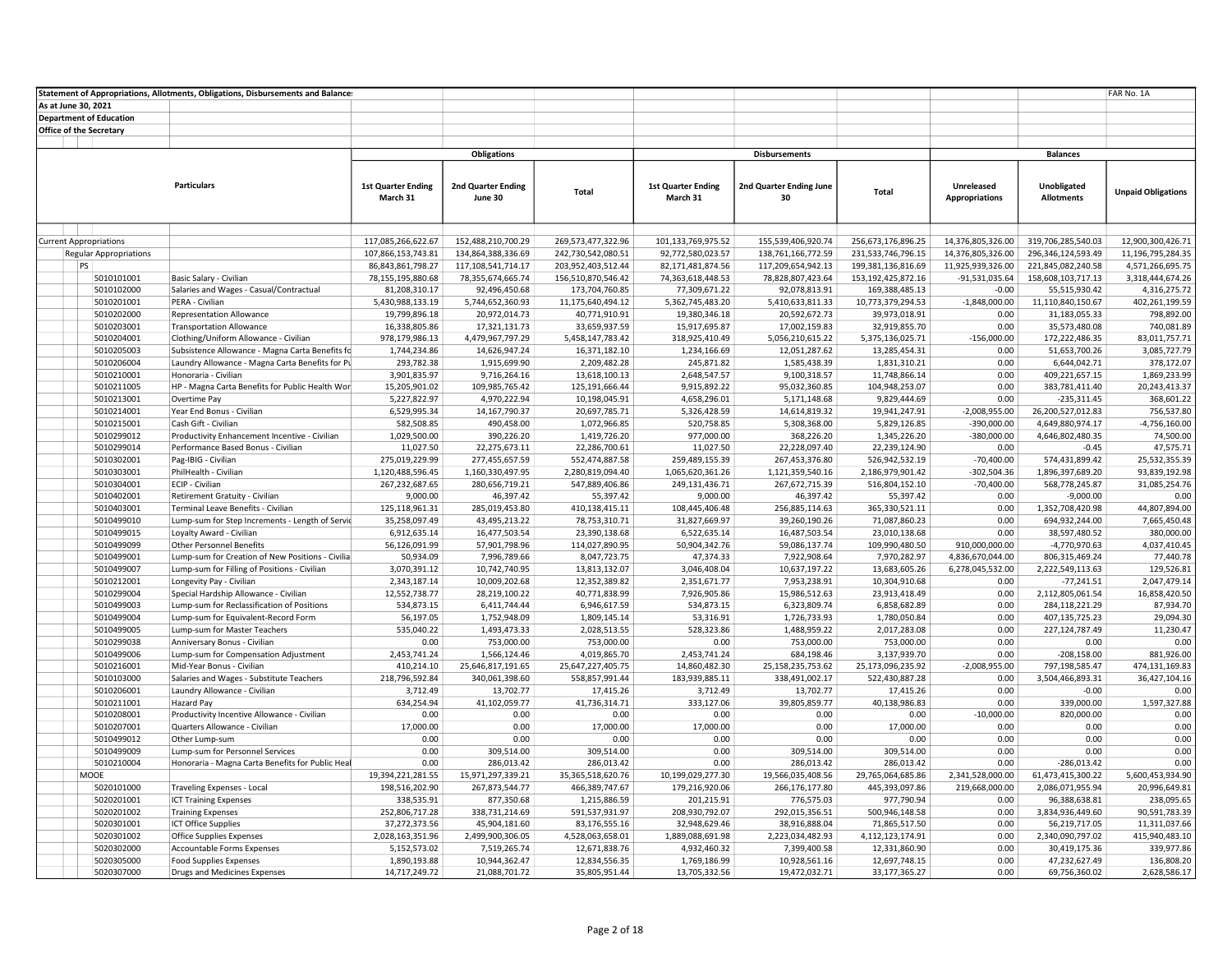|                     |                                | Statement of Appropriations, Allotments, Obligations, Disbursements and Balance: |                                       |                                 |                                |                                       |                                |                                 |                                     |                                  | FAR No. 1A                 |
|---------------------|--------------------------------|----------------------------------------------------------------------------------|---------------------------------------|---------------------------------|--------------------------------|---------------------------------------|--------------------------------|---------------------------------|-------------------------------------|----------------------------------|----------------------------|
| As at June 30, 2021 |                                |                                                                                  |                                       |                                 |                                |                                       |                                |                                 |                                     |                                  |                            |
|                     | <b>Department of Education</b> |                                                                                  |                                       |                                 |                                |                                       |                                |                                 |                                     |                                  |                            |
|                     | <b>Office of the Secretary</b> |                                                                                  |                                       |                                 |                                |                                       |                                |                                 |                                     |                                  |                            |
|                     |                                |                                                                                  |                                       |                                 |                                |                                       |                                |                                 |                                     |                                  |                            |
|                     |                                |                                                                                  |                                       | <b>Obligations</b>              |                                |                                       | <b>Disbursements</b>           |                                 |                                     | <b>Balances</b>                  |                            |
|                     |                                |                                                                                  |                                       |                                 |                                |                                       |                                |                                 |                                     |                                  |                            |
|                     |                                | <b>Particulars</b>                                                               |                                       |                                 |                                |                                       |                                |                                 |                                     |                                  |                            |
|                     |                                |                                                                                  | <b>1st Quarter Ending</b><br>March 31 | 2nd Quarter Ending<br>June 30   | Total                          | <b>1st Quarter Ending</b><br>March 31 | 2nd Quarter Ending June        | Total                           | Unreleased<br><b>Appropriations</b> | Unobligated<br><b>Allotments</b> | <b>Unpaid Obligations</b>  |
|                     |                                |                                                                                  |                                       |                                 |                                |                                       | 30                             |                                 |                                     |                                  |                            |
|                     |                                |                                                                                  |                                       |                                 |                                |                                       |                                |                                 |                                     |                                  |                            |
|                     |                                |                                                                                  |                                       |                                 |                                |                                       |                                |                                 |                                     |                                  |                            |
|                     | <b>Current Appropriations</b>  |                                                                                  | 117,085,266,622.67                    | 152,488,210,700.29              | 269,573,477,322.96             | 101,133,769,975.52                    | 155,539,406,920.74             | 256,673,176,896.25              | 14,376,805,326.00                   | 319,706,285,540.03               | 12.900.300.426.71          |
|                     | <b>Regular Appropriations</b>  |                                                                                  | 107,866,153,743.81                    | 134,864,388,336.69              | 242,730,542,080.51             | 92,772,580,023.57                     | 138,761,166,772.59             | 231,533,746,796.15              | 14,376,805,326.00                   | 296,346,124,593.49               | 11,196,795,284.35          |
|                     | PS                             |                                                                                  | 86,843,861,798.27                     | 117,108,541,714.17              | 203,952,403,512.44             | 82,171,481,874.56                     | 117,209,654,942.13             | 199,381,136,816.69              | 11,925,939,326.00                   | 221,845,082,240.58               | 4,571,266,695.75           |
|                     | 5010101001                     | Basic Salary - Civilian                                                          | 78,155,195,880.68                     | 78,355,674,665.74               | 156,510,870,546.42             | 74,363,618,448.53                     | 78,828,807,423.64              | 153, 192, 425, 872. 16          | $-91,531,035.64$                    | 158,608,103,717.13               | 3,318,444,674.26           |
|                     | 5010102000                     | Salaries and Wages - Casual/Contractual                                          | 81,208,310.17                         | 92,496,450.68                   | 173,704,760.85                 | 77,309,671.22                         | 92,078,813.91                  | 169,388,485.13                  | $-0.00$                             | 55,515,930.42                    | 4,316,275.72               |
|                     | 5010201001                     | PERA - Civilian                                                                  | 5,430,988,133.19                      | 5,744,652,360.93                | 11,175,640,494.12              | 5,362,745,483.20                      | 5,410,633,811.33               | 10,773,379,294.53               | $-1,848,000.00$                     | 11,110,840,150.67                | 402,261,199.59             |
|                     | 5010202000                     | <b>Representation Allowance</b>                                                  | 19,799,896.18                         | 20,972,014.73                   | 40,771,910.91                  | 19,380,346.18                         | 20,592,672.73                  | 39,973,018.91                   | 0.00                                | 31,183,055.33                    | 798,892.00                 |
|                     | 5010203001                     | <b>Transportation Allowance</b>                                                  | 16,338,805.86                         | 17,321,131.73                   | 33,659,937.59                  | 15,917,695.87                         | 17,002,159.83                  | 32,919,855.70                   | 0.00                                | 35,573,480.08                    | 740,081.89                 |
|                     | 5010204001                     | Clothing/Uniform Allowance - Civilian                                            | 978,179,986.13                        | 4,479,967,797.29                | 5,458,147,783.42               | 318,925,410.49                        | 5,056,210,615.22               | 5,375,136,025.71                | $-156,000.00$                       | 172,222,486.35                   | 83,011,757.71              |
|                     | 5010205003                     | Subsistence Allowance - Magna Carta Benefits fc                                  | 1,744,234.86                          | 14,626,947.24                   | 16,371,182.10                  | 1,234,166.69                          | 12,051,287.62                  | 13,285,454.31                   | 0.00                                | 51,653,700.26                    | 3,085,727.79               |
|                     | 5010206004                     | Laundry Allowance - Magna Carta Benefits for Pu                                  | 293,782.38                            | 1,915,699.90                    | 2,209,482.28                   | 245,871.82                            | 1,585,438.39                   | 1,831,310.21                    | 0.00                                | 6,644,042.71                     | 378,172.07                 |
|                     | 5010210001                     | Honoraria - Civilian                                                             | 3,901,835.97                          | 9,716,264.16                    | 13,618,100.13                  | 2,648,547.57                          | 9,100,318.57                   | 11,748,866.14                   | 0.00                                | 409,221,657.15                   | 1,869,233.99               |
|                     | 5010211005                     | HP - Magna Carta Benefits for Public Health Wor                                  | 15,205,901.02                         | 109,985,765.42                  | 125,191,666.44                 | 9,915,892.22                          | 95,032,360.85                  | 104,948,253.07                  | 0.00                                | 383,781,411.40                   | 20,243,413.37              |
|                     | 5010213001                     | Overtime Pay                                                                     | 5,227,822.97                          | 4,970,222.94                    | 10,198,045.91                  | 4,658,296.01                          | 5,171,148.68                   | 9,829,444.69                    | 0.00                                | $-235,311.45$                    | 368,601.22                 |
|                     | 5010214001                     | Year End Bonus - Civilian                                                        | 6,529,995.34                          | 14,167,790.37                   | 20,697,785.71                  | 5,326,428.59                          | 14,614,819.32                  | 19,941,247.91                   | $-2,008,955.00$                     | 26,200,527,012.83                | 756,537.80                 |
|                     | 5010215001                     | Cash Gift - Civilian                                                             | 582,508.85                            | 490,458.00                      | 1,072,966.85                   | 520,758.85                            | 5,308,368.00                   | 5,829,126.85                    | $-390,000.00$                       | 4,649,880,974.17                 | $-4,756,160.00$            |
|                     | 5010299012                     | Productivity Enhancement Incentive - Civilian                                    | 1,029,500.00                          | 390,226.20                      | 1,419,726.20                   | 977,000.00                            | 368,226.20                     | 1,345,226.20                    | $-380,000.00$                       | 4,646,802,480.35                 | 74,500.00                  |
|                     | 5010299014                     | Performance Based Bonus - Civilian                                               | 11,027.50                             | 22,275,673.11                   | 22,286,700.61                  | 11,027.50                             | 22,228,097.40                  | 22,239,124.90                   | 0.00                                | $-0.45$                          | 47,575.71                  |
|                     | 5010302001                     | Pag-IBIG - Civilian                                                              | 275,019,229.99                        | 277,455,657.59                  | 552,474,887.58                 | 259,489,155.39                        | 267,453,376.80                 | 526,942,532.19                  | $-70,400.00$                        | 574,431,899.42                   | 25,532,355.39              |
|                     | 5010303001                     | PhilHealth - Civilian                                                            | 1,120,488,596.45                      | 1,160,330,497.95                | 2,280,819,094.40               | 1,065,620,361.26                      | 1,121,359,540.16               | 2,186,979,901.42                | $-302,504.36$                       | 1,896,397,689.20                 | 93,839,192.98              |
|                     | 5010304001                     | ECIP - Civilian                                                                  | 267,232,687.65                        | 280,656,719.21                  | 547,889,406.86                 | 249,131,436.71                        | 267,672,715.39                 | 516,804,152.10                  | $-70,400.00$                        | 568,778,245.87                   | 31,085,254.76              |
|                     | 5010402001                     | Retirement Gratuity - Civilian                                                   | 9,000.00                              | 46,397.42                       | 55,397.42                      | 9,000.00                              | 46,397.42                      | 55,397.42                       | 0.00                                | $-9,000.00$                      | 0.00                       |
|                     | 5010403001                     | Terminal Leave Benefits - Civilian                                               | 125,118,961.31                        | 285,019,453.80<br>43,495,213.22 | 410,138,415.11                 | 108,445,406.48                        | 256,885,114.63                 | 365,330,521.11                  | 0.00<br>0.00                        | 1,352,708,420.98                 | 44,807,894.00              |
|                     | 5010499010                     | Lump-sum for Step Increments - Length of Servic<br>Loyalty Award - Civilian      | 35,258,097.49                         |                                 | 78,753,310.71<br>23,390,138.68 | 31,827,669.97                         | 39,260,190.26                  | 71,087,860.23                   | 0.00                                | 694,932,244.00<br>38,597,480.52  | 7,665,450.48<br>380,000.00 |
|                     | 5010499015<br>5010499099       | <b>Other Personnel Benefits</b>                                                  | 6,912,635.14<br>56,126,091.99         | 16,477,503.54<br>57,901,798.96  | 114,027,890.95                 | 6,522,635.14<br>50,904,342.76         | 16,487,503.54<br>59,086,137.74 | 23,010,138.68<br>109,990,480.50 | 910,000,000.00                      | -4,770,970.63                    | 4,037,410.45               |
|                     | 5010499001                     | Lump-sum for Creation of New Positions - Civilia                                 | 50,934.09                             | 7,996,789.66                    | 8,047,723.75                   | 47,374.33                             | 7,922,908.64                   | 7,970,282.97                    | 4,836,670,044.00                    | 806,315,469.24                   | 77,440.78                  |
|                     | 5010499007                     | Lump-sum for Filling of Positions - Civilian                                     | 3,070,391.12                          | 10,742,740.95                   | 13,813,132.07                  | 3,046,408.04                          | 10,637,197.22                  | 13,683,605.26                   | 6,278,045,532.00                    | 2,222,549,113.63                 | 129,526.81                 |
|                     | 5010212001                     | Longevity Pay - Civilian                                                         | 2,343,187.14                          | 10,009,202.68                   | 12,352,389.82                  | 2,351,671.77                          | 7,953,238.91                   | 10,304,910.68                   | 0.00                                | $-77,241.51$                     | 2,047,479.14               |
|                     | 5010299004                     | Special Hardship Allowance - Civilian                                            | 12,552,738.77                         | 28,219,100.22                   | 40,771,838.99                  | 7,926,905.86                          | 15,986,512.63                  | 23,913,418.49                   | 0.00                                | 2,112,805,061.54                 | 16,858,420.50              |
|                     | 5010499003                     | Lump-sum for Reclassification of Positions                                       | 534,873.15                            | 6,411,744.44                    | 6,946,617.59                   | 534,873.15                            | 6,323,809.74                   | 6,858,682.89                    | 0.00                                | 284,118,221.29                   | 87.934.70                  |
|                     | 5010499004                     | Lump-sum for Equivalent-Record Form                                              | 56,197.05                             | 1,752,948.09                    | 1,809,145.14                   | 53,316.91                             | 1,726,733.93                   | 1,780,050.84                    | 0.00                                | 407,135,725.23                   | 29,094.30                  |
|                     | 5010499005                     | Lump-sum for Master Teachers                                                     | 535,040.22                            | 1,493,473.33                    | 2,028,513.55                   | 528,323.86                            | 1,488,959.22                   | 2,017,283.08                    | 0.00                                | 227,124,787.49                   | 11,230.47                  |
|                     | 5010299038                     | Anniversary Bonus - Civilian                                                     | 0.00                                  | 753,000.00                      | 753,000.00                     | 0.00                                  | 753,000.00                     | 753,000.00                      | 0.00                                | 0.00                             | 0.00                       |
|                     | 5010499006                     | Lump-sum for Compensation Adjustment                                             | 2,453,741.24                          | 1,566,124.46                    | 4,019,865.70                   | 2,453,741.24                          | 684,198.46                     | 3,137,939.70                    | 0.00                                | $-208,158.00$                    | 881,926.00                 |
|                     | 5010216001                     | Mid-Year Bonus - Civilian                                                        | 410,214.10                            | 25,646,817,191.65               | 25,647,227,405.75              | 14,860,482.30                         | 25, 158, 235, 753. 62          | 25,173,096,235.92               | $-2,008,955.00$                     | 797,198,585.47                   | 474,131,169.83             |
|                     | 5010103000                     | Salaries and Wages - Substitute Teachers                                         | 218,796,592.84                        | 340,061,398.60                  | 558,857,991.44                 | 183,939,885.11                        | 338,491,002.17                 | 522,430,887.28                  | 0.00                                | 3,504,466,893.31                 | 36,427,104.16              |
|                     | 5010206001                     | Laundry Allowance - Civilian                                                     | 3,712.49                              | 13,702.77                       | 17,415.26                      | 3,712.49                              | 13,702.77                      | 17,415.26                       | 0.00                                | $-0.00$                          | 0.00                       |
|                     | 5010211001                     | Hazard Pay                                                                       | 634,254.94                            | 41,102,059.77                   | 41,736,314.71                  | 333,127.06                            | 39,805,859.77                  | 40,138,986.83                   | 0.00                                | 339,000.00                       | 1,597,327.88               |
|                     | 5010208001                     | Productivity Incentive Allowance - Civilian                                      | 0.00                                  | 0.00                            | 0.00                           | 0.00                                  | 0.00                           | 0.00                            | $-10,000.00$                        | 820,000.00                       | 0.00                       |
|                     | 5010207001                     | Quarters Allowance - Civilian                                                    | 17,000.00                             | 0.00                            | 17,000.00                      | 17,000.00                             | 0.00                           | 17,000.00                       | 0.00                                | 0.00                             | 0.00                       |
|                     | 5010499012                     | Other Lump-sum                                                                   | 0.00                                  | 0.00                            | 0.00                           | 0.00                                  | 0.00                           | 0.00                            | 0.00                                | 0.00                             | 0.00                       |
|                     | 5010499009                     | Lump-sum for Personnel Services                                                  | 0.00                                  | 309,514.00                      | 309,514.00                     | 0.00                                  | 309,514.00                     | 309,514.00                      | 0.00                                | 0.00                             | 0.00                       |
|                     | 5010210004                     | Honoraria - Magna Carta Benefits for Public Heal                                 | 0.00                                  | 286,013.42                      | 286,013.42                     | 0.00                                  | 286,013.42                     | 286,013.42                      | 0.00                                | $-286,013.42$                    | 0.00                       |
|                     | MOOE                           |                                                                                  | 19,394,221,281.55                     | 15,971,297,339.21               | 35,365,518,620.76              | 10,199,029,277.30                     | 19,566,035,408.56              | 29,765,064,685.86               | 2,341,528,000.00                    | 61,473,415,300.22                | 5,600,453,934.90           |
|                     | 5020101000                     | Traveling Expenses - Local                                                       | 198,516,202.90                        | 267,873,544.77                  | 466,389,747.67                 | 179,216,920.06                        | 266,176,177.80                 | 445,393,097.86                  | 219,668,000.00                      | 2,086,071,955.94                 | 20,996,649.81              |
|                     | 5020201001                     | <b>ICT Training Expenses</b>                                                     | 338,535.91                            | 877,350.68                      | 1,215,886.59                   | 201,215.91                            | 776,575.03                     | 977,790.94                      | 0.00                                | 96,388,638.81                    | 238,095.65                 |
|                     | 5020201002                     | <b>Training Expenses</b>                                                         | 252,806,717.28                        | 338,731,214.69                  | 591,537,931.97                 | 208,930,792.07                        | 292,015,356.51                 | 500,946,148.58                  | 0.00                                | 3,834,936,449.60                 | 90,591,783.39              |
|                     | 5020301001                     | ICT Office Supplies                                                              | 37,272,373.56                         | 45,904,181.60                   | 83,176,555.16                  | 32,948,629.46                         | 38,916,888.04                  | 71,865,517.50                   | 0.00                                | 56,219,717.05                    | 11,311,037.66              |
|                     | 5020301002                     | <b>Office Supplies Expenses</b>                                                  | 2,028,163,351.96                      | 2,499,900,306.05                | 4,528,063,658.01               | 1,889,088,691.98                      | 2,223,034,482.93               | 4,112,123,174.91                | 0.00                                | 2,340,090,797.02                 | 415,940,483.10             |
|                     | 5020302000                     | Accountable Forms Expenses                                                       | 5,152,573.02                          | 7,519,265.74                    | 12,671,838.76                  | 4,932,460.32                          | 7,399,400.58                   | 12,331,860.90                   | 0.00                                | 30,419,175.36                    | 339,977.86                 |
|                     | 5020305000                     | <b>Food Supplies Expenses</b>                                                    | 1,890,193.88                          | 10,944,362.47                   | 12,834,556.35                  | 1,769,186.99                          | 10,928,561.16                  | 12,697,748.15                   | 0.00                                | 47,232,627.49                    | 136,808.20                 |
|                     | 5020307000                     | Drugs and Medicines Expenses                                                     | 14,717,249.72                         | 21,088,701.72                   | 35,805,951.44                  | 13,705,332.56                         | 19,472,032.71                  | 33,177,365.27                   | 0.00                                | 69,756,360.02                    | 2,628,586.17               |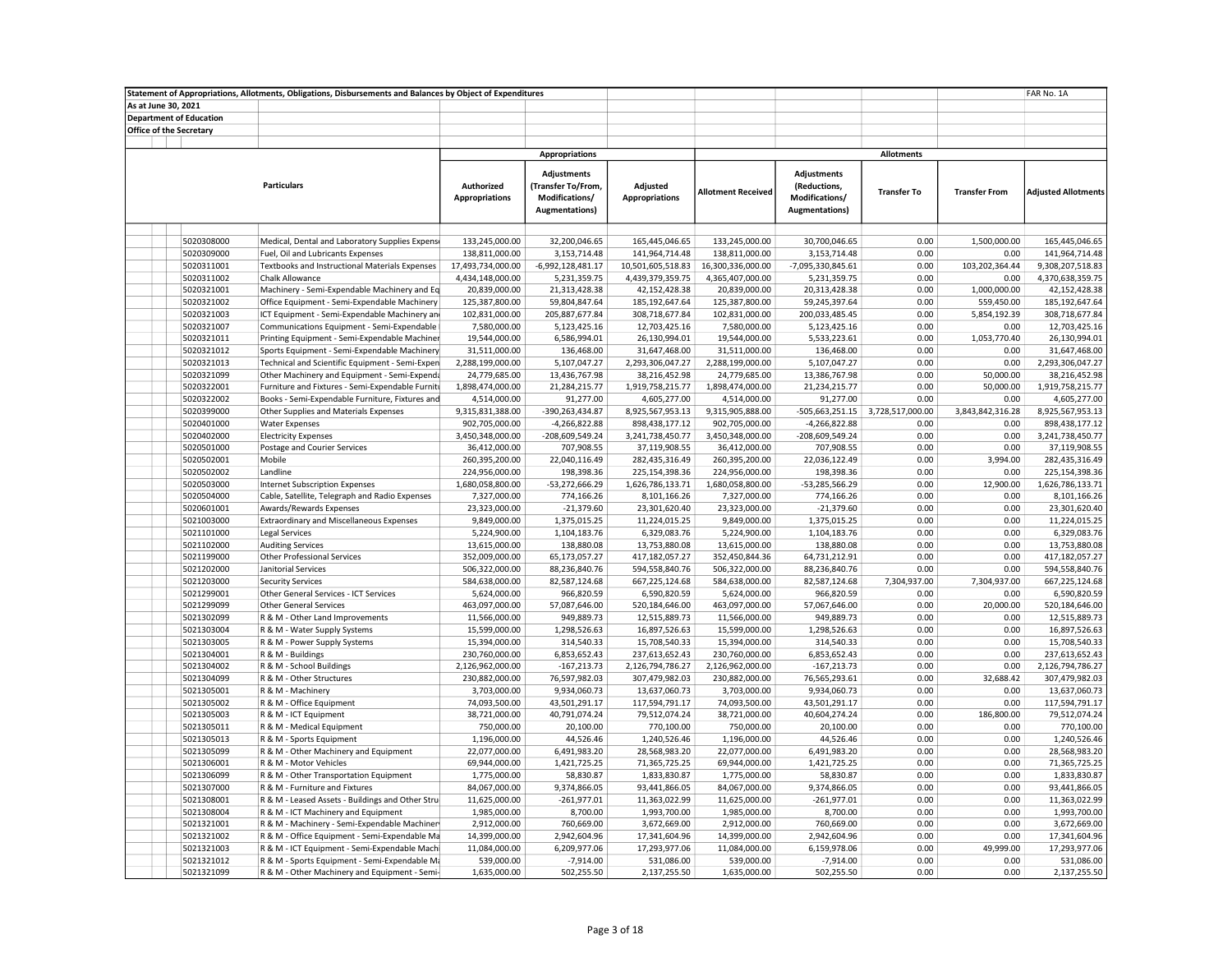| As at June 30, 2021<br><b>Department of Education</b><br>Office of the Secretary<br><b>Appropriations</b><br><b>Allotments</b><br><b>Adjustments</b><br>Adjustments<br><b>Particulars</b><br>Authorized<br>Adjusted<br>(Reductions,<br>(Transfer To/From,<br><b>Adjusted Allotments</b><br><b>Allotment Received</b><br><b>Transfer To</b><br><b>Transfer From</b><br><b>Appropriations</b><br>Modifications/<br><b>Appropriations</b><br>Modifications/<br><b>Augmentations</b> )<br><b>Augmentations)</b><br>133,245,000.00<br>5020308000<br>Medical, Dental and Laboratory Supplies Expense<br>133,245,000.00<br>32,200,046.65<br>165,445,046.65<br>30,700,046.65<br>0.00<br>1,500,000.00<br>165,445,046.65<br>5020309000<br>3,153,714.48<br>0.00<br>141,964,714.48<br>Fuel, Oil and Lubricants Expenses<br>138,811,000.00<br>141,964,714.48<br>138,811,000.00<br>3,153,714.48<br>0.00<br>17,493,734,000.00<br>0.00<br>103,202,364.44<br>9,308,207,518.83<br>5020311001<br>Textbooks and Instructional Materials Expenses<br>-6,992,128,481.17<br>10,501,605,518.83<br>16,300,336,000.00<br>-7,095,330,845.61<br>5020311002<br>4,434,148,000.00<br>5,231,359.75<br>4,439,379,359.75<br>4,365,407,000.00<br>5,231,359.75<br>0.00<br>0.00<br>4,370,638,359.75<br><b>Chalk Allowance</b><br>0.00<br>1,000,000.00<br>5020321001<br>Machinery - Semi-Expendable Machinery and Eq<br>20,839,000.00<br>21,313,428.38<br>42,152,428.38<br>20,839,000.00<br>20,313,428.38<br>42,152,428.38<br>5020321002<br>Office Equipment - Semi-Expendable Machinery<br>125,387,800.00<br>185, 192, 647. 64<br>125,387,800.00<br>0.00<br>559,450.00<br>185, 192, 647. 64<br>59,804,847.64<br>59,245,397.64<br>5020321003<br>ICT Equipment - Semi-Expendable Machinery and<br>102,831,000.00<br>205,887,677.84<br>102,831,000.00<br>0.00<br>5,854,192.39<br>308,718,677.84<br>308,718,677.84<br>200,033,485.45<br>5020321007<br>Communications Equipment - Semi-Expendable<br>7,580,000.00<br>5,123,425.16<br>12,703,425.16<br>7,580,000.00<br>5,123,425.16<br>0.00<br>0.00<br>12,703,425.16<br>5020321011<br>Printing Equipment - Semi-Expendable Machiner<br>19,544,000.00<br>6,586,994.01<br>26,130,994.01<br>19,544,000.00<br>5,533,223.61<br>0.00<br>1,053,770.40<br>26,130,994.01<br>5020321012<br>Sports Equipment - Semi-Expendable Machinery<br>31,511,000.00<br>136,468.00<br>31,647,468.00<br>31,511,000.00<br>136,468.00<br>0.00<br>0.00<br>31,647,468.00<br>5020321013<br>Technical and Scientific Equipment - Semi-Expen<br>2,288,199,000.00<br>5,107,047.27<br>2,293,306,047.27<br>2,288,199,000.00<br>5,107,047.27<br>0.00<br>0.00<br>2,293,306,047.27<br>5020321099<br>24,779,685.00<br>13,436,767.98<br>38,216,452.98<br>24,779,685.00<br>13,386,767.98<br>0.00<br>50,000.00<br>38,216,452.98<br>Other Machinery and Equipment - Semi-Expenda<br>1,898,474,000.00<br>50,000.00<br>5020322001<br>Furniture and Fixtures - Semi-Expendable Furniti<br>21,284,215.77<br>1,919,758,215.77<br>1,898,474,000.00<br>21,234,215.77<br>0.00<br>1,919,758,215.77<br>4,514,000.00<br>91,277.00<br>4,514,000.00<br>91,277.00<br>0.00<br>4,605,277.00<br>5020322002<br>Books - Semi-Expendable Furniture, Fixtures and<br>4,605,277.00<br>0.00<br>5020399000<br>Other Supplies and Materials Expenses<br>9,315,831,388.00<br>-390,263,434.87<br>8,925,567,953.13<br>9,315,905,888.00<br>-505,663,251.15<br>3,728,517,000.00<br>3,843,842,316.28<br>8,925,567,953.13<br>5020401000<br><b>Water Expenses</b><br>902,705,000.00<br>$-4,266,822.88$<br>898,438,177.12<br>902,705,000.00<br>$-4,266,822.88$<br>0.00<br>0.00<br>898,438,177.12<br>-208,609,549.24<br>-208,609,549.24<br>0.00<br>0.00<br>3,241,738,450.77<br>5020402000<br><b>Electricity Expenses</b><br>3,450,348,000.00<br>3,241,738,450.77<br>3,450,348,000.00<br>5020501000<br>36,412,000.00<br>707,908.55<br>37,119,908.55<br>36,412,000.00<br>707,908.55<br>0.00<br>0.00<br>37,119,908.55<br>Postage and Courier Services<br>22,040,116.49<br>3,994.00<br>5020502001<br>Mobile<br>260,395,200.00<br>282,435,316.49<br>260,395,200.00<br>22,036,122.49<br>0.00<br>282,435,316.49<br>198,398.36<br>0.00<br>0.00<br>5020502002<br>Landline<br>224,956,000.00<br>225, 154, 398. 36<br>224,956,000.00<br>198,398.36<br>225,154,398.36<br>12,900.00<br>5020503000<br><b>Internet Subscription Expenses</b><br>1,680,058,800.00<br>-53,272,666.29<br>1,626,786,133.71<br>1,680,058,800.00<br>-53,285,566.29<br>0.00<br>1,626,786,133.71<br>5020504000<br>Cable, Satellite, Telegraph and Radio Expenses<br>7,327,000.00<br>774,166.26<br>8,101,166.26<br>7,327,000.00<br>774,166.26<br>0.00<br>0.00<br>8,101,166.26<br>5020601001<br>Awards/Rewards Expenses<br>23,323,000.00<br>$-21,379.60$<br>23,301,620.40<br>23,323,000.00<br>$-21,379.60$<br>0.00<br>0.00<br>23,301,620.40<br>0.00<br>11,224,015.25<br>5021003000<br><b>Extraordinary and Miscellaneous Expenses</b><br>9,849,000.00<br>1,375,015.25<br>11,224,015.25<br>9,849,000.00<br>1,375,015.25<br>0.00<br>5021101000<br><b>Legal Services</b><br>5,224,900.00<br>1,104,183.76<br>6,329,083.76<br>5,224,900.00<br>1,104,183.76<br>0.00<br>0.00<br>6,329,083.76<br>5021102000<br>13,615,000.00<br>138,880.08<br>138,880.08<br>0.00<br>0.00<br>13,753,880.08<br><b>Auditing Services</b><br>13,753,880.08<br>13,615,000.00<br>5021199000<br><b>Other Professional Services</b><br>352,009,000.00<br>65,173,057.27<br>417,182,057.27<br>352,450,844.36<br>64,731,212.91<br>0.00<br>0.00<br>417,182,057.27<br>0.00<br>0.00<br>594,558,840.76<br>5021202000<br>Janitorial Services<br>506,322,000.00<br>88,236,840.76<br>594,558,840.76<br>506,322,000.00<br>88,236,840.76<br>5021203000<br>584,638,000.00<br>82,587,124.68<br>667,225,124.68<br>82,587,124.68<br>7,304,937.00<br>7,304,937.00<br>667,225,124.68<br><b>Security Services</b><br>584,638,000.00<br>5021299001<br>Other General Services - ICT Services<br>5,624,000.00<br>966,820.59<br>6,590,820.59<br>5,624,000.00<br>966,820.59<br>0.00<br>0.00<br>6,590,820.59<br>0.00<br>20,000.00<br>5021299099<br><b>Other General Services</b><br>463,097,000.00<br>57,087,646.00<br>520,184,646.00<br>463,097,000.00<br>57,067,646.00<br>520,184,646.00<br>5021302099<br>R & M - Other Land Improvements<br>11,566,000.00<br>949,889.73<br>12,515,889.73<br>11,566,000.00<br>949,889.73<br>0.00<br>0.00<br>12,515,889.73<br>5021303004<br>R & M - Water Supply Systems<br>15,599,000.00<br>1,298,526.63<br>16,897,526.63<br>15,599,000.00<br>1,298,526.63<br>0.00<br>0.00<br>16,897,526.63<br>5021303005<br>R & M - Power Supply Systems<br>15,394,000.00<br>314,540.33<br>15,708,540.33<br>15,394,000.00<br>314,540.33<br>0.00<br>0.00<br>15,708,540.33<br>0.00<br>230,760,000.00<br>6,853,652.43<br>237,613,652.43<br>230,760,000.00<br>0.00<br>237,613,652.43<br>5021304001<br>R & M - Buildings<br>6,853,652.43<br>5021304002<br>R & M - School Buildings<br>2,126,962,000.00<br>$-167,213.73$<br>2,126,794,786.27<br>2,126,962,000.00<br>$-167,213.73$<br>0.00<br>0.00<br>2,126,794,786.27<br>5021304099<br>R & M - Other Structures<br>230,882,000.00<br>76,597,982.03<br>307,479,982.03<br>230,882,000.00<br>76,565,293.61<br>0.00<br>32,688.42<br>307,479,982.03<br>5021305001<br>R & M - Machinery<br>3,703,000.00<br>9,934,060.73<br>3,703,000.00<br>9,934,060.73<br>0.00<br>0.00<br>13,637,060.73<br>13,637,060.73<br>43,501,291.17<br>117,594,791.17<br>43,501,291.17<br>0.00<br>117,594,791.17<br>5021305002<br>R & M - Office Equipment<br>74,093,500.00<br>74,093,500.00<br>0.00<br>38,721,000.00<br>40,791,074.24<br>0.00<br>186,800.00<br>79,512,074.24<br>5021305003<br>R & M - ICT Equipment<br>79,512,074.24<br>38,721,000.00<br>40,604,274.24<br>5021305011<br>R & M - Medical Equipment<br>750,000.00<br>20,100.00<br>770,100.00<br>750,000.00<br>20,100.00<br>0.00<br>0.00<br>770,100.00<br>44,526.46<br>0.00<br>0.00<br>1,240,526.46<br>5021305013<br>R & M - Sports Equipment<br>1,196,000.00<br>1,240,526.46<br>1,196,000.00<br>44,526.46<br>22,077,000.00<br>0.00<br>0.00<br>28,568,983.20<br>5021305099<br>R & M - Other Machinery and Equipment<br>6,491,983.20<br>28,568,983.20<br>22,077,000.00<br>6,491,983.20<br>5021306001<br>R & M - Motor Vehicles<br>69,944,000.00<br>1,421,725.25<br>71,365,725.25<br>69,944,000.00<br>1,421,725.25<br>0.00<br>0.00<br>71,365,725.25<br>0.00<br>0.00<br>5021306099<br>R & M - Other Transportation Equipment<br>1,775,000.00<br>58,830.87<br>1,833,830.87<br>1,775,000.00<br>58,830.87<br>1,833,830.87<br>5021307000<br>R & M - Furniture and Fixtures<br>84,067,000.00<br>9,374,866.05<br>93,441,866.05<br>84,067,000.00<br>9,374,866.05<br>0.00<br>0.00<br>93,441,866.05<br>5021308001<br>R & M - Leased Assets - Buildings and Other Stru-<br>11,625,000.00<br>$-261,977.01$<br>11,363,022.99<br>11,625,000.00<br>$-261,977.01$<br>0.00<br>0.00<br>11,363,022.99<br>5021308004<br>R & M - ICT Machinery and Equipment<br>1,985,000.00<br>8,700.00<br>1,993,700.00<br>1,985,000.00<br>8,700.00<br>0.00<br>0.00<br>1,993,700.00<br>5021321001<br>R & M - Machinery - Semi-Expendable Machiner<br>2,912,000.00<br>760,669.00<br>3,672,669.00<br>2,912,000.00<br>760,669.00<br>0.00<br>0.00<br>3,672,669.00<br>5021321002<br>R & M - Office Equipment - Semi-Expendable Ma<br>14,399,000.00<br>2,942,604.96<br>17,341,604.96<br>14,399,000.00<br>2,942,604.96<br>0.00<br>0.00<br>17,341,604.96<br>5021321003<br>R & M - ICT Equipment - Semi-Expendable Machi<br>11,084,000.00<br>6,209,977.06<br>17,293,977.06<br>11,084,000.00<br>6,159,978.06<br>0.00<br>49,999.00<br>17,293,977.06<br>5021321012<br>R & M - Sports Equipment - Semi-Expendable Ma<br>539,000.00<br>$-7,914.00$<br>531,086.00<br>539,000.00<br>$-7,914.00$<br>0.00<br>0.00<br>531,086.00<br>5021321099<br>1,635,000.00<br>502,255.50<br>2,137,255.50<br>1,635,000.00<br>502,255.50<br>0.00<br>0.00<br>2,137,255.50<br>R & M - Other Machinery and Equipment - Semi- | Statement of Appropriations, Allotments, Obligations, Disbursements and Balances by Object of Expenditures |  |  |  | FAR No. 1A |
|-----------------------------------------------------------------------------------------------------------------------------------------------------------------------------------------------------------------------------------------------------------------------------------------------------------------------------------------------------------------------------------------------------------------------------------------------------------------------------------------------------------------------------------------------------------------------------------------------------------------------------------------------------------------------------------------------------------------------------------------------------------------------------------------------------------------------------------------------------------------------------------------------------------------------------------------------------------------------------------------------------------------------------------------------------------------------------------------------------------------------------------------------------------------------------------------------------------------------------------------------------------------------------------------------------------------------------------------------------------------------------------------------------------------------------------------------------------------------------------------------------------------------------------------------------------------------------------------------------------------------------------------------------------------------------------------------------------------------------------------------------------------------------------------------------------------------------------------------------------------------------------------------------------------------------------------------------------------------------------------------------------------------------------------------------------------------------------------------------------------------------------------------------------------------------------------------------------------------------------------------------------------------------------------------------------------------------------------------------------------------------------------------------------------------------------------------------------------------------------------------------------------------------------------------------------------------------------------------------------------------------------------------------------------------------------------------------------------------------------------------------------------------------------------------------------------------------------------------------------------------------------------------------------------------------------------------------------------------------------------------------------------------------------------------------------------------------------------------------------------------------------------------------------------------------------------------------------------------------------------------------------------------------------------------------------------------------------------------------------------------------------------------------------------------------------------------------------------------------------------------------------------------------------------------------------------------------------------------------------------------------------------------------------------------------------------------------------------------------------------------------------------------------------------------------------------------------------------------------------------------------------------------------------------------------------------------------------------------------------------------------------------------------------------------------------------------------------------------------------------------------------------------------------------------------------------------------------------------------------------------------------------------------------------------------------------------------------------------------------------------------------------------------------------------------------------------------------------------------------------------------------------------------------------------------------------------------------------------------------------------------------------------------------------------------------------------------------------------------------------------------------------------------------------------------------------------------------------------------------------------------------------------------------------------------------------------------------------------------------------------------------------------------------------------------------------------------------------------------------------------------------------------------------------------------------------------------------------------------------------------------------------------------------------------------------------------------------------------------------------------------------------------------------------------------------------------------------------------------------------------------------------------------------------------------------------------------------------------------------------------------------------------------------------------------------------------------------------------------------------------------------------------------------------------------------------------------------------------------------------------------------------------------------------------------------------------------------------------------------------------------------------------------------------------------------------------------------------------------------------------------------------------------------------------------------------------------------------------------------------------------------------------------------------------------------------------------------------------------------------------------------------------------------------------------------------------------------------------------------------------------------------------------------------------------------------------------------------------------------------------------------------------------------------------------------------------------------------------------------------------------------------------------------------------------------------------------------------------------------------------------------------------------------------------------------------------------------------------------------------------------------------------------------------------------------------------------------------------------------------------------------------------------------------------------------------------------------------------------------------------------------------------------------------------------------------------------------------------------------------------------------------------------------------------------------------------------------------------------------------------------------------------------------------------------------------------------------------------------------------------------------------------------------------------------------------------------------------------------------------------------------------------------------------------------------------------------------------------------------------------------------------------------------------------------------------------------------------------------------------------------------------------------------------------------------------------------------------------------------------------------------------------------------------------------------------------------------------------------------------------------------------------------------------------------------------------------------------------------------------------------------------------------------------------------------------------------------------------------------------------------------------------------------------------------------------------------------------------------------------------------------------------------------------------------------------------------------------------------------------------------------------------------------------------------------------------------------------------------------------------------------------------------------------------------------------------------------------------------------------------------------------------------------------------------------------------------------------------------------------------------------------------------------------------------------------------------------------------------------------------------------------------------------------------------------------------------------------------------------------------------------------------------------------------------------------------------------------------------------------------------------------------------------------------------------------------------------------------------------------------------------------------------------------------------------------------------------------------------------------------------------------------------------------------------------------------------------------------------------------------------------------------------------------------------------------------------------------------|------------------------------------------------------------------------------------------------------------|--|--|--|------------|
|                                                                                                                                                                                                                                                                                                                                                                                                                                                                                                                                                                                                                                                                                                                                                                                                                                                                                                                                                                                                                                                                                                                                                                                                                                                                                                                                                                                                                                                                                                                                                                                                                                                                                                                                                                                                                                                                                                                                                                                                                                                                                                                                                                                                                                                                                                                                                                                                                                                                                                                                                                                                                                                                                                                                                                                                                                                                                                                                                                                                                                                                                                                                                                                                                                                                                                                                                                                                                                                                                                                                                                                                                                                                                                                                                                                                                                                                                                                                                                                                                                                                                                                                                                                                                                                                                                                                                                                                                                                                                                                                                                                                                                                                                                                                                                                                                                                                                                                                                                                                                                                                                                                                                                                                                                                                                                                                                                                                                                                                                                                                                                                                                                                                                                                                                                                                                                                                                                                                                                                                                                                                                                                                                                                                                                                                                                                                                                                                                                                                                                                                                                                                                                                                                                                                                                                                                                                                                                                                                                                                                                                                                                                                                                                                                                                                                                                                                                                                                                                                                                                                                                                                                                                                                                                                                                                                                                                                                                                                                                                                                                                                                                                                                                                                                                                                                                                                                                                                                                                                                                                                                                                                                                                                                                                                                                                                                                                                                                                                                                                                                                                                                                                                                                                                                                                                                                                                                                                                                                                                                                                                                                                                                                                                                                                                                                                                                                                                                                                                                                       |                                                                                                            |  |  |  |            |
|                                                                                                                                                                                                                                                                                                                                                                                                                                                                                                                                                                                                                                                                                                                                                                                                                                                                                                                                                                                                                                                                                                                                                                                                                                                                                                                                                                                                                                                                                                                                                                                                                                                                                                                                                                                                                                                                                                                                                                                                                                                                                                                                                                                                                                                                                                                                                                                                                                                                                                                                                                                                                                                                                                                                                                                                                                                                                                                                                                                                                                                                                                                                                                                                                                                                                                                                                                                                                                                                                                                                                                                                                                                                                                                                                                                                                                                                                                                                                                                                                                                                                                                                                                                                                                                                                                                                                                                                                                                                                                                                                                                                                                                                                                                                                                                                                                                                                                                                                                                                                                                                                                                                                                                                                                                                                                                                                                                                                                                                                                                                                                                                                                                                                                                                                                                                                                                                                                                                                                                                                                                                                                                                                                                                                                                                                                                                                                                                                                                                                                                                                                                                                                                                                                                                                                                                                                                                                                                                                                                                                                                                                                                                                                                                                                                                                                                                                                                                                                                                                                                                                                                                                                                                                                                                                                                                                                                                                                                                                                                                                                                                                                                                                                                                                                                                                                                                                                                                                                                                                                                                                                                                                                                                                                                                                                                                                                                                                                                                                                                                                                                                                                                                                                                                                                                                                                                                                                                                                                                                                                                                                                                                                                                                                                                                                                                                                                                                                                                                                                       |                                                                                                            |  |  |  |            |
|                                                                                                                                                                                                                                                                                                                                                                                                                                                                                                                                                                                                                                                                                                                                                                                                                                                                                                                                                                                                                                                                                                                                                                                                                                                                                                                                                                                                                                                                                                                                                                                                                                                                                                                                                                                                                                                                                                                                                                                                                                                                                                                                                                                                                                                                                                                                                                                                                                                                                                                                                                                                                                                                                                                                                                                                                                                                                                                                                                                                                                                                                                                                                                                                                                                                                                                                                                                                                                                                                                                                                                                                                                                                                                                                                                                                                                                                                                                                                                                                                                                                                                                                                                                                                                                                                                                                                                                                                                                                                                                                                                                                                                                                                                                                                                                                                                                                                                                                                                                                                                                                                                                                                                                                                                                                                                                                                                                                                                                                                                                                                                                                                                                                                                                                                                                                                                                                                                                                                                                                                                                                                                                                                                                                                                                                                                                                                                                                                                                                                                                                                                                                                                                                                                                                                                                                                                                                                                                                                                                                                                                                                                                                                                                                                                                                                                                                                                                                                                                                                                                                                                                                                                                                                                                                                                                                                                                                                                                                                                                                                                                                                                                                                                                                                                                                                                                                                                                                                                                                                                                                                                                                                                                                                                                                                                                                                                                                                                                                                                                                                                                                                                                                                                                                                                                                                                                                                                                                                                                                                                                                                                                                                                                                                                                                                                                                                                                                                                                                                                       |                                                                                                            |  |  |  |            |
|                                                                                                                                                                                                                                                                                                                                                                                                                                                                                                                                                                                                                                                                                                                                                                                                                                                                                                                                                                                                                                                                                                                                                                                                                                                                                                                                                                                                                                                                                                                                                                                                                                                                                                                                                                                                                                                                                                                                                                                                                                                                                                                                                                                                                                                                                                                                                                                                                                                                                                                                                                                                                                                                                                                                                                                                                                                                                                                                                                                                                                                                                                                                                                                                                                                                                                                                                                                                                                                                                                                                                                                                                                                                                                                                                                                                                                                                                                                                                                                                                                                                                                                                                                                                                                                                                                                                                                                                                                                                                                                                                                                                                                                                                                                                                                                                                                                                                                                                                                                                                                                                                                                                                                                                                                                                                                                                                                                                                                                                                                                                                                                                                                                                                                                                                                                                                                                                                                                                                                                                                                                                                                                                                                                                                                                                                                                                                                                                                                                                                                                                                                                                                                                                                                                                                                                                                                                                                                                                                                                                                                                                                                                                                                                                                                                                                                                                                                                                                                                                                                                                                                                                                                                                                                                                                                                                                                                                                                                                                                                                                                                                                                                                                                                                                                                                                                                                                                                                                                                                                                                                                                                                                                                                                                                                                                                                                                                                                                                                                                                                                                                                                                                                                                                                                                                                                                                                                                                                                                                                                                                                                                                                                                                                                                                                                                                                                                                                                                                                                                       |                                                                                                            |  |  |  |            |
|                                                                                                                                                                                                                                                                                                                                                                                                                                                                                                                                                                                                                                                                                                                                                                                                                                                                                                                                                                                                                                                                                                                                                                                                                                                                                                                                                                                                                                                                                                                                                                                                                                                                                                                                                                                                                                                                                                                                                                                                                                                                                                                                                                                                                                                                                                                                                                                                                                                                                                                                                                                                                                                                                                                                                                                                                                                                                                                                                                                                                                                                                                                                                                                                                                                                                                                                                                                                                                                                                                                                                                                                                                                                                                                                                                                                                                                                                                                                                                                                                                                                                                                                                                                                                                                                                                                                                                                                                                                                                                                                                                                                                                                                                                                                                                                                                                                                                                                                                                                                                                                                                                                                                                                                                                                                                                                                                                                                                                                                                                                                                                                                                                                                                                                                                                                                                                                                                                                                                                                                                                                                                                                                                                                                                                                                                                                                                                                                                                                                                                                                                                                                                                                                                                                                                                                                                                                                                                                                                                                                                                                                                                                                                                                                                                                                                                                                                                                                                                                                                                                                                                                                                                                                                                                                                                                                                                                                                                                                                                                                                                                                                                                                                                                                                                                                                                                                                                                                                                                                                                                                                                                                                                                                                                                                                                                                                                                                                                                                                                                                                                                                                                                                                                                                                                                                                                                                                                                                                                                                                                                                                                                                                                                                                                                                                                                                                                                                                                                                                                       |                                                                                                            |  |  |  |            |
|                                                                                                                                                                                                                                                                                                                                                                                                                                                                                                                                                                                                                                                                                                                                                                                                                                                                                                                                                                                                                                                                                                                                                                                                                                                                                                                                                                                                                                                                                                                                                                                                                                                                                                                                                                                                                                                                                                                                                                                                                                                                                                                                                                                                                                                                                                                                                                                                                                                                                                                                                                                                                                                                                                                                                                                                                                                                                                                                                                                                                                                                                                                                                                                                                                                                                                                                                                                                                                                                                                                                                                                                                                                                                                                                                                                                                                                                                                                                                                                                                                                                                                                                                                                                                                                                                                                                                                                                                                                                                                                                                                                                                                                                                                                                                                                                                                                                                                                                                                                                                                                                                                                                                                                                                                                                                                                                                                                                                                                                                                                                                                                                                                                                                                                                                                                                                                                                                                                                                                                                                                                                                                                                                                                                                                                                                                                                                                                                                                                                                                                                                                                                                                                                                                                                                                                                                                                                                                                                                                                                                                                                                                                                                                                                                                                                                                                                                                                                                                                                                                                                                                                                                                                                                                                                                                                                                                                                                                                                                                                                                                                                                                                                                                                                                                                                                                                                                                                                                                                                                                                                                                                                                                                                                                                                                                                                                                                                                                                                                                                                                                                                                                                                                                                                                                                                                                                                                                                                                                                                                                                                                                                                                                                                                                                                                                                                                                                                                                                                                                       |                                                                                                            |  |  |  |            |
|                                                                                                                                                                                                                                                                                                                                                                                                                                                                                                                                                                                                                                                                                                                                                                                                                                                                                                                                                                                                                                                                                                                                                                                                                                                                                                                                                                                                                                                                                                                                                                                                                                                                                                                                                                                                                                                                                                                                                                                                                                                                                                                                                                                                                                                                                                                                                                                                                                                                                                                                                                                                                                                                                                                                                                                                                                                                                                                                                                                                                                                                                                                                                                                                                                                                                                                                                                                                                                                                                                                                                                                                                                                                                                                                                                                                                                                                                                                                                                                                                                                                                                                                                                                                                                                                                                                                                                                                                                                                                                                                                                                                                                                                                                                                                                                                                                                                                                                                                                                                                                                                                                                                                                                                                                                                                                                                                                                                                                                                                                                                                                                                                                                                                                                                                                                                                                                                                                                                                                                                                                                                                                                                                                                                                                                                                                                                                                                                                                                                                                                                                                                                                                                                                                                                                                                                                                                                                                                                                                                                                                                                                                                                                                                                                                                                                                                                                                                                                                                                                                                                                                                                                                                                                                                                                                                                                                                                                                                                                                                                                                                                                                                                                                                                                                                                                                                                                                                                                                                                                                                                                                                                                                                                                                                                                                                                                                                                                                                                                                                                                                                                                                                                                                                                                                                                                                                                                                                                                                                                                                                                                                                                                                                                                                                                                                                                                                                                                                                                                                       |                                                                                                            |  |  |  |            |
|                                                                                                                                                                                                                                                                                                                                                                                                                                                                                                                                                                                                                                                                                                                                                                                                                                                                                                                                                                                                                                                                                                                                                                                                                                                                                                                                                                                                                                                                                                                                                                                                                                                                                                                                                                                                                                                                                                                                                                                                                                                                                                                                                                                                                                                                                                                                                                                                                                                                                                                                                                                                                                                                                                                                                                                                                                                                                                                                                                                                                                                                                                                                                                                                                                                                                                                                                                                                                                                                                                                                                                                                                                                                                                                                                                                                                                                                                                                                                                                                                                                                                                                                                                                                                                                                                                                                                                                                                                                                                                                                                                                                                                                                                                                                                                                                                                                                                                                                                                                                                                                                                                                                                                                                                                                                                                                                                                                                                                                                                                                                                                                                                                                                                                                                                                                                                                                                                                                                                                                                                                                                                                                                                                                                                                                                                                                                                                                                                                                                                                                                                                                                                                                                                                                                                                                                                                                                                                                                                                                                                                                                                                                                                                                                                                                                                                                                                                                                                                                                                                                                                                                                                                                                                                                                                                                                                                                                                                                                                                                                                                                                                                                                                                                                                                                                                                                                                                                                                                                                                                                                                                                                                                                                                                                                                                                                                                                                                                                                                                                                                                                                                                                                                                                                                                                                                                                                                                                                                                                                                                                                                                                                                                                                                                                                                                                                                                                                                                                                                                       |                                                                                                            |  |  |  |            |
|                                                                                                                                                                                                                                                                                                                                                                                                                                                                                                                                                                                                                                                                                                                                                                                                                                                                                                                                                                                                                                                                                                                                                                                                                                                                                                                                                                                                                                                                                                                                                                                                                                                                                                                                                                                                                                                                                                                                                                                                                                                                                                                                                                                                                                                                                                                                                                                                                                                                                                                                                                                                                                                                                                                                                                                                                                                                                                                                                                                                                                                                                                                                                                                                                                                                                                                                                                                                                                                                                                                                                                                                                                                                                                                                                                                                                                                                                                                                                                                                                                                                                                                                                                                                                                                                                                                                                                                                                                                                                                                                                                                                                                                                                                                                                                                                                                                                                                                                                                                                                                                                                                                                                                                                                                                                                                                                                                                                                                                                                                                                                                                                                                                                                                                                                                                                                                                                                                                                                                                                                                                                                                                                                                                                                                                                                                                                                                                                                                                                                                                                                                                                                                                                                                                                                                                                                                                                                                                                                                                                                                                                                                                                                                                                                                                                                                                                                                                                                                                                                                                                                                                                                                                                                                                                                                                                                                                                                                                                                                                                                                                                                                                                                                                                                                                                                                                                                                                                                                                                                                                                                                                                                                                                                                                                                                                                                                                                                                                                                                                                                                                                                                                                                                                                                                                                                                                                                                                                                                                                                                                                                                                                                                                                                                                                                                                                                                                                                                                                                                       |                                                                                                            |  |  |  |            |
|                                                                                                                                                                                                                                                                                                                                                                                                                                                                                                                                                                                                                                                                                                                                                                                                                                                                                                                                                                                                                                                                                                                                                                                                                                                                                                                                                                                                                                                                                                                                                                                                                                                                                                                                                                                                                                                                                                                                                                                                                                                                                                                                                                                                                                                                                                                                                                                                                                                                                                                                                                                                                                                                                                                                                                                                                                                                                                                                                                                                                                                                                                                                                                                                                                                                                                                                                                                                                                                                                                                                                                                                                                                                                                                                                                                                                                                                                                                                                                                                                                                                                                                                                                                                                                                                                                                                                                                                                                                                                                                                                                                                                                                                                                                                                                                                                                                                                                                                                                                                                                                                                                                                                                                                                                                                                                                                                                                                                                                                                                                                                                                                                                                                                                                                                                                                                                                                                                                                                                                                                                                                                                                                                                                                                                                                                                                                                                                                                                                                                                                                                                                                                                                                                                                                                                                                                                                                                                                                                                                                                                                                                                                                                                                                                                                                                                                                                                                                                                                                                                                                                                                                                                                                                                                                                                                                                                                                                                                                                                                                                                                                                                                                                                                                                                                                                                                                                                                                                                                                                                                                                                                                                                                                                                                                                                                                                                                                                                                                                                                                                                                                                                                                                                                                                                                                                                                                                                                                                                                                                                                                                                                                                                                                                                                                                                                                                                                                                                                                                                       |                                                                                                            |  |  |  |            |
|                                                                                                                                                                                                                                                                                                                                                                                                                                                                                                                                                                                                                                                                                                                                                                                                                                                                                                                                                                                                                                                                                                                                                                                                                                                                                                                                                                                                                                                                                                                                                                                                                                                                                                                                                                                                                                                                                                                                                                                                                                                                                                                                                                                                                                                                                                                                                                                                                                                                                                                                                                                                                                                                                                                                                                                                                                                                                                                                                                                                                                                                                                                                                                                                                                                                                                                                                                                                                                                                                                                                                                                                                                                                                                                                                                                                                                                                                                                                                                                                                                                                                                                                                                                                                                                                                                                                                                                                                                                                                                                                                                                                                                                                                                                                                                                                                                                                                                                                                                                                                                                                                                                                                                                                                                                                                                                                                                                                                                                                                                                                                                                                                                                                                                                                                                                                                                                                                                                                                                                                                                                                                                                                                                                                                                                                                                                                                                                                                                                                                                                                                                                                                                                                                                                                                                                                                                                                                                                                                                                                                                                                                                                                                                                                                                                                                                                                                                                                                                                                                                                                                                                                                                                                                                                                                                                                                                                                                                                                                                                                                                                                                                                                                                                                                                                                                                                                                                                                                                                                                                                                                                                                                                                                                                                                                                                                                                                                                                                                                                                                                                                                                                                                                                                                                                                                                                                                                                                                                                                                                                                                                                                                                                                                                                                                                                                                                                                                                                                                                                       |                                                                                                            |  |  |  |            |
|                                                                                                                                                                                                                                                                                                                                                                                                                                                                                                                                                                                                                                                                                                                                                                                                                                                                                                                                                                                                                                                                                                                                                                                                                                                                                                                                                                                                                                                                                                                                                                                                                                                                                                                                                                                                                                                                                                                                                                                                                                                                                                                                                                                                                                                                                                                                                                                                                                                                                                                                                                                                                                                                                                                                                                                                                                                                                                                                                                                                                                                                                                                                                                                                                                                                                                                                                                                                                                                                                                                                                                                                                                                                                                                                                                                                                                                                                                                                                                                                                                                                                                                                                                                                                                                                                                                                                                                                                                                                                                                                                                                                                                                                                                                                                                                                                                                                                                                                                                                                                                                                                                                                                                                                                                                                                                                                                                                                                                                                                                                                                                                                                                                                                                                                                                                                                                                                                                                                                                                                                                                                                                                                                                                                                                                                                                                                                                                                                                                                                                                                                                                                                                                                                                                                                                                                                                                                                                                                                                                                                                                                                                                                                                                                                                                                                                                                                                                                                                                                                                                                                                                                                                                                                                                                                                                                                                                                                                                                                                                                                                                                                                                                                                                                                                                                                                                                                                                                                                                                                                                                                                                                                                                                                                                                                                                                                                                                                                                                                                                                                                                                                                                                                                                                                                                                                                                                                                                                                                                                                                                                                                                                                                                                                                                                                                                                                                                                                                                                                                       |                                                                                                            |  |  |  |            |
|                                                                                                                                                                                                                                                                                                                                                                                                                                                                                                                                                                                                                                                                                                                                                                                                                                                                                                                                                                                                                                                                                                                                                                                                                                                                                                                                                                                                                                                                                                                                                                                                                                                                                                                                                                                                                                                                                                                                                                                                                                                                                                                                                                                                                                                                                                                                                                                                                                                                                                                                                                                                                                                                                                                                                                                                                                                                                                                                                                                                                                                                                                                                                                                                                                                                                                                                                                                                                                                                                                                                                                                                                                                                                                                                                                                                                                                                                                                                                                                                                                                                                                                                                                                                                                                                                                                                                                                                                                                                                                                                                                                                                                                                                                                                                                                                                                                                                                                                                                                                                                                                                                                                                                                                                                                                                                                                                                                                                                                                                                                                                                                                                                                                                                                                                                                                                                                                                                                                                                                                                                                                                                                                                                                                                                                                                                                                                                                                                                                                                                                                                                                                                                                                                                                                                                                                                                                                                                                                                                                                                                                                                                                                                                                                                                                                                                                                                                                                                                                                                                                                                                                                                                                                                                                                                                                                                                                                                                                                                                                                                                                                                                                                                                                                                                                                                                                                                                                                                                                                                                                                                                                                                                                                                                                                                                                                                                                                                                                                                                                                                                                                                                                                                                                                                                                                                                                                                                                                                                                                                                                                                                                                                                                                                                                                                                                                                                                                                                                                                                       |                                                                                                            |  |  |  |            |
|                                                                                                                                                                                                                                                                                                                                                                                                                                                                                                                                                                                                                                                                                                                                                                                                                                                                                                                                                                                                                                                                                                                                                                                                                                                                                                                                                                                                                                                                                                                                                                                                                                                                                                                                                                                                                                                                                                                                                                                                                                                                                                                                                                                                                                                                                                                                                                                                                                                                                                                                                                                                                                                                                                                                                                                                                                                                                                                                                                                                                                                                                                                                                                                                                                                                                                                                                                                                                                                                                                                                                                                                                                                                                                                                                                                                                                                                                                                                                                                                                                                                                                                                                                                                                                                                                                                                                                                                                                                                                                                                                                                                                                                                                                                                                                                                                                                                                                                                                                                                                                                                                                                                                                                                                                                                                                                                                                                                                                                                                                                                                                                                                                                                                                                                                                                                                                                                                                                                                                                                                                                                                                                                                                                                                                                                                                                                                                                                                                                                                                                                                                                                                                                                                                                                                                                                                                                                                                                                                                                                                                                                                                                                                                                                                                                                                                                                                                                                                                                                                                                                                                                                                                                                                                                                                                                                                                                                                                                                                                                                                                                                                                                                                                                                                                                                                                                                                                                                                                                                                                                                                                                                                                                                                                                                                                                                                                                                                                                                                                                                                                                                                                                                                                                                                                                                                                                                                                                                                                                                                                                                                                                                                                                                                                                                                                                                                                                                                                                                                                       |                                                                                                            |  |  |  |            |
|                                                                                                                                                                                                                                                                                                                                                                                                                                                                                                                                                                                                                                                                                                                                                                                                                                                                                                                                                                                                                                                                                                                                                                                                                                                                                                                                                                                                                                                                                                                                                                                                                                                                                                                                                                                                                                                                                                                                                                                                                                                                                                                                                                                                                                                                                                                                                                                                                                                                                                                                                                                                                                                                                                                                                                                                                                                                                                                                                                                                                                                                                                                                                                                                                                                                                                                                                                                                                                                                                                                                                                                                                                                                                                                                                                                                                                                                                                                                                                                                                                                                                                                                                                                                                                                                                                                                                                                                                                                                                                                                                                                                                                                                                                                                                                                                                                                                                                                                                                                                                                                                                                                                                                                                                                                                                                                                                                                                                                                                                                                                                                                                                                                                                                                                                                                                                                                                                                                                                                                                                                                                                                                                                                                                                                                                                                                                                                                                                                                                                                                                                                                                                                                                                                                                                                                                                                                                                                                                                                                                                                                                                                                                                                                                                                                                                                                                                                                                                                                                                                                                                                                                                                                                                                                                                                                                                                                                                                                                                                                                                                                                                                                                                                                                                                                                                                                                                                                                                                                                                                                                                                                                                                                                                                                                                                                                                                                                                                                                                                                                                                                                                                                                                                                                                                                                                                                                                                                                                                                                                                                                                                                                                                                                                                                                                                                                                                                                                                                                                                       |                                                                                                            |  |  |  |            |
|                                                                                                                                                                                                                                                                                                                                                                                                                                                                                                                                                                                                                                                                                                                                                                                                                                                                                                                                                                                                                                                                                                                                                                                                                                                                                                                                                                                                                                                                                                                                                                                                                                                                                                                                                                                                                                                                                                                                                                                                                                                                                                                                                                                                                                                                                                                                                                                                                                                                                                                                                                                                                                                                                                                                                                                                                                                                                                                                                                                                                                                                                                                                                                                                                                                                                                                                                                                                                                                                                                                                                                                                                                                                                                                                                                                                                                                                                                                                                                                                                                                                                                                                                                                                                                                                                                                                                                                                                                                                                                                                                                                                                                                                                                                                                                                                                                                                                                                                                                                                                                                                                                                                                                                                                                                                                                                                                                                                                                                                                                                                                                                                                                                                                                                                                                                                                                                                                                                                                                                                                                                                                                                                                                                                                                                                                                                                                                                                                                                                                                                                                                                                                                                                                                                                                                                                                                                                                                                                                                                                                                                                                                                                                                                                                                                                                                                                                                                                                                                                                                                                                                                                                                                                                                                                                                                                                                                                                                                                                                                                                                                                                                                                                                                                                                                                                                                                                                                                                                                                                                                                                                                                                                                                                                                                                                                                                                                                                                                                                                                                                                                                                                                                                                                                                                                                                                                                                                                                                                                                                                                                                                                                                                                                                                                                                                                                                                                                                                                                                                       |                                                                                                            |  |  |  |            |
|                                                                                                                                                                                                                                                                                                                                                                                                                                                                                                                                                                                                                                                                                                                                                                                                                                                                                                                                                                                                                                                                                                                                                                                                                                                                                                                                                                                                                                                                                                                                                                                                                                                                                                                                                                                                                                                                                                                                                                                                                                                                                                                                                                                                                                                                                                                                                                                                                                                                                                                                                                                                                                                                                                                                                                                                                                                                                                                                                                                                                                                                                                                                                                                                                                                                                                                                                                                                                                                                                                                                                                                                                                                                                                                                                                                                                                                                                                                                                                                                                                                                                                                                                                                                                                                                                                                                                                                                                                                                                                                                                                                                                                                                                                                                                                                                                                                                                                                                                                                                                                                                                                                                                                                                                                                                                                                                                                                                                                                                                                                                                                                                                                                                                                                                                                                                                                                                                                                                                                                                                                                                                                                                                                                                                                                                                                                                                                                                                                                                                                                                                                                                                                                                                                                                                                                                                                                                                                                                                                                                                                                                                                                                                                                                                                                                                                                                                                                                                                                                                                                                                                                                                                                                                                                                                                                                                                                                                                                                                                                                                                                                                                                                                                                                                                                                                                                                                                                                                                                                                                                                                                                                                                                                                                                                                                                                                                                                                                                                                                                                                                                                                                                                                                                                                                                                                                                                                                                                                                                                                                                                                                                                                                                                                                                                                                                                                                                                                                                                                                       |                                                                                                            |  |  |  |            |
|                                                                                                                                                                                                                                                                                                                                                                                                                                                                                                                                                                                                                                                                                                                                                                                                                                                                                                                                                                                                                                                                                                                                                                                                                                                                                                                                                                                                                                                                                                                                                                                                                                                                                                                                                                                                                                                                                                                                                                                                                                                                                                                                                                                                                                                                                                                                                                                                                                                                                                                                                                                                                                                                                                                                                                                                                                                                                                                                                                                                                                                                                                                                                                                                                                                                                                                                                                                                                                                                                                                                                                                                                                                                                                                                                                                                                                                                                                                                                                                                                                                                                                                                                                                                                                                                                                                                                                                                                                                                                                                                                                                                                                                                                                                                                                                                                                                                                                                                                                                                                                                                                                                                                                                                                                                                                                                                                                                                                                                                                                                                                                                                                                                                                                                                                                                                                                                                                                                                                                                                                                                                                                                                                                                                                                                                                                                                                                                                                                                                                                                                                                                                                                                                                                                                                                                                                                                                                                                                                                                                                                                                                                                                                                                                                                                                                                                                                                                                                                                                                                                                                                                                                                                                                                                                                                                                                                                                                                                                                                                                                                                                                                                                                                                                                                                                                                                                                                                                                                                                                                                                                                                                                                                                                                                                                                                                                                                                                                                                                                                                                                                                                                                                                                                                                                                                                                                                                                                                                                                                                                                                                                                                                                                                                                                                                                                                                                                                                                                                                                       |                                                                                                            |  |  |  |            |
|                                                                                                                                                                                                                                                                                                                                                                                                                                                                                                                                                                                                                                                                                                                                                                                                                                                                                                                                                                                                                                                                                                                                                                                                                                                                                                                                                                                                                                                                                                                                                                                                                                                                                                                                                                                                                                                                                                                                                                                                                                                                                                                                                                                                                                                                                                                                                                                                                                                                                                                                                                                                                                                                                                                                                                                                                                                                                                                                                                                                                                                                                                                                                                                                                                                                                                                                                                                                                                                                                                                                                                                                                                                                                                                                                                                                                                                                                                                                                                                                                                                                                                                                                                                                                                                                                                                                                                                                                                                                                                                                                                                                                                                                                                                                                                                                                                                                                                                                                                                                                                                                                                                                                                                                                                                                                                                                                                                                                                                                                                                                                                                                                                                                                                                                                                                                                                                                                                                                                                                                                                                                                                                                                                                                                                                                                                                                                                                                                                                                                                                                                                                                                                                                                                                                                                                                                                                                                                                                                                                                                                                                                                                                                                                                                                                                                                                                                                                                                                                                                                                                                                                                                                                                                                                                                                                                                                                                                                                                                                                                                                                                                                                                                                                                                                                                                                                                                                                                                                                                                                                                                                                                                                                                                                                                                                                                                                                                                                                                                                                                                                                                                                                                                                                                                                                                                                                                                                                                                                                                                                                                                                                                                                                                                                                                                                                                                                                                                                                                                                       |                                                                                                            |  |  |  |            |
|                                                                                                                                                                                                                                                                                                                                                                                                                                                                                                                                                                                                                                                                                                                                                                                                                                                                                                                                                                                                                                                                                                                                                                                                                                                                                                                                                                                                                                                                                                                                                                                                                                                                                                                                                                                                                                                                                                                                                                                                                                                                                                                                                                                                                                                                                                                                                                                                                                                                                                                                                                                                                                                                                                                                                                                                                                                                                                                                                                                                                                                                                                                                                                                                                                                                                                                                                                                                                                                                                                                                                                                                                                                                                                                                                                                                                                                                                                                                                                                                                                                                                                                                                                                                                                                                                                                                                                                                                                                                                                                                                                                                                                                                                                                                                                                                                                                                                                                                                                                                                                                                                                                                                                                                                                                                                                                                                                                                                                                                                                                                                                                                                                                                                                                                                                                                                                                                                                                                                                                                                                                                                                                                                                                                                                                                                                                                                                                                                                                                                                                                                                                                                                                                                                                                                                                                                                                                                                                                                                                                                                                                                                                                                                                                                                                                                                                                                                                                                                                                                                                                                                                                                                                                                                                                                                                                                                                                                                                                                                                                                                                                                                                                                                                                                                                                                                                                                                                                                                                                                                                                                                                                                                                                                                                                                                                                                                                                                                                                                                                                                                                                                                                                                                                                                                                                                                                                                                                                                                                                                                                                                                                                                                                                                                                                                                                                                                                                                                                                                                       |                                                                                                            |  |  |  |            |
|                                                                                                                                                                                                                                                                                                                                                                                                                                                                                                                                                                                                                                                                                                                                                                                                                                                                                                                                                                                                                                                                                                                                                                                                                                                                                                                                                                                                                                                                                                                                                                                                                                                                                                                                                                                                                                                                                                                                                                                                                                                                                                                                                                                                                                                                                                                                                                                                                                                                                                                                                                                                                                                                                                                                                                                                                                                                                                                                                                                                                                                                                                                                                                                                                                                                                                                                                                                                                                                                                                                                                                                                                                                                                                                                                                                                                                                                                                                                                                                                                                                                                                                                                                                                                                                                                                                                                                                                                                                                                                                                                                                                                                                                                                                                                                                                                                                                                                                                                                                                                                                                                                                                                                                                                                                                                                                                                                                                                                                                                                                                                                                                                                                                                                                                                                                                                                                                                                                                                                                                                                                                                                                                                                                                                                                                                                                                                                                                                                                                                                                                                                                                                                                                                                                                                                                                                                                                                                                                                                                                                                                                                                                                                                                                                                                                                                                                                                                                                                                                                                                                                                                                                                                                                                                                                                                                                                                                                                                                                                                                                                                                                                                                                                                                                                                                                                                                                                                                                                                                                                                                                                                                                                                                                                                                                                                                                                                                                                                                                                                                                                                                                                                                                                                                                                                                                                                                                                                                                                                                                                                                                                                                                                                                                                                                                                                                                                                                                                                                                                       |                                                                                                            |  |  |  |            |
|                                                                                                                                                                                                                                                                                                                                                                                                                                                                                                                                                                                                                                                                                                                                                                                                                                                                                                                                                                                                                                                                                                                                                                                                                                                                                                                                                                                                                                                                                                                                                                                                                                                                                                                                                                                                                                                                                                                                                                                                                                                                                                                                                                                                                                                                                                                                                                                                                                                                                                                                                                                                                                                                                                                                                                                                                                                                                                                                                                                                                                                                                                                                                                                                                                                                                                                                                                                                                                                                                                                                                                                                                                                                                                                                                                                                                                                                                                                                                                                                                                                                                                                                                                                                                                                                                                                                                                                                                                                                                                                                                                                                                                                                                                                                                                                                                                                                                                                                                                                                                                                                                                                                                                                                                                                                                                                                                                                                                                                                                                                                                                                                                                                                                                                                                                                                                                                                                                                                                                                                                                                                                                                                                                                                                                                                                                                                                                                                                                                                                                                                                                                                                                                                                                                                                                                                                                                                                                                                                                                                                                                                                                                                                                                                                                                                                                                                                                                                                                                                                                                                                                                                                                                                                                                                                                                                                                                                                                                                                                                                                                                                                                                                                                                                                                                                                                                                                                                                                                                                                                                                                                                                                                                                                                                                                                                                                                                                                                                                                                                                                                                                                                                                                                                                                                                                                                                                                                                                                                                                                                                                                                                                                                                                                                                                                                                                                                                                                                                                                                       |                                                                                                            |  |  |  |            |
|                                                                                                                                                                                                                                                                                                                                                                                                                                                                                                                                                                                                                                                                                                                                                                                                                                                                                                                                                                                                                                                                                                                                                                                                                                                                                                                                                                                                                                                                                                                                                                                                                                                                                                                                                                                                                                                                                                                                                                                                                                                                                                                                                                                                                                                                                                                                                                                                                                                                                                                                                                                                                                                                                                                                                                                                                                                                                                                                                                                                                                                                                                                                                                                                                                                                                                                                                                                                                                                                                                                                                                                                                                                                                                                                                                                                                                                                                                                                                                                                                                                                                                                                                                                                                                                                                                                                                                                                                                                                                                                                                                                                                                                                                                                                                                                                                                                                                                                                                                                                                                                                                                                                                                                                                                                                                                                                                                                                                                                                                                                                                                                                                                                                                                                                                                                                                                                                                                                                                                                                                                                                                                                                                                                                                                                                                                                                                                                                                                                                                                                                                                                                                                                                                                                                                                                                                                                                                                                                                                                                                                                                                                                                                                                                                                                                                                                                                                                                                                                                                                                                                                                                                                                                                                                                                                                                                                                                                                                                                                                                                                                                                                                                                                                                                                                                                                                                                                                                                                                                                                                                                                                                                                                                                                                                                                                                                                                                                                                                                                                                                                                                                                                                                                                                                                                                                                                                                                                                                                                                                                                                                                                                                                                                                                                                                                                                                                                                                                                                                                       |                                                                                                            |  |  |  |            |
|                                                                                                                                                                                                                                                                                                                                                                                                                                                                                                                                                                                                                                                                                                                                                                                                                                                                                                                                                                                                                                                                                                                                                                                                                                                                                                                                                                                                                                                                                                                                                                                                                                                                                                                                                                                                                                                                                                                                                                                                                                                                                                                                                                                                                                                                                                                                                                                                                                                                                                                                                                                                                                                                                                                                                                                                                                                                                                                                                                                                                                                                                                                                                                                                                                                                                                                                                                                                                                                                                                                                                                                                                                                                                                                                                                                                                                                                                                                                                                                                                                                                                                                                                                                                                                                                                                                                                                                                                                                                                                                                                                                                                                                                                                                                                                                                                                                                                                                                                                                                                                                                                                                                                                                                                                                                                                                                                                                                                                                                                                                                                                                                                                                                                                                                                                                                                                                                                                                                                                                                                                                                                                                                                                                                                                                                                                                                                                                                                                                                                                                                                                                                                                                                                                                                                                                                                                                                                                                                                                                                                                                                                                                                                                                                                                                                                                                                                                                                                                                                                                                                                                                                                                                                                                                                                                                                                                                                                                                                                                                                                                                                                                                                                                                                                                                                                                                                                                                                                                                                                                                                                                                                                                                                                                                                                                                                                                                                                                                                                                                                                                                                                                                                                                                                                                                                                                                                                                                                                                                                                                                                                                                                                                                                                                                                                                                                                                                                                                                                                                       |                                                                                                            |  |  |  |            |
|                                                                                                                                                                                                                                                                                                                                                                                                                                                                                                                                                                                                                                                                                                                                                                                                                                                                                                                                                                                                                                                                                                                                                                                                                                                                                                                                                                                                                                                                                                                                                                                                                                                                                                                                                                                                                                                                                                                                                                                                                                                                                                                                                                                                                                                                                                                                                                                                                                                                                                                                                                                                                                                                                                                                                                                                                                                                                                                                                                                                                                                                                                                                                                                                                                                                                                                                                                                                                                                                                                                                                                                                                                                                                                                                                                                                                                                                                                                                                                                                                                                                                                                                                                                                                                                                                                                                                                                                                                                                                                                                                                                                                                                                                                                                                                                                                                                                                                                                                                                                                                                                                                                                                                                                                                                                                                                                                                                                                                                                                                                                                                                                                                                                                                                                                                                                                                                                                                                                                                                                                                                                                                                                                                                                                                                                                                                                                                                                                                                                                                                                                                                                                                                                                                                                                                                                                                                                                                                                                                                                                                                                                                                                                                                                                                                                                                                                                                                                                                                                                                                                                                                                                                                                                                                                                                                                                                                                                                                                                                                                                                                                                                                                                                                                                                                                                                                                                                                                                                                                                                                                                                                                                                                                                                                                                                                                                                                                                                                                                                                                                                                                                                                                                                                                                                                                                                                                                                                                                                                                                                                                                                                                                                                                                                                                                                                                                                                                                                                                                                       |                                                                                                            |  |  |  |            |
|                                                                                                                                                                                                                                                                                                                                                                                                                                                                                                                                                                                                                                                                                                                                                                                                                                                                                                                                                                                                                                                                                                                                                                                                                                                                                                                                                                                                                                                                                                                                                                                                                                                                                                                                                                                                                                                                                                                                                                                                                                                                                                                                                                                                                                                                                                                                                                                                                                                                                                                                                                                                                                                                                                                                                                                                                                                                                                                                                                                                                                                                                                                                                                                                                                                                                                                                                                                                                                                                                                                                                                                                                                                                                                                                                                                                                                                                                                                                                                                                                                                                                                                                                                                                                                                                                                                                                                                                                                                                                                                                                                                                                                                                                                                                                                                                                                                                                                                                                                                                                                                                                                                                                                                                                                                                                                                                                                                                                                                                                                                                                                                                                                                                                                                                                                                                                                                                                                                                                                                                                                                                                                                                                                                                                                                                                                                                                                                                                                                                                                                                                                                                                                                                                                                                                                                                                                                                                                                                                                                                                                                                                                                                                                                                                                                                                                                                                                                                                                                                                                                                                                                                                                                                                                                                                                                                                                                                                                                                                                                                                                                                                                                                                                                                                                                                                                                                                                                                                                                                                                                                                                                                                                                                                                                                                                                                                                                                                                                                                                                                                                                                                                                                                                                                                                                                                                                                                                                                                                                                                                                                                                                                                                                                                                                                                                                                                                                                                                                                                                       |                                                                                                            |  |  |  |            |
|                                                                                                                                                                                                                                                                                                                                                                                                                                                                                                                                                                                                                                                                                                                                                                                                                                                                                                                                                                                                                                                                                                                                                                                                                                                                                                                                                                                                                                                                                                                                                                                                                                                                                                                                                                                                                                                                                                                                                                                                                                                                                                                                                                                                                                                                                                                                                                                                                                                                                                                                                                                                                                                                                                                                                                                                                                                                                                                                                                                                                                                                                                                                                                                                                                                                                                                                                                                                                                                                                                                                                                                                                                                                                                                                                                                                                                                                                                                                                                                                                                                                                                                                                                                                                                                                                                                                                                                                                                                                                                                                                                                                                                                                                                                                                                                                                                                                                                                                                                                                                                                                                                                                                                                                                                                                                                                                                                                                                                                                                                                                                                                                                                                                                                                                                                                                                                                                                                                                                                                                                                                                                                                                                                                                                                                                                                                                                                                                                                                                                                                                                                                                                                                                                                                                                                                                                                                                                                                                                                                                                                                                                                                                                                                                                                                                                                                                                                                                                                                                                                                                                                                                                                                                                                                                                                                                                                                                                                                                                                                                                                                                                                                                                                                                                                                                                                                                                                                                                                                                                                                                                                                                                                                                                                                                                                                                                                                                                                                                                                                                                                                                                                                                                                                                                                                                                                                                                                                                                                                                                                                                                                                                                                                                                                                                                                                                                                                                                                                                                                       |                                                                                                            |  |  |  |            |
|                                                                                                                                                                                                                                                                                                                                                                                                                                                                                                                                                                                                                                                                                                                                                                                                                                                                                                                                                                                                                                                                                                                                                                                                                                                                                                                                                                                                                                                                                                                                                                                                                                                                                                                                                                                                                                                                                                                                                                                                                                                                                                                                                                                                                                                                                                                                                                                                                                                                                                                                                                                                                                                                                                                                                                                                                                                                                                                                                                                                                                                                                                                                                                                                                                                                                                                                                                                                                                                                                                                                                                                                                                                                                                                                                                                                                                                                                                                                                                                                                                                                                                                                                                                                                                                                                                                                                                                                                                                                                                                                                                                                                                                                                                                                                                                                                                                                                                                                                                                                                                                                                                                                                                                                                                                                                                                                                                                                                                                                                                                                                                                                                                                                                                                                                                                                                                                                                                                                                                                                                                                                                                                                                                                                                                                                                                                                                                                                                                                                                                                                                                                                                                                                                                                                                                                                                                                                                                                                                                                                                                                                                                                                                                                                                                                                                                                                                                                                                                                                                                                                                                                                                                                                                                                                                                                                                                                                                                                                                                                                                                                                                                                                                                                                                                                                                                                                                                                                                                                                                                                                                                                                                                                                                                                                                                                                                                                                                                                                                                                                                                                                                                                                                                                                                                                                                                                                                                                                                                                                                                                                                                                                                                                                                                                                                                                                                                                                                                                                                                       |                                                                                                            |  |  |  |            |
|                                                                                                                                                                                                                                                                                                                                                                                                                                                                                                                                                                                                                                                                                                                                                                                                                                                                                                                                                                                                                                                                                                                                                                                                                                                                                                                                                                                                                                                                                                                                                                                                                                                                                                                                                                                                                                                                                                                                                                                                                                                                                                                                                                                                                                                                                                                                                                                                                                                                                                                                                                                                                                                                                                                                                                                                                                                                                                                                                                                                                                                                                                                                                                                                                                                                                                                                                                                                                                                                                                                                                                                                                                                                                                                                                                                                                                                                                                                                                                                                                                                                                                                                                                                                                                                                                                                                                                                                                                                                                                                                                                                                                                                                                                                                                                                                                                                                                                                                                                                                                                                                                                                                                                                                                                                                                                                                                                                                                                                                                                                                                                                                                                                                                                                                                                                                                                                                                                                                                                                                                                                                                                                                                                                                                                                                                                                                                                                                                                                                                                                                                                                                                                                                                                                                                                                                                                                                                                                                                                                                                                                                                                                                                                                                                                                                                                                                                                                                                                                                                                                                                                                                                                                                                                                                                                                                                                                                                                                                                                                                                                                                                                                                                                                                                                                                                                                                                                                                                                                                                                                                                                                                                                                                                                                                                                                                                                                                                                                                                                                                                                                                                                                                                                                                                                                                                                                                                                                                                                                                                                                                                                                                                                                                                                                                                                                                                                                                                                                                                                       |                                                                                                            |  |  |  |            |
|                                                                                                                                                                                                                                                                                                                                                                                                                                                                                                                                                                                                                                                                                                                                                                                                                                                                                                                                                                                                                                                                                                                                                                                                                                                                                                                                                                                                                                                                                                                                                                                                                                                                                                                                                                                                                                                                                                                                                                                                                                                                                                                                                                                                                                                                                                                                                                                                                                                                                                                                                                                                                                                                                                                                                                                                                                                                                                                                                                                                                                                                                                                                                                                                                                                                                                                                                                                                                                                                                                                                                                                                                                                                                                                                                                                                                                                                                                                                                                                                                                                                                                                                                                                                                                                                                                                                                                                                                                                                                                                                                                                                                                                                                                                                                                                                                                                                                                                                                                                                                                                                                                                                                                                                                                                                                                                                                                                                                                                                                                                                                                                                                                                                                                                                                                                                                                                                                                                                                                                                                                                                                                                                                                                                                                                                                                                                                                                                                                                                                                                                                                                                                                                                                                                                                                                                                                                                                                                                                                                                                                                                                                                                                                                                                                                                                                                                                                                                                                                                                                                                                                                                                                                                                                                                                                                                                                                                                                                                                                                                                                                                                                                                                                                                                                                                                                                                                                                                                                                                                                                                                                                                                                                                                                                                                                                                                                                                                                                                                                                                                                                                                                                                                                                                                                                                                                                                                                                                                                                                                                                                                                                                                                                                                                                                                                                                                                                                                                                                                                       |                                                                                                            |  |  |  |            |
|                                                                                                                                                                                                                                                                                                                                                                                                                                                                                                                                                                                                                                                                                                                                                                                                                                                                                                                                                                                                                                                                                                                                                                                                                                                                                                                                                                                                                                                                                                                                                                                                                                                                                                                                                                                                                                                                                                                                                                                                                                                                                                                                                                                                                                                                                                                                                                                                                                                                                                                                                                                                                                                                                                                                                                                                                                                                                                                                                                                                                                                                                                                                                                                                                                                                                                                                                                                                                                                                                                                                                                                                                                                                                                                                                                                                                                                                                                                                                                                                                                                                                                                                                                                                                                                                                                                                                                                                                                                                                                                                                                                                                                                                                                                                                                                                                                                                                                                                                                                                                                                                                                                                                                                                                                                                                                                                                                                                                                                                                                                                                                                                                                                                                                                                                                                                                                                                                                                                                                                                                                                                                                                                                                                                                                                                                                                                                                                                                                                                                                                                                                                                                                                                                                                                                                                                                                                                                                                                                                                                                                                                                                                                                                                                                                                                                                                                                                                                                                                                                                                                                                                                                                                                                                                                                                                                                                                                                                                                                                                                                                                                                                                                                                                                                                                                                                                                                                                                                                                                                                                                                                                                                                                                                                                                                                                                                                                                                                                                                                                                                                                                                                                                                                                                                                                                                                                                                                                                                                                                                                                                                                                                                                                                                                                                                                                                                                                                                                                                                                       |                                                                                                            |  |  |  |            |
|                                                                                                                                                                                                                                                                                                                                                                                                                                                                                                                                                                                                                                                                                                                                                                                                                                                                                                                                                                                                                                                                                                                                                                                                                                                                                                                                                                                                                                                                                                                                                                                                                                                                                                                                                                                                                                                                                                                                                                                                                                                                                                                                                                                                                                                                                                                                                                                                                                                                                                                                                                                                                                                                                                                                                                                                                                                                                                                                                                                                                                                                                                                                                                                                                                                                                                                                                                                                                                                                                                                                                                                                                                                                                                                                                                                                                                                                                                                                                                                                                                                                                                                                                                                                                                                                                                                                                                                                                                                                                                                                                                                                                                                                                                                                                                                                                                                                                                                                                                                                                                                                                                                                                                                                                                                                                                                                                                                                                                                                                                                                                                                                                                                                                                                                                                                                                                                                                                                                                                                                                                                                                                                                                                                                                                                                                                                                                                                                                                                                                                                                                                                                                                                                                                                                                                                                                                                                                                                                                                                                                                                                                                                                                                                                                                                                                                                                                                                                                                                                                                                                                                                                                                                                                                                                                                                                                                                                                                                                                                                                                                                                                                                                                                                                                                                                                                                                                                                                                                                                                                                                                                                                                                                                                                                                                                                                                                                                                                                                                                                                                                                                                                                                                                                                                                                                                                                                                                                                                                                                                                                                                                                                                                                                                                                                                                                                                                                                                                                                                                       |                                                                                                            |  |  |  |            |
|                                                                                                                                                                                                                                                                                                                                                                                                                                                                                                                                                                                                                                                                                                                                                                                                                                                                                                                                                                                                                                                                                                                                                                                                                                                                                                                                                                                                                                                                                                                                                                                                                                                                                                                                                                                                                                                                                                                                                                                                                                                                                                                                                                                                                                                                                                                                                                                                                                                                                                                                                                                                                                                                                                                                                                                                                                                                                                                                                                                                                                                                                                                                                                                                                                                                                                                                                                                                                                                                                                                                                                                                                                                                                                                                                                                                                                                                                                                                                                                                                                                                                                                                                                                                                                                                                                                                                                                                                                                                                                                                                                                                                                                                                                                                                                                                                                                                                                                                                                                                                                                                                                                                                                                                                                                                                                                                                                                                                                                                                                                                                                                                                                                                                                                                                                                                                                                                                                                                                                                                                                                                                                                                                                                                                                                                                                                                                                                                                                                                                                                                                                                                                                                                                                                                                                                                                                                                                                                                                                                                                                                                                                                                                                                                                                                                                                                                                                                                                                                                                                                                                                                                                                                                                                                                                                                                                                                                                                                                                                                                                                                                                                                                                                                                                                                                                                                                                                                                                                                                                                                                                                                                                                                                                                                                                                                                                                                                                                                                                                                                                                                                                                                                                                                                                                                                                                                                                                                                                                                                                                                                                                                                                                                                                                                                                                                                                                                                                                                                                                       |                                                                                                            |  |  |  |            |
|                                                                                                                                                                                                                                                                                                                                                                                                                                                                                                                                                                                                                                                                                                                                                                                                                                                                                                                                                                                                                                                                                                                                                                                                                                                                                                                                                                                                                                                                                                                                                                                                                                                                                                                                                                                                                                                                                                                                                                                                                                                                                                                                                                                                                                                                                                                                                                                                                                                                                                                                                                                                                                                                                                                                                                                                                                                                                                                                                                                                                                                                                                                                                                                                                                                                                                                                                                                                                                                                                                                                                                                                                                                                                                                                                                                                                                                                                                                                                                                                                                                                                                                                                                                                                                                                                                                                                                                                                                                                                                                                                                                                                                                                                                                                                                                                                                                                                                                                                                                                                                                                                                                                                                                                                                                                                                                                                                                                                                                                                                                                                                                                                                                                                                                                                                                                                                                                                                                                                                                                                                                                                                                                                                                                                                                                                                                                                                                                                                                                                                                                                                                                                                                                                                                                                                                                                                                                                                                                                                                                                                                                                                                                                                                                                                                                                                                                                                                                                                                                                                                                                                                                                                                                                                                                                                                                                                                                                                                                                                                                                                                                                                                                                                                                                                                                                                                                                                                                                                                                                                                                                                                                                                                                                                                                                                                                                                                                                                                                                                                                                                                                                                                                                                                                                                                                                                                                                                                                                                                                                                                                                                                                                                                                                                                                                                                                                                                                                                                                                                       |                                                                                                            |  |  |  |            |
|                                                                                                                                                                                                                                                                                                                                                                                                                                                                                                                                                                                                                                                                                                                                                                                                                                                                                                                                                                                                                                                                                                                                                                                                                                                                                                                                                                                                                                                                                                                                                                                                                                                                                                                                                                                                                                                                                                                                                                                                                                                                                                                                                                                                                                                                                                                                                                                                                                                                                                                                                                                                                                                                                                                                                                                                                                                                                                                                                                                                                                                                                                                                                                                                                                                                                                                                                                                                                                                                                                                                                                                                                                                                                                                                                                                                                                                                                                                                                                                                                                                                                                                                                                                                                                                                                                                                                                                                                                                                                                                                                                                                                                                                                                                                                                                                                                                                                                                                                                                                                                                                                                                                                                                                                                                                                                                                                                                                                                                                                                                                                                                                                                                                                                                                                                                                                                                                                                                                                                                                                                                                                                                                                                                                                                                                                                                                                                                                                                                                                                                                                                                                                                                                                                                                                                                                                                                                                                                                                                                                                                                                                                                                                                                                                                                                                                                                                                                                                                                                                                                                                                                                                                                                                                                                                                                                                                                                                                                                                                                                                                                                                                                                                                                                                                                                                                                                                                                                                                                                                                                                                                                                                                                                                                                                                                                                                                                                                                                                                                                                                                                                                                                                                                                                                                                                                                                                                                                                                                                                                                                                                                                                                                                                                                                                                                                                                                                                                                                                                                       |                                                                                                            |  |  |  |            |
|                                                                                                                                                                                                                                                                                                                                                                                                                                                                                                                                                                                                                                                                                                                                                                                                                                                                                                                                                                                                                                                                                                                                                                                                                                                                                                                                                                                                                                                                                                                                                                                                                                                                                                                                                                                                                                                                                                                                                                                                                                                                                                                                                                                                                                                                                                                                                                                                                                                                                                                                                                                                                                                                                                                                                                                                                                                                                                                                                                                                                                                                                                                                                                                                                                                                                                                                                                                                                                                                                                                                                                                                                                                                                                                                                                                                                                                                                                                                                                                                                                                                                                                                                                                                                                                                                                                                                                                                                                                                                                                                                                                                                                                                                                                                                                                                                                                                                                                                                                                                                                                                                                                                                                                                                                                                                                                                                                                                                                                                                                                                                                                                                                                                                                                                                                                                                                                                                                                                                                                                                                                                                                                                                                                                                                                                                                                                                                                                                                                                                                                                                                                                                                                                                                                                                                                                                                                                                                                                                                                                                                                                                                                                                                                                                                                                                                                                                                                                                                                                                                                                                                                                                                                                                                                                                                                                                                                                                                                                                                                                                                                                                                                                                                                                                                                                                                                                                                                                                                                                                                                                                                                                                                                                                                                                                                                                                                                                                                                                                                                                                                                                                                                                                                                                                                                                                                                                                                                                                                                                                                                                                                                                                                                                                                                                                                                                                                                                                                                                                                       |                                                                                                            |  |  |  |            |
|                                                                                                                                                                                                                                                                                                                                                                                                                                                                                                                                                                                                                                                                                                                                                                                                                                                                                                                                                                                                                                                                                                                                                                                                                                                                                                                                                                                                                                                                                                                                                                                                                                                                                                                                                                                                                                                                                                                                                                                                                                                                                                                                                                                                                                                                                                                                                                                                                                                                                                                                                                                                                                                                                                                                                                                                                                                                                                                                                                                                                                                                                                                                                                                                                                                                                                                                                                                                                                                                                                                                                                                                                                                                                                                                                                                                                                                                                                                                                                                                                                                                                                                                                                                                                                                                                                                                                                                                                                                                                                                                                                                                                                                                                                                                                                                                                                                                                                                                                                                                                                                                                                                                                                                                                                                                                                                                                                                                                                                                                                                                                                                                                                                                                                                                                                                                                                                                                                                                                                                                                                                                                                                                                                                                                                                                                                                                                                                                                                                                                                                                                                                                                                                                                                                                                                                                                                                                                                                                                                                                                                                                                                                                                                                                                                                                                                                                                                                                                                                                                                                                                                                                                                                                                                                                                                                                                                                                                                                                                                                                                                                                                                                                                                                                                                                                                                                                                                                                                                                                                                                                                                                                                                                                                                                                                                                                                                                                                                                                                                                                                                                                                                                                                                                                                                                                                                                                                                                                                                                                                                                                                                                                                                                                                                                                                                                                                                                                                                                                                                       |                                                                                                            |  |  |  |            |
|                                                                                                                                                                                                                                                                                                                                                                                                                                                                                                                                                                                                                                                                                                                                                                                                                                                                                                                                                                                                                                                                                                                                                                                                                                                                                                                                                                                                                                                                                                                                                                                                                                                                                                                                                                                                                                                                                                                                                                                                                                                                                                                                                                                                                                                                                                                                                                                                                                                                                                                                                                                                                                                                                                                                                                                                                                                                                                                                                                                                                                                                                                                                                                                                                                                                                                                                                                                                                                                                                                                                                                                                                                                                                                                                                                                                                                                                                                                                                                                                                                                                                                                                                                                                                                                                                                                                                                                                                                                                                                                                                                                                                                                                                                                                                                                                                                                                                                                                                                                                                                                                                                                                                                                                                                                                                                                                                                                                                                                                                                                                                                                                                                                                                                                                                                                                                                                                                                                                                                                                                                                                                                                                                                                                                                                                                                                                                                                                                                                                                                                                                                                                                                                                                                                                                                                                                                                                                                                                                                                                                                                                                                                                                                                                                                                                                                                                                                                                                                                                                                                                                                                                                                                                                                                                                                                                                                                                                                                                                                                                                                                                                                                                                                                                                                                                                                                                                                                                                                                                                                                                                                                                                                                                                                                                                                                                                                                                                                                                                                                                                                                                                                                                                                                                                                                                                                                                                                                                                                                                                                                                                                                                                                                                                                                                                                                                                                                                                                                                                                       |                                                                                                            |  |  |  |            |
|                                                                                                                                                                                                                                                                                                                                                                                                                                                                                                                                                                                                                                                                                                                                                                                                                                                                                                                                                                                                                                                                                                                                                                                                                                                                                                                                                                                                                                                                                                                                                                                                                                                                                                                                                                                                                                                                                                                                                                                                                                                                                                                                                                                                                                                                                                                                                                                                                                                                                                                                                                                                                                                                                                                                                                                                                                                                                                                                                                                                                                                                                                                                                                                                                                                                                                                                                                                                                                                                                                                                                                                                                                                                                                                                                                                                                                                                                                                                                                                                                                                                                                                                                                                                                                                                                                                                                                                                                                                                                                                                                                                                                                                                                                                                                                                                                                                                                                                                                                                                                                                                                                                                                                                                                                                                                                                                                                                                                                                                                                                                                                                                                                                                                                                                                                                                                                                                                                                                                                                                                                                                                                                                                                                                                                                                                                                                                                                                                                                                                                                                                                                                                                                                                                                                                                                                                                                                                                                                                                                                                                                                                                                                                                                                                                                                                                                                                                                                                                                                                                                                                                                                                                                                                                                                                                                                                                                                                                                                                                                                                                                                                                                                                                                                                                                                                                                                                                                                                                                                                                                                                                                                                                                                                                                                                                                                                                                                                                                                                                                                                                                                                                                                                                                                                                                                                                                                                                                                                                                                                                                                                                                                                                                                                                                                                                                                                                                                                                                                                                       |                                                                                                            |  |  |  |            |
|                                                                                                                                                                                                                                                                                                                                                                                                                                                                                                                                                                                                                                                                                                                                                                                                                                                                                                                                                                                                                                                                                                                                                                                                                                                                                                                                                                                                                                                                                                                                                                                                                                                                                                                                                                                                                                                                                                                                                                                                                                                                                                                                                                                                                                                                                                                                                                                                                                                                                                                                                                                                                                                                                                                                                                                                                                                                                                                                                                                                                                                                                                                                                                                                                                                                                                                                                                                                                                                                                                                                                                                                                                                                                                                                                                                                                                                                                                                                                                                                                                                                                                                                                                                                                                                                                                                                                                                                                                                                                                                                                                                                                                                                                                                                                                                                                                                                                                                                                                                                                                                                                                                                                                                                                                                                                                                                                                                                                                                                                                                                                                                                                                                                                                                                                                                                                                                                                                                                                                                                                                                                                                                                                                                                                                                                                                                                                                                                                                                                                                                                                                                                                                                                                                                                                                                                                                                                                                                                                                                                                                                                                                                                                                                                                                                                                                                                                                                                                                                                                                                                                                                                                                                                                                                                                                                                                                                                                                                                                                                                                                                                                                                                                                                                                                                                                                                                                                                                                                                                                                                                                                                                                                                                                                                                                                                                                                                                                                                                                                                                                                                                                                                                                                                                                                                                                                                                                                                                                                                                                                                                                                                                                                                                                                                                                                                                                                                                                                                                                                       |                                                                                                            |  |  |  |            |
|                                                                                                                                                                                                                                                                                                                                                                                                                                                                                                                                                                                                                                                                                                                                                                                                                                                                                                                                                                                                                                                                                                                                                                                                                                                                                                                                                                                                                                                                                                                                                                                                                                                                                                                                                                                                                                                                                                                                                                                                                                                                                                                                                                                                                                                                                                                                                                                                                                                                                                                                                                                                                                                                                                                                                                                                                                                                                                                                                                                                                                                                                                                                                                                                                                                                                                                                                                                                                                                                                                                                                                                                                                                                                                                                                                                                                                                                                                                                                                                                                                                                                                                                                                                                                                                                                                                                                                                                                                                                                                                                                                                                                                                                                                                                                                                                                                                                                                                                                                                                                                                                                                                                                                                                                                                                                                                                                                                                                                                                                                                                                                                                                                                                                                                                                                                                                                                                                                                                                                                                                                                                                                                                                                                                                                                                                                                                                                                                                                                                                                                                                                                                                                                                                                                                                                                                                                                                                                                                                                                                                                                                                                                                                                                                                                                                                                                                                                                                                                                                                                                                                                                                                                                                                                                                                                                                                                                                                                                                                                                                                                                                                                                                                                                                                                                                                                                                                                                                                                                                                                                                                                                                                                                                                                                                                                                                                                                                                                                                                                                                                                                                                                                                                                                                                                                                                                                                                                                                                                                                                                                                                                                                                                                                                                                                                                                                                                                                                                                                                                       |                                                                                                            |  |  |  |            |
|                                                                                                                                                                                                                                                                                                                                                                                                                                                                                                                                                                                                                                                                                                                                                                                                                                                                                                                                                                                                                                                                                                                                                                                                                                                                                                                                                                                                                                                                                                                                                                                                                                                                                                                                                                                                                                                                                                                                                                                                                                                                                                                                                                                                                                                                                                                                                                                                                                                                                                                                                                                                                                                                                                                                                                                                                                                                                                                                                                                                                                                                                                                                                                                                                                                                                                                                                                                                                                                                                                                                                                                                                                                                                                                                                                                                                                                                                                                                                                                                                                                                                                                                                                                                                                                                                                                                                                                                                                                                                                                                                                                                                                                                                                                                                                                                                                                                                                                                                                                                                                                                                                                                                                                                                                                                                                                                                                                                                                                                                                                                                                                                                                                                                                                                                                                                                                                                                                                                                                                                                                                                                                                                                                                                                                                                                                                                                                                                                                                                                                                                                                                                                                                                                                                                                                                                                                                                                                                                                                                                                                                                                                                                                                                                                                                                                                                                                                                                                                                                                                                                                                                                                                                                                                                                                                                                                                                                                                                                                                                                                                                                                                                                                                                                                                                                                                                                                                                                                                                                                                                                                                                                                                                                                                                                                                                                                                                                                                                                                                                                                                                                                                                                                                                                                                                                                                                                                                                                                                                                                                                                                                                                                                                                                                                                                                                                                                                                                                                                                                       |                                                                                                            |  |  |  |            |
|                                                                                                                                                                                                                                                                                                                                                                                                                                                                                                                                                                                                                                                                                                                                                                                                                                                                                                                                                                                                                                                                                                                                                                                                                                                                                                                                                                                                                                                                                                                                                                                                                                                                                                                                                                                                                                                                                                                                                                                                                                                                                                                                                                                                                                                                                                                                                                                                                                                                                                                                                                                                                                                                                                                                                                                                                                                                                                                                                                                                                                                                                                                                                                                                                                                                                                                                                                                                                                                                                                                                                                                                                                                                                                                                                                                                                                                                                                                                                                                                                                                                                                                                                                                                                                                                                                                                                                                                                                                                                                                                                                                                                                                                                                                                                                                                                                                                                                                                                                                                                                                                                                                                                                                                                                                                                                                                                                                                                                                                                                                                                                                                                                                                                                                                                                                                                                                                                                                                                                                                                                                                                                                                                                                                                                                                                                                                                                                                                                                                                                                                                                                                                                                                                                                                                                                                                                                                                                                                                                                                                                                                                                                                                                                                                                                                                                                                                                                                                                                                                                                                                                                                                                                                                                                                                                                                                                                                                                                                                                                                                                                                                                                                                                                                                                                                                                                                                                                                                                                                                                                                                                                                                                                                                                                                                                                                                                                                                                                                                                                                                                                                                                                                                                                                                                                                                                                                                                                                                                                                                                                                                                                                                                                                                                                                                                                                                                                                                                                                                                       |                                                                                                            |  |  |  |            |
|                                                                                                                                                                                                                                                                                                                                                                                                                                                                                                                                                                                                                                                                                                                                                                                                                                                                                                                                                                                                                                                                                                                                                                                                                                                                                                                                                                                                                                                                                                                                                                                                                                                                                                                                                                                                                                                                                                                                                                                                                                                                                                                                                                                                                                                                                                                                                                                                                                                                                                                                                                                                                                                                                                                                                                                                                                                                                                                                                                                                                                                                                                                                                                                                                                                                                                                                                                                                                                                                                                                                                                                                                                                                                                                                                                                                                                                                                                                                                                                                                                                                                                                                                                                                                                                                                                                                                                                                                                                                                                                                                                                                                                                                                                                                                                                                                                                                                                                                                                                                                                                                                                                                                                                                                                                                                                                                                                                                                                                                                                                                                                                                                                                                                                                                                                                                                                                                                                                                                                                                                                                                                                                                                                                                                                                                                                                                                                                                                                                                                                                                                                                                                                                                                                                                                                                                                                                                                                                                                                                                                                                                                                                                                                                                                                                                                                                                                                                                                                                                                                                                                                                                                                                                                                                                                                                                                                                                                                                                                                                                                                                                                                                                                                                                                                                                                                                                                                                                                                                                                                                                                                                                                                                                                                                                                                                                                                                                                                                                                                                                                                                                                                                                                                                                                                                                                                                                                                                                                                                                                                                                                                                                                                                                                                                                                                                                                                                                                                                                                                       |                                                                                                            |  |  |  |            |
|                                                                                                                                                                                                                                                                                                                                                                                                                                                                                                                                                                                                                                                                                                                                                                                                                                                                                                                                                                                                                                                                                                                                                                                                                                                                                                                                                                                                                                                                                                                                                                                                                                                                                                                                                                                                                                                                                                                                                                                                                                                                                                                                                                                                                                                                                                                                                                                                                                                                                                                                                                                                                                                                                                                                                                                                                                                                                                                                                                                                                                                                                                                                                                                                                                                                                                                                                                                                                                                                                                                                                                                                                                                                                                                                                                                                                                                                                                                                                                                                                                                                                                                                                                                                                                                                                                                                                                                                                                                                                                                                                                                                                                                                                                                                                                                                                                                                                                                                                                                                                                                                                                                                                                                                                                                                                                                                                                                                                                                                                                                                                                                                                                                                                                                                                                                                                                                                                                                                                                                                                                                                                                                                                                                                                                                                                                                                                                                                                                                                                                                                                                                                                                                                                                                                                                                                                                                                                                                                                                                                                                                                                                                                                                                                                                                                                                                                                                                                                                                                                                                                                                                                                                                                                                                                                                                                                                                                                                                                                                                                                                                                                                                                                                                                                                                                                                                                                                                                                                                                                                                                                                                                                                                                                                                                                                                                                                                                                                                                                                                                                                                                                                                                                                                                                                                                                                                                                                                                                                                                                                                                                                                                                                                                                                                                                                                                                                                                                                                                                                       |                                                                                                            |  |  |  |            |
|                                                                                                                                                                                                                                                                                                                                                                                                                                                                                                                                                                                                                                                                                                                                                                                                                                                                                                                                                                                                                                                                                                                                                                                                                                                                                                                                                                                                                                                                                                                                                                                                                                                                                                                                                                                                                                                                                                                                                                                                                                                                                                                                                                                                                                                                                                                                                                                                                                                                                                                                                                                                                                                                                                                                                                                                                                                                                                                                                                                                                                                                                                                                                                                                                                                                                                                                                                                                                                                                                                                                                                                                                                                                                                                                                                                                                                                                                                                                                                                                                                                                                                                                                                                                                                                                                                                                                                                                                                                                                                                                                                                                                                                                                                                                                                                                                                                                                                                                                                                                                                                                                                                                                                                                                                                                                                                                                                                                                                                                                                                                                                                                                                                                                                                                                                                                                                                                                                                                                                                                                                                                                                                                                                                                                                                                                                                                                                                                                                                                                                                                                                                                                                                                                                                                                                                                                                                                                                                                                                                                                                                                                                                                                                                                                                                                                                                                                                                                                                                                                                                                                                                                                                                                                                                                                                                                                                                                                                                                                                                                                                                                                                                                                                                                                                                                                                                                                                                                                                                                                                                                                                                                                                                                                                                                                                                                                                                                                                                                                                                                                                                                                                                                                                                                                                                                                                                                                                                                                                                                                                                                                                                                                                                                                                                                                                                                                                                                                                                                                                       |                                                                                                            |  |  |  |            |
|                                                                                                                                                                                                                                                                                                                                                                                                                                                                                                                                                                                                                                                                                                                                                                                                                                                                                                                                                                                                                                                                                                                                                                                                                                                                                                                                                                                                                                                                                                                                                                                                                                                                                                                                                                                                                                                                                                                                                                                                                                                                                                                                                                                                                                                                                                                                                                                                                                                                                                                                                                                                                                                                                                                                                                                                                                                                                                                                                                                                                                                                                                                                                                                                                                                                                                                                                                                                                                                                                                                                                                                                                                                                                                                                                                                                                                                                                                                                                                                                                                                                                                                                                                                                                                                                                                                                                                                                                                                                                                                                                                                                                                                                                                                                                                                                                                                                                                                                                                                                                                                                                                                                                                                                                                                                                                                                                                                                                                                                                                                                                                                                                                                                                                                                                                                                                                                                                                                                                                                                                                                                                                                                                                                                                                                                                                                                                                                                                                                                                                                                                                                                                                                                                                                                                                                                                                                                                                                                                                                                                                                                                                                                                                                                                                                                                                                                                                                                                                                                                                                                                                                                                                                                                                                                                                                                                                                                                                                                                                                                                                                                                                                                                                                                                                                                                                                                                                                                                                                                                                                                                                                                                                                                                                                                                                                                                                                                                                                                                                                                                                                                                                                                                                                                                                                                                                                                                                                                                                                                                                                                                                                                                                                                                                                                                                                                                                                                                                                                                                       |                                                                                                            |  |  |  |            |
|                                                                                                                                                                                                                                                                                                                                                                                                                                                                                                                                                                                                                                                                                                                                                                                                                                                                                                                                                                                                                                                                                                                                                                                                                                                                                                                                                                                                                                                                                                                                                                                                                                                                                                                                                                                                                                                                                                                                                                                                                                                                                                                                                                                                                                                                                                                                                                                                                                                                                                                                                                                                                                                                                                                                                                                                                                                                                                                                                                                                                                                                                                                                                                                                                                                                                                                                                                                                                                                                                                                                                                                                                                                                                                                                                                                                                                                                                                                                                                                                                                                                                                                                                                                                                                                                                                                                                                                                                                                                                                                                                                                                                                                                                                                                                                                                                                                                                                                                                                                                                                                                                                                                                                                                                                                                                                                                                                                                                                                                                                                                                                                                                                                                                                                                                                                                                                                                                                                                                                                                                                                                                                                                                                                                                                                                                                                                                                                                                                                                                                                                                                                                                                                                                                                                                                                                                                                                                                                                                                                                                                                                                                                                                                                                                                                                                                                                                                                                                                                                                                                                                                                                                                                                                                                                                                                                                                                                                                                                                                                                                                                                                                                                                                                                                                                                                                                                                                                                                                                                                                                                                                                                                                                                                                                                                                                                                                                                                                                                                                                                                                                                                                                                                                                                                                                                                                                                                                                                                                                                                                                                                                                                                                                                                                                                                                                                                                                                                                                                                                       |                                                                                                            |  |  |  |            |
|                                                                                                                                                                                                                                                                                                                                                                                                                                                                                                                                                                                                                                                                                                                                                                                                                                                                                                                                                                                                                                                                                                                                                                                                                                                                                                                                                                                                                                                                                                                                                                                                                                                                                                                                                                                                                                                                                                                                                                                                                                                                                                                                                                                                                                                                                                                                                                                                                                                                                                                                                                                                                                                                                                                                                                                                                                                                                                                                                                                                                                                                                                                                                                                                                                                                                                                                                                                                                                                                                                                                                                                                                                                                                                                                                                                                                                                                                                                                                                                                                                                                                                                                                                                                                                                                                                                                                                                                                                                                                                                                                                                                                                                                                                                                                                                                                                                                                                                                                                                                                                                                                                                                                                                                                                                                                                                                                                                                                                                                                                                                                                                                                                                                                                                                                                                                                                                                                                                                                                                                                                                                                                                                                                                                                                                                                                                                                                                                                                                                                                                                                                                                                                                                                                                                                                                                                                                                                                                                                                                                                                                                                                                                                                                                                                                                                                                                                                                                                                                                                                                                                                                                                                                                                                                                                                                                                                                                                                                                                                                                                                                                                                                                                                                                                                                                                                                                                                                                                                                                                                                                                                                                                                                                                                                                                                                                                                                                                                                                                                                                                                                                                                                                                                                                                                                                                                                                                                                                                                                                                                                                                                                                                                                                                                                                                                                                                                                                                                                                                                       |                                                                                                            |  |  |  |            |
|                                                                                                                                                                                                                                                                                                                                                                                                                                                                                                                                                                                                                                                                                                                                                                                                                                                                                                                                                                                                                                                                                                                                                                                                                                                                                                                                                                                                                                                                                                                                                                                                                                                                                                                                                                                                                                                                                                                                                                                                                                                                                                                                                                                                                                                                                                                                                                                                                                                                                                                                                                                                                                                                                                                                                                                                                                                                                                                                                                                                                                                                                                                                                                                                                                                                                                                                                                                                                                                                                                                                                                                                                                                                                                                                                                                                                                                                                                                                                                                                                                                                                                                                                                                                                                                                                                                                                                                                                                                                                                                                                                                                                                                                                                                                                                                                                                                                                                                                                                                                                                                                                                                                                                                                                                                                                                                                                                                                                                                                                                                                                                                                                                                                                                                                                                                                                                                                                                                                                                                                                                                                                                                                                                                                                                                                                                                                                                                                                                                                                                                                                                                                                                                                                                                                                                                                                                                                                                                                                                                                                                                                                                                                                                                                                                                                                                                                                                                                                                                                                                                                                                                                                                                                                                                                                                                                                                                                                                                                                                                                                                                                                                                                                                                                                                                                                                                                                                                                                                                                                                                                                                                                                                                                                                                                                                                                                                                                                                                                                                                                                                                                                                                                                                                                                                                                                                                                                                                                                                                                                                                                                                                                                                                                                                                                                                                                                                                                                                                                                                       |                                                                                                            |  |  |  |            |
|                                                                                                                                                                                                                                                                                                                                                                                                                                                                                                                                                                                                                                                                                                                                                                                                                                                                                                                                                                                                                                                                                                                                                                                                                                                                                                                                                                                                                                                                                                                                                                                                                                                                                                                                                                                                                                                                                                                                                                                                                                                                                                                                                                                                                                                                                                                                                                                                                                                                                                                                                                                                                                                                                                                                                                                                                                                                                                                                                                                                                                                                                                                                                                                                                                                                                                                                                                                                                                                                                                                                                                                                                                                                                                                                                                                                                                                                                                                                                                                                                                                                                                                                                                                                                                                                                                                                                                                                                                                                                                                                                                                                                                                                                                                                                                                                                                                                                                                                                                                                                                                                                                                                                                                                                                                                                                                                                                                                                                                                                                                                                                                                                                                                                                                                                                                                                                                                                                                                                                                                                                                                                                                                                                                                                                                                                                                                                                                                                                                                                                                                                                                                                                                                                                                                                                                                                                                                                                                                                                                                                                                                                                                                                                                                                                                                                                                                                                                                                                                                                                                                                                                                                                                                                                                                                                                                                                                                                                                                                                                                                                                                                                                                                                                                                                                                                                                                                                                                                                                                                                                                                                                                                                                                                                                                                                                                                                                                                                                                                                                                                                                                                                                                                                                                                                                                                                                                                                                                                                                                                                                                                                                                                                                                                                                                                                                                                                                                                                                                                                       |                                                                                                            |  |  |  |            |
|                                                                                                                                                                                                                                                                                                                                                                                                                                                                                                                                                                                                                                                                                                                                                                                                                                                                                                                                                                                                                                                                                                                                                                                                                                                                                                                                                                                                                                                                                                                                                                                                                                                                                                                                                                                                                                                                                                                                                                                                                                                                                                                                                                                                                                                                                                                                                                                                                                                                                                                                                                                                                                                                                                                                                                                                                                                                                                                                                                                                                                                                                                                                                                                                                                                                                                                                                                                                                                                                                                                                                                                                                                                                                                                                                                                                                                                                                                                                                                                                                                                                                                                                                                                                                                                                                                                                                                                                                                                                                                                                                                                                                                                                                                                                                                                                                                                                                                                                                                                                                                                                                                                                                                                                                                                                                                                                                                                                                                                                                                                                                                                                                                                                                                                                                                                                                                                                                                                                                                                                                                                                                                                                                                                                                                                                                                                                                                                                                                                                                                                                                                                                                                                                                                                                                                                                                                                                                                                                                                                                                                                                                                                                                                                                                                                                                                                                                                                                                                                                                                                                                                                                                                                                                                                                                                                                                                                                                                                                                                                                                                                                                                                                                                                                                                                                                                                                                                                                                                                                                                                                                                                                                                                                                                                                                                                                                                                                                                                                                                                                                                                                                                                                                                                                                                                                                                                                                                                                                                                                                                                                                                                                                                                                                                                                                                                                                                                                                                                                                                       |                                                                                                            |  |  |  |            |
|                                                                                                                                                                                                                                                                                                                                                                                                                                                                                                                                                                                                                                                                                                                                                                                                                                                                                                                                                                                                                                                                                                                                                                                                                                                                                                                                                                                                                                                                                                                                                                                                                                                                                                                                                                                                                                                                                                                                                                                                                                                                                                                                                                                                                                                                                                                                                                                                                                                                                                                                                                                                                                                                                                                                                                                                                                                                                                                                                                                                                                                                                                                                                                                                                                                                                                                                                                                                                                                                                                                                                                                                                                                                                                                                                                                                                                                                                                                                                                                                                                                                                                                                                                                                                                                                                                                                                                                                                                                                                                                                                                                                                                                                                                                                                                                                                                                                                                                                                                                                                                                                                                                                                                                                                                                                                                                                                                                                                                                                                                                                                                                                                                                                                                                                                                                                                                                                                                                                                                                                                                                                                                                                                                                                                                                                                                                                                                                                                                                                                                                                                                                                                                                                                                                                                                                                                                                                                                                                                                                                                                                                                                                                                                                                                                                                                                                                                                                                                                                                                                                                                                                                                                                                                                                                                                                                                                                                                                                                                                                                                                                                                                                                                                                                                                                                                                                                                                                                                                                                                                                                                                                                                                                                                                                                                                                                                                                                                                                                                                                                                                                                                                                                                                                                                                                                                                                                                                                                                                                                                                                                                                                                                                                                                                                                                                                                                                                                                                                                                                       |                                                                                                            |  |  |  |            |
|                                                                                                                                                                                                                                                                                                                                                                                                                                                                                                                                                                                                                                                                                                                                                                                                                                                                                                                                                                                                                                                                                                                                                                                                                                                                                                                                                                                                                                                                                                                                                                                                                                                                                                                                                                                                                                                                                                                                                                                                                                                                                                                                                                                                                                                                                                                                                                                                                                                                                                                                                                                                                                                                                                                                                                                                                                                                                                                                                                                                                                                                                                                                                                                                                                                                                                                                                                                                                                                                                                                                                                                                                                                                                                                                                                                                                                                                                                                                                                                                                                                                                                                                                                                                                                                                                                                                                                                                                                                                                                                                                                                                                                                                                                                                                                                                                                                                                                                                                                                                                                                                                                                                                                                                                                                                                                                                                                                                                                                                                                                                                                                                                                                                                                                                                                                                                                                                                                                                                                                                                                                                                                                                                                                                                                                                                                                                                                                                                                                                                                                                                                                                                                                                                                                                                                                                                                                                                                                                                                                                                                                                                                                                                                                                                                                                                                                                                                                                                                                                                                                                                                                                                                                                                                                                                                                                                                                                                                                                                                                                                                                                                                                                                                                                                                                                                                                                                                                                                                                                                                                                                                                                                                                                                                                                                                                                                                                                                                                                                                                                                                                                                                                                                                                                                                                                                                                                                                                                                                                                                                                                                                                                                                                                                                                                                                                                                                                                                                                                                                       |                                                                                                            |  |  |  |            |
|                                                                                                                                                                                                                                                                                                                                                                                                                                                                                                                                                                                                                                                                                                                                                                                                                                                                                                                                                                                                                                                                                                                                                                                                                                                                                                                                                                                                                                                                                                                                                                                                                                                                                                                                                                                                                                                                                                                                                                                                                                                                                                                                                                                                                                                                                                                                                                                                                                                                                                                                                                                                                                                                                                                                                                                                                                                                                                                                                                                                                                                                                                                                                                                                                                                                                                                                                                                                                                                                                                                                                                                                                                                                                                                                                                                                                                                                                                                                                                                                                                                                                                                                                                                                                                                                                                                                                                                                                                                                                                                                                                                                                                                                                                                                                                                                                                                                                                                                                                                                                                                                                                                                                                                                                                                                                                                                                                                                                                                                                                                                                                                                                                                                                                                                                                                                                                                                                                                                                                                                                                                                                                                                                                                                                                                                                                                                                                                                                                                                                                                                                                                                                                                                                                                                                                                                                                                                                                                                                                                                                                                                                                                                                                                                                                                                                                                                                                                                                                                                                                                                                                                                                                                                                                                                                                                                                                                                                                                                                                                                                                                                                                                                                                                                                                                                                                                                                                                                                                                                                                                                                                                                                                                                                                                                                                                                                                                                                                                                                                                                                                                                                                                                                                                                                                                                                                                                                                                                                                                                                                                                                                                                                                                                                                                                                                                                                                                                                                                                                                       |                                                                                                            |  |  |  |            |
|                                                                                                                                                                                                                                                                                                                                                                                                                                                                                                                                                                                                                                                                                                                                                                                                                                                                                                                                                                                                                                                                                                                                                                                                                                                                                                                                                                                                                                                                                                                                                                                                                                                                                                                                                                                                                                                                                                                                                                                                                                                                                                                                                                                                                                                                                                                                                                                                                                                                                                                                                                                                                                                                                                                                                                                                                                                                                                                                                                                                                                                                                                                                                                                                                                                                                                                                                                                                                                                                                                                                                                                                                                                                                                                                                                                                                                                                                                                                                                                                                                                                                                                                                                                                                                                                                                                                                                                                                                                                                                                                                                                                                                                                                                                                                                                                                                                                                                                                                                                                                                                                                                                                                                                                                                                                                                                                                                                                                                                                                                                                                                                                                                                                                                                                                                                                                                                                                                                                                                                                                                                                                                                                                                                                                                                                                                                                                                                                                                                                                                                                                                                                                                                                                                                                                                                                                                                                                                                                                                                                                                                                                                                                                                                                                                                                                                                                                                                                                                                                                                                                                                                                                                                                                                                                                                                                                                                                                                                                                                                                                                                                                                                                                                                                                                                                                                                                                                                                                                                                                                                                                                                                                                                                                                                                                                                                                                                                                                                                                                                                                                                                                                                                                                                                                                                                                                                                                                                                                                                                                                                                                                                                                                                                                                                                                                                                                                                                                                                                                                       |                                                                                                            |  |  |  |            |
|                                                                                                                                                                                                                                                                                                                                                                                                                                                                                                                                                                                                                                                                                                                                                                                                                                                                                                                                                                                                                                                                                                                                                                                                                                                                                                                                                                                                                                                                                                                                                                                                                                                                                                                                                                                                                                                                                                                                                                                                                                                                                                                                                                                                                                                                                                                                                                                                                                                                                                                                                                                                                                                                                                                                                                                                                                                                                                                                                                                                                                                                                                                                                                                                                                                                                                                                                                                                                                                                                                                                                                                                                                                                                                                                                                                                                                                                                                                                                                                                                                                                                                                                                                                                                                                                                                                                                                                                                                                                                                                                                                                                                                                                                                                                                                                                                                                                                                                                                                                                                                                                                                                                                                                                                                                                                                                                                                                                                                                                                                                                                                                                                                                                                                                                                                                                                                                                                                                                                                                                                                                                                                                                                                                                                                                                                                                                                                                                                                                                                                                                                                                                                                                                                                                                                                                                                                                                                                                                                                                                                                                                                                                                                                                                                                                                                                                                                                                                                                                                                                                                                                                                                                                                                                                                                                                                                                                                                                                                                                                                                                                                                                                                                                                                                                                                                                                                                                                                                                                                                                                                                                                                                                                                                                                                                                                                                                                                                                                                                                                                                                                                                                                                                                                                                                                                                                                                                                                                                                                                                                                                                                                                                                                                                                                                                                                                                                                                                                                                                                       |                                                                                                            |  |  |  |            |
|                                                                                                                                                                                                                                                                                                                                                                                                                                                                                                                                                                                                                                                                                                                                                                                                                                                                                                                                                                                                                                                                                                                                                                                                                                                                                                                                                                                                                                                                                                                                                                                                                                                                                                                                                                                                                                                                                                                                                                                                                                                                                                                                                                                                                                                                                                                                                                                                                                                                                                                                                                                                                                                                                                                                                                                                                                                                                                                                                                                                                                                                                                                                                                                                                                                                                                                                                                                                                                                                                                                                                                                                                                                                                                                                                                                                                                                                                                                                                                                                                                                                                                                                                                                                                                                                                                                                                                                                                                                                                                                                                                                                                                                                                                                                                                                                                                                                                                                                                                                                                                                                                                                                                                                                                                                                                                                                                                                                                                                                                                                                                                                                                                                                                                                                                                                                                                                                                                                                                                                                                                                                                                                                                                                                                                                                                                                                                                                                                                                                                                                                                                                                                                                                                                                                                                                                                                                                                                                                                                                                                                                                                                                                                                                                                                                                                                                                                                                                                                                                                                                                                                                                                                                                                                                                                                                                                                                                                                                                                                                                                                                                                                                                                                                                                                                                                                                                                                                                                                                                                                                                                                                                                                                                                                                                                                                                                                                                                                                                                                                                                                                                                                                                                                                                                                                                                                                                                                                                                                                                                                                                                                                                                                                                                                                                                                                                                                                                                                                                                                       |                                                                                                            |  |  |  |            |
|                                                                                                                                                                                                                                                                                                                                                                                                                                                                                                                                                                                                                                                                                                                                                                                                                                                                                                                                                                                                                                                                                                                                                                                                                                                                                                                                                                                                                                                                                                                                                                                                                                                                                                                                                                                                                                                                                                                                                                                                                                                                                                                                                                                                                                                                                                                                                                                                                                                                                                                                                                                                                                                                                                                                                                                                                                                                                                                                                                                                                                                                                                                                                                                                                                                                                                                                                                                                                                                                                                                                                                                                                                                                                                                                                                                                                                                                                                                                                                                                                                                                                                                                                                                                                                                                                                                                                                                                                                                                                                                                                                                                                                                                                                                                                                                                                                                                                                                                                                                                                                                                                                                                                                                                                                                                                                                                                                                                                                                                                                                                                                                                                                                                                                                                                                                                                                                                                                                                                                                                                                                                                                                                                                                                                                                                                                                                                                                                                                                                                                                                                                                                                                                                                                                                                                                                                                                                                                                                                                                                                                                                                                                                                                                                                                                                                                                                                                                                                                                                                                                                                                                                                                                                                                                                                                                                                                                                                                                                                                                                                                                                                                                                                                                                                                                                                                                                                                                                                                                                                                                                                                                                                                                                                                                                                                                                                                                                                                                                                                                                                                                                                                                                                                                                                                                                                                                                                                                                                                                                                                                                                                                                                                                                                                                                                                                                                                                                                                                                                                       |                                                                                                            |  |  |  |            |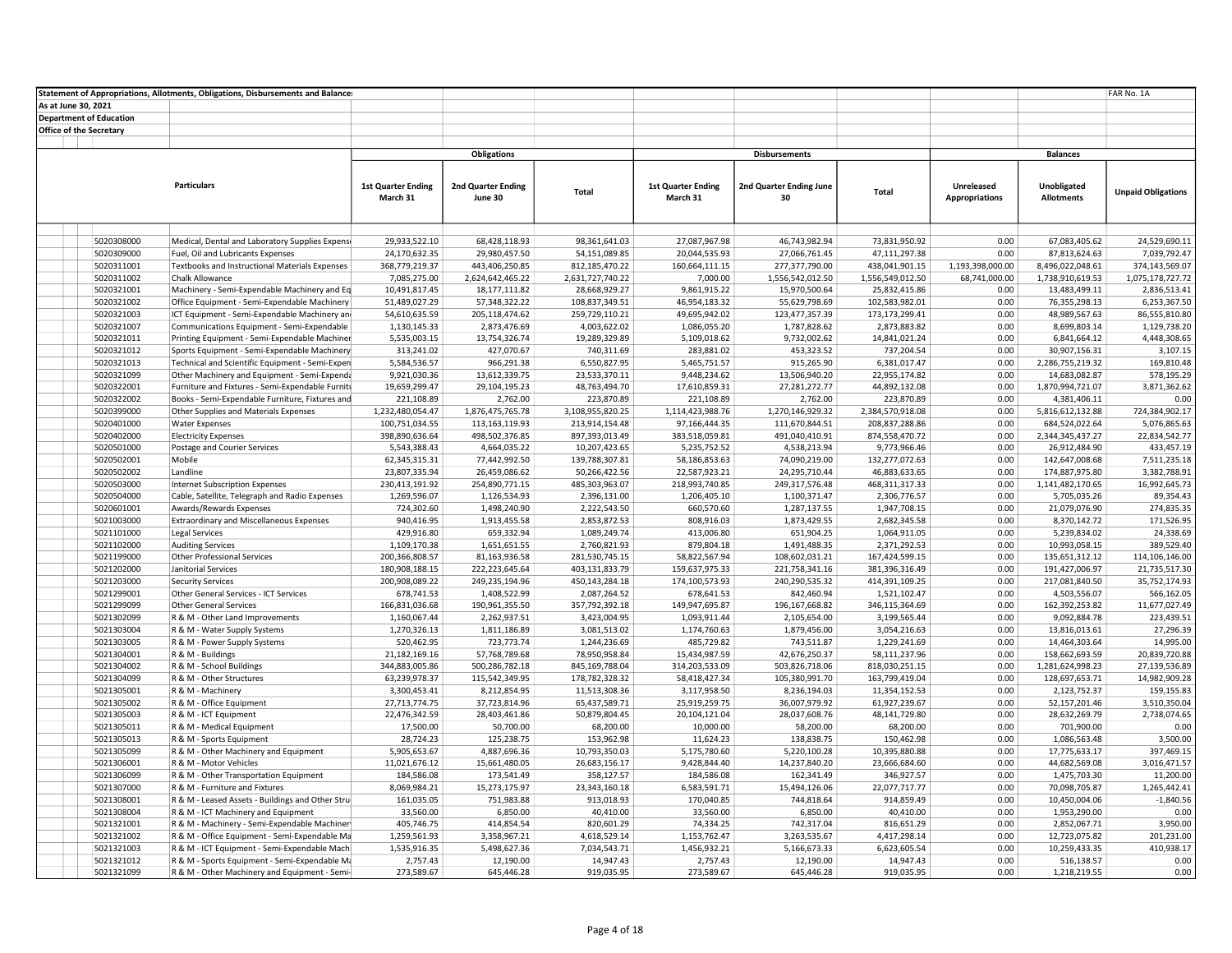|                         |                                | Statement of Appropriations, Allotments, Obligations, Disbursements and Balance: |                               |                                     |                                   |                             |                                   |                                   |                       |                                   | FAR No. 1A                       |
|-------------------------|--------------------------------|----------------------------------------------------------------------------------|-------------------------------|-------------------------------------|-----------------------------------|-----------------------------|-----------------------------------|-----------------------------------|-----------------------|-----------------------------------|----------------------------------|
| As at June 30, 2021     |                                |                                                                                  |                               |                                     |                                   |                             |                                   |                                   |                       |                                   |                                  |
|                         | <b>Department of Education</b> |                                                                                  |                               |                                     |                                   |                             |                                   |                                   |                       |                                   |                                  |
| Office of the Secretary |                                |                                                                                  |                               |                                     |                                   |                             |                                   |                                   |                       |                                   |                                  |
|                         |                                |                                                                                  |                               |                                     |                                   |                             |                                   |                                   |                       |                                   |                                  |
|                         |                                |                                                                                  |                               | <b>Obligations</b>                  |                                   |                             | <b>Disbursements</b>              |                                   |                       | <b>Balances</b>                   |                                  |
|                         |                                |                                                                                  |                               |                                     |                                   |                             |                                   |                                   |                       |                                   |                                  |
|                         |                                | <b>Particulars</b>                                                               | <b>1st Quarter Ending</b>     | 2nd Quarter Ending                  |                                   | <b>1st Quarter Ending</b>   | 2nd Quarter Ending June           |                                   | Unreleased            | Unobligated                       |                                  |
|                         |                                |                                                                                  | March 31                      | June 30                             | Total                             | March 31                    | 30                                | <b>Total</b>                      | <b>Appropriations</b> | <b>Allotments</b>                 | <b>Unpaid Obligations</b>        |
|                         |                                |                                                                                  |                               |                                     |                                   |                             |                                   |                                   |                       |                                   |                                  |
|                         |                                |                                                                                  |                               |                                     |                                   |                             |                                   |                                   |                       |                                   |                                  |
|                         |                                |                                                                                  |                               |                                     |                                   |                             |                                   |                                   |                       |                                   |                                  |
|                         | 5020308000                     | Medical, Dental and Laboratory Supplies Expensi                                  | 29,933,522.10                 | 68,428,118.93                       | 98,361,641.03                     | 27,087,967.98               | 46,743,982.94                     | 73,831,950.92                     | 0.00                  | 67,083,405.62                     | 24,529,690.11                    |
|                         | 5020309000                     | Fuel, Oil and Lubricants Expenses                                                | 24,170,632.35                 | 29,980,457.50                       | 54,151,089.85                     | 20,044,535.93               | 27,066,761.45                     | 47,111,297.38                     | 0.00                  | 87,813,624.63                     | 7,039,792.47                     |
|                         | 5020311001                     | Textbooks and Instructional Materials Expenses                                   | 368,779,219.37                | 443,406,250.85                      | 812,185,470.22                    | 160,664,111.15              | 277,377,790.00                    | 438,041,901.15                    | 1,193,398,000.00      | 8,496,022,048.61                  | 374,143,569.07                   |
|                         | 5020311002<br>5020321001       | Chalk Allowance<br>Machinery - Semi-Expendable Machinery and Eq                  | 7,085,275.00<br>10,491,817.45 | 2,624,642,465.22<br>18, 177, 111.82 | 2,631,727,740.22<br>28,668,929.27 | 7,000.00<br>9,861,915.22    | 1,556,542,012.50<br>15,970,500.64 | 1,556,549,012.50<br>25,832,415.86 | 68,741,000.00<br>0.00 | 1,738,910,619.53<br>13,483,499.11 | 1,075,178,727.72<br>2,836,513.41 |
|                         | 5020321002                     | Office Equipment - Semi-Expendable Machinery                                     | 51,489,027.29                 | 57,348,322.22                       | 108,837,349.51                    | 46,954,183.32               | 55,629,798.69                     | 102,583,982.01                    | 0.00                  | 76,355,298.13                     | 6,253,367.50                     |
|                         | 5020321003                     | ICT Equipment - Semi-Expendable Machinery and                                    | 54,610,635.59                 | 205,118,474.62                      | 259,729,110.21                    | 49,695,942.02               | 123,477,357.39                    | 173,173,299.41                    | 0.00                  | 48,989,567.63                     | 86,555,810.80                    |
|                         | 5020321007                     | Communications Equipment - Semi-Expendable                                       | 1,130,145.33                  | 2,873,476.69                        | 4,003,622.02                      | 1,086,055.20                | 1,787,828.62                      | 2,873,883.82                      | 0.00                  | 8,699,803.14                      | 1,129,738.20                     |
|                         | 5020321011                     | Printing Equipment - Semi-Expendable Machiner                                    | 5,535,003.15                  | 13,754,326.74                       | 19,289,329.89                     | 5,109,018.62                | 9,732,002.62                      | 14,841,021.24                     | 0.00                  | 6,841,664.12                      | 4,448,308.65                     |
|                         | 5020321012                     | Sports Equipment - Semi-Expendable Machinery                                     | 313,241.02                    | 427,070.67                          | 740,311.69                        | 283,881.02                  | 453,323.52                        | 737,204.54                        | 0.00                  | 30,907,156.31                     | 3,107.15                         |
|                         | 5020321013                     | Technical and Scientific Equipment - Semi-Expen                                  | 5,584,536.57                  | 966,291.38                          | 6,550,827.95                      | 5,465,751.57                | 915,265.90                        | 6,381,017.47                      | 0.00                  | 2,286,755,219.32                  | 169,810.48                       |
|                         | 5020321099                     | Other Machinery and Equipment - Semi-Expenda                                     | 9,921,030.36                  | 13,612,339.75                       | 23,533,370.11                     | 9,448,234.62                | 13,506,940.20                     | 22,955,174.82                     | 0.00                  | 14,683,082.87                     | 578,195.29                       |
|                         | 5020322001                     | Furniture and Fixtures - Semi-Expendable Furniti                                 | 19,659,299.47                 | 29,104,195.23                       | 48,763,494.70                     | 17,610,859.31               | 27,281,272.77                     | 44,892,132.08                     | 0.00                  | 1,870,994,721.07                  | 3,871,362.62                     |
|                         | 5020322002                     | Books - Semi-Expendable Furniture, Fixtures and                                  | 221,108.89                    | 2,762.00                            | 223,870.89                        | 221,108.89                  | 2,762.00                          | 223,870.89                        | 0.00                  | 4,381,406.11                      | 0.00                             |
|                         | 5020399000                     | Other Supplies and Materials Expenses                                            | 1,232,480,054.47              | 1,876,475,765.78                    | 3,108,955,820.25                  | 1,114,423,988.76            | 1,270,146,929.32                  | 2,384,570,918.08                  | 0.00                  | 5,816,612,132.88                  | 724,384,902.17                   |
|                         | 5020401000                     | <b>Water Expenses</b>                                                            | 100,751,034.55                | 113,163,119.93                      | 213,914,154.48                    | 97,166,444.35               | 111,670,844.51                    | 208,837,288.86                    | 0.00                  | 684,524,022.64                    | 5,076,865.63                     |
|                         | 5020402000                     | <b>Electricity Expenses</b>                                                      | 398,890,636.64                | 498,502,376.85                      | 897,393,013.49                    | 383,518,059.81              | 491,040,410.91                    | 874,558,470.72                    | 0.00                  | 2,344,345,437.27                  | 22,834,542.77                    |
|                         | 5020501000                     | Postage and Courier Services                                                     | 5,543,388.43                  | 4,664,035.22                        | 10,207,423.65                     | 5,235,752.52                | 4,538,213.94                      | 9,773,966.46                      | 0.00                  | 26,912,484.90                     | 433,457.19                       |
|                         | 5020502001                     | Mobile                                                                           | 62,345,315.31                 | 77,442,992.50                       | 139,788,307.81                    | 58,186,853.63               | 74,090,219.00                     | 132,277,072.63                    | 0.00                  | 142,647,008.68                    | 7,511,235.18                     |
|                         | 5020502002                     | Landline                                                                         | 23,807,335.94                 | 26,459,086.62                       | 50,266,422.56                     | 22,587,923.21               | 24,295,710.44                     | 46,883,633.65                     | 0.00                  | 174,887,975.80                    | 3,382,788.91                     |
|                         | 5020503000                     | <b>Internet Subscription Expenses</b>                                            | 230,413,191.92                | 254,890,771.15                      | 485,303,963.07                    | 218,993,740.85              | 249,317,576.48                    | 468, 311, 317. 33                 | 0.00                  | 1,141,482,170.65                  | 16,992,645.73                    |
|                         | 5020504000                     | Cable, Satellite, Telegraph and Radio Expenses                                   | 1,269,596.07                  | 1,126,534.93                        | 2,396,131.00                      | 1,206,405.10                | 1,100,371.47                      | 2,306,776.57                      | 0.00                  | 5,705,035.26                      | 89,354.43                        |
|                         | 5020601001                     | Awards/Rewards Expenses                                                          | 724,302.60                    | 1,498,240.90                        | 2,222,543.50                      | 660,570.60                  | 1,287,137.55                      | 1,947,708.15                      | 0.00                  | 21,079,076.90                     | 274,835.35                       |
|                         | 5021003000                     | Extraordinary and Miscellaneous Expenses                                         | 940,416.95                    | 1,913,455.58                        | 2,853,872.53                      | 808,916.03                  | 1,873,429.55                      | 2,682,345.58                      | 0.00                  | 8,370,142.72                      | 171,526.95                       |
|                         | 5021101000                     | <b>Legal Services</b>                                                            | 429,916.80                    | 659,332.94                          | 1,089,249.74                      | 413,006.80                  | 651,904.25                        | 1,064,911.05                      | 0.00                  | 5,239,834.02                      | 24,338.69                        |
|                         | 5021102000                     | <b>Auditing Services</b>                                                         | 1,109,170.38                  | 1,651,651.55                        | 2,760,821.93                      | 879,804.18                  | 1,491,488.35                      | 2,371,292.53                      | 0.00                  | 10,993,058.15                     | 389,529.40                       |
|                         | 5021199000                     | Other Professional Services                                                      | 200,366,808.57                | 81,163,936.58                       | 281,530,745.15                    | 58,822,567.94               | 108,602,031.21                    | 167,424,599.15                    | 0.00                  | 135,651,312.12                    | 114,106,146.00                   |
|                         | 5021202000                     | Janitorial Services                                                              | 180,908,188.15                | 222,223,645.64                      | 403,131,833.79                    | 159,637,975.33              | 221,758,341.16                    | 381,396,316.49                    | 0.00                  | 191,427,006.97                    | 21,735,517.30                    |
|                         | 5021203000                     | <b>Security Services</b>                                                         | 200,908,089.22                | 249,235,194.96                      | 450,143,284.18                    | 174,100,573.93              | 240,290,535.32                    | 414,391,109.25                    | 0.00                  | 217,081,840.50                    | 35,752,174.93                    |
|                         | 5021299001                     | Other General Services - ICT Services                                            | 678,741.53                    | 1,408,522.99                        | 2,087,264.52                      | 678,641.53                  | 842,460.94                        | 1,521,102.47                      | 0.00                  | 4,503,556.07                      | 566,162.05                       |
|                         | 5021299099                     | <b>Other General Services</b>                                                    | 166,831,036.68                | 190,961,355.50                      | 357,792,392.18                    | 149,947,695.87              | 196,167,668.82                    | 346,115,364.69                    | 0.00                  | 162,392,253.82                    | 11,677,027.49                    |
|                         | 5021302099                     | R & M - Other Land Improvements                                                  | 1,160,067.44                  | 2,262,937.51                        | 3,423,004.95                      | 1,093,911.44                | 2,105,654.00                      | 3,199,565.44                      | 0.00                  | 9,092,884.78                      | 223,439.51                       |
|                         | 5021303004                     | R & M - Water Supply Systems                                                     | 1,270,326.13                  | 1,811,186.89                        | 3,081,513.02                      | 1,174,760.63                | 1,879,456.00                      | 3,054,216.63                      | 0.00<br>0.00          | 13,816,013.61                     | 27,296.39                        |
|                         | 5021303005<br>5021304001       | R & M - Power Supply Systems<br>R & M - Buildings                                | 520,462.95<br>21,182,169.16   | 723,773.74<br>57,768,789.68         | 1,244,236.69<br>78,950,958.84     | 485,729.82<br>15,434,987.59 | 743,511.87<br>42,676,250.37       | 1,229,241.69<br>58,111,237.96     | 0.00                  | 14,464,303.64<br>158,662,693.59   | 14,995.00<br>20,839,720.88       |
|                         | 5021304002                     | R & M - School Buildings                                                         | 344,883,005.86                | 500,286,782.18                      | 845,169,788.04                    | 314,203,533.09              | 503,826,718.06                    | 818,030,251.15                    | 0.00                  | 1,281,624,998.23                  | 27,139,536.89                    |
|                         | 5021304099                     | R & M - Other Structures                                                         | 63,239,978.37                 | 115,542,349.95                      | 178,782,328.32                    | 58,418,427.34               | 105,380,991.70                    | 163,799,419.04                    | 0.00                  | 128,697,653.71                    | 14,982,909.28                    |
|                         | 5021305001                     | R & M - Machinery                                                                | 3,300,453.41                  | 8,212,854.95                        | 11,513,308.36                     | 3,117,958.50                | 8,236,194.03                      | 11,354,152.53                     | 0.00                  | 2,123,752.37                      | 159,155.83                       |
|                         | 5021305002                     | R & M - Office Equipment                                                         | 27,713,774.75                 | 37,723,814.96                       | 65,437,589.71                     | 25,919,259.75               | 36,007,979.92                     | 61,927,239.67                     | 0.00                  | 52,157,201.46                     | 3,510,350.04                     |
|                         | 5021305003                     | R & M - ICT Equipment                                                            | 22,476,342.59                 | 28,403,461.86                       | 50,879,804.45                     | 20,104,121.04               | 28,037,608.76                     | 48,141,729.80                     | 0.00                  | 28,632,269.79                     | 2,738,074.65                     |
|                         | 5021305011                     | R & M - Medical Equipment                                                        | 17,500.00                     | 50,700.00                           | 68,200.00                         | 10,000.00                   | 58,200.00                         | 68,200.00                         | 0.00                  | 701,900.00                        | 0.00                             |
|                         | 5021305013                     | R & M - Sports Equipment                                                         | 28,724.23                     | 125,238.75                          | 153,962.98                        | 11,624.23                   | 138,838.75                        | 150,462.98                        | 0.00                  | 1,086,563.48                      | 3,500.00                         |
|                         | 5021305099                     | R & M - Other Machinery and Equipment                                            | 5,905,653.67                  | 4,887,696.36                        | 10,793,350.03                     | 5,175,780.60                | 5,220,100.28                      | 10,395,880.88                     | 0.00                  | 17,775,633.17                     | 397,469.15                       |
|                         | 5021306001                     | R & M - Motor Vehicles                                                           | 11,021,676.12                 | 15,661,480.05                       | 26,683,156.17                     | 9,428,844.40                | 14,237,840.20                     | 23,666,684.60                     | 0.00                  | 44,682,569.08                     | 3,016,471.57                     |
|                         | 5021306099                     | R & M - Other Transportation Equipment                                           | 184,586.08                    | 173,541.49                          | 358,127.57                        | 184,586.08                  | 162,341.49                        | 346,927.57                        | 0.00                  | 1,475,703.30                      | 11,200.00                        |
|                         | 5021307000                     | R & M - Furniture and Fixtures                                                   | 8,069,984.21                  | 15,273,175.97                       | 23,343,160.18                     | 6,583,591.71                | 15,494,126.06                     | 22,077,717.77                     | 0.00                  | 70,098,705.87                     | 1,265,442.41                     |
|                         | 5021308001                     | R & M - Leased Assets - Buildings and Other Stru-                                | 161,035.05                    | 751,983.88                          | 913,018.93                        | 170,040.85                  | 744,818.64                        | 914,859.49                        | 0.00                  | 10,450,004.06                     | $-1,840.56$                      |
|                         | 5021308004                     | R & M - ICT Machinery and Equipment                                              | 33,560.00                     | 6,850.00                            | 40,410.00                         | 33,560.00                   | 6,850.00                          | 40,410.00                         | 0.00                  | 1,953,290.00                      | 0.00                             |
|                         | 5021321001                     | R & M - Machinery - Semi-Expendable Machiner                                     | 405,746.75                    | 414,854.54                          | 820,601.29                        | 74,334.25                   | 742,317.04                        | 816,651.29                        | 0.00                  | 2,852,067.71                      | 3,950.00                         |
|                         | 5021321002                     | R & M - Office Equipment - Semi-Expendable Ma                                    | 1,259,561.93                  | 3,358,967.21                        | 4,618,529.14                      | 1,153,762.47                | 3,263,535.67                      | 4,417,298.14                      | 0.00                  | 12,723,075.82                     | 201,231.00                       |
|                         | 5021321003                     | R & M - ICT Equipment - Semi-Expendable Machi                                    | 1,535,916.35                  | 5,498,627.36                        | 7,034,543.71                      | 1,456,932.21                | 5,166,673.33                      | 6,623,605.54                      | 0.00                  | 10,259,433.35                     | 410,938.17                       |
|                         | 5021321012                     | R & M - Sports Equipment - Semi-Expendable Ma                                    | 2,757.43                      | 12,190.00                           | 14,947.43                         | 2,757.43                    | 12,190.00                         | 14,947.43                         | 0.00                  | 516,138.57                        | 0.00                             |
|                         | 5021321099                     | R & M - Other Machinery and Equipment - Semi-                                    | 273,589.67                    | 645,446.28                          | 919,035.95                        | 273,589.67                  | 645,446.28                        | 919,035.95                        | 0.00                  | 1,218,219.55                      | 0.00                             |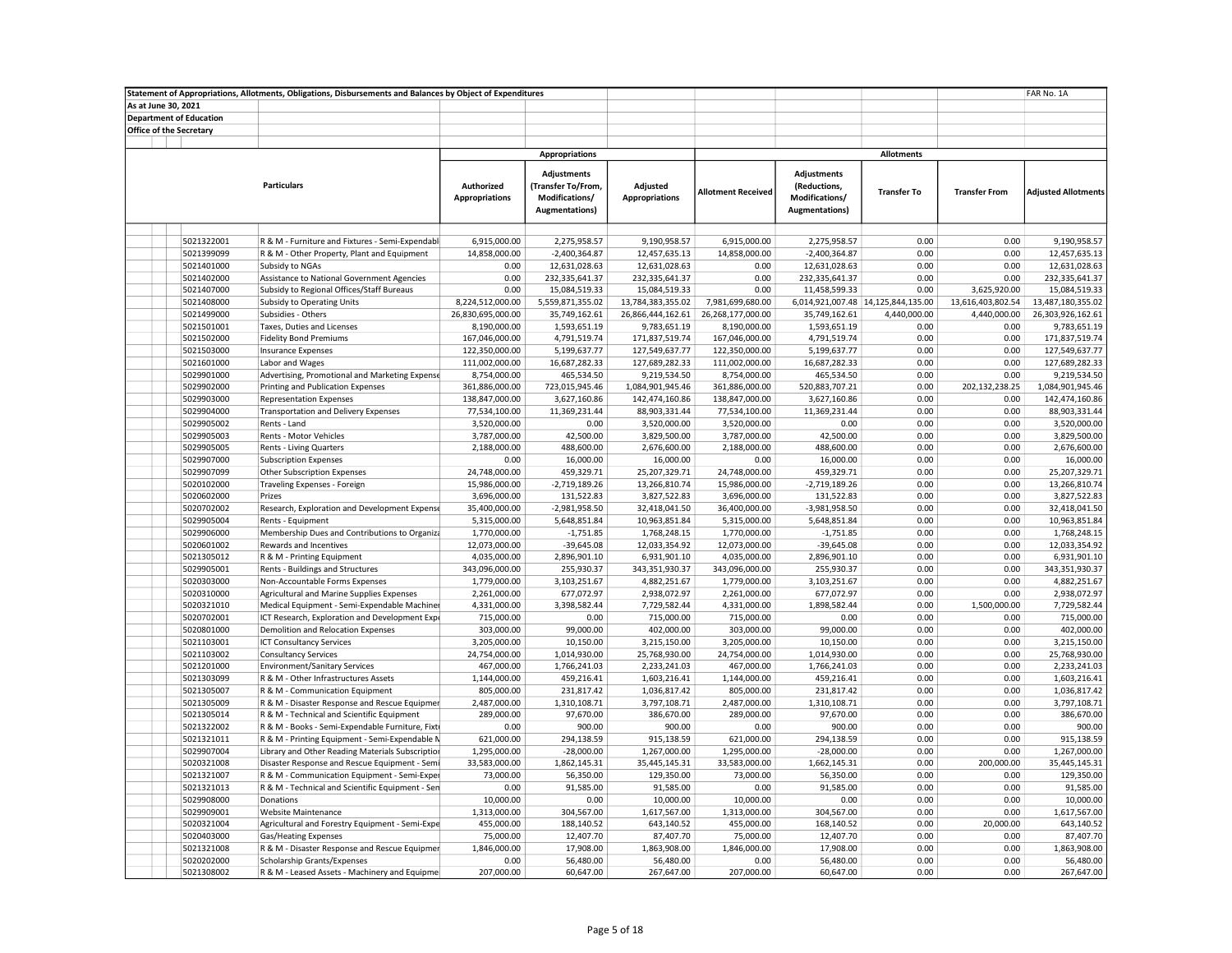|                                |                          | Statement of Appropriations, Allotments, Obligations, Disbursements and Balances by Object of Expenditures |                                            |                                                                                      |                                    |                           |                                                                         |                                                    |                                   | FAR No. 1A                         |
|--------------------------------|--------------------------|------------------------------------------------------------------------------------------------------------|--------------------------------------------|--------------------------------------------------------------------------------------|------------------------------------|---------------------------|-------------------------------------------------------------------------|----------------------------------------------------|-----------------------------------|------------------------------------|
| As at June 30, 2021            |                          |                                                                                                            |                                            |                                                                                      |                                    |                           |                                                                         |                                                    |                                   |                                    |
| <b>Department of Education</b> |                          |                                                                                                            |                                            |                                                                                      |                                    |                           |                                                                         |                                                    |                                   |                                    |
| Office of the Secretary        |                          |                                                                                                            |                                            |                                                                                      |                                    |                           |                                                                         |                                                    |                                   |                                    |
|                                |                          |                                                                                                            |                                            |                                                                                      |                                    |                           |                                                                         |                                                    |                                   |                                    |
|                                |                          |                                                                                                            |                                            | <b>Appropriations</b>                                                                |                                    |                           |                                                                         | <b>Allotments</b>                                  |                                   |                                    |
|                                |                          | <b>Particulars</b>                                                                                         | <b>Authorized</b><br><b>Appropriations</b> | <b>Adjustments</b><br>(Transfer To/From,<br>Modifications/<br><b>Augmentations</b> ) | Adjusted<br><b>Appropriations</b>  | <b>Allotment Received</b> | Adjustments<br>(Reductions,<br>Modifications/<br><b>Augmentations</b> ) | <b>Transfer To</b>                                 | <b>Transfer From</b>              | <b>Adjusted Allotments</b>         |
|                                |                          |                                                                                                            |                                            |                                                                                      |                                    |                           |                                                                         |                                                    |                                   |                                    |
|                                | 5021322001               | R & M - Furniture and Fixtures - Semi-Expendabl                                                            | 6,915,000.00                               | 2,275,958.57                                                                         | 9,190,958.57                       | 6,915,000.00              | 2,275,958.57                                                            | 0.00                                               | 0.00                              | 9,190,958.57                       |
|                                | 5021399099               | R & M - Other Property, Plant and Equipment                                                                | 14,858,000.00                              | $-2,400,364.87$                                                                      | 12,457,635.13                      | 14,858,000.00             | $-2,400,364.87$                                                         | 0.00                                               | 0.00                              | 12,457,635.13                      |
|                                | 5021401000               | Subsidy to NGAs                                                                                            | 0.00                                       | 12,631,028.63                                                                        | 12,631,028.63                      | 0.00                      | 12,631,028.63                                                           | 0.00                                               | 0.00                              | 12,631,028.63                      |
|                                | 5021402000               | Assistance to National Government Agencies                                                                 | 0.00                                       | 232,335,641.37                                                                       | 232,335,641.37                     | 0.00                      | 232,335,641.37                                                          | 0.00                                               | 0.00                              | 232,335,641.37                     |
|                                | 5021407000<br>5021408000 | Subsidy to Regional Offices/Staff Bureaus                                                                  | 0.00<br>8,224,512,000.00                   | 15,084,519.33<br>5,559,871,355.02                                                    | 15,084,519.33<br>13,784,383,355.02 | 0.00<br>7,981,699,680.00  | 11,458,599.33                                                           | 0.00                                               | 3,625,920.00                      | 15,084,519.33<br>13,487,180,355.02 |
|                                | 5021499000               | <b>Subsidy to Operating Units</b><br>Subsidies - Others                                                    | 26,830,695,000.00                          | 35,749,162.61                                                                        |                                    | 26,268,177,000.00         |                                                                         | 6,014,921,007.48 14,125,844,135.00<br>4,440,000.00 | 13,616,403,802.54<br>4,440,000.00 | 26,303,926,162.61                  |
|                                | 5021501001               | Taxes, Duties and Licenses                                                                                 | 8,190,000.00                               | 1,593,651.19                                                                         | 26,866,444,162.61<br>9,783,651.19  | 8,190,000.00              | 35,749,162.61<br>1,593,651.19                                           | 0.00                                               | 0.00                              | 9,783,651.19                       |
|                                | 5021502000               | <b>Fidelity Bond Premiums</b>                                                                              | 167,046,000.00                             | 4,791,519.74                                                                         | 171,837,519.74                     | 167,046,000.00            | 4,791,519.74                                                            | 0.00                                               | 0.00                              | 171,837,519.74                     |
|                                | 5021503000               | <b>Insurance Expenses</b>                                                                                  | 122,350,000.00                             | 5,199,637.77                                                                         | 127,549,637.77                     | 122,350,000.00            | 5,199,637.77                                                            | 0.00                                               | 0.00                              | 127,549,637.77                     |
|                                | 5021601000               | Labor and Wages                                                                                            | 111,002,000.00                             | 16,687,282.33                                                                        | 127,689,282.33                     | 111,002,000.00            | 16,687,282.33                                                           | 0.00                                               | 0.00                              | 127,689,282.33                     |
|                                | 5029901000               | Advertising, Promotional and Marketing Expense                                                             | 8,754,000.00                               | 465,534.50                                                                           | 9,219,534.50                       | 8,754,000.00              | 465,534.50                                                              | 0.00                                               | 0.00                              | 9,219,534.50                       |
|                                | 5029902000               | Printing and Publication Expenses                                                                          | 361,886,000.00                             | 723,015,945.46                                                                       | 1,084,901,945.46                   | 361,886,000.00            | 520,883,707.21                                                          | 0.00                                               | 202,132,238.25                    | 1,084,901,945.46                   |
|                                | 5029903000               | <b>Representation Expenses</b>                                                                             | 138,847,000.00                             | 3,627,160.86                                                                         | 142,474,160.86                     | 138,847,000.00            | 3,627,160.86                                                            | 0.00                                               | 0.00                              | 142,474,160.86                     |
|                                | 5029904000               | <b>Transportation and Delivery Expenses</b>                                                                | 77,534,100.00                              | 11,369,231.44                                                                        | 88,903,331.44                      | 77,534,100.00             | 11,369,231.44                                                           | 0.00                                               | 0.00                              | 88,903,331.44                      |
|                                | 5029905002               | Rents - Land                                                                                               | 3,520,000.00                               | 0.00                                                                                 | 3,520,000.00                       | 3,520,000.00              | 0.00                                                                    | 0.00                                               | 0.00                              | 3,520,000.00                       |
|                                | 5029905003               | Rents - Motor Vehicles                                                                                     | 3,787,000.00                               | 42,500.00                                                                            | 3,829,500.00                       | 3,787,000.00              | 42,500.00                                                               | 0.00                                               | 0.00                              | 3,829,500.00                       |
|                                | 5029905005               | <b>Rents - Living Quarters</b>                                                                             | 2,188,000.00                               | 488,600.00                                                                           | 2,676,600.00                       | 2,188,000.00              | 488,600.00                                                              | 0.00                                               | 0.00                              | 2,676,600.00                       |
|                                | 5029907000               | <b>Subscription Expenses</b>                                                                               | 0.00                                       | 16,000.00                                                                            | 16,000.00                          | 0.00                      | 16,000.00                                                               | 0.00                                               | 0.00                              | 16,000.00                          |
|                                | 5029907099               | Other Subscription Expenses                                                                                | 24,748,000.00                              | 459,329.71                                                                           | 25,207,329.71                      | 24,748,000.00             | 459,329.71                                                              | 0.00                                               | 0.00                              | 25,207,329.71                      |
|                                | 5020102000               | Traveling Expenses - Foreign                                                                               | 15,986,000.00                              | $-2,719,189.26$                                                                      | 13,266,810.74                      | 15,986,000.00             | $-2,719,189.26$                                                         | 0.00                                               | 0.00                              | 13,266,810.74                      |
|                                | 5020602000               | Prizes                                                                                                     | 3,696,000.00                               | 131,522.83                                                                           | 3,827,522.83                       | 3,696,000.00              | 131,522.83                                                              | 0.00                                               | 0.00                              | 3,827,522.83                       |
|                                | 5020702002               | Research, Exploration and Development Expense                                                              | 35,400,000.00                              | $-2,981,958.50$                                                                      | 32,418,041.50                      | 36,400,000.00             | $-3,981,958.50$                                                         | 0.00                                               | 0.00                              | 32,418,041.50                      |
|                                | 5029905004               | Rents - Equipment                                                                                          | 5,315,000.00                               | 5,648,851.84                                                                         | 10,963,851.84                      | 5,315,000.00              | 5,648,851.84                                                            | 0.00                                               | 0.00                              | 10,963,851.84                      |
|                                | 5029906000               | Membership Dues and Contributions to Organiza                                                              | 1,770,000.00                               | $-1,751.85$                                                                          | 1,768,248.15                       | 1,770,000.00              | $-1,751.85$                                                             | 0.00                                               | 0.00                              | 1,768,248.15                       |
|                                | 5020601002               | Rewards and Incentives                                                                                     | 12,073,000.00                              | $-39,645.08$                                                                         | 12,033,354.92                      | 12,073,000.00             | $-39,645.08$                                                            | 0.00                                               | 0.00                              | 12,033,354.92                      |
|                                | 5021305012               | R & M - Printing Equipment                                                                                 | 4,035,000.00                               | 2,896,901.10                                                                         | 6,931,901.10                       | 4,035,000.00              | 2,896,901.10                                                            | 0.00                                               | 0.00                              | 6,931,901.10                       |
|                                | 5029905001               | Rents - Buildings and Structures                                                                           | 343,096,000.00                             | 255,930.37                                                                           | 343,351,930.37                     | 343,096,000.00            | 255,930.37                                                              | 0.00                                               | 0.00                              | 343,351,930.37                     |
|                                | 5020303000               | Non-Accountable Forms Expenses                                                                             | 1,779,000.00                               | 3,103,251.67                                                                         | 4,882,251.67                       | 1,779,000.00              | 3,103,251.67                                                            | 0.00                                               | 0.00                              | 4,882,251.67                       |
|                                | 5020310000               | Agricultural and Marine Supplies Expenses                                                                  | 2,261,000.00                               | 677,072.97                                                                           | 2,938,072.97                       | 2,261,000.00              | 677,072.97                                                              | 0.00                                               | 0.00                              | 2,938,072.97                       |
|                                | 5020321010               | Medical Equipment - Semi-Expendable Machiner                                                               | 4,331,000.00                               | 3,398,582.44                                                                         | 7,729,582.44                       | 4,331,000.00              | 1,898,582.44                                                            | 0.00                                               | 1,500,000.00                      | 7,729,582.44                       |
|                                | 5020702001               | ICT Research, Exploration and Development Expe                                                             | 715,000.00                                 | 0.00                                                                                 | 715,000.00                         | 715,000.00                | 0.00                                                                    | 0.00                                               | 0.00                              | 715,000.00                         |
|                                | 5020801000               | Demolition and Relocation Expenses                                                                         | 303,000.00                                 | 99,000.00                                                                            | 402,000.00                         | 303,000.00                | 99,000.00                                                               | 0.00                                               | 0.00                              | 402,000.00                         |
|                                | 5021103001               | <b>ICT Consultancy Services</b>                                                                            | 3,205,000.00                               | 10,150.00                                                                            | 3,215,150.00                       | 3,205,000.00              | 10,150.00                                                               | 0.00                                               | 0.00                              | 3,215,150.00                       |
|                                | 5021103002               | <b>Consultancy Services</b>                                                                                | 24,754,000.00                              | 1,014,930.00                                                                         | 25,768,930.00                      | 24,754,000.00             | 1,014,930.00                                                            | 0.00                                               | 0.00                              | 25,768,930.00                      |
|                                | 5021201000               | <b>Environment/Sanitary Services</b>                                                                       | 467,000.00                                 | 1,766,241.03                                                                         | 2,233,241.03                       | 467,000.00                | 1,766,241.03                                                            | 0.00                                               | 0.00                              | 2,233,241.03                       |
|                                | 5021303099               | R & M - Other Infrastructures Assets                                                                       | 1,144,000.00                               | 459,216.41                                                                           | 1,603,216.41                       | 1,144,000.00              | 459,216.41                                                              | 0.00                                               | 0.00                              | 1,603,216.41                       |
|                                | 5021305007               | R & M - Communication Equipment                                                                            | 805,000.00                                 | 231,817.42                                                                           | 1,036,817.42                       | 805,000.00                | 231,817.42                                                              | 0.00                                               | 0.00                              | 1,036,817.42                       |
|                                | 5021305009               | R & M - Disaster Response and Rescue Equipmer                                                              | 2,487,000.00                               | 1,310,108.71                                                                         | 3,797,108.71                       | 2,487,000.00              | 1,310,108.71                                                            | 0.00                                               | 0.00                              | 3,797,108.71                       |
|                                | 5021305014               | R & M - Technical and Scientific Equipment                                                                 | 289,000.00                                 | 97,670.00                                                                            | 386,670.00                         | 289,000.00                | 97,670.00                                                               | 0.00                                               | 0.00                              | 386,670.00                         |
|                                | 5021322002               | R & M - Books - Semi-Expendable Furniture, Fixti                                                           | 0.00                                       | 900.00                                                                               | 900.00                             | 0.00                      | 900.00                                                                  | 0.00                                               | 0.00                              | 900.00                             |
|                                | 5021321011               | R & M - Printing Equipment - Semi-Expendable N                                                             | 621,000.00                                 | 294,138.59                                                                           | 915,138.59                         | 621,000.00                | 294,138.59                                                              | 0.00                                               | 0.00                              | 915,138.59                         |
|                                | 5029907004               | Library and Other Reading Materials Subscription                                                           | 1,295,000.00                               | $-28,000.00$                                                                         | 1,267,000.00                       | 1,295,000.00              | $-28,000.00$                                                            | 0.00                                               | 0.00                              | 1,267,000.00                       |
|                                | 5020321008               | Disaster Response and Rescue Equipment - Semi                                                              | 33,583,000.00                              | 1,862,145.31                                                                         | 35,445,145.31                      | 33,583,000.00             | 1,662,145.31                                                            | 0.00                                               | 200,000.00                        | 35,445,145.31                      |
|                                | 5021321007               | R & M - Communication Equipment - Semi-Exper                                                               | 73,000.00                                  | 56,350.00                                                                            | 129,350.00                         | 73,000.00                 | 56,350.00                                                               | 0.00                                               | 0.00                              | 129,350.00                         |
|                                | 5021321013               | R & M - Technical and Scientific Equipment - Sen                                                           | 0.00                                       | 91,585.00                                                                            | 91,585.00                          | 0.00                      | 91,585.00                                                               | 0.00                                               | 0.00                              | 91,585.00                          |
|                                | 5029908000               | Donations                                                                                                  | 10,000.00                                  | 0.00                                                                                 | 10,000.00                          | 10,000.00                 | 0.00                                                                    | 0.00                                               | 0.00                              | 10,000.00                          |
|                                | 5029909001               | Website Maintenance                                                                                        | 1,313,000.00                               | 304,567.00                                                                           | 1,617,567.00                       | 1,313,000.00              | 304,567.00                                                              | 0.00                                               | 0.00                              | 1,617,567.00                       |
|                                | 5020321004               | Agricultural and Forestry Equipment - Semi-Expe                                                            | 455,000.00                                 | 188,140.52                                                                           | 643,140.52                         | 455,000.00                | 168,140.52                                                              | 0.00                                               | 20,000.00                         | 643,140.52                         |
|                                | 5020403000               | Gas/Heating Expenses                                                                                       | 75,000.00                                  | 12,407.70                                                                            | 87,407.70                          | 75,000.00                 | 12,407.70                                                               | 0.00                                               | 0.00<br>0.00                      | 87,407.70                          |
|                                | 5021321008<br>5020202000 | R & M - Disaster Response and Rescue Equipmer<br>Scholarship Grants/Expenses                               | 1,846,000.00<br>0.00                       | 17,908.00<br>56,480.00                                                               | 1,863,908.00<br>56,480.00          | 1,846,000.00<br>0.00      | 17,908.00<br>56,480.00                                                  | 0.00<br>0.00                                       | 0.00                              | 1,863,908.00<br>56,480.00          |
|                                | 5021308002               | R & M - Leased Assets - Machinery and Equipme                                                              | 207,000.00                                 | 60,647.00                                                                            | 267,647.00                         | 207,000.00                | 60,647.00                                                               | 0.00                                               | 0.00                              | 267,647.00                         |
|                                |                          |                                                                                                            |                                            |                                                                                      |                                    |                           |                                                                         |                                                    |                                   |                                    |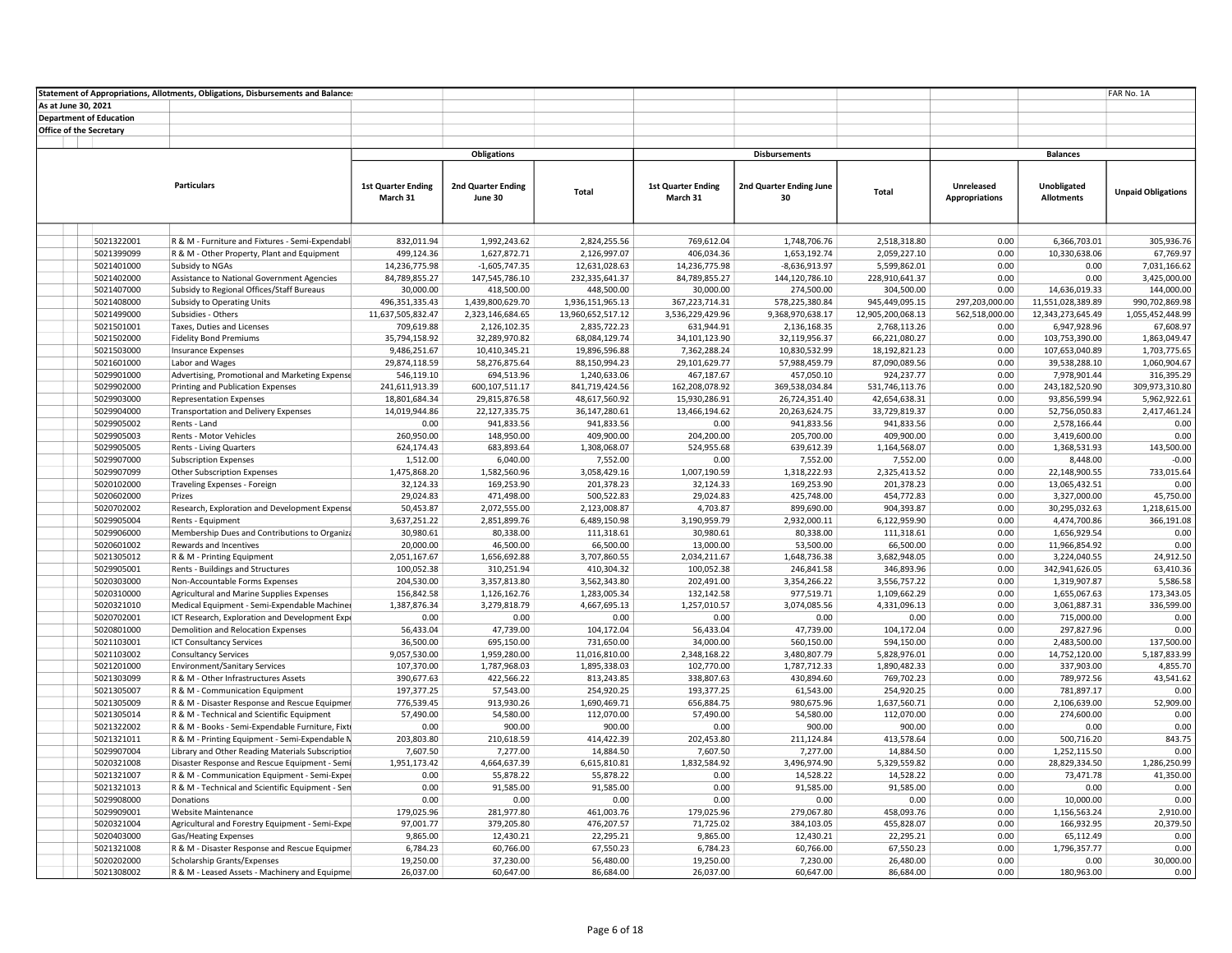|                         |                                | Statement of Appropriations, Allotments, Obligations, Disbursements and Balance: |                                     |                                      |                                       |                                    |                              |                                     |                        |                                    | FAR No. 1A                         |
|-------------------------|--------------------------------|----------------------------------------------------------------------------------|-------------------------------------|--------------------------------------|---------------------------------------|------------------------------------|------------------------------|-------------------------------------|------------------------|------------------------------------|------------------------------------|
| As at June 30, 2021     |                                |                                                                                  |                                     |                                      |                                       |                                    |                              |                                     |                        |                                    |                                    |
|                         | <b>Department of Education</b> |                                                                                  |                                     |                                      |                                       |                                    |                              |                                     |                        |                                    |                                    |
| Office of the Secretary |                                |                                                                                  |                                     |                                      |                                       |                                    |                              |                                     |                        |                                    |                                    |
|                         |                                |                                                                                  |                                     |                                      |                                       |                                    |                              |                                     |                        |                                    |                                    |
|                         |                                |                                                                                  |                                     | <b>Obligations</b>                   |                                       |                                    | <b>Disbursements</b>         |                                     |                        | <b>Balances</b>                    |                                    |
|                         |                                |                                                                                  |                                     |                                      |                                       |                                    |                              |                                     |                        |                                    |                                    |
|                         |                                | <b>Particulars</b>                                                               | <b>1st Quarter Ending</b>           | 2nd Quarter Ending                   |                                       | <b>1st Quarter Ending</b>          | 2nd Quarter Ending June      |                                     | Unreleased             | Unobligated                        |                                    |
|                         |                                |                                                                                  | March 31                            | June 30                              | Total                                 | March 31                           | 30                           | <b>Total</b>                        | <b>Appropriations</b>  | <b>Allotments</b>                  | <b>Unpaid Obligations</b>          |
|                         |                                |                                                                                  |                                     |                                      |                                       |                                    |                              |                                     |                        |                                    |                                    |
|                         |                                |                                                                                  |                                     |                                      |                                       |                                    |                              |                                     |                        |                                    |                                    |
|                         |                                |                                                                                  |                                     |                                      |                                       |                                    |                              |                                     |                        |                                    |                                    |
|                         | 5021322001                     | R & M - Furniture and Fixtures - Semi-Expendabl                                  | 832,011.94                          | 1,992,243.62                         | 2,824,255.56                          | 769,612.04                         | 1,748,706.76                 | 2,518,318.80                        | 0.00                   | 6,366,703.01                       | 305,936.76                         |
|                         | 5021399099                     | R & M - Other Property, Plant and Equipment                                      | 499,124.36                          | 1,627,872.71                         | 2,126,997.07                          | 406,034.36                         | 1,653,192.74                 | 2,059,227.10                        | 0.00                   | 10,330,638.06                      | 67,769.97                          |
|                         | 5021401000                     | Subsidy to NGAs                                                                  | 14,236,775.98                       | $-1,605,747.35$                      | 12,631,028.63                         | 14,236,775.98                      | $-8,636,913.97$              | 5,599,862.01                        | 0.00                   | 0.00                               | 7,031,166.62                       |
|                         | 5021402000                     | Assistance to National Government Agencies                                       | 84,789,855.27                       | 147,545,786.10                       | 232,335,641.37                        | 84,789,855.27                      | 144,120,786.10               | 228,910,641.37                      | 0.00                   | 0.00                               | 3,425,000.00                       |
|                         | 5021407000                     | Subsidy to Regional Offices/Staff Bureaus                                        | 30,000.00                           | 418,500.00                           | 448,500.00                            | 30,000.00                          | 274,500.00<br>578,225,380.84 | 304,500.00                          | 0.00<br>297,203,000.00 | 14,636,019.33<br>11,551,028,389.89 | 144,000.00                         |
|                         | 5021408000<br>5021499000       | Subsidy to Operating Units<br>Subsidies - Others                                 | 496,351,335.43<br>11,637,505,832.47 | 1,439,800,629.70<br>2,323,146,684.65 | 1,936,151,965.13<br>13,960,652,517.12 | 367,223,714.31<br>3,536,229,429.96 | 9,368,970,638.17             | 945,449,095.15<br>12,905,200,068.13 | 562,518,000.00         |                                    | 990,702,869.98<br>1,055,452,448.99 |
|                         | 5021501001                     | Taxes, Duties and Licenses                                                       | 709,619.88                          | 2,126,102.35                         | 2,835,722.23                          | 631,944.91                         | 2,136,168.35                 | 2,768,113.26                        | 0.00                   | 12,343,273,645.49<br>6,947,928.96  | 67,608.97                          |
|                         | 5021502000                     | <b>Fidelity Bond Premiums</b>                                                    | 35,794,158.92                       | 32,289,970.82                        | 68,084,129.74                         | 34,101,123.90                      | 32,119,956.37                | 66,221,080.27                       | 0.00                   | 103,753,390.00                     | 1,863,049.47                       |
|                         | 5021503000                     | <b>Insurance Expenses</b>                                                        | 9,486,251.67                        | 10,410,345.21                        | 19,896,596.88                         | 7,362,288.24                       | 10,830,532.99                | 18,192,821.23                       | 0.00                   | 107,653,040.89                     | 1,703,775.65                       |
|                         | 5021601000                     | Labor and Wages                                                                  | 29,874,118.59                       | 58,276,875.64                        | 88,150,994.23                         | 29,101,629.77                      | 57,988,459.79                | 87,090,089.56                       | 0.00                   | 39,538,288.10                      | 1,060,904.67                       |
|                         | 5029901000                     | Advertising, Promotional and Marketing Expense                                   | 546,119.10                          | 694,513.96                           | 1,240,633.06                          | 467,187.67                         | 457,050.10                   | 924,237.77                          | 0.00                   | 7,978,901.44                       | 316,395.29                         |
|                         | 5029902000                     | Printing and Publication Expenses                                                | 241,611,913.39                      | 600,107,511.17                       | 841,719,424.56                        | 162,208,078.92                     | 369,538,034.84               | 531,746,113.76                      | 0.00                   | 243,182,520.90                     | 309,973,310.80                     |
|                         | 5029903000                     | <b>Representation Expenses</b>                                                   | 18,801,684.34                       | 29,815,876.58                        | 48,617,560.92                         | 15,930,286.91                      | 26,724,351.40                | 42,654,638.31                       | 0.00                   | 93,856,599.94                      | 5,962,922.61                       |
|                         | 5029904000                     | <b>Transportation and Delivery Expenses</b>                                      | 14,019,944.86                       | 22,127,335.75                        | 36,147,280.61                         | 13,466,194.62                      | 20,263,624.75                | 33,729,819.37                       | 0.00                   | 52,756,050.83                      | 2,417,461.24                       |
|                         | 5029905002                     | Rents - Land                                                                     | 0.00                                | 941,833.56                           | 941,833.56                            | 0.00                               | 941,833.56                   | 941,833.56                          | 0.00                   | 2,578,166.44                       | 0.00                               |
|                         | 5029905003                     | Rents - Motor Vehicles                                                           | 260,950.00                          | 148,950.00                           | 409,900.00                            | 204,200.00                         | 205,700.00                   | 409,900.00                          | 0.00                   | 3,419,600.00                       | 0.00                               |
|                         | 5029905005                     | Rents - Living Quarters                                                          | 624,174.43                          | 683,893.64                           | 1,308,068.07                          | 524,955.68                         | 639,612.39                   | 1,164,568.07                        | 0.00                   | 1,368,531.93                       | 143,500.00                         |
|                         | 5029907000                     | <b>Subscription Expenses</b>                                                     | 1,512.00                            | 6,040.00                             | 7,552.00                              | 0.00                               | 7,552.00                     | 7,552.00                            | 0.00                   | 8,448.00                           | $-0.00$                            |
|                         | 5029907099                     | Other Subscription Expenses                                                      | 1,475,868.20                        | 1,582,560.96                         | 3,058,429.16                          | 1,007,190.59                       | 1,318,222.93                 | 2,325,413.52                        | 0.00                   | 22,148,900.55                      | 733,015.64                         |
|                         | 5020102000                     | Traveling Expenses - Foreign                                                     | 32,124.33                           | 169,253.90                           | 201,378.23                            | 32,124.33                          | 169,253.90                   | 201,378.23                          | 0.00                   | 13,065,432.51                      | 0.00                               |
|                         | 5020602000                     | Prizes                                                                           | 29,024.83                           | 471,498.00                           | 500,522.83                            | 29,024.83                          | 425,748.00                   | 454,772.83                          | 0.00                   | 3,327,000.00                       | 45,750.00                          |
|                         | 5020702002                     | Research, Exploration and Development Expense                                    | 50,453.87                           | 2,072,555.00                         | 2,123,008.87                          | 4,703.87                           | 899,690.00                   | 904,393.87                          | 0.00                   | 30,295,032.63                      | 1,218,615.00                       |
|                         | 5029905004                     | Rents - Equipment                                                                | 3,637,251.22                        | 2,851,899.76                         | 6,489,150.98                          | 3,190,959.79                       | 2,932,000.11                 | 6,122,959.90                        | 0.00                   | 4,474,700.86                       | 366,191.08                         |
|                         | 5029906000                     | Membership Dues and Contributions to Organiza                                    | 30,980.61                           | 80,338.00                            | 111,318.61                            | 30,980.61                          | 80,338.00                    | 111,318.61                          | 0.00                   | 1,656,929.54                       | 0.00                               |
|                         | 5020601002                     | Rewards and Incentives                                                           | 20,000.00                           | 46,500.00                            | 66,500.00                             | 13,000.00                          | 53,500.00                    | 66,500.00                           | 0.00                   | 11,966,854.92                      | 0.00                               |
|                         | 5021305012                     | R & M - Printing Equipment                                                       | 2,051,167.67                        | 1,656,692.88                         | 3,707,860.55                          | 2,034,211.67                       | 1,648,736.38                 | 3,682,948.05                        | 0.00                   | 3,224,040.55                       | 24,912.50                          |
|                         | 5029905001                     | Rents - Buildings and Structures                                                 | 100,052.38                          | 310,251.94                           | 410,304.32                            | 100,052.38                         | 246,841.58                   | 346,893.96                          | 0.00                   | 342,941,626.05                     | 63,410.36                          |
|                         | 5020303000                     | Non-Accountable Forms Expenses                                                   | 204,530.00                          | 3,357,813.80                         | 3,562,343.80                          | 202,491.00                         | 3,354,266.22                 | 3,556,757.22                        | 0.00                   | 1,319,907.87                       | 5,586.58                           |
|                         | 5020310000                     | Agricultural and Marine Supplies Expenses                                        | 156,842.58                          | 1,126,162.76                         | 1,283,005.34                          | 132,142.58                         | 977,519.71                   | 1,109,662.29                        | 0.00                   | 1,655,067.63                       | 173,343.05                         |
|                         | 5020321010                     | Medical Equipment - Semi-Expendable Machiner                                     | 1,387,876.34                        | 3,279,818.79                         | 4,667,695.13                          | 1,257,010.57                       | 3,074,085.56                 | 4,331,096.13                        | 0.00                   | 3,061,887.31                       | 336,599.00                         |
|                         | 5020702001                     | ICT Research, Exploration and Development Expr                                   | 0.00                                | 0.00                                 | 0.00                                  | 0.00                               | 0.00                         | 0.00                                | 0.00                   | 715,000.00                         | 0.00                               |
|                         | 5020801000                     | Demolition and Relocation Expenses                                               | 56,433.04                           | 47,739.00                            | 104,172.04                            | 56,433.04                          | 47,739.00                    | 104,172.04                          | 0.00<br>0.00           | 297,827.96                         | 0.00                               |
|                         | 5021103001                     | <b>ICT Consultancy Services</b>                                                  | 36,500.00                           | 695,150.00                           | 731,650.00                            | 34,000.00                          | 560,150.00                   | 594,150.00                          | 0.00                   | 2,483,500.00                       | 137,500.00<br>5,187,833.99         |
|                         | 5021103002<br>5021201000       | <b>Consultancy Services</b><br><b>Environment/Sanitary Services</b>              | 9,057,530.00<br>107,370.00          | 1,959,280.00<br>1,787,968.03         | 11,016,810.00<br>1,895,338.03         | 2,348,168.22<br>102,770.00         | 3,480,807.79<br>1,787,712.33 | 5,828,976.01<br>1,890,482.33        | 0.00                   | 14,752,120.00<br>337,903.00        | 4,855.70                           |
|                         | 5021303099                     | R & M - Other Infrastructures Assets                                             | 390,677.63                          | 422,566.22                           | 813,243.85                            | 338,807.63                         | 430,894.60                   | 769,702.23                          | 0.00                   | 789,972.56                         | 43,541.62                          |
|                         | 5021305007                     | R & M - Communication Equipment                                                  | 197,377.25                          | 57,543.00                            | 254,920.25                            | 193,377.25                         | 61,543.00                    | 254,920.25                          | 0.00                   | 781,897.17                         | 0.00                               |
|                         | 5021305009                     | R & M - Disaster Response and Rescue Equipmer                                    | 776,539.45                          | 913,930.26                           | 1,690,469.71                          | 656,884.75                         | 980,675.96                   | 1,637,560.71                        | 0.00                   | 2,106,639.00                       | 52,909.00                          |
|                         | 5021305014                     | R & M - Technical and Scientific Equipment                                       | 57,490.00                           | 54,580.00                            | 112,070.00                            | 57,490.00                          | 54,580.00                    | 112,070.00                          | 0.00                   | 274,600.00                         | 0.00                               |
|                         | 5021322002                     | R & M - Books - Semi-Expendable Furniture, Fixti                                 | 0.00                                | 900.00                               | 900.00                                | 0.00                               | 900.00                       | 900.00                              | 0.00                   | 0.00                               | 0.00                               |
|                         | 5021321011                     | R & M - Printing Equipment - Semi-Expendable N                                   | 203,803.80                          | 210,618.59                           | 414,422.39                            | 202,453.80                         | 211,124.84                   | 413,578.64                          | 0.00                   | 500,716.20                         | 843.75                             |
|                         | 5029907004                     | Library and Other Reading Materials Subscription                                 | 7,607.50                            | 7,277.00                             | 14,884.50                             | 7,607.50                           | 7,277.00                     | 14,884.50                           | 0.00                   | 1,252,115.50                       | 0.00                               |
|                         | 5020321008                     | Disaster Response and Rescue Equipment - Semi                                    | 1,951,173.42                        | 4,664,637.39                         | 6,615,810.81                          | 1,832,584.92                       | 3,496,974.90                 | 5,329,559.82                        | 0.00                   | 28,829,334.50                      | 1,286,250.99                       |
|                         | 5021321007                     | R & M - Communication Equipment - Semi-Exper                                     | 0.00                                | 55,878.22                            | 55,878.22                             | 0.00                               | 14,528.22                    | 14,528.22                           | 0.00                   | 73,471.78                          | 41,350.00                          |
|                         | 5021321013                     | R & M - Technical and Scientific Equipment - Sen                                 | 0.00                                | 91,585.00                            | 91,585.00                             | 0.00                               | 91,585.00                    | 91,585.00                           | 0.00                   | 0.00                               | 0.00                               |
|                         | 5029908000                     | Donations                                                                        | 0.00                                | 0.00                                 | 0.00                                  | 0.00                               | 0.00                         | 0.00                                | 0.00                   | 10,000.00                          | 0.00                               |
|                         | 5029909001                     | Website Maintenance                                                              | 179,025.96                          | 281,977.80                           | 461,003.76                            | 179,025.96                         | 279,067.80                   | 458,093.76                          | 0.00                   | 1,156,563.24                       | 2,910.00                           |
|                         | 5020321004                     | Agricultural and Forestry Equipment - Semi-Expe                                  | 97,001.77                           | 379,205.80                           | 476,207.57                            | 71,725.02                          | 384,103.05                   | 455,828.07                          | 0.00                   | 166,932.95                         | 20,379.50                          |
|                         | 5020403000                     | Gas/Heating Expenses                                                             | 9,865.00                            | 12,430.21                            | 22,295.21                             | 9,865.00                           | 12,430.21                    | 22,295.21                           | 0.00                   | 65,112.49                          | 0.00                               |
|                         | 5021321008                     | R & M - Disaster Response and Rescue Equipmer                                    | 6,784.23                            | 60,766.00                            | 67,550.23                             | 6,784.23                           | 60,766.00                    | 67,550.23                           | 0.00                   | 1,796,357.77                       | 0.00                               |
|                         | 5020202000                     | Scholarship Grants/Expenses                                                      | 19,250.00                           | 37,230.00                            | 56,480.00                             | 19,250.00                          | 7,230.00                     | 26,480.00                           | 0.00                   | 0.00                               | 30,000.00                          |
|                         | 5021308002                     | R & M - Leased Assets - Machinery and Equipme                                    | 26,037.00                           | 60,647.00                            | 86,684.00                             | 26,037.00                          | 60,647.00                    | 86,684.00                           | 0.00                   | 180,963.00                         | 0.00                               |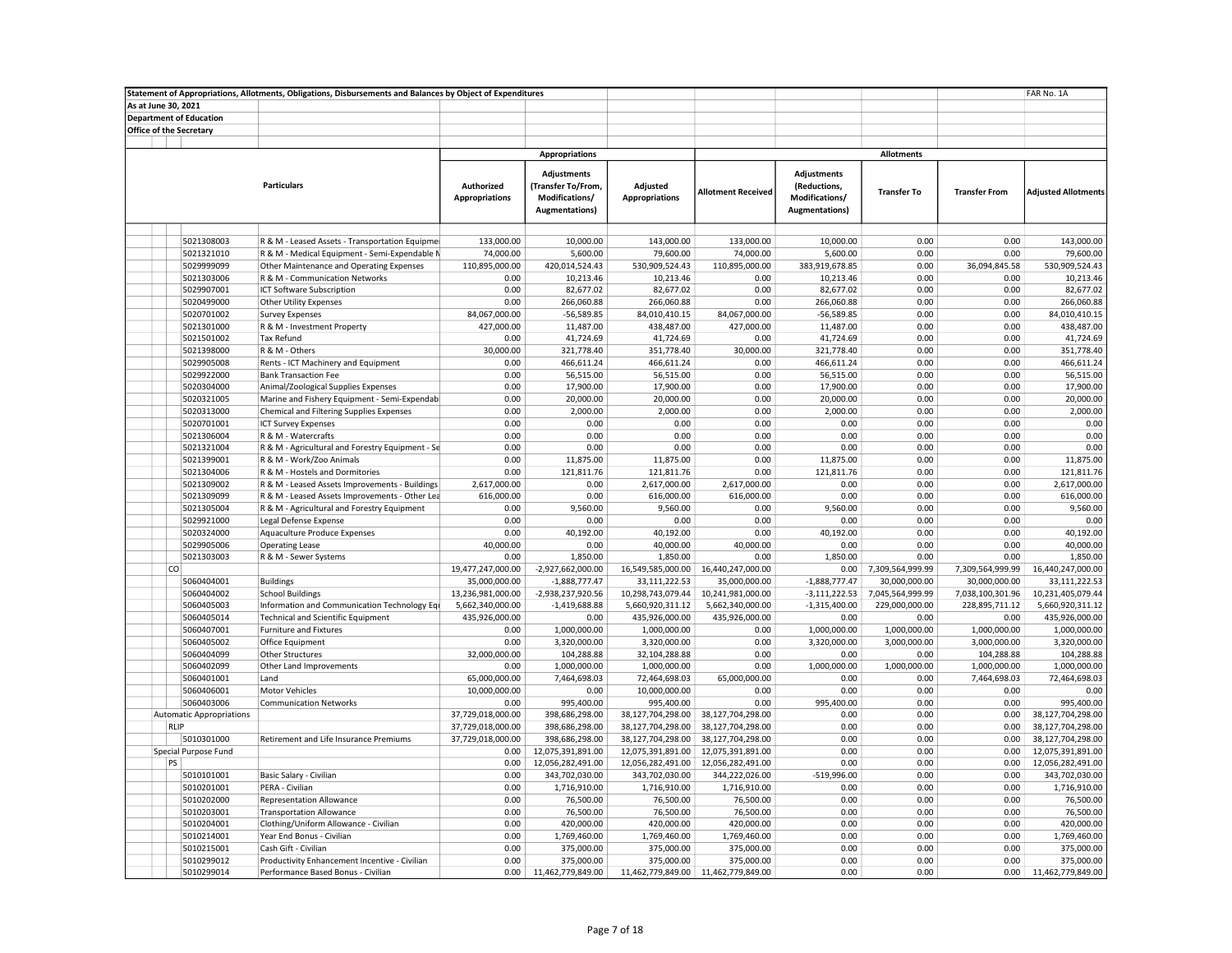|                                 | Statement of Appropriations, Allotments, Obligations, Disbursements and Balances by Object of Expenditures |                                     |                                                                              |                                   |                                     |                                                                        |                    |                      | FAR No. 1A                 |
|---------------------------------|------------------------------------------------------------------------------------------------------------|-------------------------------------|------------------------------------------------------------------------------|-----------------------------------|-------------------------------------|------------------------------------------------------------------------|--------------------|----------------------|----------------------------|
| As at June 30, 2021             |                                                                                                            |                                     |                                                                              |                                   |                                     |                                                                        |                    |                      |                            |
| <b>Department of Education</b>  |                                                                                                            |                                     |                                                                              |                                   |                                     |                                                                        |                    |                      |                            |
| Office of the Secretary         |                                                                                                            |                                     |                                                                              |                                   |                                     |                                                                        |                    |                      |                            |
|                                 |                                                                                                            |                                     |                                                                              |                                   |                                     |                                                                        |                    |                      |                            |
|                                 |                                                                                                            |                                     | <b>Appropriations</b>                                                        |                                   |                                     |                                                                        | <b>Allotments</b>  |                      |                            |
|                                 | <b>Particulars</b>                                                                                         | Authorized<br><b>Appropriations</b> | <b>Adjustments</b><br>(Transfer To/From,<br>Modifications/<br>Augmentations) | Adjusted<br><b>Appropriations</b> | <b>Allotment Received</b>           | Adjustments<br>(Reductions,<br>Modifications/<br><b>Augmentations)</b> | <b>Transfer To</b> | <b>Transfer From</b> | <b>Adjusted Allotments</b> |
|                                 |                                                                                                            |                                     |                                                                              |                                   |                                     |                                                                        |                    |                      |                            |
| 5021308003                      | R & M - Leased Assets - Transportation Equipmer                                                            | 133,000.00                          | 10,000.00                                                                    | 143,000.00                        | 133,000.00                          | 10.000.00                                                              | 0.00               | 0.00                 | 143.000.00                 |
| 5021321010                      | R & M - Medical Equipment - Semi-Expendable N                                                              | 74,000.00                           | 5,600.00                                                                     | 79,600.00                         | 74,000.00                           | 5,600.00                                                               | 0.00               | 0.00                 | 79,600.00                  |
| 5029999099                      | Other Maintenance and Operating Expenses                                                                   | 110,895,000.00                      | 420,014,524.43                                                               | 530,909,524.43                    | 110,895,000.00                      | 383,919,678.85                                                         | 0.00               | 36,094,845.58        | 530,909,524.43             |
| 5021303006                      | R & M - Communication Networks                                                                             | 0.00                                | 10,213.46                                                                    | 10,213.46                         | 0.00                                | 10,213.46                                                              | 0.00               | 0.00                 | 10,213.46                  |
| 5029907001                      | ICT Software Subscription                                                                                  | 0.00                                | 82,677.02                                                                    | 82,677.02                         | 0.00                                | 82,677.02                                                              | 0.00               | 0.00                 | 82,677.02                  |
| 5020499000                      | Other Utility Expenses                                                                                     | 0.00                                | 266,060.88                                                                   | 266,060.88                        | 0.00                                | 266,060.88                                                             | 0.00               | 0.00                 | 266,060.88                 |
| 5020701002                      | <b>Survey Expenses</b>                                                                                     | 84,067,000.00                       | -56,589.85                                                                   | 84,010,410.15                     | 84,067,000.00                       | $-56,589.85$                                                           | 0.00               | 0.00                 | 84,010,410.15              |
| 5021301000                      | R & M - Investment Property                                                                                | 427,000.00                          | 11,487.00                                                                    | 438,487.00                        | 427,000.00                          | 11,487.00                                                              | 0.00               | 0.00                 | 438,487.00                 |
| 5021501002                      | <b>Tax Refund</b>                                                                                          | 0.00                                | 41,724.69                                                                    | 41,724.69                         | 0.00                                | 41,724.69                                                              | 0.00               | 0.00                 | 41,724.69                  |
| 5021398000                      | R & M - Others                                                                                             | 30,000.00                           | 321,778.40                                                                   | 351,778.40                        | 30,000.00                           | 321,778.40                                                             | 0.00               | 0.00                 | 351,778.40                 |
| 5029905008                      | Rents - ICT Machinery and Equipment                                                                        | 0.00                                | 466,611.24                                                                   | 466,611.24                        | 0.00                                | 466,611.24                                                             | 0.00               | 0.00                 | 466,611.24                 |
| 5029922000                      | <b>Bank Transaction Fee</b>                                                                                | 0.00                                | 56,515.00                                                                    | 56,515.00                         | 0.00                                | 56,515.00                                                              | 0.00               | 0.00                 | 56,515.00                  |
| 5020304000                      | Animal/Zoological Supplies Expenses                                                                        | 0.00                                | 17,900.00                                                                    | 17,900.00                         | 0.00                                | 17,900.00                                                              | 0.00               | 0.00                 | 17,900.00                  |
| 5020321005                      | Marine and Fishery Equipment - Semi-Expendab                                                               | 0.00                                | 20,000.00                                                                    | 20,000.00                         | 0.00                                | 20,000.00                                                              | 0.00               | 0.00                 | 20,000.00                  |
| 5020313000                      | Chemical and Filtering Supplies Expenses                                                                   | 0.00                                | 2,000.00                                                                     | 2,000.00                          | 0.00                                | 2,000.00                                                               | 0.00               | 0.00                 | 2,000.00                   |
| 5020701001                      | <b>ICT Survey Expenses</b>                                                                                 | 0.00                                | 0.00                                                                         | 0.00                              | 0.00                                | 0.00                                                                   | 0.00               | 0.00                 | 0.00                       |
| 5021306004                      | R & M - Watercrafts                                                                                        | 0.00                                | 0.00                                                                         | 0.00                              | 0.00                                | 0.00                                                                   | 0.00               | 0.00                 | 0.00                       |
| 5021321004                      | R & M - Agricultural and Forestry Equipment - Se                                                           | 0.00                                | 0.00                                                                         | 0.00                              | 0.00                                | 0.00                                                                   | 0.00               | 0.00                 | 0.00                       |
| 5021399001                      | R & M - Work/Zoo Animals                                                                                   | 0.00                                | 11,875.00                                                                    | 11,875.00                         | 0.00                                | 11,875.00                                                              | 0.00               | 0.00                 | 11,875.00                  |
| 5021304006                      | R & M - Hostels and Dormitories                                                                            | 0.00                                | 121,811.76                                                                   | 121,811.76                        | 0.00                                | 121,811.76                                                             | 0.00               | 0.00                 | 121,811.76                 |
| 5021309002                      | R & M - Leased Assets Improvements - Buildings                                                             | 2,617,000.00                        | 0.00                                                                         | 2,617,000.00                      | 2,617,000.00                        | 0.00                                                                   | 0.00               | 0.00                 | 2,617,000.00               |
| 5021309099                      | R & M - Leased Assets Improvements - Other Lea                                                             | 616,000.00                          | 0.00                                                                         | 616,000.00                        | 616,000.00                          | 0.00                                                                   | 0.00               | 0.00                 | 616,000.00                 |
| 5021305004                      | R & M - Agricultural and Forestry Equipment                                                                | 0.00                                | 9,560.00                                                                     | 9,560.00                          | 0.00                                | 9,560.00                                                               | 0.00               | 0.00                 | 9,560.00                   |
| 5029921000                      | Legal Defense Expense                                                                                      | 0.00                                | 0.00                                                                         | 0.00                              | 0.00                                | 0.00                                                                   | 0.00               | 0.00                 | 0.00                       |
| 5020324000                      | Aquaculture Produce Expenses                                                                               | 0.00                                | 40,192.00                                                                    | 40,192.00                         | 0.00                                | 40,192.00                                                              | 0.00               | 0.00                 | 40,192.00                  |
| 5029905006                      | <b>Operating Lease</b>                                                                                     | 40,000.00                           | 0.00                                                                         | 40,000.00                         | 40,000.00                           | 0.00                                                                   | 0.00               | 0.00                 | 40,000.00                  |
| 5021303003                      | R & M - Sewer Systems                                                                                      | 0.00                                | 1,850.00                                                                     | 1,850.00                          | 0.00                                | 1,850.00                                                               | 0.00               | 0.00                 | 1,850.00                   |
| co                              |                                                                                                            | 19,477,247,000.00                   | -2,927,662,000.00                                                            | 16,549,585,000.00                 | 16,440,247,000.00                   | 0.00                                                                   | 7,309,564,999.99   | 7,309,564,999.99     | 16,440,247,000.00          |
| 5060404001                      | <b>Buildings</b>                                                                                           | 35,000,000.00                       | $-1,888,777.47$                                                              | 33,111,222.53                     | 35,000,000.00                       | $-1,888,777.47$                                                        | 30,000,000.00      | 30,000,000.00        | 33,111,222.53              |
| 5060404002                      | <b>School Buildings</b>                                                                                    | 13,236,981,000.00                   | -2,938,237,920.56                                                            | 10,298,743,079.44                 | 10,241,981,000.00                   | $-3,111,222.53$                                                        | 7,045,564,999.99   | 7,038,100,301.96     | 10,231,405,079.44          |
| 5060405003                      | Information and Communication Technology Equ                                                               | 5,662,340,000.00                    | $-1,419,688.88$                                                              | 5,660,920,311.12                  | 5,662,340,000.00                    | $-1,315,400.00$                                                        | 229,000,000.00     | 228,895,711.12       | 5,660,920,311.12           |
| 5060405014                      | <b>Technical and Scientific Equipment</b>                                                                  | 435,926,000.00                      | 0.00                                                                         | 435,926,000.00                    | 435,926,000.00                      | 0.00                                                                   | 0.00               | 0.00                 | 435,926,000.00             |
| 5060407001                      | <b>Furniture and Fixtures</b>                                                                              | 0.00                                | 1,000,000.00                                                                 | 1,000,000.00                      | 0.00                                | 1,000,000.00                                                           | 1,000,000.00       | 1,000,000.00         | 1,000,000.00               |
| 5060405002                      | Office Equipment                                                                                           | 0.00                                | 3,320,000.00                                                                 | 3,320,000.00                      | 0.00                                | 3,320,000.00                                                           | 3,000,000.00       | 3,000,000.00         | 3,320,000.00               |
| 5060404099                      | <b>Other Structures</b>                                                                                    | 32,000,000.00                       | 104,288.88                                                                   | 32,104,288.88                     | 0.00                                | 0.00                                                                   | 0.00               | 104,288.88           | 104,288.88                 |
| 5060402099                      | Other Land Improvements                                                                                    | 0.00                                | 1,000,000.00                                                                 | 1,000,000.00                      | 0.00                                | 1,000,000.00                                                           | 1,000,000.00       | 1,000,000.00         | 1,000,000.00               |
| 5060401001                      | Land                                                                                                       | 65,000,000.00                       | 7,464,698.03                                                                 | 72,464,698.03                     | 65,000,000.00                       | 0.00                                                                   | 0.00               | 7,464,698.03         | 72,464,698.03              |
| 5060406001                      | <b>Motor Vehicles</b>                                                                                      | 10,000,000.00                       | 0.00                                                                         | 10,000,000.00                     | 0.00                                | 0.00                                                                   | 0.00               | 0.00                 | 0.00                       |
| 5060403006                      | <b>Communication Networks</b>                                                                              | 0.00                                | 995,400.00                                                                   | 995,400.00                        | 0.00                                | 995,400.00                                                             | 0.00               | 0.00                 | 995,400.00                 |
| <b>Automatic Appropriations</b> |                                                                                                            | 37,729,018,000.00                   | 398,686,298.00                                                               | 38,127,704,298.00                 | 38,127,704,298.00                   | 0.00                                                                   | 0.00               | 0.00                 | 38,127,704,298.00          |
| RLIP                            |                                                                                                            | 37,729,018,000.00                   | 398,686,298.00                                                               | 38,127,704,298.00                 | 38,127,704,298.00                   | 0.00                                                                   | 0.00               | 0.00                 | 38,127,704,298.00          |
| 5010301000                      | Retirement and Life Insurance Premiums                                                                     | 37,729,018,000.00                   | 398,686,298.00                                                               | 38,127,704,298.00                 | 38,127,704,298.00                   | 0.00                                                                   | 0.00               | 0.00                 | 38,127,704,298.00          |
| Special Purpose Fund            |                                                                                                            | 0.00                                | 12,075,391,891.00                                                            | 12,075,391,891.00                 | 12,075,391,891.00                   | 0.00                                                                   | 0.00               | 0.00                 | 12,075,391,891.00          |
| PS                              |                                                                                                            | 0.00                                | 12,056,282,491.00                                                            | 12,056,282,491.00                 | 12,056,282,491.00                   | 0.00                                                                   | 0.00               | 0.00                 | 12,056,282,491.00          |
| 5010101001                      | Basic Salary - Civilian                                                                                    | 0.00                                | 343,702,030.00                                                               | 343,702,030.00                    | 344,222,026.00                      | $-519,996.00$                                                          | 0.00               | 0.00                 | 343,702,030.00             |
| 5010201001                      | PERA - Civilian                                                                                            | 0.00                                | 1,716,910.00                                                                 | 1,716,910.00                      | 1,716,910.00                        | 0.00                                                                   | 0.00               | 0.00                 | 1,716,910.00               |
| 5010202000                      | <b>Representation Allowance</b>                                                                            | 0.00                                | 76,500.00                                                                    | 76,500.00                         | 76,500.00                           | 0.00                                                                   | 0.00               | 0.00                 | 76,500.00                  |
| 5010203001                      | <b>Transportation Allowance</b>                                                                            | 0.00                                | 76,500.00                                                                    | 76,500.00                         | 76,500.00                           | 0.00                                                                   | 0.00               | 0.00                 | 76,500.00                  |
| 5010204001                      | Clothing/Uniform Allowance - Civilian                                                                      | 0.00                                | 420,000.00                                                                   | 420,000.00                        | 420,000.00                          | 0.00                                                                   | 0.00               | 0.00                 | 420,000.00                 |
| 5010214001                      | Year End Bonus - Civilian                                                                                  | 0.00                                | 1,769,460.00                                                                 | 1,769,460.00                      | 1,769,460.00                        | 0.00                                                                   | 0.00               | 0.00                 | 1,769,460.00               |
| 5010215001                      | Cash Gift - Civilian                                                                                       | 0.00                                | 375,000.00                                                                   | 375,000.00                        | 375,000.00                          | 0.00                                                                   | 0.00               | 0.00                 | 375,000.00                 |
| 5010299012                      | Productivity Enhancement Incentive - Civilian                                                              | 0.00                                | 375,000.00                                                                   | 375,000.00                        | 375,000.00                          | 0.00                                                                   | 0.00               | 0.00                 | 375,000.00                 |
| 5010299014                      | Performance Based Bonus - Civilian                                                                         | 0.00                                | 11,462,779,849.00                                                            |                                   | 11,462,779,849.00 11,462,779,849.00 | 0.00                                                                   | 0.00               |                      | 0.00 11,462,779,849.00     |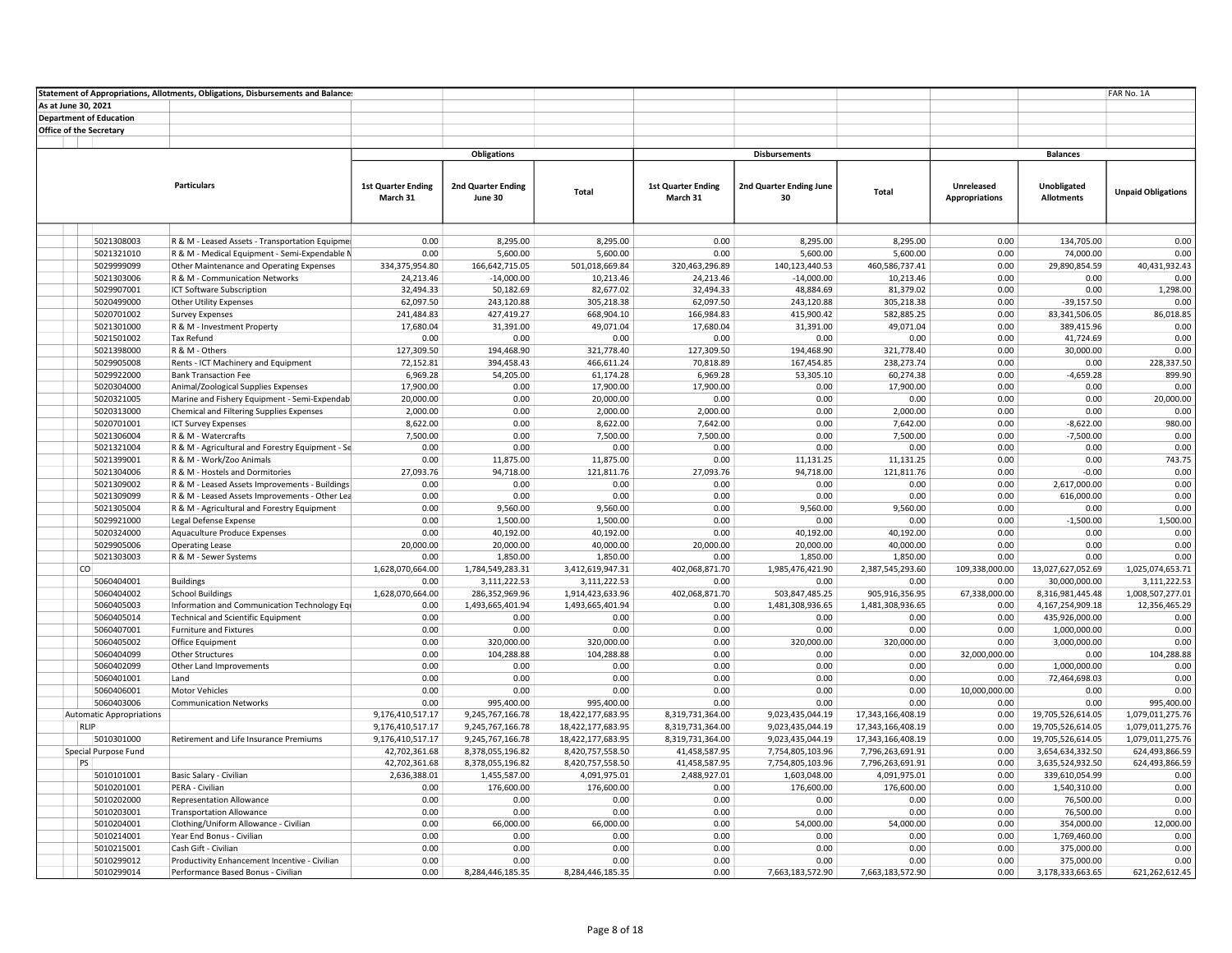|                     |                                 | Statement of Appropriations, Allotments, Obligations, Disbursements and Balances |                           |                                    |                                      |                           |                                    |                                    |                       |                                      | FAR No. 1A                        |
|---------------------|---------------------------------|----------------------------------------------------------------------------------|---------------------------|------------------------------------|--------------------------------------|---------------------------|------------------------------------|------------------------------------|-----------------------|--------------------------------------|-----------------------------------|
| As at June 30, 2021 |                                 |                                                                                  |                           |                                    |                                      |                           |                                    |                                    |                       |                                      |                                   |
|                     | <b>Department of Education</b>  |                                                                                  |                           |                                    |                                      |                           |                                    |                                    |                       |                                      |                                   |
|                     | <b>Office of the Secretary</b>  |                                                                                  |                           |                                    |                                      |                           |                                    |                                    |                       |                                      |                                   |
|                     |                                 |                                                                                  |                           |                                    |                                      |                           |                                    |                                    |                       |                                      |                                   |
|                     |                                 |                                                                                  |                           | <b>Obligations</b>                 |                                      |                           | <b>Disbursements</b>               |                                    |                       | <b>Balances</b>                      |                                   |
|                     |                                 |                                                                                  |                           |                                    |                                      |                           |                                    |                                    |                       |                                      |                                   |
|                     |                                 | <b>Particulars</b>                                                               | <b>1st Quarter Ending</b> | 2nd Quarter Ending                 |                                      | <b>1st Quarter Ending</b> | 2nd Quarter Ending June            |                                    | Unreleased            | Unobligated                          |                                   |
|                     |                                 |                                                                                  | March 31                  | June 30                            | Total                                | March 31                  | 30                                 | Total                              | <b>Appropriations</b> | <b>Allotments</b>                    | <b>Unpaid Obligations</b>         |
|                     |                                 |                                                                                  |                           |                                    |                                      |                           |                                    |                                    |                       |                                      |                                   |
|                     |                                 |                                                                                  |                           |                                    |                                      |                           |                                    |                                    |                       |                                      |                                   |
|                     |                                 |                                                                                  |                           |                                    |                                      |                           |                                    |                                    |                       |                                      |                                   |
|                     | 5021308003                      | R & M - Leased Assets - Transportation Equipmer                                  | 0.00                      | 8,295.00                           | 8.295.00                             | 0.00                      | 8.295.00                           | 8.295.00                           | 0.00                  | 134.705.00                           | 0.00                              |
|                     | 5021321010                      | R & M - Medical Equipment - Semi-Expendable M                                    | 0.00                      | 5,600.00                           | 5,600.00                             | 0.00                      | 5,600.00                           | 5,600.00                           | 0.00                  | 74,000.00                            | 0.00                              |
|                     | 5029999099                      | Other Maintenance and Operating Expenses                                         | 334,375,954.80            | 166,642,715.05                     | 501,018,669.84                       | 320,463,296.89            | 140,123,440.53                     | 460,586,737.41                     | 0.00                  | 29,890,854.59                        | 40,431,932.43                     |
|                     | 5021303006                      | R & M - Communication Networks                                                   | 24,213.46                 | $-14,000.00$                       | 10,213.46                            | 24,213.46                 | $-14,000.00$                       | 10,213.46                          | 0.00                  | 0.00                                 | 0.00                              |
|                     | 5029907001                      | ICT Software Subscription                                                        | 32,494.33                 | 50,182.69                          | 82,677.02                            | 32,494.33                 | 48,884.69                          | 81,379.02                          | 0.00                  | 0.00                                 | 1,298.00                          |
|                     | 5020499000                      | <b>Other Utility Expenses</b>                                                    | 62,097.50                 | 243,120.88                         | 305,218.38                           | 62,097.50                 | 243,120.88                         | 305,218.38                         | 0.00                  | $-39,157.50$                         | 0.00                              |
|                     | 5020701002<br>5021301000        | <b>Survey Expenses</b><br>R & M - Investment Property                            | 241,484.83                | 427,419.27<br>31,391.00            | 668,904.10<br>49,071.04              | 166,984.83<br>17,680.04   | 415,900.42<br>31,391.00            | 582,885.25<br>49,071.04            | 0.00<br>0.00          | 83,341,506.05                        | 86,018.85<br>0.00                 |
|                     | 5021501002                      | Tax Refund                                                                       | 17,680.04<br>0.00         | 0.00                               | 0.00                                 | 0.00                      | 0.00                               | 0.00                               | 0.00                  | 389,415.96<br>41,724.69              | 0.00                              |
|                     | 5021398000                      | R & M - Others                                                                   | 127,309.50                | 194,468.90                         | 321,778.40                           | 127,309.50                | 194,468.90                         | 321,778.40                         | 0.00                  | 30,000.00                            | 0.00                              |
|                     | 5029905008                      | Rents - ICT Machinery and Equipment                                              | 72,152.81                 | 394,458.43                         | 466,611.24                           | 70,818.89                 | 167,454.85                         | 238,273.74                         | 0.00                  | 0.00                                 | 228,337.50                        |
|                     | 5029922000                      | <b>Bank Transaction Fee</b>                                                      | 6,969.28                  | 54,205.00                          | 61,174.28                            | 6,969.28                  | 53,305.10                          | 60,274.38                          | 0.00                  | $-4,659.28$                          | 899.90                            |
|                     | 5020304000                      | Animal/Zoological Supplies Expenses                                              | 17,900.00                 | 0.00                               | 17,900.00                            | 17,900.00                 | 0.00                               | 17,900.00                          | 0.00                  | 0.00                                 | 0.00                              |
|                     | 5020321005                      | Marine and Fishery Equipment - Semi-Expendab                                     | 20,000.00                 | 0.00                               | 20,000.00                            | 0.00                      | 0.00                               | 0.00                               | 0.00                  | 0.00                                 | 20,000.00                         |
|                     | 5020313000                      | Chemical and Filtering Supplies Expenses                                         | 2,000.00                  | 0.00                               | 2,000.00                             | 2,000.00                  | 0.00                               | 2,000.00                           | 0.00                  | 0.00                                 | 0.00                              |
|                     | 5020701001                      | <b>ICT Survey Expenses</b>                                                       | 8,622.00                  | 0.00                               | 8,622.00                             | 7,642.00                  | 0.00                               | 7,642.00                           | 0.00                  | $-8,622.00$                          | 980.00                            |
|                     | 5021306004                      | R & M - Watercrafts                                                              | 7,500.00                  | 0.00                               | 7,500.00                             | 7,500.00                  | 0.00                               | 7,500.00                           | 0.00                  | $-7,500.00$                          | 0.00                              |
|                     | 5021321004                      | R & M - Agricultural and Forestry Equipment - Se                                 | 0.00                      | 0.00                               | 0.00                                 | 0.00                      | 0.00                               | 0.00                               | 0.00                  | 0.00                                 | 0.00                              |
|                     | 5021399001                      | R & M - Work/Zoo Animals                                                         | 0.00                      | 11,875.00                          | 11,875.00                            | 0.00                      | 11,131.25                          | 11,131.25                          | 0.00                  | 0.00                                 | 743.75                            |
|                     | 5021304006                      | R & M - Hostels and Dormitories                                                  | 27,093.76                 | 94,718.00                          | 121,811.76                           | 27,093.76                 | 94,718.00                          | 121,811.76                         | 0.00                  | $-0.00$                              | 0.00                              |
|                     | 5021309002                      | R & M - Leased Assets Improvements - Buildings                                   | 0.00                      | 0.00                               | 0.00                                 | 0.00                      | 0.00                               | 0.00                               | 0.00                  | 2,617,000.00                         | 0.00                              |
|                     | 5021309099                      | R & M - Leased Assets Improvements - Other Lea                                   | 0.00                      | 0.00                               | 0.00                                 | 0.00                      | 0.00                               | 0.00                               | 0.00                  | 616,000.00                           | 0.00                              |
|                     | 5021305004                      | R & M - Agricultural and Forestry Equipment                                      | 0.00                      | 9,560.00                           | 9,560.00                             | 0.00                      | 9,560.00                           | 9,560.00                           | 0.00                  | 0.00                                 | 0.00                              |
|                     | 5029921000                      | Legal Defense Expense                                                            | 0.00                      | 1,500.00                           | 1,500.00                             | 0.00                      | 0.00                               | 0.00                               | 0.00                  | $-1,500.00$                          | 1,500.00                          |
|                     | 5020324000                      | Aquaculture Produce Expenses                                                     | 0.00                      | 40,192.00                          | 40,192.00                            | 0.00                      | 40,192.00                          | 40,192.00                          | 0.00                  | 0.00                                 | 0.00                              |
|                     | 5029905006                      | <b>Operating Lease</b>                                                           | 20,000.00                 | 20,000.00                          | 40,000.00                            | 20,000.00                 | 20,000.00                          | 40,000.00                          | 0.00                  | 0.00                                 | 0.00                              |
|                     | 5021303003                      | R & M - Sewer Systems                                                            | 0.00                      | 1,850.00                           | 1,850.00                             | 0.00                      | 1,850.00                           | 1,850.00                           | 0.00                  | 0.00                                 | 0.00                              |
| <sub>co</sub>       |                                 |                                                                                  | 1,628,070,664.00          | 1,784,549,283.31                   | 3,412,619,947.31                     | 402,068,871.70            | 1,985,476,421.90                   | 2,387,545,293.60                   | 109,338,000.00        | 13,027,627,052.69                    | 1,025,074,653.71                  |
|                     | 5060404001                      | <b>Buildings</b>                                                                 | 0.00                      | 3,111,222.53                       | 3,111,222.53                         | 0.00                      | 0.00                               | 0.00                               | 0.00                  | 30,000,000.00                        | 3,111,222.53                      |
|                     | 5060404002<br>5060405003        | <b>School Buildings</b><br>Information and Communication Technology Equ          | 1,628,070,664.00<br>0.00  | 286,352,969.96<br>1,493,665,401.94 | 1,914,423,633.96<br>1,493,665,401.94 | 402,068,871.70<br>0.00    | 503,847,485.25<br>1,481,308,936.65 | 905,916,356.95<br>1,481,308,936.65 | 67,338,000.00<br>0.00 | 8,316,981,445.48<br>4,167,254,909.18 | 1,008,507,277.01<br>12,356,465.29 |
|                     | 5060405014                      | <b>Technical and Scientific Equipment</b>                                        | 0.00                      | 0.00                               | 0.00                                 | 0.00                      | 0.00                               | 0.00                               | 0.00                  | 435,926,000.00                       | 0.00                              |
|                     | 5060407001                      | <b>Furniture and Fixtures</b>                                                    | 0.00                      | 0.00                               | 0.00                                 | 0.00                      | 0.00                               | 0.00                               | 0.00                  | 1,000,000.00                         | 0.00                              |
|                     | 5060405002                      | Office Equipment                                                                 | 0.00                      | 320,000.00                         | 320,000.00                           | 0.00                      | 320,000.00                         | 320,000.00                         | 0.00                  | 3,000,000.00                         | 0.00                              |
|                     | 5060404099                      | <b>Other Structures</b>                                                          | 0.00                      | 104,288.88                         | 104,288.88                           | 0.00                      | 0.00                               | 0.00                               | 32,000,000.00         | 0.00                                 | 104,288.88                        |
|                     | 5060402099                      | Other Land Improvements                                                          | 0.00                      | 0.00                               | 0.00                                 | 0.00                      | 0.00                               | 0.00                               | 0.00                  | 1,000,000.00                         | 0.00                              |
|                     | 5060401001                      | Land                                                                             | 0.00                      | 0.00                               | 0.00                                 | 0.00                      | 0.00                               | 0.00                               | 0.00                  | 72,464,698.03                        | 0.00                              |
|                     | 5060406001                      | <b>Motor Vehicles</b>                                                            | 0.00                      | 0.00                               | 0.00                                 | 0.00                      | 0.00                               | 0.00                               | 10,000,000.00         | 0.00                                 | 0.00                              |
|                     | 5060403006                      | <b>Communication Networks</b>                                                    | 0.00                      | 995,400.00                         | 995,400.00                           | 0.00                      | 0.00                               | 0.00                               | 0.00                  | 0.00                                 | 995,400.00                        |
|                     | <b>Automatic Appropriations</b> |                                                                                  | 9,176,410,517.17          | 9,245,767,166.78                   | 18,422,177,683.95                    | 8,319,731,364.00          | 9,023,435,044.19                   | 17,343,166,408.19                  | 0.00                  | 19,705,526,614.05                    | 1,079,011,275.76                  |
| RLIP                |                                 |                                                                                  | 9,176,410,517.17          | 9,245,767,166.78                   | 18,422,177,683.95                    | 8,319,731,364.00          | 9,023,435,044.19                   | 17,343,166,408.19                  | 0.00                  | 19,705,526,614.05                    | 1,079,011,275.76                  |
|                     | 5010301000                      | Retirement and Life Insurance Premiums                                           | 9,176,410,517.17          | 9,245,767,166.78                   | 18,422,177,683.95                    | 8,319,731,364.00          | 9,023,435,044.19                   | 17,343,166,408.19                  | 0.00                  | 19,705,526,614.05                    | 1,079,011,275.76                  |
|                     | Special Purpose Fund            |                                                                                  | 42,702,361.68             | 8,378,055,196.82                   | 8,420,757,558.50                     | 41,458,587.95             | 7,754,805,103.96                   | 7,796,263,691.91                   | 0.00                  | 3,654,634,332.50                     | 624,493,866.59                    |
| PS                  |                                 |                                                                                  | 42,702,361.68             | 8,378,055,196.82                   | 8,420,757,558.50                     | 41,458,587.95             | 7,754,805,103.96                   | 7,796,263,691.91                   | 0.00                  | 3,635,524,932.50                     | 624,493,866.59                    |
|                     | 5010101001                      | Basic Salary - Civilian                                                          | 2,636,388.01              | 1,455,587.00                       | 4,091,975.01                         | 2,488,927.01              | 1,603,048.00                       | 4,091,975.01                       | 0.00                  | 339,610,054.99                       | 0.00                              |
|                     | 5010201001                      | PERA - Civilian                                                                  | 0.00                      | 176,600.00                         | 176,600.00                           | 0.00                      | 176,600.00                         | 176,600.00                         | 0.00                  | 1,540,310.00                         | 0.00                              |
|                     | 5010202000                      | <b>Representation Allowance</b>                                                  | 0.00                      | 0.00                               | 0.00                                 | 0.00                      | 0.00                               | 0.00                               | 0.00                  | 76,500.00                            | 0.00                              |
|                     | 5010203001                      | <b>Transportation Allowance</b>                                                  | 0.00                      | 0.00                               | 0.00                                 | 0.00                      | 0.00                               | 0.00                               | 0.00                  | 76,500.00                            | 0.00                              |
|                     | 5010204001                      | Clothing/Uniform Allowance - Civilian                                            | 0.00                      | 66,000.00                          | 66,000.00                            | 0.00                      | 54,000.00                          | 54,000.00                          | 0.00                  | 354,000.00                           | 12,000.00                         |
|                     | 5010214001                      | Year End Bonus - Civilian                                                        | 0.00                      | 0.00                               | 0.00                                 | 0.00                      | 0.00                               | 0.00                               | 0.00                  | 1,769,460.00                         | 0.00                              |
|                     | 5010215001                      | Cash Gift - Civilian                                                             | 0.00                      | 0.00                               | 0.00                                 | 0.00                      | 0.00                               | 0.00                               | 0.00                  | 375,000.00                           | 0.00                              |
|                     | 5010299012                      | Productivity Enhancement Incentive - Civilian                                    | 0.00                      | 0.00                               | 0.00                                 | 0.00                      | 0.00                               | 0.00                               | 0.00                  | 375,000.00                           | 0.00                              |
|                     | 5010299014                      | Performance Based Bonus - Civilian                                               | 0.00                      | 8,284,446,185.35                   | 8,284,446,185.35                     | 0.00                      | 7,663,183,572.90                   | 7,663,183,572.90                   | 0.00                  | 3,178,333,663.65                     | 621,262,612.45                    |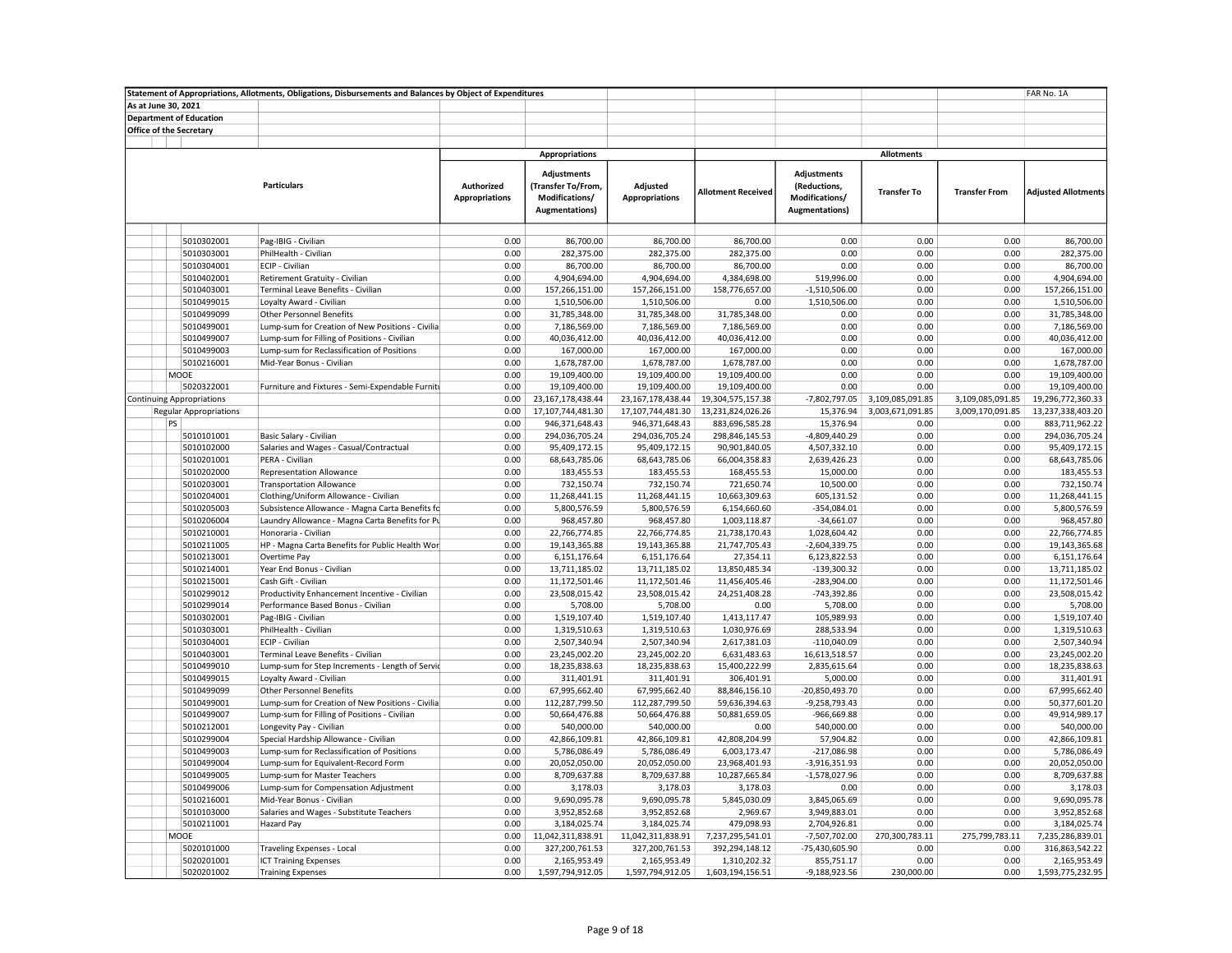|                     |                                  | Statement of Appropriations, Allotments, Obligations, Disbursements and Balances by Object of Expenditures |                                     |                                                                              |                                   |                           |                                                                        |                    |                      | FAR No. 1A                 |
|---------------------|----------------------------------|------------------------------------------------------------------------------------------------------------|-------------------------------------|------------------------------------------------------------------------------|-----------------------------------|---------------------------|------------------------------------------------------------------------|--------------------|----------------------|----------------------------|
| As at June 30, 2021 |                                  |                                                                                                            |                                     |                                                                              |                                   |                           |                                                                        |                    |                      |                            |
|                     | <b>Department of Education</b>   |                                                                                                            |                                     |                                                                              |                                   |                           |                                                                        |                    |                      |                            |
|                     | Office of the Secretary          |                                                                                                            |                                     |                                                                              |                                   |                           |                                                                        |                    |                      |                            |
|                     |                                  |                                                                                                            |                                     |                                                                              |                                   |                           |                                                                        |                    |                      |                            |
|                     |                                  |                                                                                                            |                                     | <b>Appropriations</b>                                                        |                                   |                           |                                                                        | <b>Allotments</b>  |                      |                            |
|                     |                                  | <b>Particulars</b>                                                                                         | Authorized<br><b>Appropriations</b> | <b>Adjustments</b><br>(Transfer To/From,<br>Modifications/<br>Augmentations) | Adjusted<br><b>Appropriations</b> | <b>Allotment Received</b> | Adjustments<br>(Reductions,<br>Modifications/<br><b>Augmentations)</b> | <b>Transfer To</b> | <b>Transfer From</b> | <b>Adjusted Allotments</b> |
|                     |                                  |                                                                                                            |                                     |                                                                              |                                   |                           |                                                                        |                    |                      |                            |
|                     | 5010302001                       | Pag-IBIG - Civilian                                                                                        | 0.00                                | 86,700.00                                                                    | 86,700.00                         | 86,700.00                 | 0.00                                                                   | 0.00               | 0.00                 | 86,700.00                  |
|                     | 5010303001                       | PhilHealth - Civilian                                                                                      | 0.00                                | 282,375.00                                                                   | 282,375.00                        | 282,375.00                | 0.00                                                                   | 0.00               | 0.00                 | 282,375.00                 |
|                     | 5010304001                       | ECIP - Civilian                                                                                            | 0.00                                | 86,700.00                                                                    | 86,700.00                         | 86,700.00                 | 0.00                                                                   | 0.00               | 0.00                 | 86,700.00                  |
|                     | 5010402001                       | Retirement Gratuity - Civilian                                                                             | 0.00                                | 4,904,694.00                                                                 | 4,904,694.00                      | 4,384,698.00              | 519,996.00                                                             | 0.00               | 0.00                 | 4,904,694.00               |
|                     | 5010403001                       | Terminal Leave Benefits - Civilian                                                                         | 0.00                                | 157,266,151.00                                                               | 157,266,151.00                    | 158,776,657.00            | $-1,510,506.00$                                                        | 0.00               | 0.00                 | 157,266,151.00             |
|                     | 5010499015                       | Loyalty Award - Civilian                                                                                   | 0.00                                | 1,510,506.00                                                                 | 1,510,506.00                      | 0.00                      | 1,510,506.00                                                           | 0.00               | 0.00                 | 1,510,506.00               |
|                     | 5010499099                       | <b>Other Personnel Benefits</b>                                                                            | 0.00                                | 31,785,348.00                                                                | 31,785,348.00                     | 31,785,348.00             | 0.00                                                                   | 0.00               | 0.00                 | 31,785,348.00              |
|                     | 5010499001                       | Lump-sum for Creation of New Positions - Civilia                                                           | 0.00                                | 7,186,569.00                                                                 | 7,186,569.00                      | 7,186,569.00              | 0.00                                                                   | 0.00               | 0.00                 | 7,186,569.00               |
|                     | 5010499007                       | Lump-sum for Filling of Positions - Civilian                                                               | 0.00                                | 40,036,412.00                                                                | 40,036,412.00                     | 40,036,412.00             | 0.00                                                                   | 0.00               | 0.00                 | 40,036,412.00              |
|                     | 5010499003                       | Lump-sum for Reclassification of Positions                                                                 | 0.00                                | 167,000.00                                                                   | 167,000.00                        | 167,000.00                | 0.00                                                                   | 0.00               | 0.00                 | 167,000.00                 |
|                     | 5010216001                       | Mid-Year Bonus - Civilian                                                                                  | 0.00                                | 1,678,787.00                                                                 | 1,678,787.00                      | 1,678,787.00              | 0.00                                                                   | 0.00               | 0.00                 | 1,678,787.00               |
|                     | MOOE                             |                                                                                                            | 0.00                                | 19,109,400.00                                                                | 19,109,400.00                     | 19,109,400.00             | 0.00                                                                   | 0.00               | 0.00                 | 19,109,400.00              |
|                     | 5020322001                       | Furniture and Fixtures - Semi-Expendable Furniti                                                           | 0.00                                | 19,109,400.00                                                                | 19,109,400.00                     | 19,109,400.00             | 0.00                                                                   | 0.00               | 0.00                 | 19,109,400.00              |
|                     | <b>Continuing Appropriations</b> |                                                                                                            | 0.00                                | 23,167,178,438.44                                                            | 23,167,178,438.44                 | 19,304,575,157.38         | $-7,802,797.05$                                                        | 3,109,085,091.85   | 3,109,085,091.85     | 19,296,772,360.33          |
|                     | <b>Regular Appropriations</b>    |                                                                                                            | 0.00                                | 17,107,744,481.30                                                            | 17,107,744,481.30                 | 13,231,824,026.26         | 15,376.94                                                              | 3,003,671,091.85   | 3,009,170,091.85     | 13,237,338,403.20          |
|                     | PS                               |                                                                                                            | 0.00                                | 946,371,648.43                                                               | 946,371,648.43                    | 883,696,585.28            | 15,376.94                                                              | 0.00               | 0.00                 | 883,711,962.22             |
|                     | 5010101001                       | Basic Salary - Civilian                                                                                    | 0.00                                | 294,036,705.24                                                               | 294,036,705.24                    | 298,846,145.53            | -4,809,440.29                                                          | 0.00               | 0.00                 | 294,036,705.24             |
|                     | 5010102000                       | Salaries and Wages - Casual/Contractual                                                                    | 0.00                                | 95,409,172.15                                                                | 95,409,172.15                     | 90,901,840.05             | 4,507,332.10                                                           | 0.00               | 0.00                 | 95,409,172.15              |
|                     | 5010201001                       | PERA - Civilian                                                                                            | 0.00                                | 68,643,785.06                                                                | 68,643,785.06                     | 66,004,358.83             | 2,639,426.23                                                           | 0.00               | 0.00                 | 68,643,785.06              |
|                     | 5010202000                       | <b>Representation Allowance</b>                                                                            | 0.00                                | 183,455.53                                                                   | 183,455.53                        | 168,455.53                | 15,000.00                                                              | 0.00               | 0.00                 | 183,455.53                 |
|                     | 5010203001                       | <b>Transportation Allowance</b>                                                                            | 0.00                                | 732,150.74                                                                   | 732,150.74                        | 721,650.74                | 10,500.00                                                              | 0.00               | 0.00                 | 732,150.74                 |
|                     | 5010204001                       | Clothing/Uniform Allowance - Civilian                                                                      | 0.00                                | 11,268,441.15                                                                | 11,268,441.15                     | 10,663,309.63             | 605,131.52                                                             | 0.00               | 0.00                 | 11,268,441.15              |
|                     | 5010205003                       | Subsistence Allowance - Magna Carta Benefits fc                                                            | 0.00                                | 5,800,576.59                                                                 | 5,800,576.59                      | 6,154,660.60              | $-354,084.01$                                                          | 0.00               | 0.00                 | 5,800,576.59               |
|                     | 5010206004                       | Laundry Allowance - Magna Carta Benefits for Pu                                                            | 0.00                                | 968,457.80                                                                   | 968,457.80                        | 1,003,118.87              | $-34,661.07$                                                           | 0.00               | 0.00                 | 968,457.80                 |
|                     | 5010210001                       | Honoraria - Civilian                                                                                       | 0.00                                | 22,766,774.85                                                                | 22,766,774.85                     | 21,738,170.43             | 1,028,604.42                                                           | 0.00               | 0.00                 | 22,766,774.85              |
|                     | 5010211005                       | HP - Magna Carta Benefits for Public Health Wor                                                            | 0.00                                | 19,143,365.88                                                                | 19,143,365.88                     | 21,747,705.43             | $-2,604,339.75$                                                        | 0.00               | 0.00                 | 19,143,365.68              |
|                     | 5010213001                       | Overtime Pay                                                                                               | 0.00                                | 6,151,176.64                                                                 | 6,151,176.64                      | 27,354.11                 | 6,123,822.53                                                           | 0.00               | 0.00                 | 6,151,176.64               |
|                     | 5010214001                       | Year End Bonus - Civilian                                                                                  | 0.00                                | 13,711,185.02                                                                | 13,711,185.02                     | 13,850,485.34             | $-139,300.32$                                                          | 0.00               | 0.00                 | 13,711,185.02              |
|                     | 5010215001                       | Cash Gift - Civilian                                                                                       | 0.00                                | 11,172,501.46                                                                | 11,172,501.46                     | 11,456,405.46             | $-283,904.00$                                                          | 0.00               | 0.00                 | 11,172,501.46              |
|                     | 5010299012                       | Productivity Enhancement Incentive - Civilian                                                              | 0.00                                | 23,508,015.42                                                                | 23,508,015.42                     | 24,251,408.28             | -743,392.86                                                            | 0.00               | 0.00                 | 23,508,015.42              |
|                     | 5010299014                       | Performance Based Bonus - Civilian                                                                         | 0.00                                | 5,708.00                                                                     | 5,708.00                          | 0.00                      | 5,708.00                                                               | 0.00               | 0.00                 | 5,708.00                   |
|                     | 5010302001                       | Pag-IBIG - Civilian                                                                                        | 0.00                                | 1,519,107.40                                                                 | 1,519,107.40                      | 1,413,117.47              | 105,989.93                                                             | 0.00               | 0.00                 | 1,519,107.40               |
|                     | 5010303001                       | PhilHealth - Civilian                                                                                      | 0.00                                | 1,319,510.63                                                                 | 1,319,510.63                      | 1,030,976.69              | 288,533.94                                                             | 0.00               | 0.00                 | 1,319,510.63               |
|                     | 5010304001                       | ECIP - Civilian                                                                                            | 0.00                                | 2,507,340.94                                                                 | 2,507,340.94                      | 2,617,381.03              | $-110,040.09$                                                          | 0.00               | 0.00                 | 2,507,340.94               |
|                     | 5010403001                       | Terminal Leave Benefits - Civilian                                                                         | 0.00                                | 23,245,002.20                                                                | 23,245,002.20                     | 6,631,483.63              | 16,613,518.57                                                          | 0.00               | 0.00                 | 23,245,002.20              |
|                     | 5010499010                       | Lump-sum for Step Increments - Length of Servic                                                            | 0.00                                | 18,235,838.63                                                                | 18,235,838.63                     | 15,400,222.99             | 2,835,615.64                                                           | 0.00               | 0.00                 | 18,235,838.63              |
|                     | 5010499015                       | Loyalty Award - Civilian                                                                                   | 0.00                                | 311,401.91                                                                   | 311,401.91                        | 306,401.91                | 5,000.00                                                               | 0.00               | 0.00                 | 311,401.91                 |
|                     | 5010499099                       | <b>Other Personnel Benefits</b>                                                                            | 0.00                                | 67,995,662.40                                                                | 67,995,662.40                     | 88,846,156.10             | -20,850,493.70                                                         | 0.00               | 0.00                 | 67,995,662.40              |
|                     | 5010499001                       | Lump-sum for Creation of New Positions - Civilia                                                           | 0.00                                | 112,287,799.50                                                               | 112,287,799.50                    | 59,636,394.63             | $-9,258,793.43$                                                        | 0.00               | 0.00                 | 50,377,601.20              |
|                     | 5010499007                       | Lump-sum for Filling of Positions - Civilian                                                               | 0.00                                | 50,664,476.88                                                                | 50,664,476.88                     | 50,881,659.05             | -966,669.88                                                            | 0.00               | 0.00                 | 49,914,989.17              |
|                     | 5010212001                       | Longevity Pay - Civilian                                                                                   | 0.00                                | 540,000.00                                                                   | 540,000.00                        | 0.00                      | 540,000.00                                                             | 0.00               | 0.00                 | 540,000.00                 |
|                     | 5010299004                       | Special Hardship Allowance - Civilian                                                                      | 0.00                                | 42,866,109.81                                                                | 42,866,109.81                     | 42,808,204.99             | 57,904.82                                                              | 0.00               | 0.00                 | 42,866,109.81              |
|                     | 5010499003                       | Lump-sum for Reclassification of Positions                                                                 | 0.00                                | 5,786,086.49                                                                 | 5,786,086.49                      | 6,003,173.47              | $-217,086.98$                                                          | 0.00               | 0.00                 | 5,786,086.49               |
|                     | 5010499004                       | Lump-sum for Equivalent-Record Form                                                                        | 0.00                                | 20,052,050.00                                                                | 20,052,050.00                     | 23,968,401.93             | $-3,916,351.93$                                                        | 0.00               | 0.00                 | 20,052,050.00              |
|                     | 5010499005                       | Lump-sum for Master Teachers                                                                               | 0.00                                | 8,709,637.88                                                                 | 8,709,637.88                      | 10,287,665.84             | $-1,578,027.96$                                                        | 0.00               | 0.00                 | 8,709,637.88               |
|                     | 5010499006                       | Lump-sum for Compensation Adjustment                                                                       | 0.00                                | 3,178.03                                                                     | 3,178.03                          | 3,178.03                  | 0.00                                                                   | 0.00               | 0.00                 | 3,178.03                   |
|                     | 5010216001                       | Mid-Year Bonus - Civilian                                                                                  | 0.00                                | 9,690,095.78                                                                 | 9,690,095.78                      | 5,845,030.09              | 3,845,065.69                                                           | 0.00               | 0.00                 | 9,690,095.78               |
|                     | 5010103000                       | Salaries and Wages - Substitute Teachers                                                                   | 0.00                                | 3,952,852.68                                                                 | 3,952,852.68                      | 2,969.67                  | 3,949,883.01                                                           | 0.00               | 0.00                 | 3,952,852.68               |
|                     | 5010211001                       | <b>Hazard Pay</b>                                                                                          | 0.00                                | 3,184,025.74                                                                 | 3,184,025.74                      | 479,098.93                | 2,704,926.81                                                           | 0.00               | 0.00                 | 3,184,025.74               |
|                     | MOOE                             |                                                                                                            | 0.00                                | 11,042,311,838.91                                                            | 11,042,311,838.91                 | 7,237,295,541.01          | $-7,507,702.00$                                                        | 270,300,783.11     | 275,799,783.11       | 7,235,286,839.01           |
|                     | 5020101000                       | Traveling Expenses - Local                                                                                 | 0.00                                | 327,200,761.53                                                               | 327,200,761.53                    | 392,294,148.12            | -75,430,605.90                                                         | 0.00               | 0.00                 | 316,863,542.22             |
|                     | 5020201001                       | <b>ICT Training Expenses</b>                                                                               | 0.00                                | 2,165,953.49                                                                 | 2,165,953.49                      | 1,310,202.32              | 855,751.17                                                             | 0.00               | 0.00                 | 2,165,953.49               |
|                     | 5020201002                       | <b>Training Expenses</b>                                                                                   | 0.00                                | 1,597,794,912.05                                                             | 1,597,794,912.05                  | 1,603,194,156.51          | $-9,188,923.56$                                                        | 230,000.00         | 0.00                 | 1,593,775,232.95           |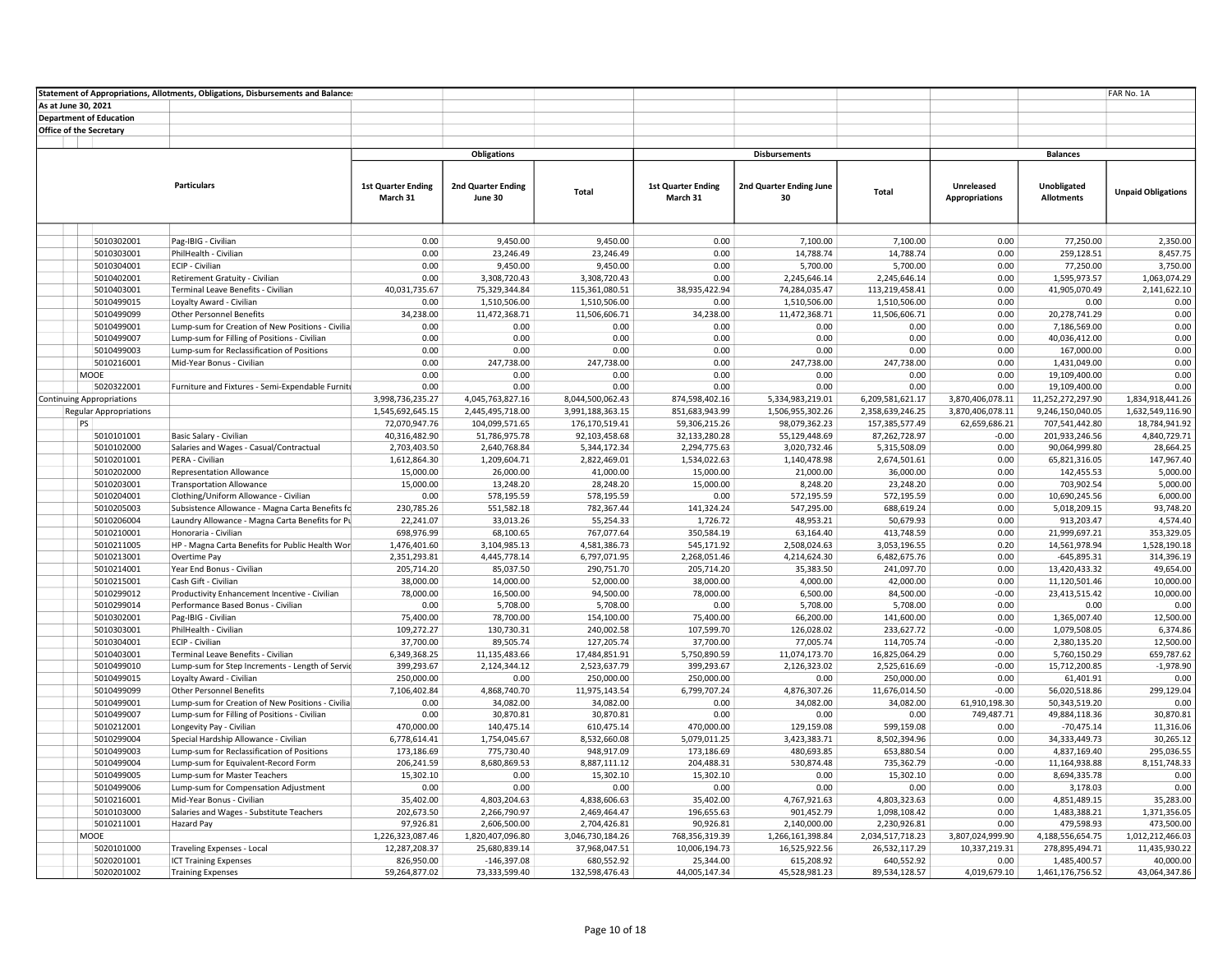|                                  | Statement of Appropriations, Allotments, Obligations, Disbursements and Balances |                            |                               |                                |                           |                               |                                |                       |                               | FAR No. 1A                   |
|----------------------------------|----------------------------------------------------------------------------------|----------------------------|-------------------------------|--------------------------------|---------------------------|-------------------------------|--------------------------------|-----------------------|-------------------------------|------------------------------|
| As at June 30, 2021              |                                                                                  |                            |                               |                                |                           |                               |                                |                       |                               |                              |
| <b>Department of Education</b>   |                                                                                  |                            |                               |                                |                           |                               |                                |                       |                               |                              |
| <b>Office of the Secretary</b>   |                                                                                  |                            |                               |                                |                           |                               |                                |                       |                               |                              |
|                                  |                                                                                  |                            |                               |                                |                           |                               |                                |                       |                               |                              |
|                                  |                                                                                  |                            | <b>Obligations</b>            |                                |                           | <b>Disbursements</b>          |                                |                       | <b>Balances</b>               |                              |
|                                  |                                                                                  |                            |                               |                                |                           |                               |                                |                       |                               |                              |
|                                  | <b>Particulars</b>                                                               | <b>1st Quarter Ending</b>  | 2nd Quarter Ending            |                                | <b>1st Quarter Ending</b> | 2nd Quarter Ending June       |                                | Unreleased            | <b>Unobligated</b>            |                              |
|                                  |                                                                                  | March 31                   | June 30                       | Total                          | March 31                  | 30                            | Total                          | <b>Appropriations</b> | <b>Allotments</b>             | <b>Unpaid Obligations</b>    |
|                                  |                                                                                  |                            |                               |                                |                           |                               |                                |                       |                               |                              |
|                                  |                                                                                  |                            |                               |                                |                           |                               |                                |                       |                               |                              |
|                                  |                                                                                  |                            |                               |                                |                           |                               |                                |                       |                               |                              |
| 5010302001                       | Pag-IBIG - Civilian                                                              | 0.00                       | 9,450.00                      | 9,450.00                       | 0.00                      | 7,100.00                      | 7,100.00                       | 0.00                  | 77,250.00                     | 2,350.00                     |
| 5010303001                       | PhilHealth - Civilian                                                            | 0.00                       | 23,246.49                     | 23,246.49                      | 0.00                      | 14,788.74                     | 14,788.74                      | 0.00                  | 259,128.51                    | 8,457.75                     |
| 5010304001                       | ECIP - Civilian                                                                  | 0.00                       | 9,450.00                      | 9,450.00                       | 0.00<br>0.00              | 5,700.00                      | 5,700.00                       | 0.00<br>0.00          | 77,250.00                     | 3,750.00                     |
| 5010402001<br>5010403001         | Retirement Gratuity - Civilian<br>Terminal Leave Benefits - Civilian             | 0.00<br>40,031,735.67      | 3,308,720.43<br>75,329,344.84 | 3,308,720.43<br>115,361,080.51 | 38,935,422.94             | 2,245,646.14<br>74,284,035.47 | 2,245,646.14<br>113,219,458.41 | 0.00                  | 1,595,973.57<br>41,905,070.49 | 1,063,074.29<br>2,141,622.10 |
| 5010499015                       | Loyalty Award - Civilian                                                         | 0.00                       | 1,510,506.00                  | 1,510,506.00                   | 0.00                      | 1,510,506.00                  | 1,510,506.00                   | 0.00                  | 0.00                          | 0.00                         |
| 5010499099                       | <b>Other Personnel Benefits</b>                                                  | 34,238.00                  | 11,472,368.71                 | 11,506,606.71                  | 34,238.00                 | 11,472,368.71                 | 11,506,606.71                  | 0.00                  | 20,278,741.29                 | 0.00                         |
| 5010499001                       | Lump-sum for Creation of New Positions - Civilia                                 | 0.00                       | 0.00                          | 0.00                           | 0.00                      | 0.00                          | 0.00                           | 0.00                  | 7,186,569.00                  | 0.00                         |
| 5010499007                       | Lump-sum for Filling of Positions - Civilian                                     | 0.00                       | 0.00                          | 0.00                           | 0.00                      | 0.00                          | 0.00                           | 0.00                  | 40,036,412.00                 | 0.00                         |
| 5010499003                       | Lump-sum for Reclassification of Positions                                       | 0.00                       | 0.00                          | 0.00                           | 0.00                      | 0.00                          | 0.00                           | 0.00                  | 167,000.00                    | 0.00                         |
| 5010216001                       | Mid-Year Bonus - Civilian                                                        | 0.00                       | 247,738.00                    | 247,738.00                     | 0.00                      | 247,738.00                    | 247,738.00                     | 0.00                  | 1,431,049.00                  | 0.00                         |
| MOOE                             |                                                                                  | 0.00                       | 0.00                          | 0.00                           | 0.00                      | 0.00                          | 0.00                           | 0.00                  | 19,109,400.00                 | 0.00                         |
| 5020322001                       | Furniture and Fixtures - Semi-Expendable Furniti                                 | 0.00                       | 0.00                          | 0.00                           | 0.00                      | 0.00                          | 0.00                           | 0.00                  | 19,109,400.00                 | 0.00                         |
| <b>Continuing Appropriations</b> |                                                                                  | 3,998,736,235.27           | 4,045,763,827.16              | 8,044,500,062.43               | 874,598,402.16            | 5,334,983,219.01              | 6,209,581,621.17               | 3,870,406,078.11      | 11,252,272,297.90             | 1,834,918,441.26             |
| <b>Regular Appropriations</b>    |                                                                                  | 1,545,692,645.15           | 2,445,495,718.00              | 3,991,188,363.15               | 851,683,943.99            | 1,506,955,302.26              | 2,358,639,246.25               | 3,870,406,078.11      | 9,246,150,040.05              | 1,632,549,116.90             |
| PS                               |                                                                                  | 72,070,947.76              | 104,099,571.65                | 176,170,519.41                 | 59,306,215.26             | 98,079,362.23                 | 157,385,577.49                 | 62,659,686.21         | 707,541,442.80                | 18,784,941.92                |
| 5010101001                       | Basic Salary - Civilian                                                          | 40,316,482.90              | 51,786,975.78                 | 92,103,458.68                  | 32,133,280.28             | 55,129,448.69                 | 87,262,728.97                  | $-0.00$               | 201,933,246.56                | 4,840,729.71                 |
| 5010102000                       | Salaries and Wages - Casual/Contractual                                          | 2,703,403.50               | 2,640,768.84                  | 5,344,172.34                   | 2,294,775.63              | 3,020,732.46                  | 5,315,508.09                   | 0.00                  | 90,064,999.80                 | 28,664.25                    |
| 5010201001                       | PERA - Civilian                                                                  | 1,612,864.30               | 1,209,604.71                  | 2,822,469.01                   | 1,534,022.63              | 1,140,478.98                  | 2,674,501.61                   | 0.00                  | 65,821,316.05                 | 147,967.40                   |
| 5010202000                       | <b>Representation Allowance</b>                                                  | 15,000.00                  | 26,000.00                     | 41,000.00                      | 15,000.00                 | 21,000.00                     | 36,000.00                      | 0.00                  | 142,455.53                    | 5,000.00                     |
| 5010203001                       | <b>Transportation Allowance</b>                                                  | 15,000.00                  | 13,248.20                     | 28,248.20                      | 15,000.00                 | 8,248.20                      | 23,248.20                      | 0.00                  | 703,902.54                    | 5,000.00                     |
| 5010204001                       | Clothing/Uniform Allowance - Civilian                                            | 0.00                       | 578,195.59                    | 578,195.59                     | 0.00                      | 572,195.59                    | 572,195.59                     | 0.00                  | 10,690,245.56                 | 6,000.00                     |
| 5010205003                       | Subsistence Allowance - Magna Carta Benefits fc                                  | 230,785.26                 | 551,582.18                    | 782,367.44                     | 141,324.24                | 547,295.00                    | 688,619.24                     | 0.00                  | 5,018,209.15                  | 93,748.20                    |
| 5010206004                       | Laundry Allowance - Magna Carta Benefits for Pu                                  | 22,241.07                  | 33,013.26                     | 55,254.33                      | 1,726.72                  | 48,953.21                     | 50,679.93                      | 0.00                  | 913,203.47                    | 4,574.40                     |
| 5010210001                       | Honoraria - Civilian                                                             | 698,976.99                 | 68,100.65                     | 767,077.64                     | 350,584.19                | 63,164.40                     | 413,748.59                     | 0.00                  | 21,999,697.21                 | 353,329.05                   |
| 5010211005                       | HP - Magna Carta Benefits for Public Health Wor                                  | 1,476,401.60               | 3,104,985.13                  | 4,581,386.73                   | 545,171.92                | 2,508,024.63                  | 3,053,196.55                   | 0.20                  | 14,561,978.94                 | 1,528,190.18                 |
| 5010213001                       | Overtime Pay                                                                     | 2,351,293.81               | 4,445,778.14                  | 6,797,071.95                   | 2,268,051.46              | 4,214,624.30                  | 6,482,675.76                   | 0.00                  | $-645,895.31$                 | 314,396.19                   |
| 5010214001                       | Year End Bonus - Civilian                                                        | 205,714.20                 | 85,037.50                     | 290,751.70                     | 205,714.20                | 35,383.50                     | 241,097.70                     | 0.00                  | 13,420,433.32                 | 49,654.00                    |
| 5010215001                       | Cash Gift - Civilian                                                             | 38,000.00                  | 14,000.00                     | 52,000.00                      | 38,000.00                 | 4,000.00                      | 42,000.00                      | 0.00                  | 11,120,501.46                 | 10,000.00                    |
| 5010299012                       | Productivity Enhancement Incentive - Civilian                                    | 78,000.00                  | 16,500.00                     | 94,500.00                      | 78,000.00                 | 6,500.00                      | 84,500.00                      | $-0.00$               | 23,413,515.42                 | 10,000.00                    |
| 5010299014                       | Performance Based Bonus - Civilian                                               | 0.00                       | 5,708.00                      | 5,708.00                       | 0.00                      | 5,708.00                      | 5,708.00                       | 0.00                  | 0.00                          | 0.00                         |
| 5010302001                       | Pag-IBIG - Civilian                                                              | 75,400.00                  | 78,700.00                     | 154,100.00                     | 75,400.00                 | 66,200.00                     | 141,600.00                     | 0.00                  | 1,365,007.40                  | 12,500.00                    |
| 5010303001                       | PhilHealth - Civilian                                                            | 109,272.27                 | 130,730.31                    | 240,002.58                     | 107,599.70                | 126,028.02                    | 233,627.72                     | $-0.00$               | 1,079,508.05                  | 6,374.86                     |
| 5010304001                       | ECIP - Civilian                                                                  | 37,700.00                  | 89,505.74                     | 127,205.74                     | 37,700.00                 | 77,005.74                     | 114,705.74                     | $-0.00$               | 2,380,135.20                  | 12,500.00                    |
| 5010403001                       | Terminal Leave Benefits - Civilian                                               | 6,349,368.25<br>399,293.67 | 11,135,483.66<br>2,124,344.12 | 17,484,851.91                  | 5,750,890.59              | 11,074,173.70<br>2,126,323.02 | 16,825,064.29                  | 0.00<br>$-0.00$       | 5,760,150.29<br>15,712,200.85 | 659,787.62<br>$-1,978.90$    |
| 5010499010<br>5010499015         | Lump-sum for Step Increments - Length of Servic<br>Loyalty Award - Civilian      | 250,000.00                 | 0.00                          | 2,523,637.79<br>250,000.00     | 399,293.67<br>250,000.00  | 0.00                          | 2,525,616.69<br>250,000.00     | 0.00                  | 61,401.91                     | 0.00                         |
| 5010499099                       | <b>Other Personnel Benefits</b>                                                  | 7,106,402.84               | 4,868,740.70                  | 11,975,143.54                  | 6,799,707.24              | 4,876,307.26                  | 11,676,014.50                  | $-0.00$               | 56,020,518.86                 | 299,129.04                   |
| 5010499001                       | Lump-sum for Creation of New Positions - Civilia                                 | 0.00                       | 34,082.00                     | 34,082.00                      | 0.00                      | 34,082.00                     | 34,082.00                      | 61,910,198.30         | 50,343,519.20                 | 0.00                         |
| 5010499007                       | Lump-sum for Filling of Positions - Civilian                                     | 0.00                       | 30,870.81                     | 30,870.81                      | 0.00                      | 0.00                          | 0.00                           | 749,487.71            | 49,884,118.36                 | 30,870.81                    |
| 5010212001                       | Longevity Pay - Civilian                                                         | 470,000.00                 | 140,475.14                    | 610,475.14                     | 470,000.00                | 129,159.08                    | 599,159.08                     | 0.00                  | $-70,475.14$                  | 11,316.06                    |
| 5010299004                       | Special Hardship Allowance - Civilian                                            | 6,778,614.41               | 1,754,045.67                  | 8,532,660.08                   | 5,079,011.25              | 3,423,383.71                  | 8,502,394.96                   | 0.00                  | 34,333,449.73                 | 30,265.12                    |
| 5010499003                       | Lump-sum for Reclassification of Positions                                       | 173,186.69                 | 775,730.40                    | 948,917.09                     | 173,186.69                | 480,693.85                    | 653,880.54                     | 0.00                  | 4,837,169.40                  | 295,036.55                   |
| 5010499004                       | Lump-sum for Equivalent-Record Form                                              | 206,241.59                 | 8,680,869.53                  | 8,887,111.12                   | 204,488.31                | 530,874.48                    | 735,362.79                     | $-0.00$               | 11,164,938.88                 | 8,151,748.33                 |
| 5010499005                       | Lump-sum for Master Teachers                                                     | 15,302.10                  | 0.00                          | 15,302.10                      | 15,302.10                 | 0.00                          | 15,302.10                      | 0.00                  | 8,694,335.78                  | 0.00                         |
| 5010499006                       | Lump-sum for Compensation Adjustment                                             | 0.00                       | 0.00                          | 0.00                           | 0.00                      | 0.00                          | 0.00                           | 0.00                  | 3,178.03                      | 0.00                         |
| 5010216001                       | Mid-Year Bonus - Civilian                                                        | 35,402.00                  | 4,803,204.63                  | 4,838,606.63                   | 35,402.00                 | 4,767,921.63                  | 4,803,323.63                   | 0.00                  | 4,851,489.15                  | 35,283.00                    |
| 5010103000                       | Salaries and Wages - Substitute Teachers                                         | 202,673.50                 | 2,266,790.97                  | 2,469,464.47                   | 196,655.63                | 901,452.79                    | 1,098,108.42                   | 0.00                  | 1,483,388.21                  | 1,371,356.05                 |
| 5010211001                       | <b>Hazard Pay</b>                                                                | 97,926.81                  | 2,606,500.00                  | 2,704,426.81                   | 90,926.81                 | 2,140,000.00                  | 2,230,926.81                   | 0.00                  | 479,598.93                    | 473,500.00                   |
| <b>MOOE</b>                      |                                                                                  | 1,226,323,087.46           | 1,820,407,096.80              | 3,046,730,184.26               | 768,356,319.39            | 1,266,161,398.84              | 2,034,517,718.23               | 3,807,024,999.90      | 4,188,556,654.75              | 1,012,212,466.03             |
| 5020101000                       | Traveling Expenses - Local                                                       | 12,287,208.37              | 25,680,839.14                 | 37,968,047.51                  | 10,006,194.73             | 16,525,922.56                 | 26,532,117.29                  | 10,337,219.31         | 278,895,494.71                | 11,435,930.22                |
| 5020201001                       | <b>ICT Training Expenses</b>                                                     | 826,950.00                 | $-146,397.08$                 | 680,552.92                     | 25,344.00                 | 615,208.92                    | 640,552.92                     | 0.00                  | 1,485,400.57                  | 40,000.00                    |
| 5020201002                       | <b>Training Expenses</b>                                                         | 59,264,877.02              | 73,333,599.40                 | 132,598,476.43                 | 44,005,147.34             | 45,528,981.23                 | 89,534,128.57                  | 4,019,679.10          | 1,461,176,756.52              | 43,064,347.86                |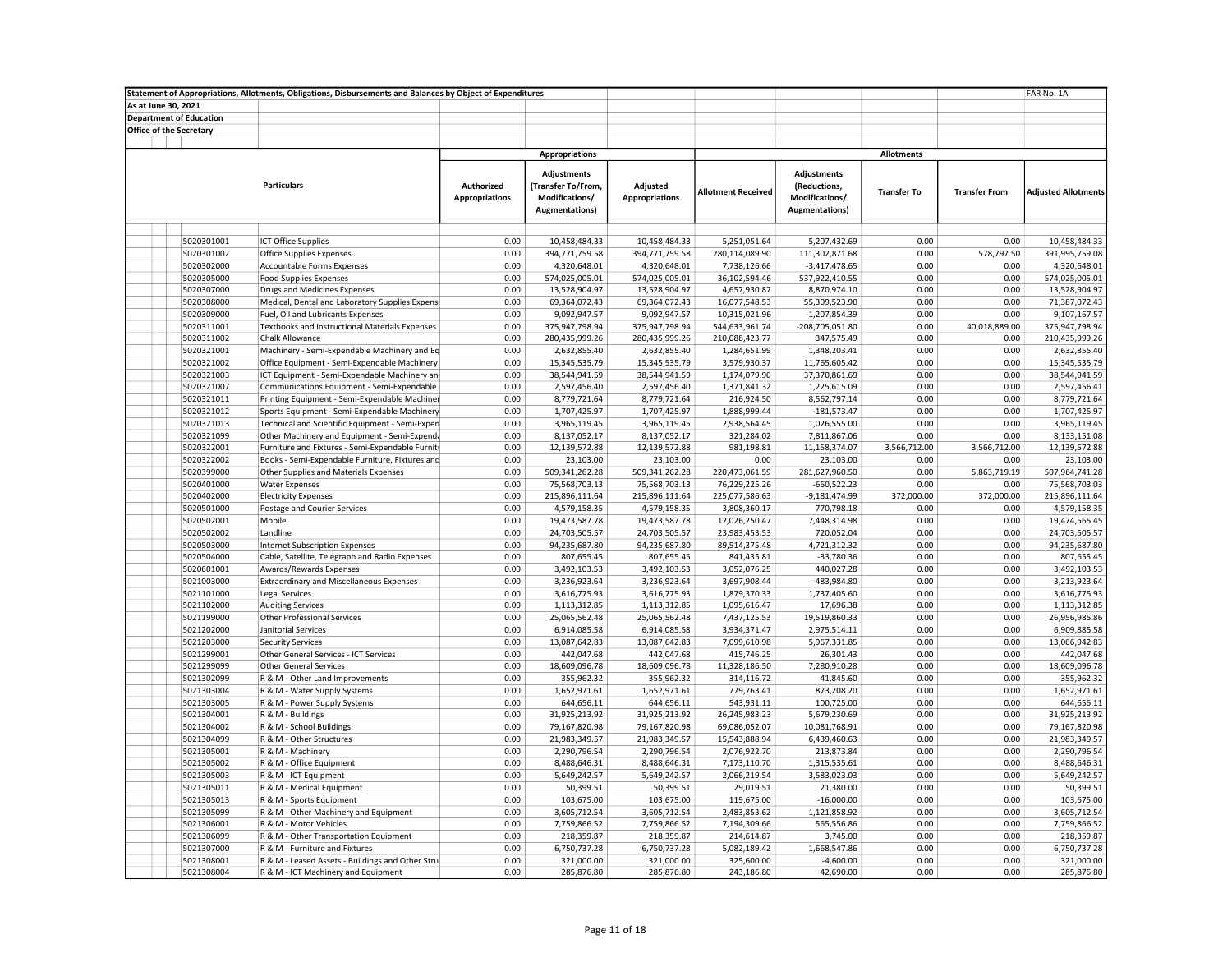|                                | Statement of Appropriations, Allotments, Obligations, Disbursements and Balances by Object of Expenditures |                                     |                                                                              |                                   |                            |                                                                         |                    |                      | FAR No. 1A                   |
|--------------------------------|------------------------------------------------------------------------------------------------------------|-------------------------------------|------------------------------------------------------------------------------|-----------------------------------|----------------------------|-------------------------------------------------------------------------|--------------------|----------------------|------------------------------|
| As at June 30, 2021            |                                                                                                            |                                     |                                                                              |                                   |                            |                                                                         |                    |                      |                              |
| <b>Department of Education</b> |                                                                                                            |                                     |                                                                              |                                   |                            |                                                                         |                    |                      |                              |
| <b>Office of the Secretary</b> |                                                                                                            |                                     |                                                                              |                                   |                            |                                                                         |                    |                      |                              |
|                                |                                                                                                            |                                     |                                                                              |                                   |                            |                                                                         |                    |                      |                              |
|                                |                                                                                                            |                                     | <b>Appropriations</b>                                                        |                                   |                            |                                                                         | <b>Allotments</b>  |                      |                              |
|                                | <b>Particulars</b>                                                                                         | Authorized<br><b>Appropriations</b> | <b>Adjustments</b><br>(Transfer To/From,<br>Modifications/<br>Augmentations) | Adjusted<br><b>Appropriations</b> | <b>Allotment Received</b>  | Adjustments<br>(Reductions,<br>Modifications/<br><b>Augmentations</b> ) | <b>Transfer To</b> | <b>Transfer From</b> | <b>Adjusted Allotments</b>   |
|                                |                                                                                                            |                                     |                                                                              |                                   |                            |                                                                         |                    |                      |                              |
| 5020301001                     | <b>ICT Office Supplies</b>                                                                                 | 0.00                                | 10,458,484.33                                                                | 10,458,484.33                     | 5,251,051.64               | 5,207,432.69                                                            | 0.00               | 0.00                 | 10,458,484.33                |
| 5020301002                     | <b>Office Supplies Expenses</b>                                                                            | 0.00                                | 394,771,759.58                                                               | 394,771,759.58                    | 280,114,089.90             | 111,302,871.68                                                          | 0.00               | 578,797.50           | 391,995,759.08               |
| 5020302000                     | Accountable Forms Expenses                                                                                 | 0.00                                | 4,320,648.01                                                                 | 4,320,648.01                      | 7,738,126.66               | $-3,417,478.65$                                                         | 0.00               | 0.00                 | 4,320,648.01                 |
| 5020305000                     | <b>Food Supplies Expenses</b>                                                                              | 0.00                                | 574,025,005.01                                                               | 574,025,005.01                    | 36,102,594.46              | 537,922,410.55                                                          | 0.00               | 0.00                 | 574,025,005.01               |
| 5020307000                     | Drugs and Medicines Expenses                                                                               | 0.00                                | 13,528,904.97                                                                | 13,528,904.97                     | 4,657,930.87               | 8,870,974.10                                                            | 0.00               | 0.00                 | 13,528,904.97                |
| 5020308000                     | Medical, Dental and Laboratory Supplies Expense                                                            | 0.00                                | 69,364,072.43                                                                | 69,364,072.43                     | 16,077,548.53              | 55,309,523.90                                                           | 0.00               | 0.00                 | 71,387,072.43                |
| 5020309000                     | Fuel, Oil and Lubricants Expenses                                                                          | 0.00                                | 9,092,947.57                                                                 | 9,092,947.57                      | 10,315,021.96              | $-1,207,854.39$                                                         | 0.00               | 0.00                 | 9,107,167.57                 |
| 5020311001                     | <b>Textbooks and Instructional Materials Expenses</b>                                                      | 0.00                                | 375,947,798.94                                                               | 375,947,798.94                    | 544,633,961.74             | -208,705,051.80                                                         | 0.00               | 40,018,889.00        | 375,947,798.94               |
| 5020311002                     | Chalk Allowance                                                                                            | 0.00                                | 280,435,999.26                                                               | 280,435,999.26                    | 210,088,423.77             | 347,575.49                                                              | 0.00               | 0.00<br>0.00         | 210,435,999.26               |
| 5020321001                     | Machinery - Semi-Expendable Machinery and Eq                                                               | 0.00                                | 2,632,855.40                                                                 | 2,632,855.40                      | 1,284,651.99               | 1,348,203.41                                                            | 0.00               |                      | 2,632,855.40                 |
| 5020321002                     | Office Equipment - Semi-Expendable Machinery                                                               | 0.00                                | 15,345,535.79                                                                | 15,345,535.79                     | 3,579,930.37               | 11,765,605.42                                                           | 0.00               | 0.00                 | 15,345,535.79                |
| 5020321003                     | ICT Equipment - Semi-Expendable Machinery and                                                              | 0.00<br>0.00                        | 38,544,941.59                                                                | 38,544,941.59                     | 1,174,079.90               | 37,370,861.69                                                           | 0.00<br>0.00       | 0.00<br>0.00         | 38,544,941.59                |
| 5020321007                     | Communications Equipment - Semi-Expendable                                                                 | 0.00                                | 2,597,456.40                                                                 | 2,597,456.40                      | 1,371,841.32               | 1,225,615.09                                                            | 0.00               | 0.00                 | 2,597,456.41<br>8,779,721.64 |
| 5020321011<br>5020321012       | Printing Equipment - Semi-Expendable Machiner<br>Sports Equipment - Semi-Expendable Machinery              | 0.00                                | 8,779,721.64<br>1,707,425.97                                                 | 8,779,721.64<br>1,707,425.97      | 216,924.50<br>1,888,999.44 | 8,562,797.14<br>$-181,573.47$                                           | 0.00               | 0.00                 | 1,707,425.97                 |
| 5020321013                     | Technical and Scientific Equipment - Semi-Expen                                                            | 0.00                                | 3,965,119.45                                                                 | 3,965,119.45                      | 2,938,564.45               | 1,026,555.00                                                            | 0.00               | 0.00                 | 3,965,119.45                 |
| 5020321099                     | Other Machinery and Equipment - Semi-Expenda                                                               | 0.00                                | 8,137,052.17                                                                 | 8,137,052.17                      | 321,284.02                 | 7,811,867.06                                                            | 0.00               | 0.00                 | 8,133,151.08                 |
| 5020322001                     | Furniture and Fixtures - Semi-Expendable Furniti                                                           | 0.00                                | 12,139,572.88                                                                | 12,139,572.88                     | 981,198.81                 | 11,158,374.07                                                           | 3,566,712.00       | 3,566,712.00         | 12,139,572.88                |
| 5020322002                     | Books - Semi-Expendable Furniture, Fixtures and                                                            | 0.00                                | 23,103.00                                                                    | 23,103.00                         | 0.00                       | 23,103.00                                                               | 0.00               | 0.00                 | 23,103.00                    |
| 5020399000                     | Other Supplies and Materials Expenses                                                                      | 0.00                                | 509,341,262.28                                                               | 509,341,262.28                    | 220,473,061.59             | 281,627,960.50                                                          | 0.00               | 5,863,719.19         | 507,964,741.28               |
| 5020401000                     | <b>Water Expenses</b>                                                                                      | 0.00                                | 75,568,703.13                                                                | 75,568,703.13                     | 76,229,225.26              | $-660,522.23$                                                           | 0.00               | 0.00                 | 75,568,703.03                |
| 5020402000                     | <b>Electricity Expenses</b>                                                                                | 0.00                                | 215,896,111.64                                                               | 215,896,111.64                    | 225,077,586.63             | -9,181,474.99                                                           | 372,000.00         | 372,000.00           | 215,896,111.64               |
| 5020501000                     | Postage and Courier Services                                                                               | 0.00                                | 4,579,158.35                                                                 | 4,579,158.35                      | 3,808,360.17               | 770,798.18                                                              | 0.00               | 0.00                 | 4,579,158.35                 |
| 5020502001                     | Mobile                                                                                                     | 0.00                                | 19,473,587.78                                                                | 19,473,587.78                     | 12,026,250.47              | 7,448,314.98                                                            | 0.00               | 0.00                 | 19,474,565.45                |
| 5020502002                     | Landline                                                                                                   | 0.00                                | 24,703,505.57                                                                | 24,703,505.57                     | 23,983,453.53              | 720,052.04                                                              | 0.00               | 0.00                 | 24,703,505.57                |
| 5020503000                     | Internet Subscription Expenses                                                                             | 0.00                                | 94,235,687.80                                                                | 94,235,687.80                     | 89,514,375.48              | 4,721,312.32                                                            | 0.00               | 0.00                 | 94,235,687.80                |
| 5020504000                     | Cable, Satellite, Telegraph and Radio Expenses                                                             | 0.00                                | 807,655.45                                                                   | 807,655.45                        | 841,435.81                 | $-33,780.36$                                                            | 0.00               | 0.00                 | 807,655.45                   |
| 5020601001                     | Awards/Rewards Expenses                                                                                    | 0.00                                | 3,492,103.53                                                                 | 3,492,103.53                      | 3,052,076.25               | 440,027.28                                                              | 0.00               | 0.00                 | 3,492,103.53                 |
| 5021003000                     | <b>Extraordinary and Miscellaneous Expenses</b>                                                            | 0.00                                | 3,236,923.64                                                                 | 3,236,923.64                      | 3,697,908.44               | -483,984.80                                                             | 0.00               | 0.00                 | 3,213,923.64                 |
| 5021101000                     | <b>Legal Services</b>                                                                                      | 0.00                                | 3,616,775.93                                                                 | 3,616,775.93                      | 1,879,370.33               | 1,737,405.60                                                            | 0.00               | 0.00                 | 3,616,775.93                 |
| 5021102000                     | <b>Auditing Services</b>                                                                                   | 0.00                                | 1,113,312.85                                                                 | 1,113,312.85                      | 1,095,616.47               | 17,696.38                                                               | 0.00               | 0.00                 | 1,113,312.85                 |
| 5021199000                     | Other Professional Services                                                                                | 0.00                                | 25,065,562.48                                                                | 25,065,562.48                     | 7,437,125.53               | 19,519,860.33                                                           | 0.00               | 0.00                 | 26,956,985.86                |
| 5021202000                     | Janitorial Services                                                                                        | 0.00                                | 6,914,085.58                                                                 | 6,914,085.58                      | 3,934,371.47               | 2,975,514.11                                                            | 0.00               | 0.00                 | 6,909,885.58                 |
| 5021203000                     | <b>Security Services</b>                                                                                   | 0.00                                | 13,087,642.83                                                                | 13,087,642.83                     | 7,099,610.98               | 5,967,331.85                                                            | 0.00               | 0.00                 | 13,066,942.83                |
| 5021299001                     | Other General Services - ICT Services                                                                      | 0.00                                | 442,047.68                                                                   | 442,047.68                        | 415,746.25                 | 26,301.43                                                               | 0.00               | 0.00                 | 442,047.68                   |
| 5021299099                     | <b>Other General Services</b>                                                                              | 0.00                                | 18,609,096.78                                                                | 18,609,096.78                     | 11,328,186.50              | 7,280,910.28                                                            | 0.00               | 0.00                 | 18,609,096.78                |
| 5021302099                     | R & M - Other Land Improvements                                                                            | 0.00                                | 355,962.32                                                                   | 355,962.32                        | 314,116.72                 | 41,845.60                                                               | 0.00               | 0.00                 | 355,962.32                   |
| 5021303004                     | R & M - Water Supply Systems                                                                               | 0.00                                | 1,652,971.61                                                                 | 1,652,971.61                      | 779,763.41                 | 873,208.20                                                              | 0.00               | 0.00                 | 1,652,971.61                 |
| 5021303005                     | R & M - Power Supply Systems                                                                               | 0.00                                | 644,656.11                                                                   | 644,656.11                        | 543,931.11                 | 100,725.00                                                              | 0.00               | 0.00                 | 644,656.11                   |
| 5021304001                     | R & M - Buildings                                                                                          | 0.00                                | 31,925,213.92                                                                | 31,925,213.92                     | 26,245,983.23              | 5,679,230.69                                                            | 0.00               | 0.00                 | 31,925,213.92                |
| 5021304002                     | R & M - School Buildings                                                                                   | 0.00                                | 79,167,820.98                                                                | 79,167,820.98                     | 69,086,052.07              | 10,081,768.91                                                           | 0.00               | 0.00                 | 79,167,820.98                |
| 5021304099                     | R & M - Other Structures                                                                                   | 0.00                                | 21,983,349.57                                                                | 21,983,349.57                     | 15,543,888.94              | 6,439,460.63                                                            | 0.00               | 0.00                 | 21,983,349.57                |
| 5021305001                     | R & M - Machinery                                                                                          | 0.00                                | 2,290,796.54                                                                 | 2,290,796.54                      | 2,076,922.70               | 213,873.84                                                              | 0.00               | 0.00                 | 2,290,796.54                 |
| 5021305002                     | R & M - Office Equipment                                                                                   | 0.00                                | 8,488,646.31                                                                 | 8,488,646.31                      | 7,173,110.70               | 1,315,535.61                                                            | 0.00               | 0.00                 | 8,488,646.31                 |
| 5021305003                     | R & M - ICT Equipment                                                                                      | 0.00                                | 5,649,242.57                                                                 | 5,649,242.57                      | 2,066,219.54               | 3,583,023.03                                                            | 0.00               | 0.00                 | 5,649,242.57                 |
| 5021305011                     | R & M - Medical Equipment                                                                                  | 0.00                                | 50,399.51                                                                    | 50,399.51                         | 29,019.51                  | 21,380.00                                                               | 0.00               | 0.00                 | 50,399.51                    |
| 5021305013                     | R & M - Sports Equipment                                                                                   | 0.00                                | 103,675.00                                                                   | 103,675.00                        | 119,675.00                 | $-16,000.00$                                                            | 0.00               | 0.00                 | 103,675.00                   |
| 5021305099                     | R & M - Other Machinery and Equipment                                                                      | 0.00                                | 3,605,712.54                                                                 | 3,605,712.54                      | 2,483,853.62               | 1,121,858.92                                                            | 0.00               | 0.00                 | 3,605,712.54                 |
| 5021306001                     | R & M - Motor Vehicles                                                                                     | 0.00                                | 7,759,866.52                                                                 | 7,759,866.52                      | 7,194,309.66               | 565,556.86                                                              | 0.00               | 0.00                 | 7,759,866.52                 |
| 5021306099                     | R & M - Other Transportation Equipment                                                                     | 0.00                                | 218,359.87                                                                   | 218,359.87                        | 214,614.87                 | 3,745.00                                                                | 0.00               | 0.00                 | 218,359.87                   |
| 5021307000                     | R & M - Furniture and Fixtures                                                                             | 0.00                                | 6,750,737.28                                                                 | 6,750,737.28                      | 5,082,189.42               | 1,668,547.86                                                            | 0.00               | 0.00                 | 6,750,737.28                 |
| 5021308001                     | R & M - Leased Assets - Buildings and Other Stru-                                                          | 0.00                                | 321,000.00                                                                   | 321,000.00                        | 325,600.00                 | $-4,600.00$                                                             | 0.00               | 0.00                 | 321,000.00                   |
| 5021308004                     | R & M - ICT Machinery and Equipment                                                                        | 0.00                                | 285,876.80                                                                   | 285,876.80                        | 243,186.80                 | 42,690.00                                                               | 0.00               | 0.00                 | 285,876.80                   |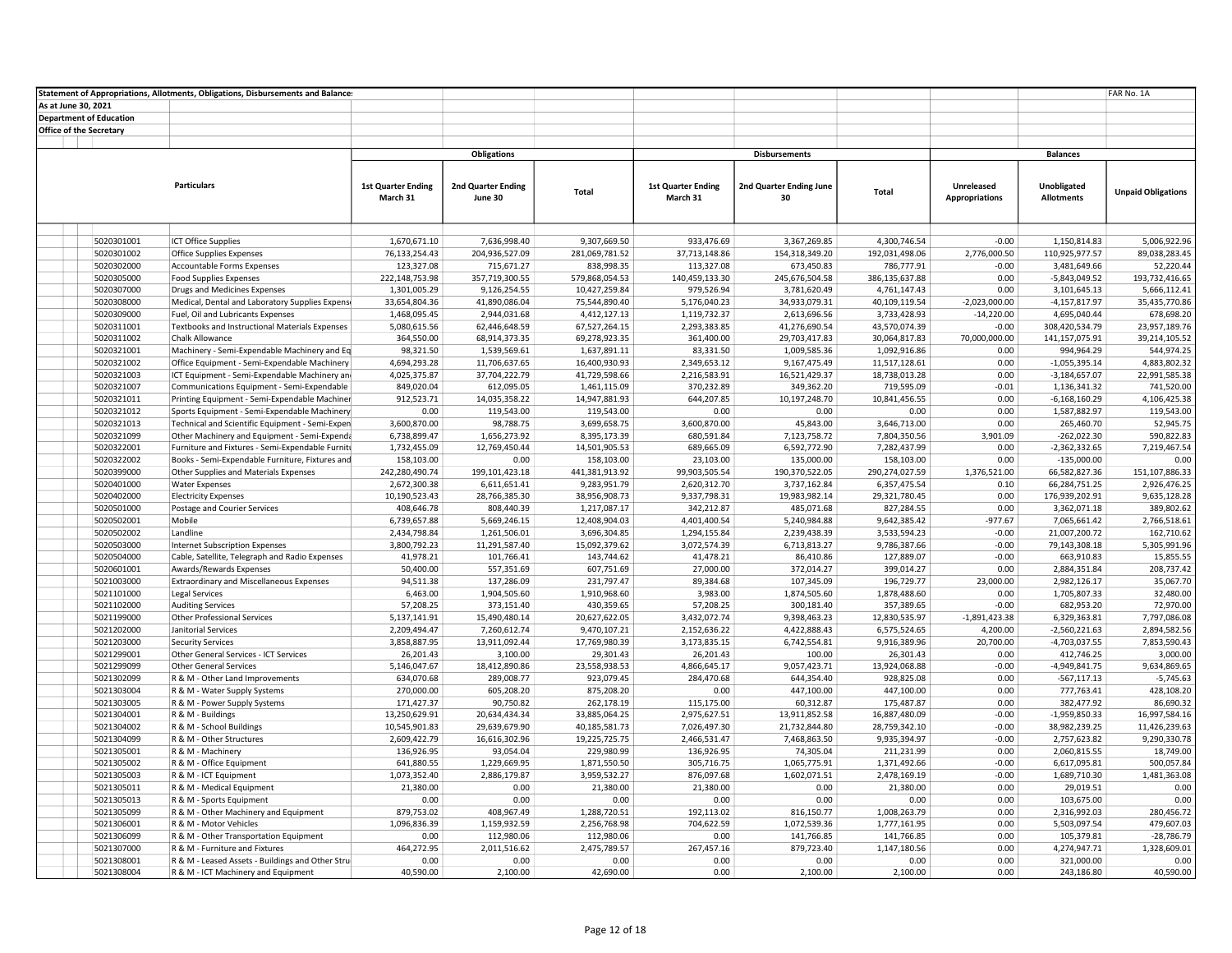|                         |                                | Statement of Appropriations, Allotments, Obligations, Disbursements and Balance |                               |                                |                                |                              |                               |                                |                       |                                 | FAR No. 1A                   |
|-------------------------|--------------------------------|---------------------------------------------------------------------------------|-------------------------------|--------------------------------|--------------------------------|------------------------------|-------------------------------|--------------------------------|-----------------------|---------------------------------|------------------------------|
| As at June 30, 2021     |                                |                                                                                 |                               |                                |                                |                              |                               |                                |                       |                                 |                              |
|                         | <b>Department of Education</b> |                                                                                 |                               |                                |                                |                              |                               |                                |                       |                                 |                              |
| Office of the Secretary |                                |                                                                                 |                               |                                |                                |                              |                               |                                |                       |                                 |                              |
|                         |                                |                                                                                 |                               |                                |                                |                              |                               |                                |                       |                                 |                              |
|                         |                                |                                                                                 |                               | <b>Obligations</b>             |                                |                              | <b>Disbursements</b>          |                                |                       | <b>Balances</b>                 |                              |
|                         |                                |                                                                                 |                               |                                |                                |                              |                               |                                |                       |                                 |                              |
|                         |                                |                                                                                 |                               |                                |                                |                              |                               |                                |                       |                                 |                              |
|                         |                                | <b>Particulars</b>                                                              | <b>1st Quarter Ending</b>     | <b>2nd Quarter Ending</b>      | Total                          | <b>1st Quarter Ending</b>    | 2nd Quarter Ending June       | Total                          | Unreleased            | Unobligated                     | <b>Unpaid Obligations</b>    |
|                         |                                |                                                                                 | March 31                      | June 30                        |                                | March 31                     | 30                            |                                | <b>Appropriations</b> | <b>Allotments</b>               |                              |
|                         |                                |                                                                                 |                               |                                |                                |                              |                               |                                |                       |                                 |                              |
|                         |                                |                                                                                 |                               |                                |                                |                              |                               |                                |                       |                                 |                              |
|                         | 5020301001                     | <b>ICT Office Supplies</b>                                                      | 1,670,671.10                  | 7,636,998.40                   | 9,307,669.50                   | 933,476.69                   | 3,367,269.85                  | 4,300,746.54                   | $-0.00$               | 1,150,814.83                    | 5,006,922.96                 |
|                         | 5020301002                     | <b>Office Supplies Expenses</b>                                                 | 76,133,254.43                 | 204,936,527.09                 | 281,069,781.52                 | 37,713,148.86                | 154,318,349.20                | 192,031,498.06                 | 2,776,000.50          | 110,925,977.57                  | 89,038,283.45                |
|                         | 5020302000                     | Accountable Forms Expenses                                                      | 123,327.08                    | 715,671.27                     | 838,998.35                     | 113,327.08                   | 673,450.83                    | 786,777.91                     | $-0.00$               | 3,481,649.66                    | 52,220.44                    |
|                         | 5020305000                     | <b>Food Supplies Expenses</b>                                                   | 222,148,753.98                | 357,719,300.55                 | 579,868,054.53                 | 140,459,133.30               | 245,676,504.58                | 386,135,637.88                 | 0.00                  | $-5,843,049.52$                 | 193,732,416.65               |
|                         | 5020307000                     | Drugs and Medicines Expenses                                                    | 1,301,005.29                  | 9,126,254.55                   | 10,427,259.84                  | 979,526.94                   | 3,781,620.49                  | 4,761,147.43                   | 0.00                  | 3,101,645.13                    | 5,666,112.41                 |
|                         | 5020308000                     | Medical, Dental and Laboratory Supplies Expensi                                 | 33,654,804.36                 | 41,890,086.04                  | 75,544,890.40                  | 5,176,040.23                 | 34,933,079.31                 | 40,109,119.54                  | $-2,023,000.00$       | $-4,157,817.97$                 | 35,435,770.86                |
|                         | 5020309000                     | Fuel, Oil and Lubricants Expenses                                               | 1,468,095.45                  | 2,944,031.68                   | 4,412,127.13                   | 1,119,732.37                 | 2,613,696.56                  | 3,733,428.93                   | $-14,220.00$          | 4,695,040.44                    | 678,698.20                   |
|                         | 5020311001                     | Textbooks and Instructional Materials Expenses                                  | 5,080,615.56                  | 62,446,648.59                  | 67,527,264.15                  | 2,293,383.85                 | 41,276,690.54                 | 43,570,074.39                  | $-0.00$               | 308,420,534.79                  | 23,957,189.76                |
|                         | 5020311002                     | Chalk Allowance                                                                 | 364,550.00                    | 68,914,373.35                  | 69,278,923.35                  | 361,400.00                   | 29,703,417.83                 | 30,064,817.83                  | 70,000,000.00         | 141,157,075.91                  | 39,214,105.52                |
|                         | 5020321001                     | Machinery - Semi-Expendable Machinery and Eq                                    | 98,321.50                     | 1,539,569.61                   | 1,637,891.11                   | 83,331.50                    | 1,009,585.36                  | 1,092,916.86                   | 0.00                  | 994,964.29                      | 544,974.25                   |
|                         | 5020321002                     | Office Equipment - Semi-Expendable Machinery                                    | 4,694,293.28                  | 11,706,637.65                  | 16,400,930.93                  | 2,349,653.12                 | 9,167,475.49                  | 11,517,128.61                  | 0.00                  | $-1,055,395.14$                 | 4,883,802.32                 |
|                         | 5020321003                     | ICT Equipment - Semi-Expendable Machinery and                                   | 4,025,375.87                  | 37,704,222.79                  | 41,729,598.66                  | 2,216,583.91                 | 16,521,429.37                 | 18,738,013.28                  | 0.00                  | $-3,184,657.07$                 | 22,991,585.38                |
|                         | 5020321007                     | Communications Equipment - Semi-Expendable                                      | 849,020.04                    | 612,095.05                     | 1,461,115.09                   | 370,232.89                   | 349,362.20                    | 719,595.09                     | $-0.01$               | 1,136,341.32                    | 741,520.00                   |
|                         | 5020321011                     | Printing Equipment - Semi-Expendable Machiner                                   | 912,523.71                    | 14,035,358.22                  | 14,947,881.93                  | 644,207.85                   | 10,197,248.70                 | 10,841,456.55                  | 0.00                  | $-6,168,160.29$                 | 4,106,425.38                 |
|                         | 5020321012                     | Sports Equipment - Semi-Expendable Machinery                                    | 0.00                          | 119,543.00                     | 119,543.00                     | 0.00                         | 0.00                          | 0.00                           | 0.00                  | 1,587,882.97                    | 119,543.00                   |
|                         | 5020321013                     | Technical and Scientific Equipment - Semi-Expen                                 | 3,600,870.00                  | 98,788.75                      | 3,699,658.75                   | 3,600,870.00                 | 45,843.00                     | 3,646,713.00                   | 0.00                  | 265,460.70                      | 52,945.75                    |
|                         | 5020321099                     | Other Machinery and Equipment - Semi-Expenda                                    | 6,738,899.47                  | 1,656,273.92                   | 8,395,173.39                   | 680,591.84                   | 7,123,758.72                  | 7,804,350.56                   | 3,901.09              | $-262,022.30$                   | 590,822.83                   |
|                         | 5020322001                     | Furniture and Fixtures - Semi-Expendable Furniti                                | 1,732,455.09                  | 12,769,450.44                  | 14,501,905.53                  | 689,665.09                   | 6,592,772.90                  | 7,282,437.99                   | 0.00                  | $-2,362,332.65$                 | 7,219,467.54                 |
|                         | 5020322002                     | Books - Semi-Expendable Furniture, Fixtures and                                 | 158,103.00                    | 0.00                           | 158,103.00                     | 23,103.00                    | 135,000.00                    | 158,103.00                     | 0.00                  | $-135,000.00$                   | 0.00                         |
|                         | 5020399000<br>5020401000       | Other Supplies and Materials Expenses                                           | 242,280,490.74                | 199,101,423.18<br>6,611,651.41 | 441,381,913.92<br>9,283,951.79 | 99,903,505.54                | 190,370,522.05                | 290,274,027.59<br>6,357,475.54 | 1,376,521.00<br>0.10  | 66,582,827.36                   | 151,107,886.33               |
|                         | 5020402000                     | Water Expenses<br><b>Electricity Expenses</b>                                   | 2,672,300.38<br>10,190,523.43 | 28,766,385.30                  | 38,956,908.73                  | 2,620,312.70<br>9,337,798.31 | 3,737,162.84<br>19,983,982.14 | 29,321,780.45                  | 0.00                  | 66,284,751.25<br>176,939,202.91 | 2,926,476.25<br>9,635,128.28 |
|                         | 5020501000                     | Postage and Courier Services                                                    | 408,646.78                    | 808,440.39                     | 1,217,087.17                   | 342,212.87                   | 485,071.68                    | 827,284.55                     | 0.00                  | 3,362,071.18                    | 389,802.62                   |
|                         | 5020502001                     | Mobile                                                                          | 6,739,657.88                  | 5,669,246.15                   | 12,408,904.03                  | 4,401,400.54                 | 5,240,984.88                  | 9,642,385.42                   | $-977.67$             | 7,065,661.42                    | 2,766,518.61                 |
|                         | 5020502002                     | Landline                                                                        | 2,434,798.84                  | 1,261,506.01                   | 3,696,304.85                   | 1,294,155.84                 | 2,239,438.39                  | 3,533,594.23                   | $-0.00$               | 21,007,200.72                   | 162,710.62                   |
|                         | 5020503000                     | Internet Subscription Expenses                                                  | 3,800,792.23                  | 11,291,587.40                  | 15,092,379.62                  | 3,072,574.39                 | 6,713,813.27                  | 9,786,387.66                   | $-0.00$               | 79,143,308.18                   | 5,305,991.96                 |
|                         | 5020504000                     | Cable, Satellite, Telegraph and Radio Expenses                                  | 41,978.21                     | 101,766.41                     | 143,744.62                     | 41,478.21                    | 86,410.86                     | 127,889.07                     | $-0.00$               | 663,910.83                      | 15,855.55                    |
|                         | 5020601001                     | Awards/Rewards Expenses                                                         | 50,400.00                     | 557,351.69                     | 607,751.69                     | 27,000.00                    | 372,014.27                    | 399,014.27                     | 0.00                  | 2,884,351.84                    | 208,737.42                   |
|                         | 5021003000                     | <b>Extraordinary and Miscellaneous Expenses</b>                                 | 94,511.38                     | 137,286.09                     | 231,797.47                     | 89,384.68                    | 107,345.09                    | 196,729.77                     | 23,000.00             | 2,982,126.17                    | 35,067.70                    |
|                         | 5021101000                     | <b>Legal Services</b>                                                           | 6,463.00                      | 1,904,505.60                   | 1,910,968.60                   | 3,983.00                     | 1,874,505.60                  | 1,878,488.60                   | 0.00                  | 1,705,807.33                    | 32,480.00                    |
|                         | 5021102000                     | <b>Auditing Services</b>                                                        | 57,208.25                     | 373,151.40                     | 430,359.65                     | 57,208.25                    | 300,181.40                    | 357,389.65                     | $-0.00$               | 682,953.20                      | 72,970.00                    |
|                         | 5021199000                     | <b>Other Professional Services</b>                                              | 5,137,141.91                  | 15,490,480.14                  | 20,627,622.05                  | 3,432,072.74                 | 9,398,463.23                  | 12,830,535.97                  | $-1,891,423.38$       | 6,329,363.81                    | 7,797,086.08                 |
|                         | 5021202000                     | Janitorial Services                                                             | 2,209,494.47                  | 7,260,612.74                   | 9,470,107.21                   | 2,152,636.22                 | 4,422,888.43                  | 6,575,524.65                   | 4,200.00              | $-2,560,221.63$                 | 2,894,582.56                 |
|                         | 5021203000                     | <b>Security Services</b>                                                        | 3,858,887.95                  | 13,911,092.44                  | 17,769,980.39                  | 3,173,835.15                 | 6,742,554.81                  | 9,916,389.96                   | 20,700.00             | $-4,703,037.55$                 | 7,853,590.43                 |
|                         | 5021299001                     | Other General Services - ICT Services                                           | 26,201.43                     | 3,100.00                       | 29,301.43                      | 26,201.43                    | 100.00                        | 26,301.43                      | 0.00                  | 412,746.25                      | 3,000.00                     |
|                         | 5021299099                     | <b>Other General Services</b>                                                   | 5,146,047.67                  | 18,412,890.86                  | 23,558,938.53                  | 4,866,645.17                 | 9,057,423.71                  | 13,924,068.88                  | $-0.00$               | $-4,949,841.75$                 | 9,634,869.65                 |
|                         | 5021302099                     | R & M - Other Land Improvements                                                 | 634,070.68                    | 289,008.77                     | 923,079.45                     | 284,470.68                   | 644,354.40                    | 928,825.08                     | 0.00                  | $-567,117.13$                   | $-5,745.63$                  |
|                         | 5021303004                     | R & M - Water Supply Systems                                                    | 270,000.00                    | 605,208.20                     | 875,208.20                     | 0.00                         | 447,100.00                    | 447,100.00                     | 0.00                  | 777,763.41                      | 428,108.20                   |
|                         | 5021303005                     | R & M - Power Supply Systems                                                    | 171,427.37                    | 90,750.82                      | 262,178.19                     | 115,175.00                   | 60,312.87                     | 175,487.87                     | 0.00                  | 382,477.92                      | 86,690.32                    |
|                         | 5021304001                     | R & M - Buildings                                                               | 13,250,629.91                 | 20,634,434.34                  | 33,885,064.25                  | 2,975,627.51                 | 13,911,852.58                 | 16,887,480.09                  | $-0.00$               | $-1,959,850.33$                 | 16,997,584.16                |
|                         | 5021304002                     | R & M - School Buildings                                                        | 10,545,901.83                 | 29,639,679.90                  | 40,185,581.73                  | 7,026,497.30                 | 21,732,844.80                 | 28,759,342.10                  | $-0.00$               | 38,982,239.25                   | 11,426,239.63                |
|                         | 5021304099                     | R & M - Other Structures                                                        | 2,609,422.79                  | 16,616,302.96                  | 19,225,725.75                  | 2,466,531.47                 | 7,468,863.50                  | 9,935,394.97                   | $-0.00$               | 2,757,623.82                    | 9,290,330.78                 |
|                         | 5021305001                     | R & M - Machinery                                                               | 136,926.95                    | 93,054.04                      | 229,980.99                     | 136,926.95                   | 74,305.04                     | 211,231.99                     | 0.00                  | 2,060,815.55                    | 18,749.00                    |
|                         | 5021305002                     | R & M - Office Equipment                                                        | 641,880.55                    | 1,229,669.95                   | 1,871,550.50                   | 305,716.75                   | 1,065,775.91                  | 1,371,492.66                   | $-0.00$               | 6,617,095.81                    | 500,057.84                   |
|                         | 5021305003                     | R & M - ICT Equipment                                                           | 1,073,352.40                  | 2,886,179.87                   | 3,959,532.27                   | 876,097.68                   | 1,602,071.51                  | 2,478,169.19                   | $-0.00$               | 1,689,710.30                    | 1,481,363.08                 |
|                         | 5021305011                     | R & M - Medical Equipment                                                       | 21,380.00                     | 0.00                           | 21,380.00                      | 21,380.00                    | 0.00                          | 21,380.00                      | 0.00                  | 29,019.51                       | 0.00                         |
|                         | 5021305013                     | R & M - Sports Equipment                                                        | 0.00                          | 0.00                           | 0.00                           | 0.00                         | 0.00                          | 0.00                           | 0.00                  | 103,675.00                      | 0.00                         |
|                         | 5021305099                     | R & M - Other Machinery and Equipment                                           | 879,753.02                    | 408,967.49                     | 1,288,720.51                   | 192,113.02                   | 816,150.77                    | 1,008,263.79                   | 0.00                  | 2,316,992.03                    | 280,456.72                   |
|                         | 5021306001                     | R & M - Motor Vehicles                                                          | 1,096,836.39                  | 1,159,932.59                   | 2,256,768.98                   | 704,622.59                   | 1,072,539.36                  | 1,777,161.95                   | 0.00                  | 5,503,097.54                    | 479,607.03                   |
|                         | 5021306099                     | R & M - Other Transportation Equipment                                          | 0.00                          | 112,980.06                     | 112,980.06                     | 0.00                         | 141,766.85                    | 141,766.85                     | 0.00                  | 105,379.81                      | $-28,786.79$                 |
|                         | 5021307000                     | R & M - Furniture and Fixtures                                                  | 464,272.95                    | 2,011,516.62                   | 2,475,789.57                   | 267,457.16                   | 879,723.40                    | 1,147,180.56                   | 0.00                  | 4,274,947.71                    | 1,328,609.01                 |
|                         | 5021308001                     | R & M - Leased Assets - Buildings and Other Stru-                               | 0.00                          | 0.00                           | 0.00                           | 0.00                         | 0.00                          | 0.00                           | 0.00                  | 321,000.00                      | 0.00                         |
|                         | 5021308004                     | R & M - ICT Machinery and Equipment                                             | 40,590.00                     | 2,100.00                       | 42,690.00                      | 0.00                         | 2,100.00                      | 2,100.00                       | 0.00                  | 243,186.80                      | 40,590.00                    |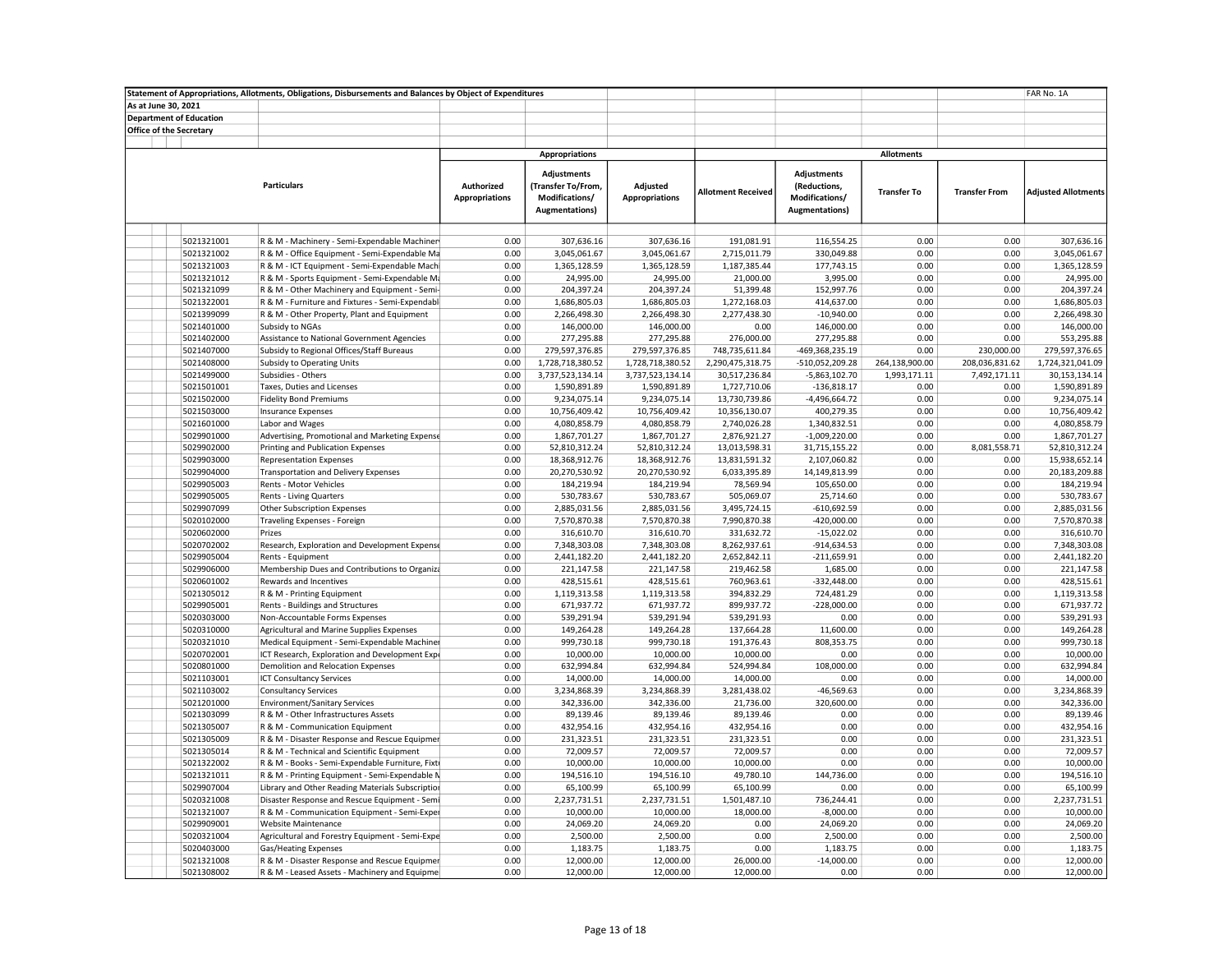| Statement of Appropriations, Allotments, Obligations, Disbursements and Balances by Object of Expenditures |                                |                                                            |                                     |                                                                              |                                   |                                |                                                                         |                      |                      | FAR No. 1A                   |  |
|------------------------------------------------------------------------------------------------------------|--------------------------------|------------------------------------------------------------|-------------------------------------|------------------------------------------------------------------------------|-----------------------------------|--------------------------------|-------------------------------------------------------------------------|----------------------|----------------------|------------------------------|--|
| As at June 30, 2021                                                                                        |                                |                                                            |                                     |                                                                              |                                   |                                |                                                                         |                      |                      |                              |  |
| <b>Department of Education</b>                                                                             |                                |                                                            |                                     |                                                                              |                                   |                                |                                                                         |                      |                      |                              |  |
|                                                                                                            | <b>Office of the Secretary</b> |                                                            |                                     |                                                                              |                                   |                                |                                                                         |                      |                      |                              |  |
|                                                                                                            |                                |                                                            |                                     |                                                                              |                                   |                                |                                                                         |                      |                      |                              |  |
|                                                                                                            |                                |                                                            |                                     | <b>Appropriations</b>                                                        |                                   |                                |                                                                         | <b>Allotments</b>    |                      |                              |  |
|                                                                                                            | <b>Particulars</b>             |                                                            | Authorized<br><b>Appropriations</b> | <b>Adjustments</b><br>(Transfer To/From,<br>Modifications/<br>Augmentations) | Adjusted<br><b>Appropriations</b> | <b>Allotment Received</b>      | Adjustments<br>(Reductions,<br>Modifications/<br><b>Augmentations</b> ) | <b>Transfer To</b>   | <b>Transfer From</b> | <b>Adjusted Allotments</b>   |  |
|                                                                                                            |                                |                                                            |                                     |                                                                              |                                   |                                |                                                                         |                      |                      |                              |  |
|                                                                                                            | 5021321001                     | R & M - Machinery - Semi-Expendable Machiner               | 0.00                                | 307,636.16                                                                   | 307,636.16                        | 191,081.91                     | 116,554.25                                                              | 0.00                 | 0.00                 | 307,636.16                   |  |
|                                                                                                            | 5021321002                     | R & M - Office Equipment - Semi-Expendable Ma              | 0.00                                | 3,045,061.67                                                                 | 3,045,061.67                      | 2,715,011.79                   | 330,049.88                                                              | 0.00                 | 0.00                 | 3,045,061.67                 |  |
|                                                                                                            | 5021321003                     | R & M - ICT Equipment - Semi-Expendable Machi              | 0.00                                | 1,365,128.59                                                                 | 1,365,128.59                      | 1,187,385.44                   | 177,743.15                                                              | 0.00                 | 0.00                 | 1,365,128.59                 |  |
|                                                                                                            | 5021321012                     | R & M - Sports Equipment - Semi-Expendable Ma              | 0.00                                | 24,995.00                                                                    | 24,995.00                         | 21,000.00                      | 3,995.00                                                                | 0.00                 | 0.00                 | 24,995.00                    |  |
|                                                                                                            | 5021321099                     | R & M - Other Machinery and Equipment - Semi-              | 0.00                                | 204,397.24                                                                   | 204,397.24                        | 51,399.48                      | 152,997.76                                                              | 0.00                 | 0.00                 | 204,397.24                   |  |
|                                                                                                            | 5021322001                     | R & M - Furniture and Fixtures - Semi-Expendabl            | 0.00                                | 1,686,805.03                                                                 | 1,686,805.03                      | 1,272,168.03                   | 414,637.00                                                              | 0.00                 | 0.00                 | 1,686,805.03                 |  |
|                                                                                                            | 5021399099                     | R & M - Other Property, Plant and Equipment                | 0.00                                | 2,266,498.30                                                                 | 2,266,498.30                      | 2,277,438.30                   | $-10,940.00$                                                            | 0.00                 | 0.00                 | 2,266,498.30                 |  |
|                                                                                                            | 5021401000                     | Subsidy to NGAs                                            | 0.00                                | 146,000.00                                                                   | 146,000.00                        | 0.00                           | 146,000.00                                                              | 0.00                 | 0.00                 | 146,000.00                   |  |
|                                                                                                            | 5021402000                     | Assistance to National Government Agencies                 | 0.00                                | 277,295.88                                                                   | 277,295.88                        | 276,000.00                     | 277,295.88                                                              | 0.00                 | 0.00                 | 553,295.88                   |  |
|                                                                                                            | 5021407000                     | Subsidy to Regional Offices/Staff Bureaus                  | 0.00                                | 279,597,376.85                                                               | 279,597,376.85                    | 748,735,611.84                 | -469,368,235.19                                                         | 0.00                 | 230,000.00           | 279,597,376.65               |  |
|                                                                                                            | 5021408000                     | Subsidy to Operating Units                                 | 0.00                                | 1,728,718,380.52                                                             | 1,728,718,380.52                  | 2,290,475,318.75               | -510,052,209.28                                                         | 264,138,900.00       | 208,036,831.62       | 1,724,321,041.09             |  |
|                                                                                                            | 5021499000                     | Subsidies - Others                                         | 0.00<br>0.00                        | 3,737,523,134.14                                                             | 3,737,523,134.14                  | 30,517,236.84                  | $-5,863,102.70$                                                         | 1,993,171.11<br>0.00 | 7,492,171.11<br>0.00 | 30,153,134.14                |  |
|                                                                                                            | 5021501001                     | Taxes, Duties and Licenses                                 | 0.00                                | 1,590,891.89                                                                 | 1,590,891.89                      | 1,727,710.06                   | $-136,818.17$                                                           | 0.00                 | 0.00                 | 1,590,891.89<br>9,234,075.14 |  |
|                                                                                                            | 5021502000<br>5021503000       | <b>Fidelity Bond Premiums</b><br><b>Insurance Expenses</b> | 0.00                                | 9,234,075.14<br>10,756,409.42                                                | 9,234,075.14<br>10,756,409.42     | 13,730,739.86<br>10,356,130.07 | -4,496,664.72<br>400,279.35                                             | 0.00                 | 0.00                 | 10,756,409.42                |  |
|                                                                                                            | 5021601000                     | Labor and Wages                                            | 0.00                                | 4,080,858.79                                                                 | 4,080,858.79                      | 2,740,026.28                   | 1,340,832.51                                                            | 0.00                 | 0.00                 | 4,080,858.79                 |  |
|                                                                                                            | 5029901000                     | Advertising, Promotional and Marketing Expense             | 0.00                                | 1,867,701.27                                                                 | 1,867,701.27                      | 2,876,921.27                   | $-1,009,220.00$                                                         | 0.00                 | 0.00                 | 1,867,701.27                 |  |
|                                                                                                            | 5029902000                     | Printing and Publication Expenses                          | 0.00                                | 52,810,312.24                                                                | 52,810,312.24                     | 13,013,598.31                  | 31,715,155.22                                                           | 0.00                 | 8,081,558.71         | 52,810,312.24                |  |
|                                                                                                            | 5029903000                     | <b>Representation Expenses</b>                             | 0.00                                | 18,368,912.76                                                                | 18,368,912.76                     | 13,831,591.32                  | 2,107,060.82                                                            | 0.00                 | 0.00                 | 15,938,652.14                |  |
|                                                                                                            | 5029904000                     | <b>Transportation and Delivery Expenses</b>                | 0.00                                | 20,270,530.92                                                                | 20,270,530.92                     | 6,033,395.89                   | 14,149,813.99                                                           | 0.00                 | 0.00                 | 20,183,209.88                |  |
|                                                                                                            | 5029905003                     | Rents - Motor Vehicles                                     | 0.00                                | 184,219.94                                                                   | 184,219.94                        | 78,569.94                      | 105,650.00                                                              | 0.00                 | 0.00                 | 184,219.94                   |  |
|                                                                                                            | 5029905005                     | Rents - Living Quarters                                    | 0.00                                | 530,783.67                                                                   | 530,783.67                        | 505,069.07                     | 25,714.60                                                               | 0.00                 | 0.00                 | 530,783.67                   |  |
|                                                                                                            | 5029907099                     | Other Subscription Expenses                                | 0.00                                | 2,885,031.56                                                                 | 2,885,031.56                      | 3,495,724.15                   | $-610,692.59$                                                           | 0.00                 | 0.00                 | 2,885,031.56                 |  |
|                                                                                                            | 5020102000                     | Traveling Expenses - Foreign                               | 0.00                                | 7,570,870.38                                                                 | 7,570,870.38                      | 7,990,870.38                   | $-420,000.00$                                                           | 0.00                 | 0.00                 | 7,570,870.38                 |  |
|                                                                                                            | 5020602000                     | Prizes                                                     | 0.00                                | 316,610.70                                                                   | 316,610.70                        | 331,632.72                     | $-15,022.02$                                                            | 0.00                 | 0.00                 | 316,610.70                   |  |
|                                                                                                            | 5020702002                     | Research, Exploration and Development Expense              | 0.00                                | 7,348,303.08                                                                 | 7,348,303.08                      | 8,262,937.61                   | $-914,634.53$                                                           | 0.00                 | 0.00                 | 7,348,303.08                 |  |
|                                                                                                            | 5029905004                     | Rents - Equipment                                          | 0.00                                | 2,441,182.20                                                                 | 2,441,182.20                      | 2,652,842.11                   | $-211,659.91$                                                           | 0.00                 | 0.00                 | 2,441,182.20                 |  |
|                                                                                                            | 5029906000                     | Membership Dues and Contributions to Organiza              | 0.00                                | 221,147.58                                                                   | 221,147.58                        | 219,462.58                     | 1,685.00                                                                | 0.00                 | 0.00                 | 221,147.58                   |  |
|                                                                                                            | 5020601002                     | Rewards and Incentives                                     | 0.00                                | 428,515.61                                                                   | 428,515.61                        | 760,963.61                     | $-332,448.00$                                                           | 0.00                 | 0.00                 | 428,515.61                   |  |
|                                                                                                            | 5021305012                     | R & M - Printing Equipment                                 | 0.00                                | 1,119,313.58                                                                 | 1,119,313.58                      | 394,832.29                     | 724,481.29                                                              | 0.00                 | 0.00                 | 1,119,313.58                 |  |
|                                                                                                            | 5029905001                     | Rents - Buildings and Structures                           | 0.00                                | 671,937.72                                                                   | 671,937.72                        | 899,937.72                     | $-228,000.00$                                                           | 0.00                 | 0.00                 | 671,937.72                   |  |
|                                                                                                            | 5020303000                     | Non-Accountable Forms Expenses                             | 0.00                                | 539,291.94                                                                   | 539,291.94                        | 539,291.93                     | 0.00                                                                    | 0.00                 | 0.00                 | 539,291.93                   |  |
|                                                                                                            | 5020310000                     | Agricultural and Marine Supplies Expenses                  | 0.00                                | 149,264.28                                                                   | 149,264.28                        | 137,664.28                     | 11,600.00                                                               | 0.00                 | 0.00                 | 149,264.28                   |  |
|                                                                                                            | 5020321010                     | Medical Equipment - Semi-Expendable Machiner               | 0.00                                | 999,730.18                                                                   | 999,730.18                        | 191,376.43                     | 808,353.75                                                              | 0.00                 | 0.00                 | 999,730.18                   |  |
|                                                                                                            | 5020702001                     | ICT Research, Exploration and Development Expr             | 0.00                                | 10,000.00                                                                    | 10,000.00                         | 10,000.00                      | 0.00                                                                    | 0.00                 | 0.00                 | 10,000.00                    |  |
|                                                                                                            | 5020801000                     | Demolition and Relocation Expenses                         | 0.00                                | 632,994.84                                                                   | 632,994.84                        | 524,994.84                     | 108,000.00                                                              | 0.00                 | 0.00                 | 632,994.84                   |  |
|                                                                                                            | 5021103001                     | <b>ICT Consultancy Services</b>                            | 0.00                                | 14,000.00                                                                    | 14,000.00                         | 14,000.00                      | 0.00                                                                    | 0.00                 | 0.00                 | 14,000.00                    |  |
|                                                                                                            | 5021103002                     | <b>Consultancy Services</b>                                | 0.00                                | 3,234,868.39                                                                 | 3,234,868.39                      | 3,281,438.02                   | $-46,569.63$                                                            | 0.00                 | 0.00                 | 3,234,868.39                 |  |
|                                                                                                            | 5021201000                     | <b>Environment/Sanitary Services</b>                       | 0.00                                | 342,336.00                                                                   | 342,336.00                        | 21,736.00                      | 320,600.00                                                              | 0.00                 | 0.00                 | 342,336.00                   |  |
|                                                                                                            | 5021303099                     | R & M - Other Infrastructures Assets                       | 0.00                                | 89,139.46                                                                    | 89,139.46                         | 89,139.46                      | 0.00                                                                    | 0.00                 | 0.00                 | 89,139.46                    |  |
|                                                                                                            | 5021305007                     | R & M - Communication Equipment                            | 0.00                                | 432,954.16                                                                   | 432,954.16                        | 432,954.16                     | 0.00                                                                    | 0.00                 | 0.00                 | 432,954.16                   |  |
|                                                                                                            | 5021305009                     | R & M - Disaster Response and Rescue Equipmer              | 0.00                                | 231,323.51                                                                   | 231,323.51                        | 231,323.51                     | 0.00                                                                    | 0.00                 | 0.00                 | 231,323.51                   |  |
|                                                                                                            | 5021305014                     | R & M - Technical and Scientific Equipment                 | 0.00                                | 72,009.57                                                                    | 72,009.57                         | 72,009.57                      | 0.00                                                                    | 0.00                 | 0.00                 | 72,009.57                    |  |
|                                                                                                            | 5021322002                     | R & M - Books - Semi-Expendable Furniture, Fixti           | 0.00                                | 10,000.00                                                                    | 10,000.00                         | 10,000.00                      | 0.00                                                                    | 0.00                 | 0.00                 | 10,000.00                    |  |
|                                                                                                            | 5021321011                     | R & M - Printing Equipment - Semi-Expendable N             | 0.00                                | 194,516.10                                                                   | 194,516.10                        | 49,780.10                      | 144,736.00                                                              | 0.00                 | 0.00                 | 194,516.10                   |  |
|                                                                                                            | 5029907004                     | Library and Other Reading Materials Subscription           | 0.00                                | 65,100.99                                                                    | 65,100.99                         | 65,100.99                      | 0.00                                                                    | 0.00                 | 0.00                 | 65,100.99                    |  |
|                                                                                                            | 5020321008                     | Disaster Response and Rescue Equipment - Semi              | 0.00                                | 2,237,731.51                                                                 | 2,237,731.51                      | 1,501,487.10                   | 736,244.41                                                              | 0.00                 | 0.00                 | 2,237,731.51                 |  |
|                                                                                                            | 5021321007                     | R & M - Communication Equipment - Semi-Exper               | 0.00                                | 10,000.00                                                                    | 10,000.00                         | 18,000.00                      | $-8,000.00$                                                             | 0.00                 | 0.00                 | 10,000.00                    |  |
|                                                                                                            | 5029909001                     | Website Maintenance                                        | 0.00                                | 24,069.20                                                                    | 24,069.20                         | 0.00                           | 24,069.20                                                               | 0.00                 | 0.00                 | 24,069.20                    |  |
|                                                                                                            | 5020321004                     | Agricultural and Forestry Equipment - Semi-Expe            | 0.00                                | 2,500.00                                                                     | 2,500.00                          | 0.00                           | 2,500.00                                                                | 0.00                 | 0.00                 | 2,500.00                     |  |
|                                                                                                            | 5020403000                     | Gas/Heating Expenses                                       | 0.00                                | 1,183.75                                                                     | 1,183.75                          | 0.00                           | 1,183.75                                                                | 0.00                 | 0.00                 | 1,183.75                     |  |
|                                                                                                            | 5021321008                     | R & M - Disaster Response and Rescue Equipmer              | 0.00                                | 12,000.00                                                                    | 12,000.00                         | 26,000.00                      | $-14,000.00$                                                            | 0.00                 | 0.00                 | 12,000.00                    |  |
|                                                                                                            | 5021308002                     | R & M - Leased Assets - Machinery and Equipme              | 0.00                                | 12,000.00                                                                    | 12,000.00                         | 12,000.00                      | 0.00                                                                    | 0.00                 | 0.00                 | 12,000.00                    |  |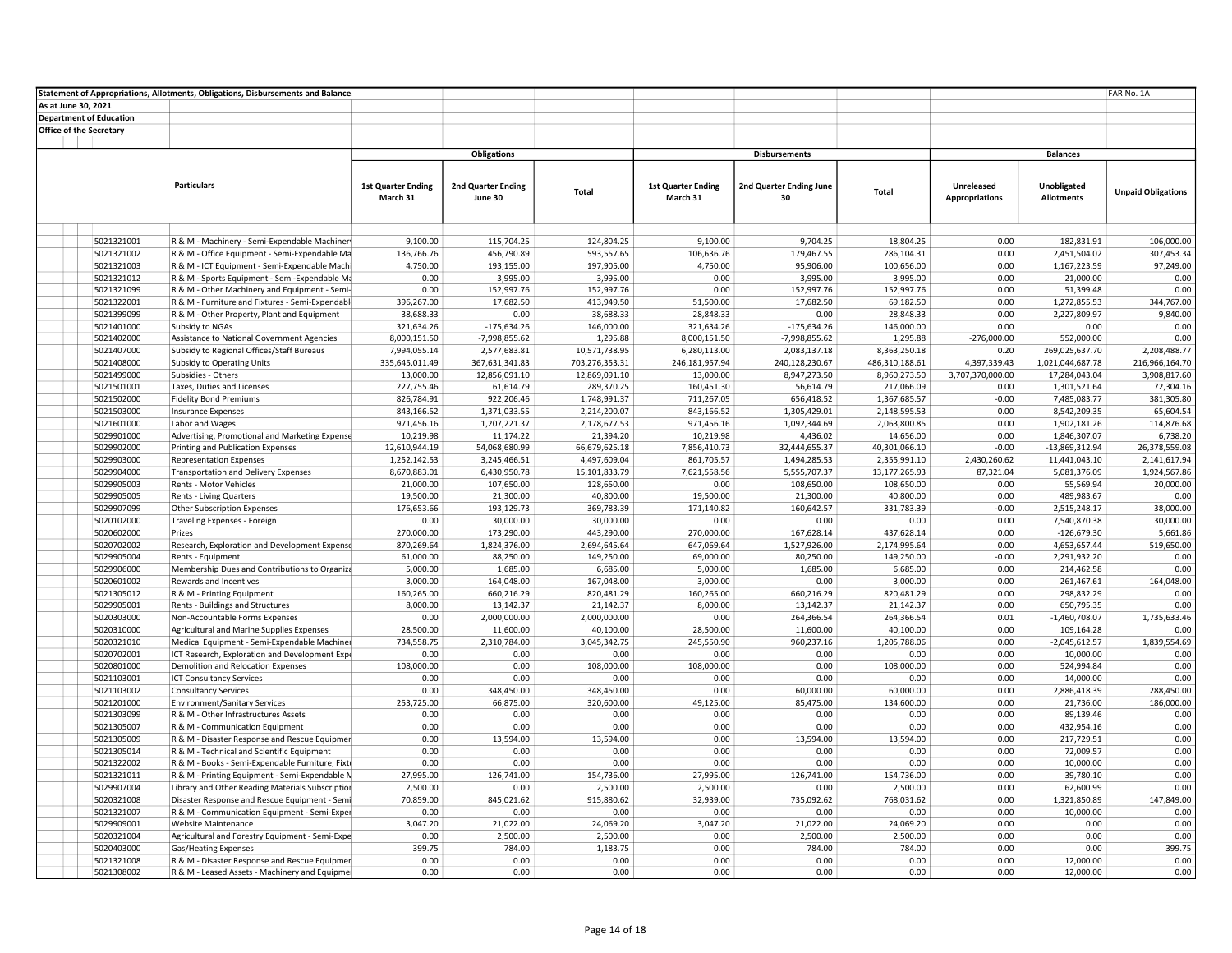|                     |                                | Statement of Appropriations, Allotments, Obligations, Disbursements and Balances |                              |                              |                               |                            |                              |                               |                       |                               | FAR No. 1A                    |
|---------------------|--------------------------------|----------------------------------------------------------------------------------|------------------------------|------------------------------|-------------------------------|----------------------------|------------------------------|-------------------------------|-----------------------|-------------------------------|-------------------------------|
| As at June 30, 2021 |                                |                                                                                  |                              |                              |                               |                            |                              |                               |                       |                               |                               |
|                     | <b>Department of Education</b> |                                                                                  |                              |                              |                               |                            |                              |                               |                       |                               |                               |
|                     | <b>Office of the Secretary</b> |                                                                                  |                              |                              |                               |                            |                              |                               |                       |                               |                               |
|                     |                                |                                                                                  |                              |                              |                               |                            |                              |                               |                       |                               |                               |
|                     |                                |                                                                                  |                              | <b>Obligations</b>           |                               |                            | <b>Disbursements</b>         |                               |                       | <b>Balances</b>               |                               |
|                     |                                |                                                                                  |                              |                              |                               |                            |                              |                               |                       |                               |                               |
|                     |                                | <b>Particulars</b>                                                               | <b>1st Quarter Ending</b>    | 2nd Quarter Ending           |                               | <b>1st Quarter Ending</b>  | 2nd Quarter Ending June      |                               | Unreleased            | Unobligated                   |                               |
|                     |                                |                                                                                  | March 31                     | June 30                      | Total                         | March 31                   | 30                           | Total                         | <b>Appropriations</b> | <b>Allotments</b>             | <b>Unpaid Obligations</b>     |
|                     |                                |                                                                                  |                              |                              |                               |                            |                              |                               |                       |                               |                               |
|                     |                                |                                                                                  |                              |                              |                               |                            |                              |                               |                       |                               |                               |
|                     | 5021321001                     | R & M - Machinery - Semi-Expendable Machiner                                     | 9.100.00                     | 115.704.25                   | 124,804.25                    | 9.100.00                   | 9,704.25                     | 18.804.25                     | 0.00                  | 182.831.91                    | 106,000.00                    |
|                     | 5021321002                     | R & M - Office Equipment - Semi-Expendable Ma                                    | 136,766.76                   | 456,790.89                   | 593,557.65                    | 106,636.76                 | 179,467.55                   | 286,104.31                    | 0.00                  | 2,451,504.02                  | 307,453.34                    |
|                     | 5021321003                     | R & M - ICT Equipment - Semi-Expendable Machi                                    | 4,750.00                     | 193,155.00                   | 197,905.00                    | 4,750.00                   | 95,906.00                    | 100,656.00                    | 0.00                  | 1,167,223.59                  | 97,249.00                     |
|                     | 5021321012                     | R & M - Sports Equipment - Semi-Expendable Ma                                    | 0.00                         | 3,995.00                     | 3,995.00                      | 0.00                       | 3,995.00                     | 3,995.00                      | 0.00                  | 21,000.00                     | 0.00                          |
|                     | 5021321099                     | R & M - Other Machinery and Equipment - Semi-                                    | 0.00                         | 152,997.76                   | 152,997.76                    | 0.00                       | 152,997.76                   | 152,997.76                    | 0.00                  | 51,399.48                     | 0.00                          |
|                     | 5021322001                     | R & M - Furniture and Fixtures - Semi-Expendabl                                  | 396,267.00                   | 17,682.50                    | 413,949.50                    | 51,500.00                  | 17,682.50                    | 69,182.50                     | 0.00                  | 1,272,855.53                  | 344,767.00                    |
|                     | 5021399099                     | R & M - Other Property, Plant and Equipment                                      | 38,688.33                    | 0.00                         | 38,688.33                     | 28,848.33                  | 0.00                         | 28,848.33                     | 0.00                  | 2,227,809.97                  | 9,840.00                      |
|                     | 5021401000                     | Subsidy to NGAs                                                                  | 321,634.26                   | $-175,634.26$                | 146,000.00                    | 321,634.26                 | $-175,634.26$                | 146,000.00                    | 0.00                  | 0.00                          | 0.00                          |
|                     | 5021402000                     | Assistance to National Government Agencies                                       | 8,000,151.50                 | $-7,998,855.62$              | 1,295.88                      | 8,000,151.50               | $-7,998,855.62$              | 1,295.88                      | $-276,000.00$         | 552,000.00                    | 0.00                          |
|                     | 5021407000                     | Subsidy to Regional Offices/Staff Bureaus                                        | 7,994,055.14                 | 2,577,683.81                 | 10,571,738.95                 | 6,280,113.00               | 2,083,137.18                 | 8,363,250.18                  | 0.20                  | 269,025,637.70                | 2,208,488.77                  |
|                     | 5021408000                     | Subsidy to Operating Units                                                       | 335,645,011.49               | 367,631,341.83               | 703,276,353.31                | 246,181,957.94             | 240,128,230.67               | 486,310,188.61                | 4,397,339.43          | 1,021,044,687.78              | 216,966,164.70                |
|                     | 5021499000                     | Subsidies - Others                                                               | 13,000.00                    | 12,856,091.10                | 12,869,091.10                 | 13,000.00                  | 8,947,273.50                 | 8,960,273.50                  | 3,707,370,000.00      | 17,284,043.04                 | 3,908,817.60                  |
|                     | 5021501001                     | Taxes, Duties and Licenses                                                       | 227,755.46                   | 61,614.79                    | 289,370.25                    | 160,451.30                 | 56,614.79                    | 217,066.09                    | 0.00                  | 1,301,521.64                  | 72,304.16                     |
|                     | 5021502000                     | <b>Fidelity Bond Premiums</b>                                                    | 826,784.91                   | 922,206.46                   | 1,748,991.37                  | 711,267.05                 | 656,418.52                   | 1,367,685.57                  | $-0.00$               | 7,485,083.77                  | 381,305.80                    |
|                     | 5021503000                     | <b>Insurance Expenses</b>                                                        | 843,166.52                   | 1,371,033.55                 | 2,214,200.07                  | 843,166.52                 | 1,305,429.01                 | 2,148,595.53                  | 0.00                  | 8,542,209.35                  | 65,604.54                     |
|                     | 5021601000                     | Labor and Wages                                                                  | 971,456.16                   | 1,207,221.37                 | 2,178,677.53                  | 971,456.16                 | 1,092,344.69                 | 2,063,800.85                  | 0.00                  | 1,902,181.26                  | 114,876.68                    |
|                     | 5029901000                     | Advertising, Promotional and Marketing Expense                                   | 10,219.98                    | 11,174.22                    | 21,394.20                     | 10,219.98                  | 4,436.02                     | 14,656.00                     | 0.00<br>$-0.00$       | 1,846,307.07                  | 6,738.20                      |
|                     | 5029902000<br>5029903000       | Printing and Publication Expenses                                                | 12,610,944.19                | 54,068,680.99                | 66,679,625.18<br>4,497,609.04 | 7,856,410.73               | 32,444,655.37                | 40,301,066.10                 | 2,430,260.62          | $-13,869,312.94$              | 26,378,559.08<br>2,141,617.94 |
|                     | 5029904000                     | <b>Representation Expenses</b><br><b>Transportation and Delivery Expenses</b>    | 1,252,142.53<br>8,670,883.01 | 3,245,466.51<br>6,430,950.78 | 15,101,833.79                 | 861,705.57<br>7,621,558.56 | 1,494,285.53<br>5,555,707.37 | 2,355,991.10<br>13,177,265.93 | 87,321.04             | 11,441,043.10<br>5,081,376.09 | 1,924,567.86                  |
|                     | 5029905003                     | Rents - Motor Vehicles                                                           | 21,000.00                    | 107,650.00                   | 128,650.00                    | 0.00                       | 108,650.00                   | 108,650.00                    | 0.00                  | 55,569.94                     | 20,000.00                     |
|                     | 5029905005                     | Rents - Living Quarters                                                          | 19,500.00                    | 21,300.00                    | 40,800.00                     | 19,500.00                  | 21,300.00                    | 40,800.00                     | 0.00                  | 489,983.67                    | 0.00                          |
|                     | 5029907099                     | Other Subscription Expenses                                                      | 176,653.66                   | 193,129.73                   | 369,783.39                    | 171,140.82                 | 160,642.57                   | 331,783.39                    | $-0.00$               | 2,515,248.17                  | 38,000.00                     |
|                     | 5020102000                     | Traveling Expenses - Foreign                                                     | 0.00                         | 30,000.00                    | 30,000.00                     | 0.00                       | 0.00                         | 0.00                          | 0.00                  | 7,540,870.38                  | 30,000.00                     |
|                     | 5020602000                     | Prizes                                                                           | 270,000.00                   | 173,290.00                   | 443,290.00                    | 270,000.00                 | 167,628.14                   | 437,628.14                    | 0.00                  | $-126,679.30$                 | 5,661.86                      |
|                     | 5020702002                     | Research, Exploration and Development Expense                                    | 870,269.64                   | 1,824,376.00                 | 2,694,645.64                  | 647,069.64                 | 1,527,926.00                 | 2,174,995.64                  | 0.00                  | 4,653,657.44                  | 519,650.00                    |
|                     | 5029905004                     | Rents - Equipment                                                                | 61,000.00                    | 88,250.00                    | 149,250.00                    | 69,000.00                  | 80,250.00                    | 149,250.00                    | $-0.00$               | 2,291,932.20                  | 0.00                          |
|                     | 5029906000                     | Membership Dues and Contributions to Organiza                                    | 5,000.00                     | 1,685.00                     | 6,685.00                      | 5,000.00                   | 1,685.00                     | 6,685.00                      | 0.00                  | 214,462.58                    | 0.00                          |
|                     | 5020601002                     | Rewards and Incentives                                                           | 3,000.00                     | 164,048.00                   | 167,048.00                    | 3,000.00                   | 0.00                         | 3,000.00                      | 0.00                  | 261,467.61                    | 164,048.00                    |
|                     | 5021305012                     | R & M - Printing Equipment                                                       | 160,265.00                   | 660,216.29                   | 820,481.29                    | 160,265.00                 | 660,216.29                   | 820,481.29                    | 0.00                  | 298,832.29                    | 0.00                          |
|                     | 5029905001                     | Rents - Buildings and Structures                                                 | 8,000.00                     | 13,142.37                    | 21,142.37                     | 8,000.00                   | 13,142.37                    | 21,142.37                     | 0.00                  | 650,795.35                    | 0.00                          |
|                     | 5020303000                     | Non-Accountable Forms Expenses                                                   | 0.00                         | 2,000,000.00                 | 2,000,000.00                  | 0.00                       | 264,366.54                   | 264,366.54                    | 0.01                  | $-1,460,708.07$               | 1,735,633.46                  |
|                     | 5020310000                     | Agricultural and Marine Supplies Expenses                                        | 28,500.00                    | 11,600.00                    | 40,100.00                     | 28,500.00                  | 11,600.00                    | 40,100.00                     | 0.00                  | 109,164.28                    | 0.00                          |
|                     | 5020321010                     | Medical Equipment - Semi-Expendable Machiner                                     | 734,558.75                   | 2,310,784.00                 | 3,045,342.75                  | 245,550.90                 | 960,237.16                   | 1,205,788.06                  | 0.00                  | $-2,045,612.57$               | 1,839,554.69                  |
|                     | 5020702001                     | ICT Research, Exploration and Development Expi                                   | 0.00                         | 0.00                         | 0.00                          | 0.00                       | 0.00                         | 0.00                          | 0.00                  | 10,000.00                     | 0.00                          |
|                     | 5020801000                     | Demolition and Relocation Expenses                                               | 108,000.00                   | 0.00                         | 108,000.00                    | 108,000.00                 | 0.00                         | 108,000.00                    | 0.00                  | 524,994.84                    | 0.00                          |
|                     | 5021103001<br>5021103002       | <b>ICT Consultancy Services</b><br><b>Consultancy Services</b>                   | 0.00<br>0.00                 | 0.00<br>348,450.00           | 0.00<br>348,450.00            | 0.00<br>0.00               | 0.00<br>60,000.00            | 0.00<br>60,000.00             | 0.00<br>0.00          | 14,000.00<br>2,886,418.39     | 0.00<br>288,450.00            |
|                     | 5021201000                     | <b>Environment/Sanitary Services</b>                                             | 253,725.00                   | 66,875.00                    | 320,600.00                    | 49,125.00                  | 85,475.00                    | 134,600.00                    | 0.00                  | 21,736.00                     | 186,000.00                    |
|                     | 5021303099                     | R & M - Other Infrastructures Assets                                             | 0.00                         | 0.00                         | 0.00                          | 0.00                       | 0.00                         | 0.00                          | 0.00                  | 89,139.46                     | 0.00                          |
|                     | 5021305007                     | R & M - Communication Equipment                                                  | 0.00                         | 0.00                         | 0.00                          | 0.00                       | 0.00                         | 0.00                          | 0.00                  | 432,954.16                    | 0.00                          |
|                     | 5021305009                     | R & M - Disaster Response and Rescue Equipmer                                    | 0.00                         | 13,594.00                    | 13,594.00                     | 0.00                       | 13,594.00                    | 13,594.00                     | 0.00                  | 217,729.51                    | 0.00                          |
|                     | 5021305014                     | R & M - Technical and Scientific Equipment                                       | 0.00                         | 0.00                         | 0.00                          | 0.00                       | 0.00                         | 0.00                          | 0.00                  | 72,009.57                     | 0.00                          |
|                     | 5021322002                     | R & M - Books - Semi-Expendable Furniture, Fixti                                 | 0.00                         | 0.00                         | 0.00                          | 0.00                       | 0.00                         | 0.00                          | 0.00                  | 10,000.00                     | 0.00                          |
|                     | 5021321011                     | R & M - Printing Equipment - Semi-Expendable N                                   | 27,995.00                    | 126,741.00                   | 154,736.00                    | 27,995.00                  | 126,741.00                   | 154,736.00                    | 0.00                  | 39,780.10                     | 0.00                          |
|                     | 5029907004                     | Library and Other Reading Materials Subscription                                 | 2,500.00                     | 0.00                         | 2,500.00                      | 2,500.00                   | 0.00                         | 2,500.00                      | 0.00                  | 62,600.99                     | 0.00                          |
|                     | 5020321008                     | Disaster Response and Rescue Equipment - Semi                                    | 70,859.00                    | 845,021.62                   | 915,880.62                    | 32,939.00                  | 735,092.62                   | 768,031.62                    | 0.00                  | 1,321,850.89                  | 147,849.00                    |
|                     | 5021321007                     | R & M - Communication Equipment - Semi-Exper                                     | 0.00                         | 0.00                         | 0.00                          | 0.00                       | 0.00                         | 0.00                          | 0.00                  | 10,000.00                     | 0.00                          |
|                     | 5029909001                     | Website Maintenance                                                              | 3,047.20                     | 21,022.00                    | 24,069.20                     | 3,047.20                   | 21,022.00                    | 24,069.20                     | 0.00                  | 0.00                          | 0.00                          |
|                     | 5020321004                     | Agricultural and Forestry Equipment - Semi-Expe                                  | 0.00                         | 2,500.00                     | 2,500.00                      | 0.00                       | 2,500.00                     | 2,500.00                      | 0.00                  | 0.00                          | 0.00                          |
|                     | 5020403000                     | Gas/Heating Expenses                                                             | 399.75                       | 784.00                       | 1,183.75                      | 0.00                       | 784.00                       | 784.00                        | 0.00                  | 0.00                          | 399.75                        |
|                     | 5021321008                     | R & M - Disaster Response and Rescue Equipmer                                    | 0.00                         | 0.00                         | 0.00                          | 0.00                       | 0.00                         | 0.00                          | 0.00                  | 12,000.00                     | 0.00                          |
|                     | 5021308002                     | R & M - Leased Assets - Machinery and Equipme                                    | 0.00                         | 0.00                         | 0.00                          | 0.00                       | 0.00                         | 0.00                          | 0.00                  | 12,000.00                     | 0.00                          |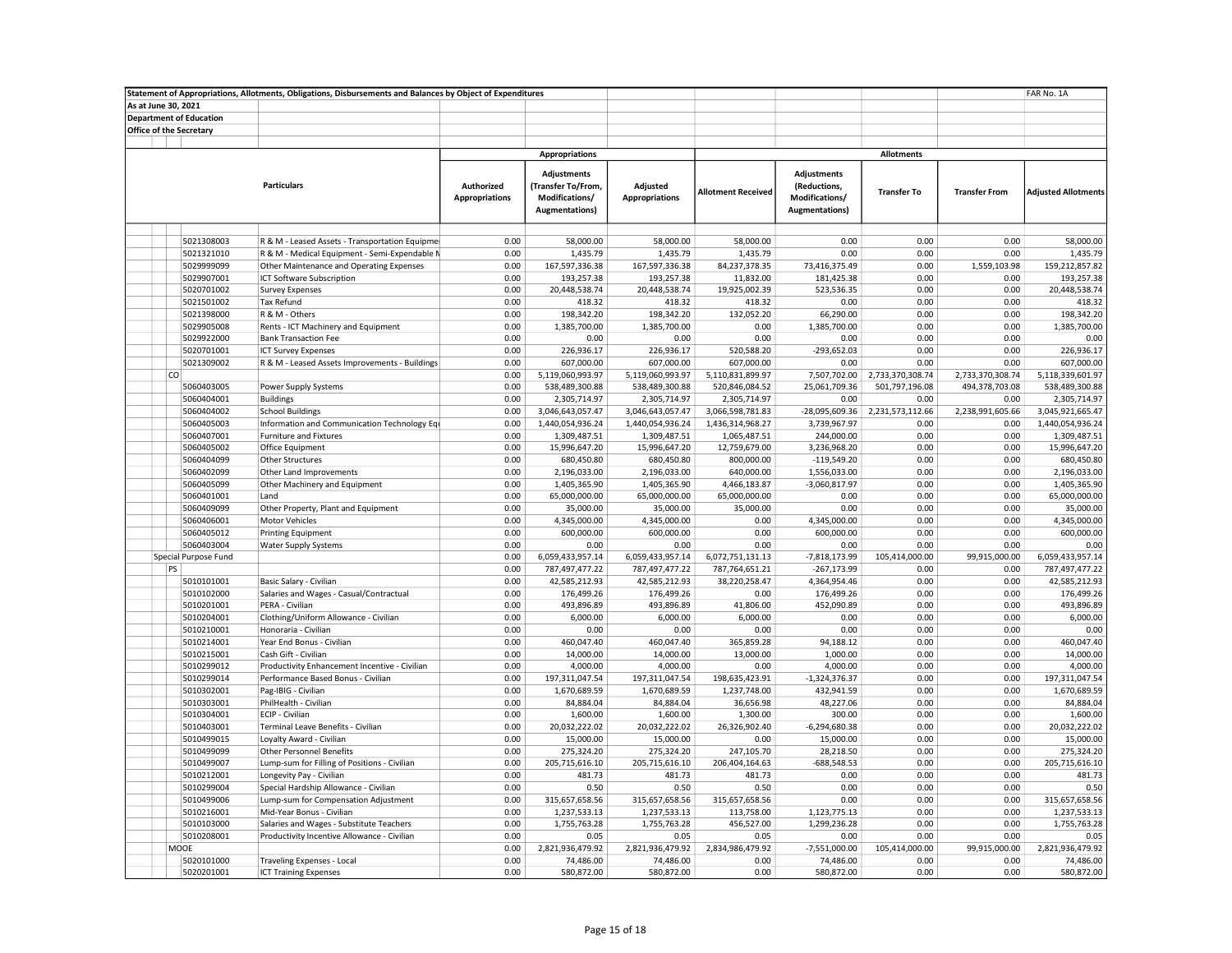|                                | Statement of Appropriations, Allotments, Obligations, Disbursements and Balances by Object of Expenditures |                                     |                                                                              |                                   |                           |                                                                         | FAR No. 1A             |                      |                            |
|--------------------------------|------------------------------------------------------------------------------------------------------------|-------------------------------------|------------------------------------------------------------------------------|-----------------------------------|---------------------------|-------------------------------------------------------------------------|------------------------|----------------------|----------------------------|
| As at June 30, 2021            |                                                                                                            |                                     |                                                                              |                                   |                           |                                                                         |                        |                      |                            |
| <b>Department of Education</b> |                                                                                                            |                                     |                                                                              |                                   |                           |                                                                         |                        |                      |                            |
| Office of the Secretary        |                                                                                                            |                                     |                                                                              |                                   |                           |                                                                         |                        |                      |                            |
|                                |                                                                                                            |                                     |                                                                              |                                   |                           |                                                                         |                        |                      |                            |
|                                |                                                                                                            |                                     | <b>Appropriations</b>                                                        |                                   |                           |                                                                         | <b>Allotments</b>      |                      |                            |
|                                | <b>Particulars</b>                                                                                         | Authorized<br><b>Appropriations</b> | <b>Adjustments</b><br>(Transfer To/From,<br>Modifications/<br>Augmentations) | Adjusted<br><b>Appropriations</b> | <b>Allotment Received</b> | Adjustments<br>(Reductions,<br>Modifications/<br><b>Augmentations</b> ) | <b>Transfer To</b>     | <b>Transfer From</b> | <b>Adjusted Allotments</b> |
|                                |                                                                                                            |                                     |                                                                              |                                   |                           |                                                                         |                        |                      |                            |
| 5021308003                     | R & M - Leased Assets - Transportation Equipmer                                                            | 0.00                                | 58,000.00                                                                    | 58.000.00                         | 58.000.00                 | 0.00                                                                    | 0.00                   | 0.00                 | 58.000.00                  |
| 5021321010                     | R & M - Medical Equipment - Semi-Expendable N                                                              | 0.00                                | 1,435.79                                                                     | 1,435.79                          | 1,435.79                  | 0.00                                                                    | 0.00                   | 0.00                 | 1,435.79                   |
| 5029999099                     | Other Maintenance and Operating Expenses                                                                   | 0.00                                | 167,597,336.38                                                               | 167,597,336.38                    | 84,237,378.35             | 73,416,375.49                                                           | 0.00                   | 1,559,103.98         | 159,212,857.82             |
| 5029907001                     | ICT Software Subscription                                                                                  | 0.00                                | 193,257.38                                                                   | 193,257.38                        | 11,832.00                 | 181,425.38                                                              | 0.00                   | 0.00                 | 193,257.38                 |
| 5020701002                     | <b>Survey Expenses</b>                                                                                     | 0.00                                | 20,448,538.74                                                                | 20,448,538.74                     | 19,925,002.39             | 523,536.35                                                              | 0.00                   | 0.00                 | 20,448,538.74              |
| 5021501002                     | <b>Tax Refund</b>                                                                                          | 0.00                                | 418.32                                                                       | 418.32                            | 418.32                    | 0.00                                                                    | 0.00                   | 0.00                 | 418.32                     |
| 5021398000                     | R & M - Others                                                                                             | 0.00                                | 198,342.20                                                                   | 198,342.20                        | 132,052.20                | 66,290.00                                                               | 0.00                   | 0.00                 | 198,342.20                 |
| 5029905008                     | Rents - ICT Machinery and Equipment                                                                        | 0.00                                | 1,385,700.00                                                                 | 1,385,700.00                      | 0.00                      | 1,385,700.00                                                            | 0.00                   | 0.00                 | 1,385,700.00               |
| 5029922000                     | <b>Bank Transaction Fee</b>                                                                                | 0.00                                | 0.00                                                                         | 0.00                              | 0.00                      | 0.00                                                                    | 0.00                   | 0.00                 | 0.00                       |
| 5020701001                     | <b>ICT Survey Expenses</b>                                                                                 | 0.00                                | 226,936.17                                                                   | 226,936.17                        | 520,588.20                | $-293,652.03$                                                           | 0.00                   | 0.00                 | 226,936.17                 |
| 5021309002                     | R & M - Leased Assets Improvements - Buildings                                                             | 0.00                                | 607,000.00                                                                   | 607,000.00                        | 607,000.00                | 0.00                                                                    | 0.00                   | 0.00                 | 607,000.00                 |
| co                             |                                                                                                            | 0.00                                | 5,119,060,993.97                                                             | 5,119,060,993.97                  | 5,110,831,899.97          | 7,507,702.00                                                            | 2,733,370,308.74       | 2,733,370,308.74     | 5,118,339,601.97           |
| 5060403005                     | Power Supply Systems                                                                                       | 0.00                                | 538,489,300.88                                                               | 538,489,300.88                    | 520,846,084.52            | 25,061,709.36                                                           | 501,797,196.08         | 494,378,703.08       | 538,489,300.88             |
| 5060404001                     | <b>Buildings</b>                                                                                           | 0.00                                | 2,305,714.97                                                                 | 2,305,714.97                      | 2,305,714.97              | 0.00                                                                    | 0.00                   | 0.00                 | 2,305,714.97               |
| 5060404002                     | <b>School Buildings</b>                                                                                    | 0.00                                | 3,046,643,057.47                                                             | 3,046,643,057.47                  | 3,066,598,781.83          | -28,095,609.36                                                          | 2,231,573,112.66       | 2,238,991,605.66     | 3,045,921,665.47           |
| 5060405003                     | Information and Communication Technology Equ                                                               | 0.00                                | 1,440,054,936.24                                                             | 1,440,054,936.24                  | 1,436,314,968.27          | 3,739,967.97                                                            | 0.00                   | 0.00                 | 1,440,054,936.24           |
| 5060407001                     | Furniture and Fixtures                                                                                     | 0.00                                | 1,309,487.51                                                                 | 1,309,487.51                      | 1,065,487.51              | 244,000.00                                                              | 0.00                   | 0.00                 | 1,309,487.51               |
| 5060405002                     | Office Equipment                                                                                           | 0.00                                | 15,996,647.20                                                                | 15,996,647.20                     | 12,759,679.00             | 3,236,968.20                                                            | 0.00                   | 0.00                 | 15,996,647.20              |
| 5060404099                     | <b>Other Structures</b>                                                                                    | 0.00                                | 680,450.80                                                                   | 680,450.80                        | 800,000.00                | $-119,549.20$                                                           | 0.00                   | 0.00                 | 680,450.80                 |
| 5060402099                     | Other Land Improvements                                                                                    | 0.00                                | 2,196,033.00                                                                 | 2,196,033.00                      | 640,000.00                | 1,556,033.00                                                            | 0.00                   | 0.00                 | 2,196,033.00               |
| 5060405099                     | Other Machinery and Equipment                                                                              | 0.00                                | 1,405,365.90                                                                 | 1,405,365.90                      | 4,466,183.87              | $-3,060,817.97$                                                         | 0.00                   | 0.00                 | 1,405,365.90               |
| 5060401001                     | Land                                                                                                       | 0.00                                | 65,000,000.00                                                                | 65,000,000.00                     | 65,000,000.00             | 0.00                                                                    | 0.00                   | 0.00                 | 65,000,000.00              |
| 5060409099                     | Other Property, Plant and Equipment                                                                        | 0.00                                | 35,000.00                                                                    | 35,000.00                         | 35,000.00                 | 0.00                                                                    | 0.00                   | 0.00                 | 35,000.00                  |
| 5060406001                     | <b>Motor Vehicles</b>                                                                                      | 0.00                                | 4,345,000.00                                                                 | 4,345,000.00                      | 0.00                      | 4,345,000.00                                                            | 0.00                   | 0.00                 | 4,345,000.00               |
| 5060405012                     | <b>Printing Equipment</b>                                                                                  | 0.00                                | 600,000.00                                                                   | 600,000.00                        | 0.00                      | 600,000.00                                                              | 0.00                   | 0.00                 | 600,000.00                 |
| 5060403004                     | Water Supply Systems                                                                                       | 0.00                                | 0.00                                                                         | 0.00                              | 0.00                      | 0.00                                                                    | 0.00                   | 0.00                 | 0.00                       |
| Special Purpose Fund           |                                                                                                            | 0.00                                | 6,059,433,957.14                                                             | 6,059,433,957.14                  | 6,072,751,131.13          | -7,818,173.99                                                           | 105,414,000.00         | 99,915,000.00        | 6,059,433,957.14           |
| PS                             |                                                                                                            | 0.00                                | 787,497,477.22                                                               | 787,497,477.22                    | 787,764,651.21            | $-267,173.99$                                                           | 0.00                   | 0.00                 | 787,497,477.22             |
| 5010101001                     | Basic Salary - Civilian                                                                                    | 0.00                                | 42,585,212.93                                                                | 42,585,212.93                     | 38,220,258.47             | 4,364,954.46                                                            | 0.00                   | 0.00                 | 42,585,212.93              |
| 5010102000                     | Salaries and Wages - Casual/Contractual                                                                    | 0.00                                | 176,499.26                                                                   | 176,499.26                        | 0.00                      | 176,499.26                                                              | 0.00                   | 0.00                 | 176,499.26                 |
| 5010201001                     | PERA - Civilian                                                                                            | 0.00                                | 493,896.89                                                                   | 493,896.89                        | 41,806.00                 | 452,090.89                                                              | 0.00                   | 0.00                 | 493,896.89                 |
| 5010204001                     | Clothing/Uniform Allowance - Civilian                                                                      | 0.00                                | 6,000.00                                                                     | 6,000.00                          | 6,000.00                  | 0.00                                                                    | 0.00                   | 0.00                 | 6,000.00                   |
| 5010210001                     | Honoraria - Civilian                                                                                       | 0.00                                | 0.00                                                                         | 0.00                              | 0.00                      | 0.00                                                                    | 0.00                   | 0.00                 | 0.00                       |
| 5010214001                     | Year End Bonus - Civilian                                                                                  | 0.00                                | 460,047.40                                                                   | 460,047.40                        | 365,859.28                | 94,188.12                                                               | 0.00                   | 0.00                 | 460,047.40                 |
| 5010215001                     | Cash Gift - Civilian                                                                                       | 0.00                                | 14,000.00                                                                    | 14,000.00                         | 13,000.00                 | 1,000.00                                                                | 0.00                   | 0.00                 | 14,000.00                  |
| 5010299012                     | Productivity Enhancement Incentive - Civilian                                                              | 0.00                                | 4,000.00                                                                     | 4,000.00                          | 0.00                      | 4,000.00                                                                | 0.00                   | 0.00                 | 4,000.00                   |
| 5010299014                     | Performance Based Bonus - Civilian                                                                         | 0.00                                | 197,311,047.54                                                               | 197,311,047.54                    | 198,635,423.91            | $-1,324,376.37$                                                         | 0.00                   | 0.00                 | 197, 311, 047.54           |
| 5010302001                     | Pag-IBIG - Civilian                                                                                        | 0.00                                | 1,670,689.59                                                                 | 1,670,689.59                      | 1,237,748.00              | 432,941.59                                                              | 0.00                   | 0.00                 | 1,670,689.59               |
| 5010303001                     | PhilHealth - Civilian                                                                                      | 0.00                                | 84,884.04                                                                    | 84,884.04                         | 36,656.98                 | 48,227.06                                                               | 0.00                   | 0.00                 | 84,884.04                  |
| 5010304001                     | ECIP - Civilian                                                                                            | 0.00                                | 1,600.00                                                                     | 1,600.00                          | 1,300.00                  | 300.00                                                                  | 0.00                   | 0.00                 | 1,600.00                   |
| 5010403001                     | Terminal Leave Benefits - Civilian                                                                         | 0.00                                | 20,032,222.02                                                                | 20,032,222.02                     | 26,326,902.40             | $-6,294,680.38$                                                         | 0.00                   | 0.00                 | 20,032,222.02              |
| 5010499015                     | Loyalty Award - Civilian                                                                                   | 0.00                                | 15,000.00                                                                    | 15,000.00                         | 0.00                      | 15,000.00                                                               | 0.00                   | 0.00                 | 15,000.00                  |
| 5010499099                     | <b>Other Personnel Benefits</b>                                                                            | 0.00                                | 275,324.20                                                                   | 275,324.20                        | 247,105.70                | 28,218.50                                                               | 0.00                   | 0.00                 | 275,324.20                 |
| 5010499007                     | Lump-sum for Filling of Positions - Civilian                                                               | 0.00                                | 205,715,616.10                                                               | 205,715,616.10                    | 206,404,164.63            | $-688,548.53$                                                           | 0.00                   | 0.00                 | 205,715,616.10             |
| 5010212001                     | Longevity Pay - Civilian                                                                                   | 0.00                                | 481.73                                                                       | 481.73                            | 481.73                    | 0.00                                                                    | 0.00                   | 0.00                 | 481.73                     |
| 5010299004                     | Special Hardship Allowance - Civilian                                                                      | 0.00                                | 0.50                                                                         | 0.50                              | 0.50                      | 0.00                                                                    | 0.00                   | 0.00                 | 0.50                       |
| 5010499006                     | Lump-sum for Compensation Adjustment                                                                       | 0.00                                | 315,657,658.56                                                               | 315,657,658.56                    | 315,657,658.56            | 0.00                                                                    | 0.00                   | 0.00                 | 315,657,658.56             |
| 5010216001                     | Mid-Year Bonus - Civilian                                                                                  | 0.00                                | 1,237,533.13                                                                 | 1,237,533.13                      | 113,758.00                | 1,123,775.13                                                            | 0.00                   | 0.00                 | 1,237,533.13               |
| 5010103000                     | Salaries and Wages - Substitute Teachers                                                                   | 0.00<br>0.00                        | 1,755,763.28                                                                 | 1,755,763.28                      | 456,527.00                | 1,299,236.28                                                            | 0.00                   | 0.00<br>0.00         | 1,755,763.28<br>0.05       |
| 5010208001<br>MOOE             | Productivity Incentive Allowance - Civilian                                                                | 0.00                                | 0.05<br>2,821,936,479.92                                                     | 0.05<br>2,821,936,479.92          | 0.05<br>2,834,986,479.92  | 0.00<br>$-7,551,000.00$                                                 | 0.00<br>105,414,000.00 | 99,915,000.00        | 2,821,936,479.92           |
| 5020101000                     | Traveling Expenses - Local                                                                                 | 0.00                                | 74,486.00                                                                    | 74,486.00                         | 0.00                      | 74,486.00                                                               | 0.00                   | 0.00                 | 74,486.00                  |
| 5020201001                     | <b>ICT Training Expenses</b>                                                                               | 0.00                                | 580,872.00                                                                   | 580,872.00                        | 0.00                      | 580,872.00                                                              | 0.00                   | 0.00                 | 580,872.00                 |
|                                |                                                                                                            |                                     |                                                                              |                                   |                           |                                                                         |                        |                      |                            |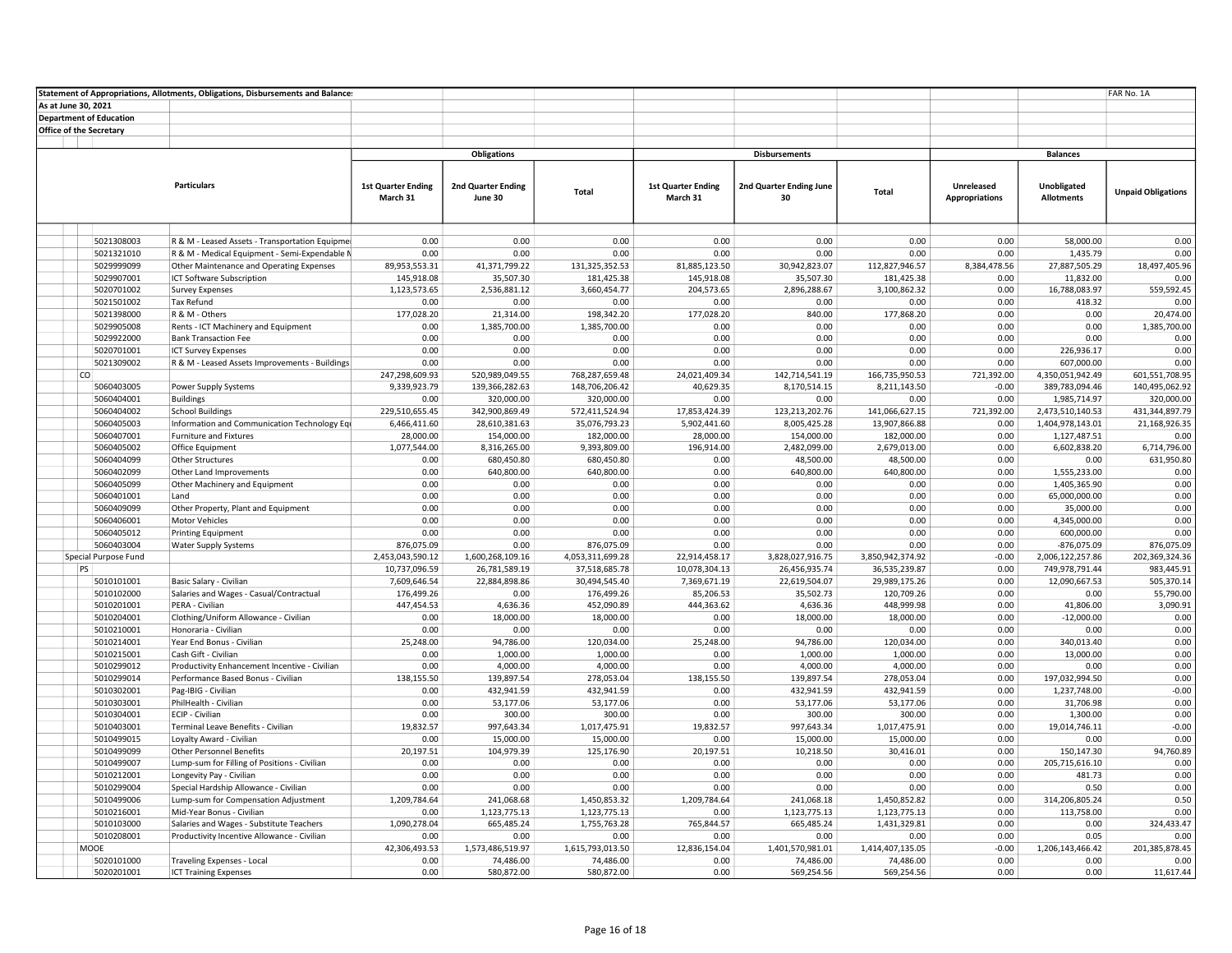|                     |                                | Statement of Appropriations, Allotments, Obligations, Disbursements and Balances        |                           |                              |                              |                           |                         |                                 |                       |                                  | FAR No. 1A                   |
|---------------------|--------------------------------|-----------------------------------------------------------------------------------------|---------------------------|------------------------------|------------------------------|---------------------------|-------------------------|---------------------------------|-----------------------|----------------------------------|------------------------------|
| As at June 30, 2021 |                                |                                                                                         |                           |                              |                              |                           |                         |                                 |                       |                                  |                              |
|                     | <b>Department of Education</b> |                                                                                         |                           |                              |                              |                           |                         |                                 |                       |                                  |                              |
|                     | <b>Office of the Secretary</b> |                                                                                         |                           |                              |                              |                           |                         |                                 |                       |                                  |                              |
|                     |                                |                                                                                         |                           |                              |                              |                           |                         |                                 |                       |                                  |                              |
|                     |                                |                                                                                         |                           | Obligations                  |                              |                           | <b>Disbursements</b>    |                                 |                       | <b>Balances</b>                  |                              |
|                     |                                |                                                                                         |                           |                              |                              |                           |                         |                                 |                       |                                  |                              |
|                     |                                | <b>Particulars</b>                                                                      | <b>1st Quarter Ending</b> | 2nd Quarter Ending           |                              | <b>1st Quarter Ending</b> | 2nd Quarter Ending June |                                 | Unreleased            | Unobligated                      |                              |
|                     |                                |                                                                                         | March 31                  | June 30                      | Total                        | March 31                  | 30                      | Total                           | <b>Appropriations</b> | <b>Allotments</b>                | <b>Unpaid Obligations</b>    |
|                     |                                |                                                                                         |                           |                              |                              |                           |                         |                                 |                       |                                  |                              |
|                     |                                |                                                                                         |                           |                              |                              |                           |                         |                                 |                       |                                  |                              |
|                     | 5021308003                     | R & M - Leased Assets - Transportation Equipmer                                         | 0.00                      | 0.00                         | 0.00                         | 0.00                      | 0.00                    | 0.00                            | 0.00                  | 58.000.00                        | 0.00                         |
|                     | 5021321010                     | R & M - Medical Equipment - Semi-Expendable N                                           | 0.00                      | 0.00                         | 0.00                         | 0.00                      | 0.00                    | 0.00                            | 0.00                  | 1,435.79                         | 0.00                         |
|                     | 5029999099                     | Other Maintenance and Operating Expenses                                                | 89,953,553.31             | 41,371,799.22                | 131, 325, 352. 53            | 81,885,123.50             | 30,942,823.07           | 112,827,946.57                  | 8,384,478.56          | 27,887,505.29                    | 18,497,405.96                |
|                     | 5029907001                     | ICT Software Subscription                                                               | 145,918.08                | 35,507.30                    | 181,425.38                   | 145,918.08                | 35,507.30               | 181,425.38                      | 0.00                  | 11,832.00                        | 0.00                         |
|                     | 5020701002                     | <b>Survey Expenses</b>                                                                  | 1,123,573.65              | 2,536,881.12                 | 3,660,454.77                 | 204,573.65                | 2,896,288.67            | 3,100,862.32                    | 0.00                  | 16,788,083.97                    | 559,592.45                   |
|                     | 5021501002                     | Tax Refund                                                                              | 0.00                      | 0.00                         | 0.00                         | 0.00                      | 0.00                    | 0.00                            | 0.00                  | 418.32                           | 0.00                         |
|                     | 5021398000                     | R & M - Others                                                                          | 177,028.20                | 21,314.00                    | 198,342.20                   | 177,028.20                | 840.00                  | 177,868.20                      | 0.00                  | 0.00                             | 20,474.00                    |
|                     | 5029905008                     | Rents - ICT Machinery and Equipment                                                     | 0.00                      | 1,385,700.00                 | 1,385,700.00                 | 0.00                      | 0.00                    | 0.00                            | 0.00                  | 0.00                             | 1,385,700.00                 |
|                     | 5029922000                     | <b>Bank Transaction Fee</b>                                                             | 0.00                      | 0.00                         | 0.00                         | 0.00                      | 0.00                    | 0.00                            | 0.00                  | 0.00                             | 0.00                         |
|                     | 5020701001                     | <b>ICT Survey Expenses</b>                                                              | 0.00                      | 0.00                         | 0.00                         | 0.00                      | 0.00                    | 0.00                            | 0.00                  | 226,936.17                       | 0.00                         |
|                     | 5021309002                     | R & M - Leased Assets Improvements - Buildings                                          | 0.00                      | 0.00                         | 0.00                         | 0.00                      | 0.00                    | 0.00                            | 0.00                  | 607,000.00                       | 0.00                         |
|                     | co                             |                                                                                         | 247,298,609.93            | 520,989,049.55               | 768,287,659.48               | 24,021,409.34             | 142,714,541.19          | 166,735,950.53                  | 721,392.00            | 4,350,051,942.49                 | 601,551,708.95               |
|                     | 5060403005                     | Power Supply Systems                                                                    | 9,339,923.79              | 139,366,282.63               | 148,706,206.42               | 40,629.35                 | 8,170,514.15            | 8,211,143.50                    | $-0.00$               | 389,783,094.46                   | 140,495,062.92               |
|                     | 5060404001<br>5060404002       | <b>Buildings</b>                                                                        | 0.00<br>229,510,655.45    | 320,000.00<br>342,900,869.49 | 320,000.00<br>572,411,524.94 | 0.00<br>17,853,424.39     | 0.00<br>123,213,202.76  | 0.00                            | 0.00<br>721,392.00    | 1,985,714.97<br>2,473,510,140.53 | 320,000.00<br>431,344,897.79 |
|                     | 5060405003                     | <b>School Buildings</b>                                                                 | 6,466,411.60              | 28,610,381.63                | 35,076,793.23                | 5,902,441.60              | 8,005,425.28            | 141,066,627.15<br>13,907,866.88 | 0.00                  | 1,404,978,143.01                 | 21,168,926.35                |
|                     | 5060407001                     | Information and Communication Technology Eqi<br><b>Furniture and Fixtures</b>           | 28,000.00                 | 154,000.00                   | 182,000.00                   | 28,000.00                 | 154,000.00              | 182,000.00                      | 0.00                  | 1,127,487.51                     | 0.00                         |
|                     | 5060405002                     | Office Equipment                                                                        | 1,077,544.00              | 8,316,265.00                 | 9,393,809.00                 | 196,914.00                | 2,482,099.00            | 2,679,013.00                    | 0.00                  | 6,602,838.20                     | 6,714,796.00                 |
|                     | 5060404099                     | <b>Other Structures</b>                                                                 | 0.00                      | 680,450.80                   | 680,450.80                   | 0.00                      | 48,500.00               | 48,500.00                       | 0.00                  | 0.00                             | 631,950.80                   |
|                     | 5060402099                     | Other Land Improvements                                                                 | 0.00                      | 640,800.00                   | 640,800.00                   | 0.00                      | 640,800.00              | 640,800.00                      | 0.00                  | 1,555,233.00                     | 0.00                         |
|                     | 5060405099                     | Other Machinery and Equipment                                                           | 0.00                      | 0.00                         | 0.00                         | 0.00                      | 0.00                    | 0.00                            | 0.00                  | 1,405,365.90                     | 0.00                         |
|                     | 5060401001                     | Land                                                                                    | 0.00                      | 0.00                         | 0.00                         | 0.00                      | 0.00                    | 0.00                            | 0.00                  | 65,000,000.00                    | 0.00                         |
|                     | 5060409099                     | Other Property, Plant and Equipment                                                     | 0.00                      | 0.00                         | 0.00                         | 0.00                      | 0.00                    | 0.00                            | 0.00                  | 35,000.00                        | 0.00                         |
|                     | 5060406001                     | <b>Motor Vehicles</b>                                                                   | 0.00                      | 0.00                         | 0.00                         | 0.00                      | 0.00                    | 0.00                            | 0.00                  | 4,345,000.00                     | 0.00                         |
|                     | 5060405012                     | <b>Printing Equipment</b>                                                               | 0.00                      | 0.00                         | 0.00                         | 0.00                      | 0.00                    | 0.00                            | 0.00                  | 600,000.00                       | 0.00                         |
|                     | 5060403004                     | Water Supply Systems                                                                    | 876,075.09                | 0.00                         | 876,075.09                   | 0.00                      | 0.00                    | 0.00                            | 0.00                  | $-876,075.09$                    | 876,075.09                   |
|                     | Special Purpose Fund           |                                                                                         | 2,453,043,590.12          | 1,600,268,109.16             | 4,053,311,699.28             | 22,914,458.17             | 3,828,027,916.75        | 3,850,942,374.92                | $-0.00$               | 2,006,122,257.86                 | 202,369,324.36               |
|                     | PS                             |                                                                                         | 10,737,096.59             | 26,781,589.19                | 37,518,685.78                | 10,078,304.13             | 26,456,935.74           | 36,535,239.87                   | 0.00                  | 749,978,791.44                   | 983,445.91                   |
|                     | 5010101001                     | Basic Salary - Civilian                                                                 | 7,609,646.54              | 22,884,898.86                | 30,494,545.40                | 7,369,671.19              | 22,619,504.07           | 29,989,175.26                   | 0.00                  | 12,090,667.53                    | 505,370.14                   |
|                     | 5010102000                     | Salaries and Wages - Casual/Contractual                                                 | 176,499.26                | 0.00                         | 176,499.26                   | 85,206.53                 | 35,502.73               | 120,709.26                      | 0.00                  | 0.00                             | 55,790.00                    |
|                     | 5010201001                     | PERA - Civilian                                                                         | 447,454.53                | 4,636.36                     | 452,090.89                   | 444,363.62                | 4,636.36                | 448,999.98                      | 0.00                  | 41.806.00                        | 3,090.91                     |
|                     | 5010204001<br>5010210001       | Clothing/Uniform Allowance - Civilian<br>Honoraria - Civilian                           | 0.00<br>0.00              | 18,000.00<br>0.00            | 18,000.00<br>0.00            | 0.00<br>0.00              | 18,000.00               | 18,000.00                       | 0.00                  | $-12,000.00$<br>0.00             | 0.00<br>0.00                 |
|                     | 5010214001                     | Year End Bonus - Civilian                                                               | 25,248.00                 | 94,786.00                    | 120,034.00                   | 25,248.00                 | 0.00<br>94,786.00       | 0.00<br>120,034.00              | 0.00<br>0.00          | 340,013.40                       | 0.00                         |
|                     | 5010215001                     | Cash Gift - Civilian                                                                    | 0.00                      | 1,000.00                     | 1,000.00                     | 0.00                      | 1,000.00                | 1,000.00                        | 0.00                  | 13,000.00                        | 0.00                         |
|                     | 5010299012                     | Productivity Enhancement Incentive - Civilian                                           | 0.00                      | 4,000.00                     | 4,000.00                     | 0.00                      | 4,000.00                | 4,000.00                        | 0.00                  | 0.00                             | 0.00                         |
|                     | 5010299014                     | Performance Based Bonus - Civilian                                                      | 138,155.50                | 139,897.54                   | 278,053.04                   | 138,155.50                | 139,897.54              | 278,053.04                      | 0.00                  | 197,032,994.50                   | 0.00                         |
|                     | 5010302001                     | Pag-IBIG - Civilian                                                                     | 0.00                      | 432,941.59                   | 432,941.59                   | 0.00                      | 432,941.59              | 432,941.59                      | 0.00                  | 1,237,748.00                     | $-0.00$                      |
|                     | 5010303001                     | PhilHealth - Civilian                                                                   | 0.00                      | 53,177.06                    | 53,177.06                    | 0.00                      | 53,177.06               | 53,177.06                       | 0.00                  | 31,706.98                        | 0.00                         |
|                     | 5010304001                     | ECIP - Civilian                                                                         | 0.00                      | 300.00                       | 300.00                       | 0.00                      | 300.00                  | 300.00                          | 0.00                  | 1,300.00                         | 0.00                         |
|                     | 5010403001                     | Terminal Leave Benefits - Civilian                                                      | 19,832.57                 | 997,643.34                   | 1,017,475.91                 | 19,832.57                 | 997,643.34              | 1,017,475.91                    | 0.00                  | 19,014,746.11                    | $-0.00$                      |
|                     | 5010499015                     | Loyalty Award - Civilian                                                                | 0.00                      | 15,000.00                    | 15,000.00                    | 0.00                      | 15,000.00               | 15,000.00                       | 0.00                  | 0.00                             | 0.00                         |
|                     | 5010499099                     | <b>Other Personnel Benefits</b>                                                         | 20,197.51                 | 104,979.39                   | 125,176.90                   | 20,197.51                 | 10,218.50               | 30,416.01                       | 0.00                  | 150,147.30                       | 94,760.89                    |
|                     | 5010499007                     | Lump-sum for Filling of Positions - Civilian                                            | 0.00                      | 0.00                         | 0.00                         | 0.00                      | 0.00                    | 0.00                            | 0.00                  | 205,715,616.10                   | 0.00                         |
|                     | 5010212001                     | Longevity Pay - Civilian                                                                | 0.00                      | 0.00                         | 0.00                         | 0.00                      | 0.00                    | 0.00                            | 0.00                  | 481.73                           | 0.00                         |
|                     | 5010299004                     | Special Hardship Allowance - Civilian                                                   | 0.00                      | 0.00                         | 0.00                         | 0.00                      | 0.00                    | 0.00                            | 0.00                  | 0.50                             | 0.00                         |
|                     | 5010499006                     | Lump-sum for Compensation Adjustment                                                    | 1,209,784.64              | 241,068.68                   | 1,450,853.32                 | 1,209,784.64              | 241,068.18              | 1,450,852.82                    | 0.00                  | 314,206,805.24                   | 0.50                         |
|                     | 5010216001                     | Mid-Year Bonus - Civilian                                                               | 0.00                      | 1,123,775.13                 | 1,123,775.13                 | 0.00                      | 1,123,775.13            | 1,123,775.13                    | 0.00                  | 113,758.00                       | 0.00                         |
|                     | 5010103000<br>5010208001       | Salaries and Wages - Substitute Teachers<br>Productivity Incentive Allowance - Civilian | 1,090,278.04<br>0.00      | 665,485.24<br>0.00           | 1,755,763.28<br>0.00         | 765,844.57<br>0.00        | 665,485.24<br>0.00      | 1,431,329.81<br>0.00            | 0.00<br>0.00          | 0.00<br>0.05                     | 324,433.47<br>0.00           |
|                     | <b>MOOE</b>                    |                                                                                         | 42,306,493.53             | 1,573,486,519.97             | 1,615,793,013.50             | 12,836,154.04             | 1,401,570,981.01        | 1,414,407,135.05                | $-0.00$               | 1,206,143,466.42                 | 201,385,878.45               |
|                     | 5020101000                     | Traveling Expenses - Local                                                              | 0.00                      | 74,486.00                    | 74,486.00                    | 0.00                      | 74,486.00               | 74,486.00                       | 0.00                  | 0.00                             | 0.00                         |
|                     | 5020201001                     | <b>ICT Training Expenses</b>                                                            | 0.00                      | 580,872.00                   | 580,872.00                   | 0.00                      | 569,254.56              | 569,254.56                      | 0.00                  | 0.00                             | 11,617.44                    |
|                     |                                |                                                                                         |                           |                              |                              |                           |                         |                                 |                       |                                  |                              |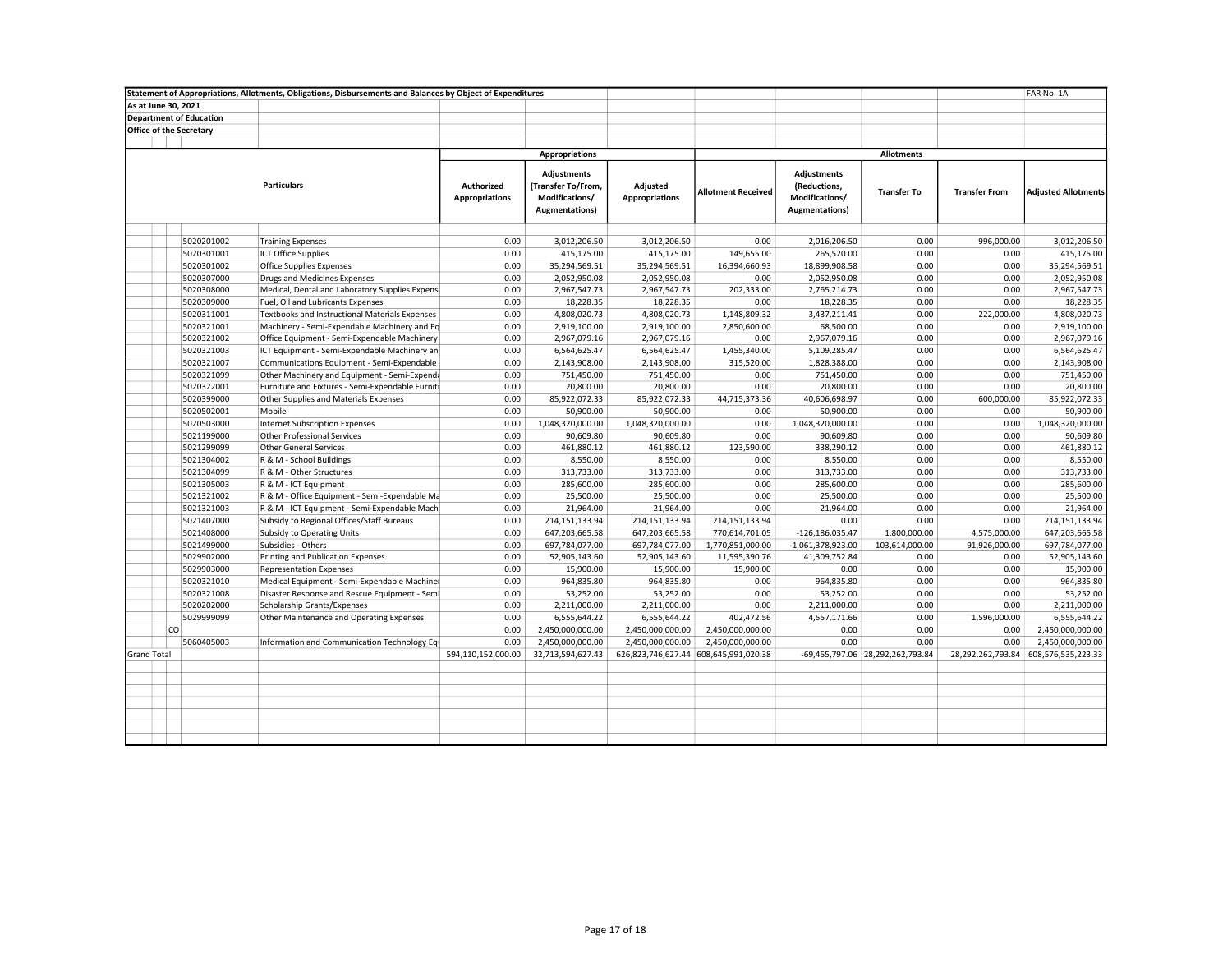|                    |                     |                                | Statement of Appropriations, Allotments, Obligations, Disbursements and Balances by Object of Expenditures |                                     |                                                                               |                                   |                                       |                                                                         |                                  |                      | FAR No. 1A                 |
|--------------------|---------------------|--------------------------------|------------------------------------------------------------------------------------------------------------|-------------------------------------|-------------------------------------------------------------------------------|-----------------------------------|---------------------------------------|-------------------------------------------------------------------------|----------------------------------|----------------------|----------------------------|
|                    | As at June 30, 2021 |                                |                                                                                                            |                                     |                                                                               |                                   |                                       |                                                                         |                                  |                      |                            |
|                    |                     | <b>Department of Education</b> |                                                                                                            |                                     |                                                                               |                                   |                                       |                                                                         |                                  |                      |                            |
|                    |                     | <b>Office of the Secretary</b> |                                                                                                            |                                     |                                                                               |                                   |                                       |                                                                         |                                  |                      |                            |
|                    |                     |                                |                                                                                                            |                                     |                                                                               |                                   |                                       |                                                                         |                                  |                      |                            |
|                    |                     |                                |                                                                                                            |                                     | <b>Appropriations</b>                                                         |                                   |                                       |                                                                         | <b>Allotments</b>                |                      |                            |
|                    |                     |                                | <b>Particulars</b>                                                                                         | Authorized<br><b>Appropriations</b> | Adjustments<br>(Transfer To/From,<br>Modifications/<br><b>Augmentations</b> ) | Adjusted<br><b>Appropriations</b> | <b>Allotment Received</b>             | Adjustments<br>(Reductions,<br>Modifications/<br><b>Augmentations</b> ) | <b>Transfer To</b>               | <b>Transfer From</b> | <b>Adjusted Allotments</b> |
|                    |                     |                                |                                                                                                            |                                     |                                                                               |                                   |                                       |                                                                         |                                  |                      |                            |
|                    |                     | 5020201002                     | <b>Training Expenses</b>                                                                                   | 0.00                                | 3,012,206.50                                                                  | 3,012,206.50                      | 0.00                                  | 2,016,206.50                                                            | 0.00                             | 996,000.00           | 3,012,206.50               |
|                    |                     | 5020301001                     | <b>ICT Office Supplies</b>                                                                                 | 0.00                                | 415,175.00                                                                    | 415,175.00                        | 149,655.00                            | 265,520.00                                                              | 0.00                             | 0.00                 | 415,175.00                 |
|                    |                     | 5020301002                     | <b>Office Supplies Expenses</b>                                                                            | 0.00                                | 35,294,569.51                                                                 | 35,294,569.51                     | 16,394,660.93                         | 18,899,908.58                                                           | 0.00                             | 0.00                 | 35,294,569.51              |
|                    |                     | 5020307000                     | Drugs and Medicines Expenses                                                                               | 0.00                                | 2,052,950.08                                                                  | 2,052,950.08                      | 0.00                                  | 2,052,950.08                                                            | 0.00                             | 0.00                 | 2,052,950.08               |
|                    |                     | 5020308000                     | Medical, Dental and Laboratory Supplies Expense                                                            | 0.00                                | 2,967,547.73                                                                  | 2,967,547.73                      | 202,333.00                            | 2,765,214.73                                                            | 0.00                             | 0.00                 | 2,967,547.73               |
|                    |                     | 5020309000                     | Fuel, Oil and Lubricants Expenses                                                                          | 0.00                                | 18,228.35                                                                     | 18,228.35                         | 0.00                                  | 18,228.35                                                               | 0.00                             | 0.00                 | 18,228.35                  |
|                    |                     | 5020311001                     | Textbooks and Instructional Materials Expenses                                                             | 0.00                                | 4,808,020.73                                                                  | 4,808,020.73                      | 1,148,809.32                          | 3,437,211.41                                                            | 0.00                             | 222,000.00           | 4,808,020.73               |
|                    |                     | 5020321001                     | Machinery - Semi-Expendable Machinery and Eq                                                               | 0.00                                | 2,919,100.00                                                                  | 2,919,100.00                      | 2,850,600.00                          | 68,500.00                                                               | 0.00                             | 0.00                 | 2,919,100.00               |
|                    |                     | 5020321002                     | Office Equipment - Semi-Expendable Machinery                                                               | 0.00                                | 2,967,079.16                                                                  | 2,967,079.16                      | 0.00                                  | 2,967,079.16                                                            | 0.00                             | 0.00                 | 2,967,079.16               |
|                    |                     | 5020321003                     | ICT Equipment - Semi-Expendable Machinery and                                                              | 0.00                                | 6,564,625.47                                                                  | 6,564,625.47                      | 1,455,340.00                          | 5,109,285.47                                                            | 0.00                             | 0.00                 | 6,564,625.47               |
|                    |                     | 5020321007                     | Communications Equipment - Semi-Expendable                                                                 | 0.00                                | 2,143,908.00                                                                  | 2,143,908.00                      | 315,520.00                            | 1,828,388.00                                                            | 0.00                             | 0.00                 | 2,143,908.00               |
|                    |                     | 5020321099                     | Other Machinery and Equipment - Semi-Expenda                                                               | 0.00                                | 751,450.00                                                                    | 751,450.00                        | 0.00                                  | 751,450.00                                                              | 0.00                             | 0.00                 | 751,450.00                 |
|                    |                     | 5020322001                     | Furniture and Fixtures - Semi-Expendable Furniti                                                           | 0.00                                | 20,800.00                                                                     | 20,800.00                         | 0.00                                  | 20,800.00                                                               | 0.00                             | 0.00                 | 20,800.00                  |
|                    |                     | 5020399000                     | Other Supplies and Materials Expenses                                                                      | 0.00                                | 85,922,072.33                                                                 | 85,922,072.33                     | 44,715,373.36                         | 40,606,698.97                                                           | 0.00                             | 600,000.00           | 85,922,072.33              |
|                    |                     | 5020502001                     | Mobile                                                                                                     | 0.00                                | 50,900.00                                                                     | 50,900.00                         | 0.00                                  | 50,900.00                                                               | 0.00                             | 0.00                 | 50,900.00                  |
|                    |                     | 5020503000                     | Internet Subscription Expenses                                                                             | 0.00                                | 1,048,320,000.00                                                              | 1,048,320,000.00                  | 0.00                                  | 1,048,320,000.00                                                        | 0.00                             | 0.00                 | 1,048,320,000.00           |
|                    |                     | 5021199000                     | <b>Other Professional Services</b>                                                                         | 0.00                                | 90,609.80                                                                     | 90,609.80                         | 0.00                                  | 90,609.80                                                               | 0.00                             | 0.00                 | 90,609.80                  |
|                    |                     | 5021299099                     | <b>Other General Services</b>                                                                              | 0.00                                | 461,880.12                                                                    | 461,880.12                        | 123,590.00                            | 338,290.12                                                              | 0.00                             | 0.00                 | 461,880.12                 |
|                    |                     | 5021304002                     | R & M - School Buildings                                                                                   | 0.00                                | 8,550.00                                                                      | 8,550.00                          | 0.00                                  | 8,550.00                                                                | 0.00                             | 0.00                 | 8,550.00                   |
|                    |                     | 5021304099                     | R & M - Other Structures                                                                                   | 0.00                                | 313,733.00                                                                    | 313,733.00                        | 0.00                                  | 313,733.00                                                              | 0.00                             | 0.00                 | 313,733.00                 |
|                    |                     | 5021305003                     | R & M - ICT Equipment                                                                                      | 0.00                                | 285,600.00                                                                    | 285,600.00                        | 0.00                                  | 285,600.00                                                              | 0.00                             | 0.00                 | 285,600.00                 |
|                    |                     | 5021321002                     | R & M - Office Equipment - Semi-Expendable Ma                                                              | 0.00                                | 25,500.00                                                                     | 25,500.00                         | 0.00                                  | 25,500.00                                                               | 0.00                             | 0.00                 | 25,500.00                  |
|                    |                     | 5021321003                     | R & M - ICT Equipment - Semi-Expendable Machi                                                              | 0.00                                | 21,964.00                                                                     | 21,964.00                         | 0.00                                  | 21,964.00                                                               | 0.00                             | 0.00                 | 21,964.00                  |
|                    |                     | 5021407000                     | Subsidy to Regional Offices/Staff Bureaus                                                                  | 0.00                                | 214,151,133.94                                                                | 214, 151, 133. 94                 | 214,151,133.94                        | 0.00                                                                    | 0.00                             | 0.00                 | 214,151,133.94             |
|                    |                     | 5021408000                     | <b>Subsidy to Operating Units</b>                                                                          | 0.00                                | 647,203,665.58                                                                | 647,203,665.58                    | 770,614,701.05                        | $-126, 186, 035.47$                                                     | 1,800,000.00                     | 4,575,000.00         | 647,203,665.58             |
|                    |                     | 5021499000                     | Subsidies - Others                                                                                         | 0.00                                | 697,784,077.00                                                                | 697,784,077.00                    | 1,770,851,000.00                      | $-1,061,378,923.00$                                                     | 103,614,000.00                   | 91,926,000.00        | 697,784,077.00             |
|                    |                     | 5029902000                     | Printing and Publication Expenses                                                                          | 0.00                                | 52,905,143.60                                                                 | 52,905,143.60                     | 11,595,390.76                         | 41,309,752.84                                                           | 0.00                             | 0.00                 | 52,905,143.60              |
|                    |                     | 5029903000                     | <b>Representation Expenses</b>                                                                             | 0.00                                | 15,900.00                                                                     | 15,900.00                         | 15,900.00                             | 0.00                                                                    | 0.00                             | 0.00                 | 15,900.00                  |
|                    |                     | 5020321010                     | Medical Equipment - Semi-Expendable Machiner                                                               | 0.00                                | 964,835.80                                                                    | 964,835.80                        | 0.00                                  | 964,835.80                                                              | 0.00                             | 0.00                 | 964,835.80                 |
|                    |                     | 5020321008                     | Disaster Response and Rescue Equipment - Semi                                                              | 0.00                                | 53,252.00                                                                     | 53,252.00                         | 0.00                                  | 53,252.00                                                               | 0.00                             | 0.00                 | 53,252.00                  |
|                    |                     | 5020202000                     | <b>Scholarship Grants/Expenses</b>                                                                         | 0.00                                | 2,211,000.00                                                                  | 2,211,000.00                      | 0.00                                  | 2,211,000.00                                                            | 0.00                             | 0.00                 | 2,211,000.00               |
|                    |                     | 5029999099                     | Other Maintenance and Operating Expenses                                                                   | 0.00                                | 6,555,644.22                                                                  | 6,555,644.22                      | 402,472.56                            | 4,557,171.66                                                            | 0.00                             | 1,596,000.00         | 6,555,644.22               |
|                    | <b>CO</b>           |                                |                                                                                                            | 0.00                                | 2,450,000,000.00                                                              | 2,450,000,000.00                  | 2,450,000,000.00                      | 0.00                                                                    | 0.00                             | 0.00                 | 2,450,000,000.00           |
|                    |                     | 5060405003                     | Information and Communication Technology Equ                                                               | 0.00                                | 2,450,000,000.00                                                              | 2,450,000,000.00                  | 2,450,000,000.00                      | 0.00                                                                    | 0.00                             | 0.00                 | 2,450,000,000.00           |
| <b>Grand Total</b> |                     |                                |                                                                                                            | 594,110,152,000.00                  | 32,713,594,627.43                                                             |                                   | 626,823,746,627.44 608,645,991,020.38 |                                                                         | -69,455,797.06 28,292,262,793.84 | 28,292,262,793.84    | 608,576,535,223.33         |
|                    |                     |                                |                                                                                                            |                                     |                                                                               |                                   |                                       |                                                                         |                                  |                      |                            |
|                    |                     |                                |                                                                                                            |                                     |                                                                               |                                   |                                       |                                                                         |                                  |                      |                            |
|                    |                     |                                |                                                                                                            |                                     |                                                                               |                                   |                                       |                                                                         |                                  |                      |                            |
|                    |                     |                                |                                                                                                            |                                     |                                                                               |                                   |                                       |                                                                         |                                  |                      |                            |
|                    |                     |                                |                                                                                                            |                                     |                                                                               |                                   |                                       |                                                                         |                                  |                      |                            |